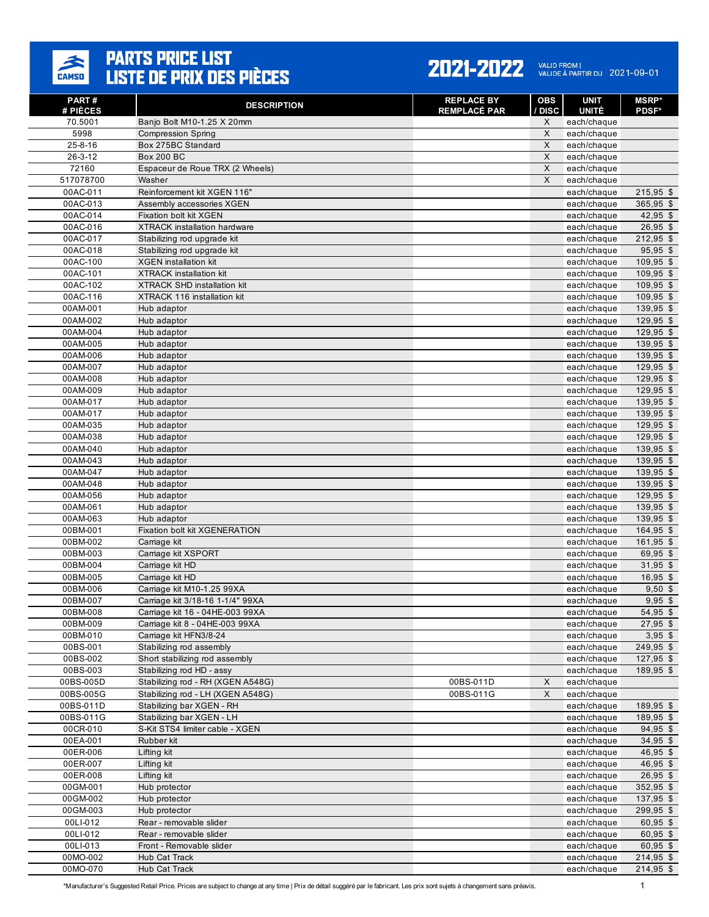

#### 2021-2022 VALID FROM | 2021-09-01

| PART#<br># PIÈCES    | <b>DESCRIPTION</b>                                                | <b>REPLACE BY</b><br><b>REMPLACÉ PAR</b> | <b>OBS</b><br><b>DISC</b> | <b>UNIT</b><br><b>UNITÉ</b> | <b>MSRP</b> *<br><b>PDSF*</b> |
|----------------------|-------------------------------------------------------------------|------------------------------------------|---------------------------|-----------------------------|-------------------------------|
| 70.5001              | Banjo Bolt M10-1.25 X 20mm                                        |                                          | X                         | each/chaque                 |                               |
| 5998                 | <b>Compression Spring</b>                                         |                                          | X                         | each/chaque                 |                               |
| $25 - 8 - 16$        | Box 275BC Standard                                                |                                          | X                         | each/chaque                 |                               |
| 26-3-12              | <b>Box 200 BC</b>                                                 |                                          | X                         | each/chaque                 |                               |
| 72160                | Espaceur de Roue TRX (2 Wheels)                                   |                                          | X                         | each/chaque                 |                               |
| 517078700            | Washer                                                            |                                          | X                         | each/chaque                 |                               |
| 00AC-011             | Reinforcement kit XGEN 116"                                       |                                          |                           | each/chaque                 | $215,95$ \$                   |
| 00AC-013             | Assembly accessories XGEN                                         |                                          |                           | each/chaque                 | $365,95$ \$                   |
| 00AC-014             | Fixation bolt kit XGEN                                            |                                          |                           | each/chaque                 | $42,95$ \$                    |
| 00AC-016             | <b>XTRACK</b> installation hardware                               |                                          |                           | each/chaque                 | $26,95$ \$                    |
| 00AC-017             | Stabilizing rod upgrade kit                                       |                                          |                           | each/chaque                 | $212,95$ \$                   |
| 00AC-018             | Stabilizing rod upgrade kit                                       |                                          |                           | each/chaque                 | 95,95 \$                      |
| 00AC-100             | <b>XGEN</b> installation kit                                      |                                          |                           | each/chaque                 | 109,95 \$                     |
| 00AC-101             | <b>XTRACK</b> installation kit                                    |                                          |                           | each/chaque                 | 109,95 \$                     |
| 00AC-102             | <b>XTRACK SHD installation kit</b>                                |                                          |                           | each/chaque                 | $109,95$ \$                   |
| 00AC-116             | XTRACK 116 installation kit                                       |                                          |                           | each/chaque                 | 109,95 \$                     |
| 00AM-001             | Hub adaptor                                                       |                                          |                           | each/chaque                 | 139,95 \$                     |
| 00AM-002             | Hub adaptor                                                       |                                          |                           | each/chaque                 | 129,95 \$                     |
| 00AM-004<br>00AM-005 | Hub adaptor<br>Hub adaptor                                        |                                          |                           | each/chaque<br>each/chaque  | 129,95 \$<br>139,95 \$        |
| 00AM-006             | Hub adaptor                                                       |                                          |                           | each/chaque                 | $139,95$ \$                   |
| 00AM-007             | Hub adaptor                                                       |                                          |                           | each/chaque                 | 129,95 \$                     |
| 00AM-008             | Hub adaptor                                                       |                                          |                           | each/chaque                 | 129,95 \$                     |
| 00AM-009             | Hub adaptor                                                       |                                          |                           | each/chaque                 | 129,95 \$                     |
| 00AM-017             | Hub adaptor                                                       |                                          |                           | each/chaque                 | 139,95 \$                     |
| 00AM-017             | Hub adaptor                                                       |                                          |                           | each/chaque                 | $139,95$ \$                   |
| 00AM-035             | Hub adaptor                                                       |                                          |                           | each/chaque                 | 129,95 \$                     |
| 00AM-038             | Hub adaptor                                                       |                                          |                           | each/chaque                 | $129,95$ \$                   |
| 00AM-040             | Hub adaptor                                                       |                                          |                           | each/chaque                 | 139,95 \$                     |
| 00AM-043             | Hub adaptor                                                       |                                          |                           | each/chaque                 | 139,95 \$                     |
| 00AM-047             | Hub adaptor                                                       |                                          |                           | each/chaque                 | 139,95 \$                     |
| 00AM-048             | Hub adaptor                                                       |                                          |                           | each/chaque                 | 139,95 \$                     |
| 00AM-056             | Hub adaptor                                                       |                                          |                           | each/chaque                 | $129,95$ \$                   |
| 00AM-061             | Hub adaptor                                                       |                                          |                           | each/chaque                 | 139,95 \$                     |
| 00AM-063             | Hub adaptor                                                       |                                          |                           | each/chaque                 | 139,95 \$                     |
| 00BM-001             | Fixation bolt kit XGENERATION                                     |                                          |                           | each/chaque                 | 164,95 \$                     |
| 00BM-002             | Carriage kit                                                      |                                          |                           | each/chaque                 | $161,95$ \$                   |
| 00BM-003             | Carriage kit XSPORT                                               |                                          |                           | each/chaque                 | 69,95 \$                      |
| 00BM-004             | Carriage kit HD                                                   |                                          |                           | each/chaque                 | $31,95$ \$                    |
| 00BM-005             | Carriage kit HD                                                   |                                          |                           | each/chaque                 | $16,95$ \$                    |
| 00BM-006             | Carriage kit M10-1.25 99XA                                        |                                          |                           | each/chaque                 | $9.50$ \$                     |
| 00BM-007             | Carriage kit 3/18-16 1-1/4" 99XA                                  |                                          |                           | each/chaque                 | $9,95$ \$<br>54,95 \$         |
| 00BM-008<br>00BM-009 | Carriage kit 16 - 04HE-003 99XA<br>Carriage kit 8 - 04HE-003 99XA |                                          |                           | each/chaque<br>each/chaque  | $27,95$ \$                    |
| 00BM-010             | Carriage kit HFN3/8-24                                            |                                          |                           | each/chaque                 | $3,95$ \$                     |
| 00BS-001             | Stabilizing rod assembly                                          |                                          |                           | each/chaque                 | 249,95 \$                     |
| 00BS-002             | Short stabilizing rod assembly                                    |                                          |                           | each/chaque                 | $127,95$ \$                   |
| 00BS-003             | Stabilizing rod HD - assy                                         |                                          |                           | each/chaque                 | 189,95 \$                     |
| 00BS-005D            | Stabilizing rod - RH (XGEN A548G)                                 | 00BS-011D                                | X                         | each/chaque                 |                               |
| 00BS-005G            | Stabilizing rod - LH (XGEN A548G)                                 | 00BS-011G                                | X                         | each/chaque                 |                               |
| 00BS-011D            | Stabilizing bar XGEN - RH                                         |                                          |                           | each/chaque                 | 189,95 \$                     |
| 00BS-011G            | Stabilizing bar XGEN - LH                                         |                                          |                           | each/chaque                 | 189,95 \$                     |
| 00CR-010             | S-Kit STS4 limiter cable - XGEN                                   |                                          |                           | each/chaque                 | 94,95 \$                      |
| 00EA-001             | Rubber kit                                                        |                                          |                           | each/chaque                 | $34,95$ \$                    |
| 00ER-006             | Lifting kit                                                       |                                          |                           | each/chaque                 | 46,95 \$                      |
| 00ER-007             | Lifting kit                                                       |                                          |                           | each/chaque                 | 46,95 \$                      |
| 00ER-008             | Lifting kit                                                       |                                          |                           | each/chaque                 | 26,95 \$                      |
| 00GM-001             | Hub protector                                                     |                                          |                           | each/chaque                 | 352,95 \$                     |
| 00GM-002             | Hub protector                                                     |                                          |                           | each/chaque                 | 137,95 \$                     |
| 00GM-003             | Hub protector                                                     |                                          |                           | each/chaque                 | 299,95 \$                     |
| 00LI-012             | Rear - removable slider                                           |                                          |                           | each/chaque                 | 60,95 \$                      |
| 00LI-012             | Rear - removable slider                                           |                                          |                           | each/chaque                 | $60,95$ \$                    |
| 00LI-013             | Front - Removable slider                                          |                                          |                           | each/chaque                 | $60,95$ \$                    |
| 00MO-002             | Hub Cat Track                                                     |                                          |                           | each/chaque                 | 214,95 \$                     |
| 00MO-070             | Hub Cat Track                                                     |                                          |                           | each/chaque                 | 214,95 \$                     |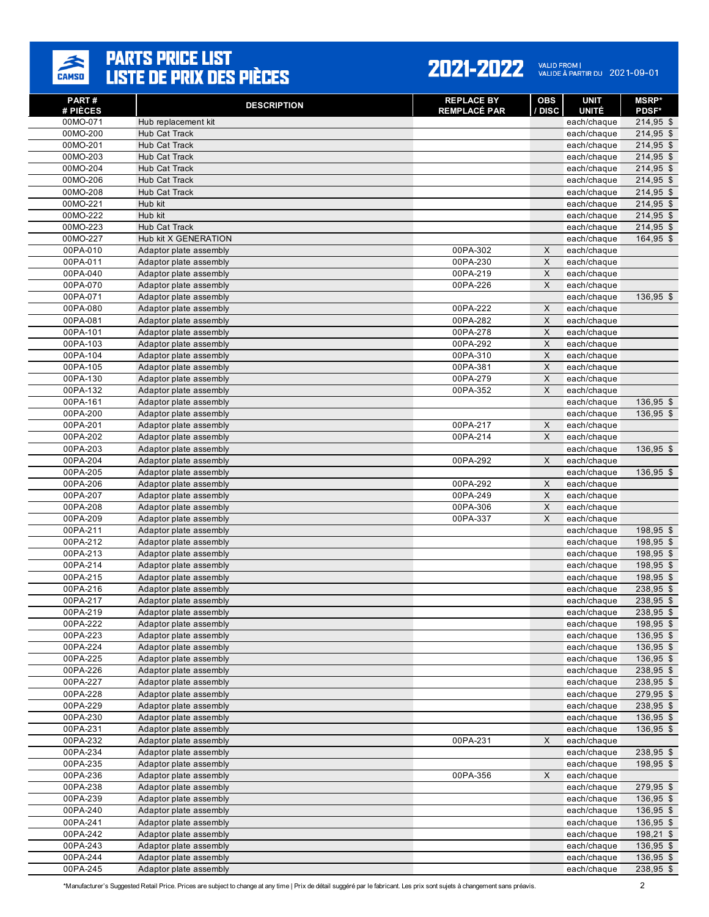

| PART#<br># PIÈCES    | <b>DESCRIPTION</b>                               | <b>REPLACE BY</b><br><b>REMPLACÉ PAR</b> | OBS<br>/ DISC             | UNIT<br><b>UNITÉ</b>       | <b>MSRP*</b><br><b>PDSF*</b> |
|----------------------|--------------------------------------------------|------------------------------------------|---------------------------|----------------------------|------------------------------|
| 00MO-071             | Hub replacement kit                              |                                          |                           | each/chaque                | 214,95 \$                    |
| 00MO-200             | Hub Cat Track                                    |                                          |                           | each/chaque                | $214,95$ \$                  |
| 00MO-201             | Hub Cat Track                                    |                                          |                           | each/chaque                | 214,95 \$                    |
| 00MO-203             | Hub Cat Track                                    |                                          |                           | each/chaque                | 214,95 \$                    |
| 00MO-204             | Hub Cat Track                                    |                                          |                           | each/chaque                | 214,95 \$                    |
| 00MO-206             | <b>Hub Cat Track</b>                             |                                          |                           | each/chaque                | 214,95 \$                    |
| 00MO-208             | <b>Hub Cat Track</b>                             |                                          |                           | each/chaque                | 214,95 \$                    |
| 00MO-221             | Hub kit                                          |                                          |                           | each/chaque                | 214,95 \$                    |
| 00MO-222             | Hub kit                                          |                                          |                           | each/chaque                | 214,95 \$                    |
| 00MO-223             | <b>Hub Cat Track</b>                             |                                          |                           | each/chaque                | 214,95 \$                    |
| 00MO-227             | Hub kit X GENERATION                             |                                          |                           | each/chaque                | 164,95 \$                    |
| 00PA-010             | Adaptor plate assembly                           | 00PA-302                                 | X                         | each/chaque                |                              |
| 00PA-011             | Adaptor plate assembly                           | 00PA-230                                 | $\boldsymbol{\mathsf{X}}$ | each/chaque                |                              |
| 00PA-040             | Adaptor plate assembly                           | 00PA-219                                 | X                         | each/chaque                |                              |
| 00PA-070             | Adaptor plate assembly                           | 00PA-226                                 | X                         | each/chaque                |                              |
| 00PA-071             | Adaptor plate assembly                           |                                          |                           | each/chaque                | 136,95 \$                    |
| 00PA-080             | Adaptor plate assembly                           | 00PA-222                                 | X                         | each/chaque                |                              |
| 00PA-081             | Adaptor plate assembly                           | 00PA-282                                 | $\mathsf X$               | each/chaque                |                              |
| 00PA-101             | Adaptor plate assembly                           | 00PA-278                                 | X                         | each/chaque                |                              |
| 00PA-103             | Adaptor plate assembly<br>Adaptor plate assembly | 00PA-292                                 | X<br>$\mathsf X$          | each/chaque                |                              |
| 00PA-104<br>00PA-105 | Adaptor plate assembly                           | 00PA-310<br>00PA-381                     | X                         | each/chaque<br>each/chaque |                              |
| 00PA-130             | Adaptor plate assembly                           | 00PA-279                                 | $\mathsf X$               | each/chaque                |                              |
| 00PA-132             | Adaptor plate assembly                           | 00PA-352                                 | X                         | each/chaque                |                              |
| 00PA-161             | Adaptor plate assembly                           |                                          |                           | each/chaque                | 136,95 \$                    |
| 00PA-200             | Adaptor plate assembly                           |                                          |                           | each/chaque                | 136,95 \$                    |
| 00PA-201             | Adaptor plate assembly                           | 00PA-217                                 | X                         | each/chaque                |                              |
| 00PA-202             | Adaptor plate assembly                           | 00PA-214                                 | X                         | each/chaque                |                              |
| 00PA-203             | Adaptor plate assembly                           |                                          |                           | each/chaque                | 136,95 \$                    |
| 00PA-204             | Adaptor plate assembly                           | 00PA-292                                 | X                         | each/chaque                |                              |
| 00PA-205             | Adaptor plate assembly                           |                                          |                           | each/chaque                | 136,95 \$                    |
| 00PA-206             | Adaptor plate assembly                           | 00PA-292                                 | $\mathsf X$               | each/chaque                |                              |
| 00PA-207             | Adaptor plate assembly                           | 00PA-249                                 | X                         | each/chaque                |                              |
| 00PA-208             | Adaptor plate assembly                           | 00PA-306                                 | $\mathsf X$               | each/chaque                |                              |
| 00PA-209             | Adaptor plate assembly                           | 00PA-337                                 | X                         | each/chaque                |                              |
| 00PA-211             | Adaptor plate assembly                           |                                          |                           | each/chaque                | 198,95 \$                    |
| 00PA-212             | Adaptor plate assembly                           |                                          |                           | each/chaque                | 198,95 \$                    |
| 00PA-213             | Adaptor plate assembly                           |                                          |                           | each/chaque                | 198,95 \$                    |
| 00PA-214             | Adaptor plate assembly                           |                                          |                           | each/chaque                | 198,95 \$                    |
| 00PA-215             | Adaptor plate assembly                           |                                          |                           | each/chaque                | 198,95 \$                    |
| 00PA-216             | Adaptor plate assembly                           |                                          |                           | each/chaque                | 238,95 \$                    |
| 00PA-217             | Adaptor plate assembly                           |                                          |                           | each/chaque                | 238,95 \$                    |
| 00PA-219             | Adaptor plate assembly                           |                                          |                           | each/chaque                | 238,95 \$                    |
| 00PA-222             | Adaptor plate assembly                           |                                          |                           | each/chaque                | 198,95 \$                    |
| 00PA-223<br>00PA-224 | Adaptor plate assembly<br>Adaptor plate assembly |                                          |                           | each/chaque                | 136,95 \$                    |
| 00PA-225             | Adaptor plate assembly                           |                                          |                           | each/chaque<br>each/chaque | 136,95 \$<br>136,95 \$       |
| 00PA-226             | Adaptor plate assembly                           |                                          |                           | each/chaque                | 238,95 \$                    |
| 00PA-227             | Adaptor plate assembly                           |                                          |                           | each/chaque                | 238,95 \$                    |
| 00PA-228             | Adaptor plate assembly                           |                                          |                           | each/chaque                | 279,95 \$                    |
| 00PA-229             | Adaptor plate assembly                           |                                          |                           | each/chaque                | 238,95 \$                    |
| 00PA-230             | Adaptor plate assembly                           |                                          |                           | each/chaque                | 136,95 \$                    |
| 00PA-231             | Adaptor plate assembly                           |                                          |                           | each/chaque                | 136,95 \$                    |
| 00PA-232             | Adaptor plate assembly                           | 00PA-231                                 | X                         | each/chaque                |                              |
| 00PA-234             | Adaptor plate assembly                           |                                          |                           | each/chaque                | 238,95 \$                    |
| 00PA-235             | Adaptor plate assembly                           |                                          |                           | each/chaque                | 198,95 \$                    |
| 00PA-236             | Adaptor plate assembly                           | 00PA-356                                 | $\mathsf X$               | each/chaque                |                              |
| 00PA-238             | Adaptor plate assembly                           |                                          |                           | each/chaque                | $279,95$ \$                  |
| 00PA-239             | Adaptor plate assembly                           |                                          |                           | each/chaque                | 136,95 \$                    |
| 00PA-240             | Adaptor plate assembly                           |                                          |                           | each/chaque                | 136,95 \$                    |
| 00PA-241             | Adaptor plate assembly                           |                                          |                           | each/chaque                | 136,95 \$                    |
| 00PA-242             | Adaptor plate assembly                           |                                          |                           | each/chaque                | 198,21 \$                    |
| 00PA-243             | Adaptor plate assembly                           |                                          |                           | each/chaque                | 136,95 \$                    |
| 00PA-244             | Adaptor plate assembly                           |                                          |                           | each/chaque                | 136,95 \$                    |
| 00PA-245             | Adaptor plate assembly                           |                                          |                           | each/chaque                | 238,95 \$                    |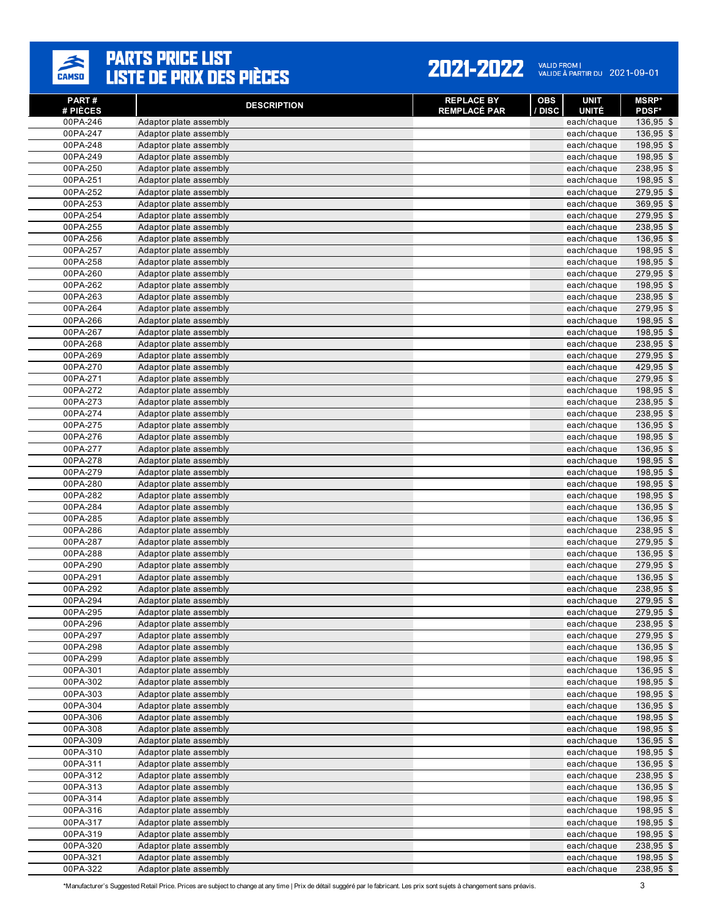

| PART #<br># PIÈCES   | <b>DESCRIPTION</b>                               | <b>REPLACE BY</b><br><b>REMPLACÉ PAR</b> | <b>OBS</b><br>/ DISC | <b>UNIT</b><br><b>UNITÉ</b> | <b>MSRP*</b><br><b>PDSF*</b> |
|----------------------|--------------------------------------------------|------------------------------------------|----------------------|-----------------------------|------------------------------|
| 00PA-246             | Adaptor plate assembly                           |                                          |                      | each/chaque                 | 136,95 \$                    |
| 00PA-247             | Adaptor plate assembly                           |                                          |                      | each/chaque                 | 136,95 \$                    |
| 00PA-248             | Adaptor plate assembly                           |                                          |                      | each/chaque                 | 198,95 \$                    |
| 00PA-249             | Adaptor plate assembly                           |                                          |                      | each/chaque                 | 198,95 \$                    |
| 00PA-250             | Adaptor plate assembly                           |                                          |                      | each/chaque                 | 238,95 \$                    |
| 00PA-251             | Adaptor plate assembly                           |                                          |                      | each/chaque                 | 198,95 \$                    |
| 00PA-252             | Adaptor plate assembly                           |                                          |                      | each/chaque                 | 279,95 \$                    |
| 00PA-253             | Adaptor plate assembly                           |                                          |                      | each/chaque                 | 369,95 \$                    |
| 00PA-254             | Adaptor plate assembly                           |                                          |                      | each/chaque                 | 279,95 \$                    |
| 00PA-255             | Adaptor plate assembly                           |                                          |                      | each/chaque                 | 238,95 \$                    |
| 00PA-256             | Adaptor plate assembly                           |                                          |                      | each/chaque                 | 136,95 \$                    |
| 00PA-257             | Adaptor plate assembly                           |                                          |                      | each/chaque                 | 198,95 \$                    |
| 00PA-258<br>00PA-260 | Adaptor plate assembly<br>Adaptor plate assembly |                                          |                      | each/chaque<br>each/chaque  | 198,95 \$<br>279,95 \$       |
| 00PA-262             | Adaptor plate assembly                           |                                          |                      | each/chaque                 | 198,95 \$                    |
| 00PA-263             | Adaptor plate assembly                           |                                          |                      | each/chaque                 | 238,95 \$                    |
| 00PA-264             | Adaptor plate assembly                           |                                          |                      | each/chaque                 | 279,95 \$                    |
| 00PA-266             | Adaptor plate assembly                           |                                          |                      | each/chaque                 | 198,95 \$                    |
| 00PA-267             | Adaptor plate assembly                           |                                          |                      | each/chaque                 | 198,95 \$                    |
| 00PA-268             | Adaptor plate assembly                           |                                          |                      | each/chaque                 | 238,95 \$                    |
| 00PA-269             | Adaptor plate assembly                           |                                          |                      | each/chaque                 | 279,95 \$                    |
| 00PA-270             | Adaptor plate assembly                           |                                          |                      | each/chaque                 | 429,95 \$                    |
| 00PA-271             | Adaptor plate assembly                           |                                          |                      | each/chaque                 | 279,95 \$                    |
| 00PA-272             | Adaptor plate assembly                           |                                          |                      | each/chaque                 | 198,95 \$                    |
| 00PA-273             | Adaptor plate assembly                           |                                          |                      | each/chaque                 | 238,95 \$                    |
| 00PA-274             | Adaptor plate assembly                           |                                          |                      | each/chaque                 | 238,95 \$                    |
| 00PA-275             | Adaptor plate assembly                           |                                          |                      | each/chaque                 | 136,95 \$                    |
| 00PA-276             | Adaptor plate assembly                           |                                          |                      | each/chaque                 | 198,95 \$                    |
| 00PA-277             | Adaptor plate assembly                           |                                          |                      | each/chaque                 | 136,95 \$                    |
| 00PA-278<br>00PA-279 | Adaptor plate assembly<br>Adaptor plate assembly |                                          |                      | each/chaque<br>each/chaque  | 198,95 \$<br>198,95 \$       |
| 00PA-280             | Adaptor plate assembly                           |                                          |                      | each/chaque                 | 198,95 \$                    |
| 00PA-282             | Adaptor plate assembly                           |                                          |                      | each/chaque                 | 198,95 \$                    |
| 00PA-284             | Adaptor plate assembly                           |                                          |                      | each/chaque                 | 136,95 \$                    |
| 00PA-285             | Adaptor plate assembly                           |                                          |                      | each/chaque                 | 136,95 \$                    |
| 00PA-286             | Adaptor plate assembly                           |                                          |                      | each/chaque                 | 238,95 \$                    |
| 00PA-287             | Adaptor plate assembly                           |                                          |                      | each/chaque                 | 279,95 \$                    |
| 00PA-288             | Adaptor plate assembly                           |                                          |                      | each/chaque                 | 136,95 \$                    |
| 00PA-290             | Adaptor plate assembly                           |                                          |                      | each/chaque                 | 279,95 \$                    |
| 00PA-291             | Adaptor plate assembly                           |                                          |                      | each/chaque                 | 136,95 \$                    |
| 00PA-292             | Adaptor plate assembly                           |                                          |                      | each/chaque                 | 238,95 \$                    |
| 00PA-294             | Adaptor plate assembly                           |                                          |                      | each/chaque                 | 279,95 \$                    |
| 00PA-295             | Adaptor plate assembly                           |                                          |                      | each/chaque                 | 279,95 \$                    |
| 00PA-296<br>00PA-297 | Adaptor plate assembly                           |                                          |                      | each/chaque<br>each/chaque  | 238,95 \$<br>279,95 \$       |
| 00PA-298             | Adaptor plate assembly<br>Adaptor plate assembly |                                          |                      | each/chaque                 | 136,95 \$                    |
| 00PA-299             | Adaptor plate assembly                           |                                          |                      | each/chaque                 | 198,95 \$                    |
| 00PA-301             | Adaptor plate assembly                           |                                          |                      | each/chaque                 | 136,95 \$                    |
| 00PA-302             | Adaptor plate assembly                           |                                          |                      | each/chaque                 | 198,95 \$                    |
| 00PA-303             | Adaptor plate assembly                           |                                          |                      | each/chaque                 | 198,95 \$                    |
| 00PA-304             | Adaptor plate assembly                           |                                          |                      | each/chaque                 | 136,95 \$                    |
| 00PA-306             | Adaptor plate assembly                           |                                          |                      | each/chaque                 | 198,95 \$                    |
| 00PA-308             | Adaptor plate assembly                           |                                          |                      | each/chaque                 | 198,95 \$                    |
| 00PA-309             | Adaptor plate assembly                           |                                          |                      | each/chaque                 | 136,95 \$                    |
| 00PA-310             | Adaptor plate assembly                           |                                          |                      | each/chaque                 | 198,95 \$                    |
| 00PA-311             | Adaptor plate assembly                           |                                          |                      | each/chaque                 | 136,95 \$                    |
| 00PA-312             | Adaptor plate assembly                           |                                          |                      | each/chaque                 | 238,95 \$                    |
| 00PA-313             | Adaptor plate assembly                           |                                          |                      | each/chaque                 | 136,95 \$                    |
| 00PA-314<br>00PA-316 | Adaptor plate assembly<br>Adaptor plate assembly |                                          |                      | each/chaque                 | 198,95 \$<br>198,95 \$       |
| 00PA-317             | Adaptor plate assembly                           |                                          |                      | each/chaque<br>each/chaque  | 198,95 \$                    |
| 00PA-319             | Adaptor plate assembly                           |                                          |                      | each/chaque                 | 198,95 \$                    |
| 00PA-320             | Adaptor plate assembly                           |                                          |                      | each/chaque                 | 238,95 \$                    |
| 00PA-321             | Adaptor plate assembly                           |                                          |                      | each/chaque                 | 198,95 \$                    |
| 00PA-322             | Adaptor plate assembly                           |                                          |                      | each/chaque                 | 238,95 \$                    |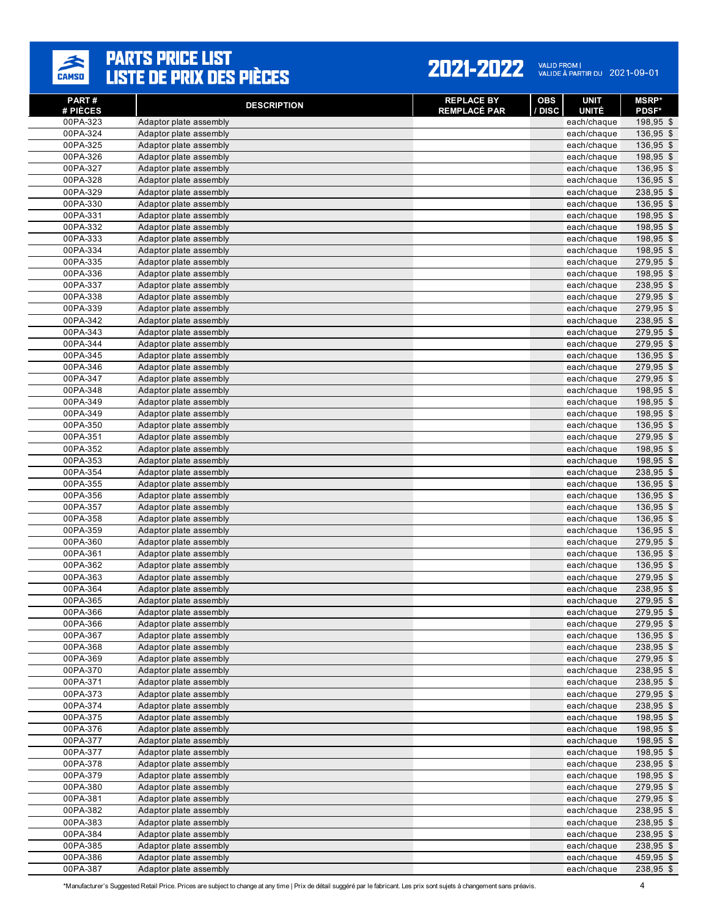

| PART#<br># PIÈCES    | <b>DESCRIPTION</b>                               | <b>REPLACE BY</b><br><b>REMPLACÉ PAR</b> | <b>OBS</b><br><b>UNIT</b><br>/ DISC<br><b>UNITÉ</b> | <b>MSRP*</b><br><b>PDSF*</b> |
|----------------------|--------------------------------------------------|------------------------------------------|-----------------------------------------------------|------------------------------|
| 00PA-323             | Adaptor plate assembly                           |                                          | each/chaque                                         | 198,95 \$                    |
| 00PA-324             | Adaptor plate assembly                           |                                          | each/chaque                                         | 136,95 \$                    |
| 00PA-325             | Adaptor plate assembly                           |                                          | each/chaque                                         | 136,95 \$                    |
| 00PA-326             | Adaptor plate assembly                           |                                          | each/chaque                                         | 198,95 \$                    |
| 00PA-327             | Adaptor plate assembly                           |                                          | each/chaque                                         | 136,95 \$                    |
| 00PA-328             | Adaptor plate assembly                           |                                          | each/chaque                                         | 136,95 \$                    |
| 00PA-329             | Adaptor plate assembly                           |                                          | each/chaque                                         | 238,95 \$                    |
| 00PA-330             | Adaptor plate assembly                           |                                          | each/chaque                                         | 136,95 \$                    |
| 00PA-331             | Adaptor plate assembly                           |                                          | each/chaque                                         | 198,95 \$                    |
| 00PA-332             | Adaptor plate assembly                           |                                          | each/chaque                                         | 198,95 \$                    |
| 00PA-333             | Adaptor plate assembly                           |                                          | each/chaque                                         | 198,95 \$                    |
| 00PA-334             | Adaptor plate assembly                           |                                          | each/chaque                                         | 198,95 \$                    |
| 00PA-335             | Adaptor plate assembly                           |                                          | each/chaque                                         | 279,95 \$                    |
| 00PA-336             | Adaptor plate assembly                           |                                          | each/chaque                                         | 198,95 \$                    |
| 00PA-337             | Adaptor plate assembly                           |                                          | each/chaque                                         | 238,95 \$                    |
| 00PA-338             | Adaptor plate assembly                           |                                          | each/chaque                                         | 279,95 \$                    |
| 00PA-339             | Adaptor plate assembly                           |                                          | each/chaque                                         | 279,95 \$                    |
| 00PA-342<br>00PA-343 | Adaptor plate assembly                           |                                          | each/chaque                                         | 238,95 \$<br>279,95 \$       |
| 00PA-344             | Adaptor plate assembly<br>Adaptor plate assembly |                                          | each/chaque<br>each/chaque                          | 279,95 \$                    |
| 00PA-345             | Adaptor plate assembly                           |                                          | each/chaque                                         | 136,95 \$                    |
| 00PA-346             | Adaptor plate assembly                           |                                          | each/chaque                                         | 279,95 \$                    |
| 00PA-347             | Adaptor plate assembly                           |                                          | each/chaque                                         | 279,95 \$                    |
| 00PA-348             | Adaptor plate assembly                           |                                          | each/chaque                                         | 198,95 \$                    |
| 00PA-349             | Adaptor plate assembly                           |                                          | each/chaque                                         | 198,95 \$                    |
| 00PA-349             | Adaptor plate assembly                           |                                          | each/chaque                                         | 198,95 \$                    |
| 00PA-350             | Adaptor plate assembly                           |                                          | each/chaque                                         | 136,95 \$                    |
| 00PA-351             | Adaptor plate assembly                           |                                          | each/chaque                                         | 279,95 \$                    |
| 00PA-352             | Adaptor plate assembly                           |                                          | each/chaque                                         | 198,95 \$                    |
| 00PA-353             | Adaptor plate assembly                           |                                          | each/chaque                                         | 198,95 \$                    |
| 00PA-354             | Adaptor plate assembly                           |                                          | each/chaque                                         | 238,95 \$                    |
| 00PA-355             | Adaptor plate assembly                           |                                          | each/chaque                                         | 136,95 \$                    |
| 00PA-356             | Adaptor plate assembly                           |                                          | each/chaque                                         | 136,95 \$                    |
| 00PA-357             | Adaptor plate assembly                           |                                          | each/chaque                                         | 136,95 \$                    |
| 00PA-358             | Adaptor plate assembly                           |                                          | each/chaque                                         | 136,95 \$                    |
| 00PA-359             | Adaptor plate assembly                           |                                          | each/chaque                                         | 136,95 \$                    |
| 00PA-360             | Adaptor plate assembly                           |                                          | each/chaque                                         | 279,95 \$                    |
| 00PA-361             | Adaptor plate assembly                           |                                          | each/chaque                                         | 136,95 \$                    |
| 00PA-362             | Adaptor plate assembly                           |                                          | each/chaque                                         | 136,95 \$                    |
| 00PA-363             | Adaptor plate assembly                           |                                          | each/chaque                                         | 279,95 \$                    |
| 00PA-364             | Adaptor plate assembly                           |                                          | each/chaque                                         | 238,95 \$                    |
| 00PA-365             | Adaptor plate assembly                           |                                          | each/chaque                                         | 279,95 \$                    |
| 00PA-366             | Adaptor plate assembly                           |                                          | each/chaque                                         | 279,95 \$                    |
| 00PA-366             | Adaptor plate assembly                           |                                          | each/chaque                                         | $279,95$ \$<br>136,95 \$     |
| 00PA-367<br>00PA-368 | Adaptor plate assembly<br>Adaptor plate assembly |                                          | each/chaque                                         | 238,95 \$                    |
| 00PA-369             | Adaptor plate assembly                           |                                          | each/chaque<br>each/chaque                          | 279,95 \$                    |
| 00PA-370             | Adaptor plate assembly                           |                                          | each/chaque                                         | 238,95 \$                    |
| 00PA-371             | Adaptor plate assembly                           |                                          | each/chaque                                         | 238,95 \$                    |
| 00PA-373             | Adaptor plate assembly                           |                                          | each/chaque                                         | 279,95 \$                    |
| 00PA-374             | Adaptor plate assembly                           |                                          | each/chaque                                         | 238,95 \$                    |
| 00PA-375             | Adaptor plate assembly                           |                                          | each/chaque                                         | 198,95 \$                    |
| 00PA-376             | Adaptor plate assembly                           |                                          | each/chaque                                         | 198,95 \$                    |
| 00PA-377             | Adaptor plate assembly                           |                                          | each/chaque                                         | 198,95 \$                    |
| 00PA-377             | Adaptor plate assembly                           |                                          | each/chaque                                         | 198,95 \$                    |
| 00PA-378             | Adaptor plate assembly                           |                                          | each/chaque                                         | 238,95 \$                    |
| 00PA-379             | Adaptor plate assembly                           |                                          | each/chaque                                         | 198,95 \$                    |
| 00PA-380             | Adaptor plate assembly                           |                                          | each/chaque                                         | 279,95 \$                    |
| 00PA-381             | Adaptor plate assembly                           |                                          | each/chaque                                         | 279,95 \$                    |
| 00PA-382             | Adaptor plate assembly                           |                                          | each/chaque                                         | 238,95 \$                    |
| 00PA-383             | Adaptor plate assembly                           |                                          | each/chaque                                         | 238,95 \$                    |
| 00PA-384             | Adaptor plate assembly                           |                                          | each/chaque                                         | 238,95 \$                    |
| 00PA-385             | Adaptor plate assembly                           |                                          | each/chaque                                         | 238,95 \$                    |
| 00PA-386             | Adaptor plate assembly                           |                                          | each/chaque                                         | 459,95 \$                    |
| 00PA-387             | Adaptor plate assembly                           |                                          | each/chaque                                         | 238,95 \$                    |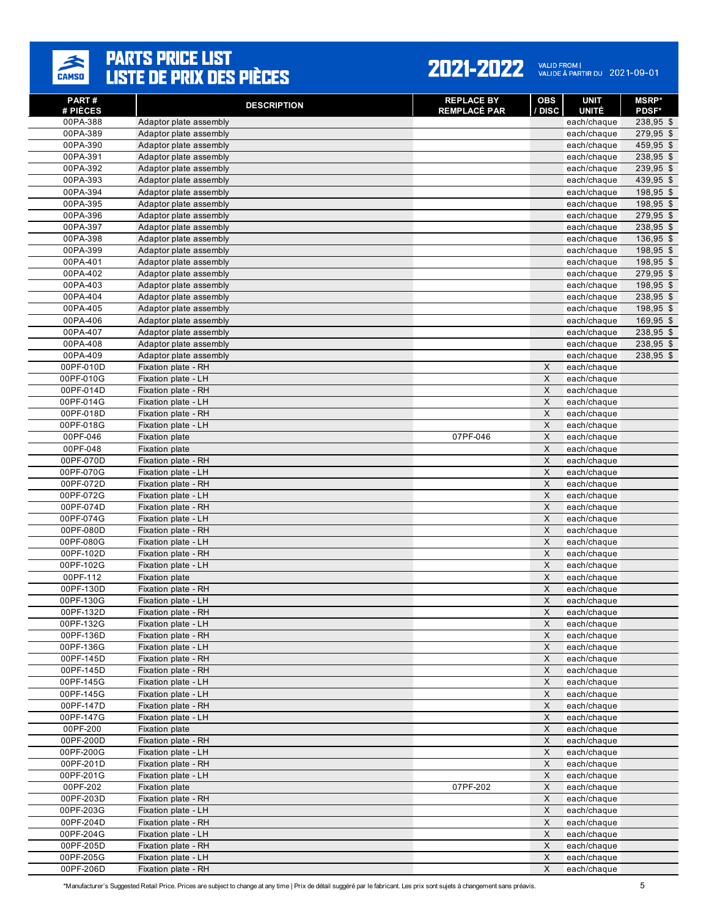

| PART #<br># PIÈCES     | <b>DESCRIPTION</b>                               | <b>REPLACE BY</b><br><b>REMPLACÉ PAR</b> | <b>OBS</b><br>/ DISC      | <b>UNIT</b><br><b>UNITÉ</b> | <b>MSRP*</b><br><b>PDSF*</b> |
|------------------------|--------------------------------------------------|------------------------------------------|---------------------------|-----------------------------|------------------------------|
| 00PA-388               | Adaptor plate assembly                           |                                          |                           | each/chaque                 | 238,95 \$                    |
| 00PA-389               | Adaptor plate assembly                           |                                          |                           | each/chaque                 | 279,95 \$                    |
| 00PA-390               | Adaptor plate assembly                           |                                          |                           | each/chaque                 | 459,95 \$                    |
| 00PA-391               | Adaptor plate assembly                           |                                          |                           | each/chaque                 | 238,95 \$                    |
| 00PA-392               | Adaptor plate assembly                           |                                          |                           | each/chaque                 | 239,95 \$                    |
| 00PA-393               | Adaptor plate assembly                           |                                          |                           | each/chaque                 | 439,95 \$                    |
| 00PA-394               | Adaptor plate assembly                           |                                          |                           | each/chaque                 | 198,95 \$                    |
| 00PA-395               | Adaptor plate assembly                           |                                          |                           | each/chaque                 | 198,95 \$                    |
| 00PA-396               | Adaptor plate assembly                           |                                          |                           | each/chaque                 | 279,95 \$                    |
| 00PA-397               | Adaptor plate assembly                           |                                          |                           | each/chaque                 | 238,95 \$                    |
| 00PA-398               | Adaptor plate assembly                           |                                          |                           | each/chaque                 | 136,95 \$                    |
| 00PA-399               | Adaptor plate assembly                           |                                          |                           | each/chaque                 | 198,95 \$                    |
| 00PA-401               | Adaptor plate assembly                           |                                          |                           | each/chaque                 | 198,95 \$                    |
| 00PA-402               | Adaptor plate assembly                           |                                          |                           | each/chaque                 | 279,95 \$                    |
| 00PA-403               | Adaptor plate assembly                           |                                          |                           | each/chaque                 | 198,95 \$                    |
| 00PA-404               | Adaptor plate assembly                           |                                          |                           | each/chaque                 | 238,95 \$                    |
| 00PA-405               | Adaptor plate assembly                           |                                          |                           | each/chaque                 | 198,95 \$                    |
| 00PA-406<br>00PA-407   | Adaptor plate assembly                           |                                          |                           | each/chaque                 | 169,95 \$<br>238,95 \$       |
|                        | Adaptor plate assembly                           |                                          |                           | each/chaque                 | 238,95 \$                    |
| 00PA-408<br>00PA-409   | Adaptor plate assembly<br>Adaptor plate assembly |                                          |                           | each/chaque<br>each/chaque  | 238,95 \$                    |
| 00PF-010D              | Fixation plate - RH                              |                                          | X                         | each/chaque                 |                              |
| 00PF-010G              | Fixation plate - LH                              |                                          | $\times$                  | each/chaque                 |                              |
| 00PF-014D              | Fixation plate - RH                              |                                          | X                         | each/chaque                 |                              |
| 00PF-014G              | Fixation plate - LH                              |                                          | X                         | each/chaque                 |                              |
| 00PF-018D              | Fixation plate - RH                              |                                          | X                         | each/chaque                 |                              |
| 00PF-018G              | Fixation plate - LH                              |                                          | X                         | each/chaque                 |                              |
| 00PF-046               | <b>Fixation plate</b>                            | 07PF-046                                 | $\times$                  | each/chaque                 |                              |
| 00PF-048               | <b>Fixation plate</b>                            |                                          | $\mathsf X$               | each/chaque                 |                              |
| 00PF-070D              | Fixation plate - RH                              |                                          | X                         | each/chaque                 |                              |
| 00PF-070G              | Fixation plate - LH                              |                                          | $\times$                  | each/chaque                 |                              |
| 00PF-072D              | Fixation plate - RH                              |                                          | X                         | each/chaque                 |                              |
| 00PF-072G              | Fixation plate - LH                              |                                          | X                         | each/chaque                 |                              |
| 00PF-074D              | Fixation plate - RH                              |                                          | $\times$                  | each/chaque                 |                              |
| 00PF-074G              | Fixation plate - LH                              |                                          | X                         | each/chaque                 |                              |
| 00PF-080D              | Fixation plate - RH                              |                                          | X                         | each/chaque                 |                              |
| 00PF-080G              | Fixation plate - LH                              |                                          | $\times$                  | each/chaque                 |                              |
| 00PF-102D              | Fixation plate - RH                              |                                          | X                         | each/chaque                 |                              |
| 00PF-102G              | Fixation plate - LH                              |                                          | X                         | each/chaque                 |                              |
| 00PF-112               | <b>Fixation plate</b>                            |                                          | $\times$                  | each/chaque                 |                              |
| 00PF-130D              | Fixation plate - RH                              |                                          | $\times$                  | each/chaque                 |                              |
| 00PF-130G<br>00PF-132D | Fixation plate - LH                              |                                          | X<br>$\times$             | each/chaque                 |                              |
| 00PF-132G              | Fixation plate - RH                              |                                          |                           | each/chaque                 |                              |
| 00PF-136D              | Fixation plate - LH<br>Fixation plate - RH       |                                          | X<br>$\mathsf X$          | each/chaque<br>each/chaque  |                              |
| 00PF-136G              | Fixation plate - LH                              |                                          | $\mathsf X$               | each/chaque                 |                              |
| 00PF-145D              | Fixation plate - RH                              |                                          | X                         | each/chaque                 |                              |
| 00PF-145D              | Fixation plate - RH                              |                                          | $\mathsf X$               | each/chaque                 |                              |
| 00PF-145G              | Fixation plate - LH                              |                                          | X                         | each/chaque                 |                              |
| 00PF-145G              | Fixation plate - LH                              |                                          | $\times$                  | each/chaque                 |                              |
| 00PF-147D              | Fixation plate - RH                              |                                          | $\mathsf X$               | each/chaque                 |                              |
| 00PF-147G              | Fixation plate - LH                              |                                          | X                         | each/chaque                 |                              |
| 00PF-200               | <b>Fixation plate</b>                            |                                          | $\mathsf X$               | each/chaque                 |                              |
| 00PF-200D              | Fixation plate - RH                              |                                          | $\boldsymbol{\mathsf{X}}$ | each/chaque                 |                              |
| 00PF-200G              | Fixation plate - LH                              |                                          | X                         | each/chaque                 |                              |
| 00PF-201D              | Fixation plate - RH                              |                                          | $\mathsf X$               | each/chaque                 |                              |
| 00PF-201G              | Fixation plate - LH                              |                                          | $\mathsf X$               | each/chaque                 |                              |
| 00PF-202               | <b>Fixation plate</b>                            | 07PF-202                                 | $\mathsf X$               | each/chaque                 |                              |
| 00PF-203D              | Fixation plate - RH                              |                                          | $\mathsf X$               | each/chaque                 |                              |
| 00PF-203G              | Fixation plate - LH                              |                                          | X                         | each/chaque                 |                              |
| 00PF-204D              | Fixation plate - RH                              |                                          | $\mathsf X$               | each/chaque                 |                              |
| 00PF-204G              | Fixation plate - LH                              |                                          | $\mathsf X$               | each/chaque                 |                              |
| 00PF-205D              | Fixation plate - RH                              |                                          | X                         | each/chaque                 |                              |
| 00PF-205G              | Fixation plate - LH                              |                                          | X                         | each/chaque                 |                              |
| 00PF-206D              | Fixation plate - RH                              |                                          | X                         | each/chaque                 |                              |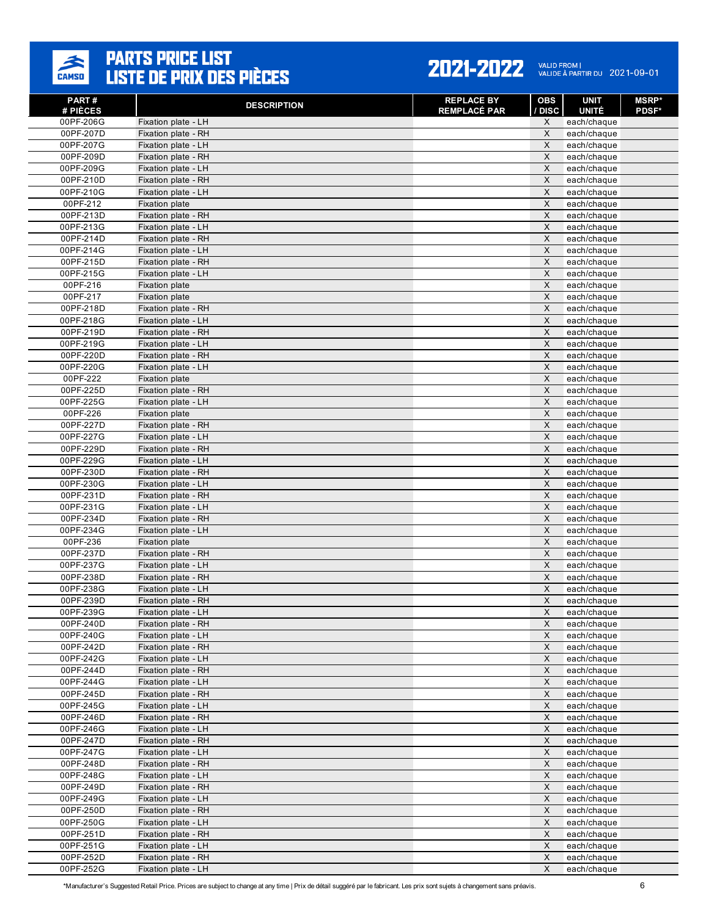

| PART#<br># PIÈCES      | <b>DESCRIPTION</b>                         | <b>REPLACE BY</b><br><b>REMPLACÉ PAR</b> | OBS<br>/ DISC              | <b>UNIT</b><br><b>UNITÉ</b> | <b>MSRP*</b><br><b>PDSF*</b> |
|------------------------|--------------------------------------------|------------------------------------------|----------------------------|-----------------------------|------------------------------|
| 00PF-206G              | Fixation plate - LH                        |                                          | X                          | each/chaque                 |                              |
| 00PF-207D              | Fixation plate - RH                        |                                          | X                          | each/chaque                 |                              |
| 00PF-207G              | Fixation plate - LH                        |                                          | X                          | each/chaque                 |                              |
| 00PF-209D              | Fixation plate - RH                        |                                          | $\pmb{\times}$             | each/chaque                 |                              |
| 00PF-209G              | Fixation plate - LH                        |                                          | X                          | each/chaque                 |                              |
| 00PF-210D              | Fixation plate - RH                        |                                          | $\pmb{\times}$             | each/chaque                 |                              |
| 00PF-210G              | Fixation plate - LH                        |                                          | X                          | each/chaque                 |                              |
| 00PF-212               | <b>Fixation plate</b>                      |                                          | X                          | each/chaque                 |                              |
| 00PF-213D              | Fixation plate - RH                        |                                          | X                          | each/chaque                 |                              |
| 00PF-213G              | Fixation plate - LH                        |                                          | X                          | each/chaque                 |                              |
| 00PF-214D              | Fixation plate - RH                        |                                          | X                          | each/chaque                 |                              |
| 00PF-214G              | Fixation plate - LH                        |                                          | X                          | each/chaque                 |                              |
| 00PF-215D              | Fixation plate - RH                        |                                          | $\pmb{\times}$             | each/chaque                 |                              |
| 00PF-215G              | Fixation plate - LH                        |                                          | X                          | each/chaque                 |                              |
| 00PF-216               | <b>Fixation plate</b>                      |                                          | $\pmb{\times}$             | each/chaque                 |                              |
| 00PF-217               | <b>Fixation plate</b>                      |                                          | X                          | each/chaque                 |                              |
| 00PF-218D              | Fixation plate - RH                        |                                          | X                          | each/chaque                 |                              |
| 00PF-218G              | Fixation plate - LH                        |                                          | X<br>$\pmb{\times}$        | each/chaque                 |                              |
| 00PF-219D              | Fixation plate - RH                        |                                          |                            | each/chaque                 |                              |
| 00PF-219G              | Fixation plate - LH<br>Fixation plate - RH |                                          | X<br>X                     | each/chaque                 |                              |
| 00PF-220D<br>00PF-220G | Fixation plate - LH                        |                                          | $\mathsf{X}$               | each/chaque<br>each/chaque  |                              |
| 00PF-222               | <b>Fixation plate</b>                      |                                          | X                          | each/chaque                 |                              |
| 00PF-225D              | Fixation plate - RH                        |                                          | X                          | each/chaque                 |                              |
| 00PF-225G              | Fixation plate - LH                        |                                          | X                          | each/chaque                 |                              |
| 00PF-226               | <b>Fixation plate</b>                      |                                          | $\pmb{\times}$             | each/chaque                 |                              |
| 00PF-227D              | Fixation plate - RH                        |                                          | X                          | each/chaque                 |                              |
| 00PF-227G              | Fixation plate - LH                        |                                          | X                          | each/chaque                 |                              |
| 00PF-229D              | Fixation plate - RH                        |                                          | $\pmb{\times}$             | each/chaque                 |                              |
| 00PF-229G              | Fixation plate - LH                        |                                          | X                          | each/chaque                 |                              |
| 00PF-230D              | Fixation plate - RH                        |                                          | $\pmb{\times}$             | each/chaque                 |                              |
| 00PF-230G              | Fixation plate - LH                        |                                          | X                          | each/chaque                 |                              |
| 00PF-231D              | Fixation plate - RH                        |                                          | X                          | each/chaque                 |                              |
| 00PF-231G              | Fixation plate - LH                        |                                          | X                          | each/chaque                 |                              |
| 00PF-234D              | Fixation plate - RH                        |                                          | X                          | each/chaque                 |                              |
| 00PF-234G              | Fixation plate - LH                        |                                          | X                          | each/chaque                 |                              |
| 00PF-236               | <b>Fixation plate</b>                      |                                          | X                          | each/chaque                 |                              |
| 00PF-237D              | Fixation plate - RH                        |                                          | $\pmb{\times}$             | each/chaque                 |                              |
| 00PF-237G              | Fixation plate - LH                        |                                          | X                          | each/chaque                 |                              |
| 00PF-238D              | Fixation plate - RH                        |                                          | $\pmb{\times}$             | each/chaque                 |                              |
| 00PF-238G              | Fixation plate - LH                        |                                          | X                          | each/chaque                 |                              |
| 00PF-239D              | Fixation plate - RH                        |                                          | X                          | each/chaque                 |                              |
| 00PF-239G              | Fixation plate - LH                        |                                          | X                          | each/chaque                 |                              |
| 00PF-240D              | Fixation plate - RH                        |                                          | X                          | each/chaque                 |                              |
| 00PF-240G              | Fixation plate - LH<br>Fixation plate - RH |                                          | $\mathsf X$<br>$\mathsf X$ | each/chaque                 |                              |
| 00PF-242D<br>00PF-242G | Fixation plate - LH                        |                                          | X                          | each/chaque<br>each/chaque  |                              |
| 00PF-244D              | Fixation plate - RH                        |                                          | $\mathsf X$                | each/chaque                 |                              |
| 00PF-244G              | Fixation plate - LH                        |                                          | X                          | each/chaque                 |                              |
| 00PF-245D              | Fixation plate - RH                        |                                          | X                          | each/chaque                 |                              |
| 00PF-245G              | Fixation plate - LH                        |                                          | $\boldsymbol{\mathsf{X}}$  | each/chaque                 |                              |
| 00PF-246D              | Fixation plate - RH                        |                                          | X                          | each/chaque                 |                              |
| 00PF-246G              | Fixation plate - LH                        |                                          | $\mathsf X$                | each/chaque                 |                              |
| 00PF-247D              | Fixation plate - RH                        |                                          | $\boldsymbol{\mathsf{X}}$  | each/chaque                 |                              |
| 00PF-247G              | Fixation plate - LH                        |                                          | X                          | each/chaque                 |                              |
| 00PF-248D              | Fixation plate - RH                        |                                          | $\pmb{\times}$             | each/chaque                 |                              |
| 00PF-248G              | Fixation plate - LH                        |                                          | $\mathsf X$                | each/chaque                 |                              |
| 00PF-249D              | Fixation plate - RH                        |                                          | X                          | each/chaque                 |                              |
| 00PF-249G              | Fixation plate - LH                        |                                          | X                          | each/chaque                 |                              |
| 00PF-250D              | Fixation plate - RH                        |                                          | $\mathsf X$                | each/chaque                 |                              |
| 00PF-250G              | Fixation plate - LH                        |                                          | $\mathsf X$                | each/chaque                 |                              |
| 00PF-251D              | Fixation plate - RH                        |                                          | $\mathsf X$                | each/chaque                 |                              |
| 00PF-251G              | Fixation plate - LH                        |                                          | $\pmb{\times}$             | each/chaque                 |                              |
| 00PF-252D              | Fixation plate - RH                        |                                          | X                          | each/chaque                 |                              |
| 00PF-252G              | Fixation plate - LH                        |                                          | X                          | each/chaque                 |                              |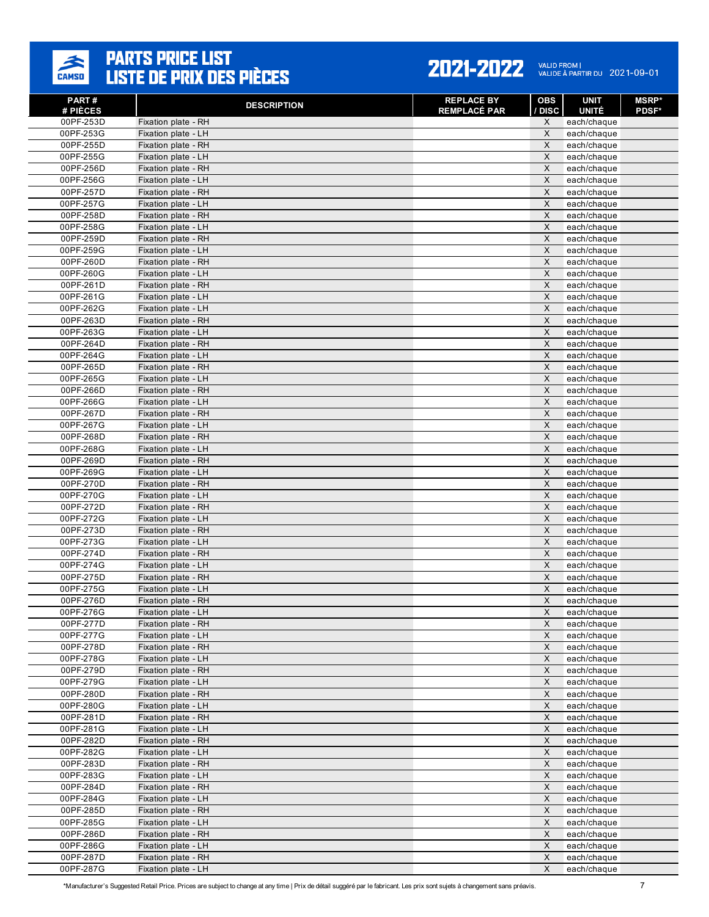

#### 2021-2022 VALID FROM | 2021-09-01

| PART#<br># PIÈCES      | <b>DESCRIPTION</b>                         | <b>REPLACE BY</b><br><b>REMPLACÉ PAR</b> | <b>OBS</b><br>/ DISC | <b>UNIT</b><br><b>UNITÉ</b> | <b>MSRP*</b><br><b>PDSF*</b> |
|------------------------|--------------------------------------------|------------------------------------------|----------------------|-----------------------------|------------------------------|
| 00PF-253D              | Fixation plate - RH                        |                                          | X                    | each/chaque                 |                              |
| 00PF-253G              | Fixation plate - LH                        |                                          | X                    | each/chaque                 |                              |
| 00PF-255D              | Fixation plate - RH                        |                                          | X                    | each/chaque                 |                              |
| 00PF-255G              | Fixation plate - LH                        |                                          | $\pmb{\times}$       | each/chaque                 |                              |
| 00PF-256D              | Fixation plate - RH                        |                                          | X                    | each/chaque                 |                              |
| 00PF-256G              | Fixation plate - LH                        |                                          | $\times$             | each/chaque                 |                              |
| 00PF-257D              | Fixation plate - RH                        |                                          | X                    | each/chaque                 |                              |
| 00PF-257G              | Fixation plate - LH                        |                                          | X                    | each/chaque                 |                              |
| 00PF-258D              | Fixation plate - RH                        |                                          | X                    | each/chaque                 |                              |
| 00PF-258G              | Fixation plate - LH                        |                                          | X                    | each/chaque                 |                              |
| 00PF-259D              | Fixation plate - RH                        |                                          | X                    | each/chaque                 |                              |
| 00PF-259G              | Fixation plate - LH                        |                                          | X                    | each/chaque                 |                              |
| 00PF-260D              | Fixation plate - RH                        |                                          | X                    | each/chaque                 |                              |
| 00PF-260G              | Fixation plate - LH                        |                                          | X                    | each/chaque                 |                              |
| 00PF-261D              | Fixation plate - RH                        |                                          | X                    | each/chaque                 |                              |
| 00PF-261G              | Fixation plate - LH                        |                                          | X                    | each/chaque                 |                              |
| 00PF-262G              | Fixation plate - LH                        |                                          | X                    | each/chaque                 |                              |
| 00PF-263D              | Fixation plate - RH                        |                                          | X                    | each/chaque                 |                              |
| 00PF-263G              | Fixation plate - LH                        |                                          | X                    | each/chaque                 |                              |
| 00PF-264D              | Fixation plate - RH                        |                                          | X<br>X               | each/chaque                 |                              |
| 00PF-264G<br>00PF-265D | Fixation plate - LH<br>Fixation plate - RH |                                          | X                    | each/chaque<br>each/chaque  |                              |
| 00PF-265G              | Fixation plate - LH                        |                                          | X                    | each/chaque                 |                              |
| 00PF-266D              | Fixation plate - RH                        |                                          | X                    | each/chaque                 |                              |
| 00PF-266G              | Fixation plate - LH                        |                                          | X                    | each/chaque                 |                              |
| 00PF-267D              | Fixation plate - RH                        |                                          | $\pmb{\times}$       | each/chaque                 |                              |
| 00PF-267G              | Fixation plate - LH                        |                                          | X                    | each/chaque                 |                              |
| 00PF-268D              | Fixation plate - RH                        |                                          | X                    | each/chaque                 |                              |
| 00PF-268G              | Fixation plate - LH                        |                                          | $\mathsf X$          | each/chaque                 |                              |
| 00PF-269D              | Fixation plate - RH                        |                                          | X                    | each/chaque                 |                              |
| 00PF-269G              | Fixation plate - LH                        |                                          | X                    | each/chaque                 |                              |
| 00PF-270D              | Fixation plate - RH                        |                                          | X                    | each/chaque                 |                              |
| 00PF-270G              | Fixation plate - LH                        |                                          | X                    | each/chaque                 |                              |
| 00PF-272D              | Fixation plate - RH                        |                                          | X                    | each/chaque                 |                              |
| 00PF-272G              | Fixation plate - LH                        |                                          | X                    | each/chaque                 |                              |
| 00PF-273D              | Fixation plate - RH                        |                                          | X                    | each/chaque                 |                              |
| 00PF-273G              | Fixation plate - LH                        |                                          | X                    | each/chaque                 |                              |
| 00PF-274D              | Fixation plate - RH                        |                                          | X                    | each/chaque                 |                              |
| 00PF-274G              | Fixation plate - LH                        |                                          | X                    | each/chaque                 |                              |
| 00PF-275D              | Fixation plate - RH                        |                                          | X                    | each/chaque                 |                              |
| 00PF-275G              | Fixation plate - LH                        |                                          | X                    | each/chaque                 |                              |
| 00PF-276D              | Fixation plate - RH                        |                                          | X                    | each/chaque                 |                              |
| 00PF-276G              | Fixation plate - LH                        |                                          | X                    | each/chaque                 |                              |
| 00PF-277D              | Fixation plate - RH                        |                                          | X                    | each/chaque                 |                              |
| 00PF-277G              | Fixation plate - LH                        |                                          | $\mathsf X$          | each/chaque                 |                              |
| 00PF-278D<br>00PF-278G | Fixation plate - RH<br>Fixation plate - LH |                                          | $\mathsf X$<br>X     | each/chaque<br>each/chaque  |                              |
| 00PF-279D              | Fixation plate - RH                        |                                          | $\mathsf X$          | each/chaque                 |                              |
| 00PF-279G              | Fixation plate - LH                        |                                          | $\mathsf X$          | each/chaque                 |                              |
| 00PF-280D              | Fixation plate - RH                        |                                          | X                    | each/chaque                 |                              |
| 00PF-280G              | Fixation plate - LH                        |                                          | $\mathsf X$          | each/chaque                 |                              |
| 00PF-281D              | Fixation plate - RH                        |                                          | X                    | each/chaque                 |                              |
| 00PF-281G              | Fixation plate - LH                        |                                          | $\mathsf X$          | each/chaque                 |                              |
| 00PF-282D              | Fixation plate - RH                        |                                          | $\mathsf X$          | each/chaque                 |                              |
| 00PF-282G              | Fixation plate - LH                        |                                          | X                    | each/chaque                 |                              |
| 00PF-283D              | Fixation plate - RH                        |                                          | $\pmb{\times}$       | each/chaque                 |                              |
| 00PF-283G              | Fixation plate - LH                        |                                          | $\mathsf X$          | each/chaque                 |                              |
| 00PF-284D              | Fixation plate - RH                        |                                          | X                    | each/chaque                 |                              |
| 00PF-284G              | Fixation plate - LH                        |                                          | $\mathsf X$          | each/chaque                 |                              |
| 00PF-285D              | Fixation plate - RH                        |                                          | $\pmb{\times}$       | each/chaque                 |                              |
| 00PF-285G              | Fixation plate - LH                        |                                          | $\mathsf X$          | each/chaque                 |                              |
| 00PF-286D              | Fixation plate - RH                        |                                          | X                    | each/chaque                 |                              |
| 00PF-286G              | Fixation plate - LH                        |                                          | $\mathsf X$          | each/chaque                 |                              |
| 00PF-287D              | Fixation plate - RH                        |                                          | X                    | each/chaque                 |                              |
| 00PF-287G              | Fixation plate - LH                        |                                          | X                    | each/chaque                 |                              |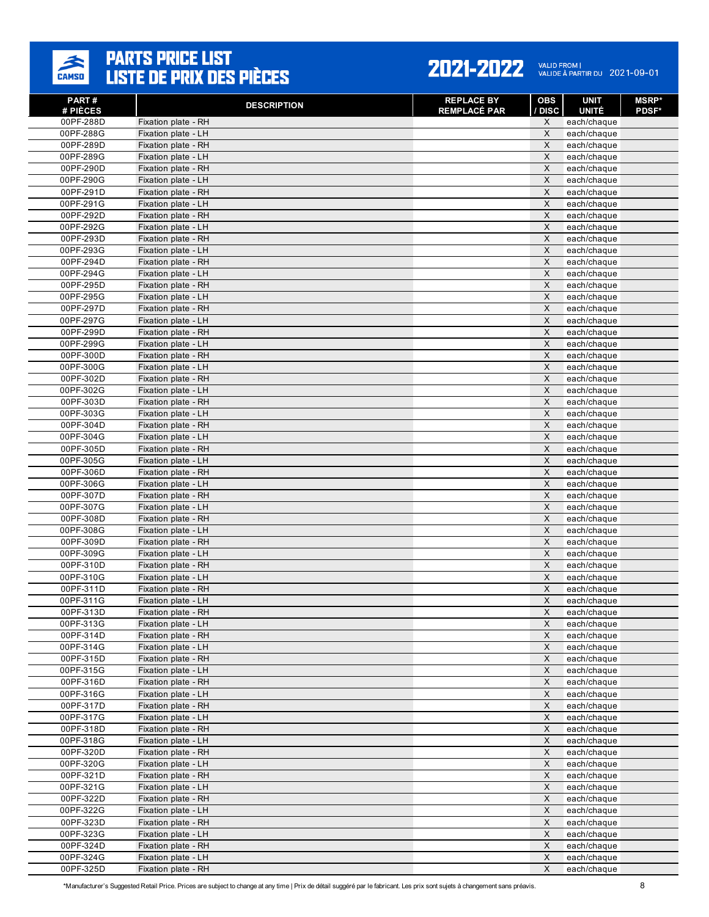

| PART#<br># PIÈCES      | <b>DESCRIPTION</b>                         | <b>REPLACE BY</b><br><b>REMPLACÉ PAR</b> | <b>OBS</b><br>/ DISC | <b>UNIT</b><br><b>UNITÉ</b> | <b>MSRP</b> *<br><b>PDSF*</b> |
|------------------------|--------------------------------------------|------------------------------------------|----------------------|-----------------------------|-------------------------------|
| 00PF-288D              | Fixation plate - RH                        |                                          | X                    | each/chaque                 |                               |
| 00PF-288G              | Fixation plate - LH                        |                                          | X                    | each/chaque                 |                               |
| 00PF-289D              | Fixation plate - RH                        |                                          | $\times$             | each/chaque                 |                               |
| 00PF-289G              | Fixation plate - LH                        |                                          | $\times$             | each/chaque                 |                               |
| 00PF-290D              | Fixation plate - RH                        |                                          | X                    | each/chaque                 |                               |
| 00PF-290G              | Fixation plate - LH                        |                                          | $\mathsf{X}$         | each/chaque                 |                               |
| 00PF-291D              | Fixation plate - RH                        |                                          | X                    | each/chaque                 |                               |
| 00PF-291G              | Fixation plate - LH                        |                                          | X                    | each/chaque                 |                               |
| 00PF-292D              | Fixation plate - RH                        |                                          | $\times$             | each/chaque                 |                               |
| 00PF-292G              | Fixation plate - LH                        |                                          | $\times$             | each/chaque                 |                               |
| 00PF-293D              | Fixation plate - RH                        |                                          | X                    | each/chaque                 |                               |
| 00PF-293G              | Fixation plate - LH                        |                                          | $\times$             | each/chaque                 |                               |
| 00PF-294D              | Fixation plate - RH                        |                                          | X                    | each/chaque                 |                               |
| 00PF-294G              | Fixation plate - LH                        |                                          | X                    | each/chaque                 |                               |
| 00PF-295D              | Fixation plate - RH                        |                                          | $\times$             | each/chaque                 |                               |
| 00PF-295G              | Fixation plate - LH                        |                                          | X                    | each/chaque                 |                               |
| 00PF-297D              | Fixation plate - RH                        |                                          | X                    | each/chaque                 |                               |
| 00PF-297G              | Fixation plate - LH                        |                                          | X                    | each/chaque                 |                               |
| 00PF-299D              | Fixation plate - RH                        |                                          | $\times$             | each/chaque                 |                               |
| 00PF-299G              | Fixation plate - LH                        |                                          | X                    | each/chaque                 |                               |
| 00PF-300D              | Fixation plate - RH                        |                                          | X                    | each/chaque                 |                               |
| 00PF-300G              | Fixation plate - LH                        |                                          | $\times$             | each/chaque                 |                               |
| 00PF-302D              | Fixation plate - RH                        |                                          | X                    | each/chaque                 |                               |
| 00PF-302G              | Fixation plate - LH                        |                                          | X                    | each/chaque                 |                               |
| 00PF-303D              | Fixation plate - RH                        |                                          | X                    | each/chaque                 |                               |
| 00PF-303G              | Fixation plate - LH                        |                                          | $\times$             | each/chaque                 |                               |
| 00PF-304D              | Fixation plate - RH                        |                                          | X                    | each/chaque                 |                               |
| 00PF-304G              | Fixation plate - LH                        |                                          | $\times$             | each/chaque                 |                               |
| 00PF-305D              | Fixation plate - RH                        |                                          | $\times$             | each/chaque                 |                               |
| 00PF-305G              | Fixation plate - LH                        |                                          | X                    | each/chaque                 |                               |
| 00PF-306D              | Fixation plate - RH                        |                                          | $\times$             | each/chaque                 |                               |
| 00PF-306G              | Fixation plate - LH                        |                                          | X                    | each/chaque                 |                               |
| 00PF-307D              | Fixation plate - RH                        |                                          | X                    | each/chaque                 |                               |
| 00PF-307G              | Fixation plate - LH                        |                                          | $\times$             | each/chaque                 |                               |
| 00PF-308D<br>00PF-308G | Fixation plate - RH                        |                                          | X                    | each/chaque                 |                               |
|                        | Fixation plate - LH                        |                                          | X<br>$\times$        | each/chaque                 |                               |
| 00PF-309D              | Fixation plate - RH                        |                                          | X                    | each/chaque                 |                               |
| 00PF-309G<br>00PF-310D | Fixation plate - LH<br>Fixation plate - RH |                                          | X                    | each/chaque<br>each/chaque  |                               |
| 00PF-310G              | Fixation plate - LH                        |                                          | $\times$             | each/chaque                 |                               |
| 00PF-311D              | Fixation plate - RH                        |                                          | X                    | each/chaque                 |                               |
| 00PF-311G              | Fixation plate - LH                        |                                          | X                    | each/chaque                 |                               |
| 00PF-313D              | Fixation plate - RH                        |                                          | X                    | each/chaque                 |                               |
| 00PF-313G              | Fixation plate - LH                        |                                          | X                    | each/chaque                 |                               |
| 00PF-314D              | Fixation plate - RH                        |                                          | X                    | each/chaque                 |                               |
| 00PF-314G              | Fixation plate - LH                        |                                          | $\mathsf X$          | each/chaque                 |                               |
| 00PF-315D              | Fixation plate - RH                        |                                          | X                    | each/chaque                 |                               |
| 00PF-315G              | Fixation plate - LH                        |                                          | X                    | each/chaque                 |                               |
| 00PF-316D              | Fixation plate - RH                        |                                          | $\mathsf X$          | each/chaque                 |                               |
| 00PF-316G              | Fixation plate - LH                        |                                          | $\mathsf X$          | each/chaque                 |                               |
| 00PF-317D              | Fixation plate - RH                        |                                          | $\mathsf X$          | each/chaque                 |                               |
| 00PF-317G              | Fixation plate - LH                        |                                          | X                    | each/chaque                 |                               |
| 00PF-318D              | Fixation plate - RH                        |                                          | $\mathsf X$          | each/chaque                 |                               |
| 00PF-318G              | Fixation plate - LH                        |                                          | $\mathsf X$          | each/chaque                 |                               |
| 00PF-320D              | Fixation plate - RH                        |                                          | X                    | each/chaque                 |                               |
| 00PF-320G              | Fixation plate - LH                        |                                          | $\mathsf{X}$         | each/chaque                 |                               |
| 00PF-321D              | Fixation plate - RH                        |                                          | $\mathsf X$          | each/chaque                 |                               |
| 00PF-321G              | Fixation plate - LH                        |                                          | X                    | each/chaque                 |                               |
| 00PF-322D              | Fixation plate - RH                        |                                          | $\mathsf X$          | each/chaque                 |                               |
| 00PF-322G              | Fixation plate - LH                        |                                          | X                    | each/chaque                 |                               |
| 00PF-323D              | Fixation plate - RH                        |                                          | X                    | each/chaque                 |                               |
| 00PF-323G              | Fixation plate - LH                        |                                          | X                    | each/chaque                 |                               |
| 00PF-324D              | Fixation plate - RH                        |                                          | $\mathsf X$          | each/chaque                 |                               |
| 00PF-324G              | Fixation plate - LH                        |                                          | $\mathsf X$          | each/chaque                 |                               |
| 00PF-325D              | Fixation plate - RH                        |                                          | X                    | each/chaque                 |                               |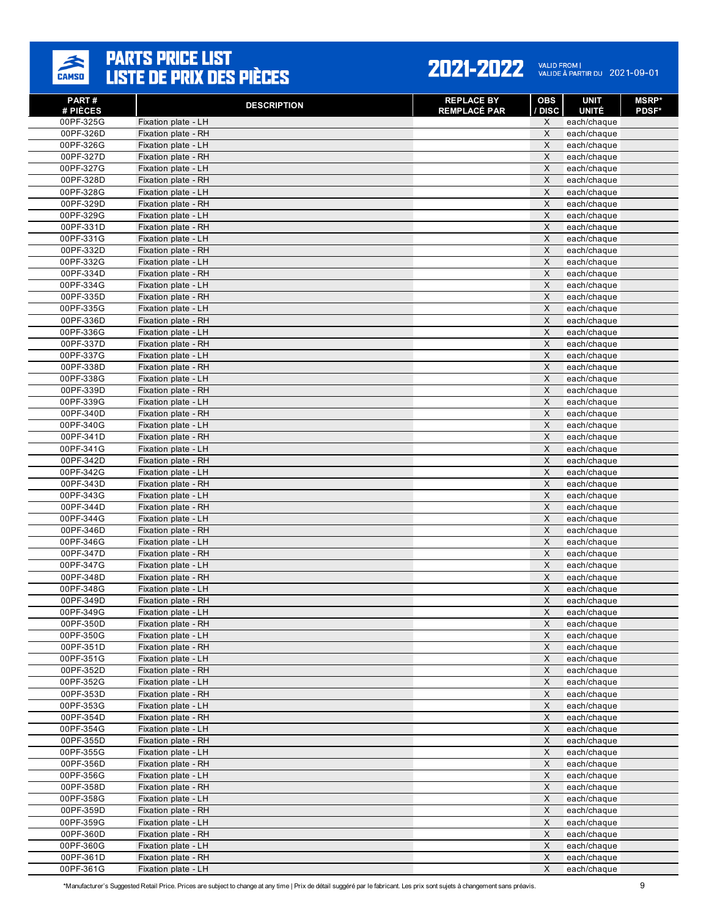

#### 2021-2022 VALID FROM | 2021-09-01

| PART#<br># PIÈCES      | <b>DESCRIPTION</b>                         | <b>REPLACE BY</b><br><b>REMPLACÉ PAR</b> | OBS<br>/ DISC             | <b>UNIT</b><br><b>UNITÉ</b> | <b>MSRP*</b><br><b>PDSF*</b> |
|------------------------|--------------------------------------------|------------------------------------------|---------------------------|-----------------------------|------------------------------|
| 00PF-325G              | Fixation plate - LH                        |                                          | X                         | each/chaque                 |                              |
| 00PF-326D              | Fixation plate - RH                        |                                          | X                         | each/chaque                 |                              |
| 00PF-326G              | Fixation plate - LH                        |                                          | X                         | each/chaque                 |                              |
| 00PF-327D              | Fixation plate - RH                        |                                          | $\pmb{\times}$            | each/chaque                 |                              |
| 00PF-327G              | Fixation plate - LH                        |                                          | X                         | each/chaque                 |                              |
| 00PF-328D              | Fixation plate - RH                        |                                          | $\pmb{\times}$            | each/chaque                 |                              |
| 00PF-328G              | Fixation plate - LH                        |                                          | X                         | each/chaque                 |                              |
| 00PF-329D              | Fixation plate - RH                        |                                          | X                         | each/chaque                 |                              |
| 00PF-329G              | Fixation plate - LH                        |                                          | X                         | each/chaque                 |                              |
| 00PF-331D              | Fixation plate - RH                        |                                          | X                         | each/chaque                 |                              |
| 00PF-331G              | Fixation plate - LH                        |                                          | X                         | each/chaque                 |                              |
| 00PF-332D              | Fixation plate - RH                        |                                          | X                         | each/chaque                 |                              |
| 00PF-332G              | Fixation plate - LH                        |                                          | $\pmb{\times}$            | each/chaque                 |                              |
| 00PF-334D              | Fixation plate - RH                        |                                          | X                         | each/chaque                 |                              |
| 00PF-334G              | Fixation plate - LH                        |                                          | $\pmb{\times}$            | each/chaque                 |                              |
| 00PF-335D              | Fixation plate - RH                        |                                          | X                         | each/chaque                 |                              |
| 00PF-335G              | Fixation plate - LH                        |                                          | X                         | each/chaque                 |                              |
| 00PF-336D              | Fixation plate - RH                        |                                          | X                         | each/chaque                 |                              |
| 00PF-336G              | Fixation plate - LH                        |                                          | $\pmb{\times}$            | each/chaque                 |                              |
| 00PF-337D              | Fixation plate - RH                        |                                          | X                         | each/chaque                 |                              |
| 00PF-337G              | Fixation plate - LH                        |                                          | X                         | each/chaque                 |                              |
| 00PF-338D              | Fixation plate - RH                        |                                          | $\mathsf{X}$              | each/chaque                 |                              |
| 00PF-338G              | Fixation plate - LH                        |                                          | X                         | each/chaque                 |                              |
| 00PF-339D              | Fixation plate - RH                        |                                          | X<br>X                    | each/chaque                 |                              |
| 00PF-339G<br>00PF-340D | Fixation plate - LH                        |                                          | $\pmb{\times}$            | each/chaque                 |                              |
|                        | Fixation plate - RH<br>Fixation plate - LH |                                          | X                         | each/chaque                 |                              |
| 00PF-340G<br>00PF-341D | Fixation plate - RH                        |                                          | X                         | each/chaque                 |                              |
| 00PF-341G              | Fixation plate - LH                        |                                          | $\pmb{\times}$            | each/chaque<br>each/chaque  |                              |
| 00PF-342D              | Fixation plate - RH                        |                                          | X                         | each/chaque                 |                              |
| 00PF-342G              | Fixation plate - LH                        |                                          | $\pmb{\times}$            | each/chaque                 |                              |
| 00PF-343D              | Fixation plate - RH                        |                                          | X                         | each/chaque                 |                              |
| 00PF-343G              | Fixation plate - LH                        |                                          | X                         | each/chaque                 |                              |
| 00PF-344D              | Fixation plate - RH                        |                                          | X                         | each/chaque                 |                              |
| 00PF-344G              | Fixation plate - LH                        |                                          | $\pmb{\times}$            | each/chaque                 |                              |
| 00PF-346D              | Fixation plate - RH                        |                                          | X                         | each/chaque                 |                              |
| 00PF-346G              | Fixation plate - LH                        |                                          | X                         | each/chaque                 |                              |
| 00PF-347D              | Fixation plate - RH                        |                                          | $\pmb{\times}$            | each/chaque                 |                              |
| 00PF-347G              | Fixation plate - LH                        |                                          | X                         | each/chaque                 |                              |
| 00PF-348D              | Fixation plate - RH                        |                                          | $\pmb{\times}$            | each/chaque                 |                              |
| 00PF-348G              | Fixation plate - LH                        |                                          | X                         | each/chaque                 |                              |
| 00PF-349D              | Fixation plate - RH                        |                                          | X                         | each/chaque                 |                              |
| 00PF-349G              | Fixation plate - LH                        |                                          | X                         | each/chaque                 |                              |
| 00PF-350D              | Fixation plate - RH                        |                                          | X                         | each/chaque                 |                              |
| 00PF-350G              | Fixation plate - LH                        |                                          | X                         | each/chaque                 |                              |
| 00PF-351D              | Fixation plate - RH                        |                                          | $\mathsf X$               | each/chaque                 |                              |
| 00PF-351G              | Fixation plate - LH                        |                                          | X                         | each/chaque                 |                              |
| 00PF-352D              | Fixation plate - RH                        |                                          | $\mathsf X$               | each/chaque                 |                              |
| 00PF-352G              | Fixation plate - LH                        |                                          | X                         | each/chaque                 |                              |
| 00PF-353D              | Fixation plate - RH                        |                                          | X                         | each/chaque                 |                              |
| 00PF-353G              | Fixation plate - LH                        |                                          | $\boldsymbol{\mathsf{X}}$ | each/chaque                 |                              |
| 00PF-354D              | Fixation plate - RH                        |                                          | X                         | each/chaque                 |                              |
| 00PF-354G              | Fixation plate - LH                        |                                          | $\mathsf X$               | each/chaque                 |                              |
| 00PF-355D              | Fixation plate - RH                        |                                          | $\boldsymbol{\mathsf{X}}$ | each/chaque                 |                              |
| 00PF-355G<br>00PF-356D | Fixation plate - LH                        |                                          | X<br>$\pmb{\times}$       | each/chaque                 |                              |
| 00PF-356G              | Fixation plate - RH                        |                                          | $\mathsf X$               | each/chaque                 |                              |
| 00PF-358D              | Fixation plate - LH<br>Fixation plate - RH |                                          | X                         | each/chaque<br>each/chaque  |                              |
| 00PF-358G              | Fixation plate - LH                        |                                          | X                         |                             |                              |
| 00PF-359D              | Fixation plate - RH                        |                                          | $\mathsf X$               | each/chaque<br>each/chaque  |                              |
| 00PF-359G              | Fixation plate - LH                        |                                          | $\mathsf X$               | each/chaque                 |                              |
| 00PF-360D              | Fixation plate - RH                        |                                          | $\mathsf X$               | each/chaque                 |                              |
| 00PF-360G              | Fixation plate - LH                        |                                          | $\pmb{\times}$            | each/chaque                 |                              |
| 00PF-361D              | Fixation plate - RH                        |                                          | X                         | each/chaque                 |                              |
| 00PF-361G              | Fixation plate - LH                        |                                          | X                         | each/chaque                 |                              |
|                        |                                            |                                          |                           |                             |                              |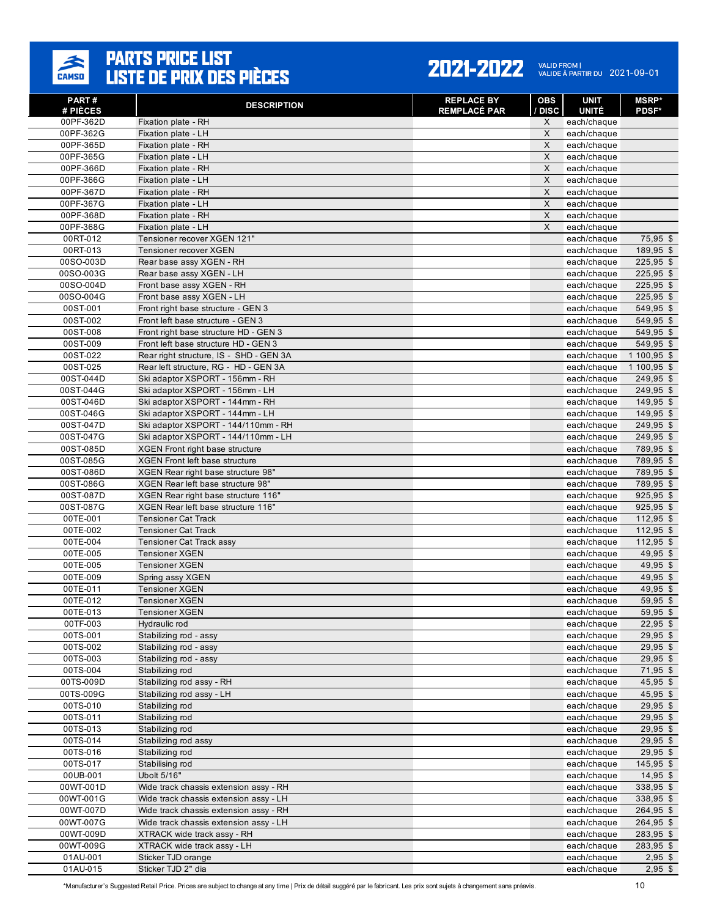

#### 2021-2022 VALID FROM | 2021-09-01

| PART#<br># PIÈCES    | <b>DESCRIPTION</b>                                                      | <b>REPLACE BY</b><br><b>REMPLACÉ PAR</b> | <b>OBS</b><br>/ DISC | <b>UNIT</b><br><b>UNITÉ</b> | <b>MSRP*</b><br><b>PDSF*</b> |
|----------------------|-------------------------------------------------------------------------|------------------------------------------|----------------------|-----------------------------|------------------------------|
| 00PF-362D            | Fixation plate - RH                                                     |                                          | X                    | each/chaque                 |                              |
| 00PF-362G            | Fixation plate - LH                                                     |                                          | X                    | each/chaque                 |                              |
| 00PF-365D            | Fixation plate - RH                                                     |                                          | $\mathsf{X}$         | each/chaque                 |                              |
| 00PF-365G            | Fixation plate - LH                                                     |                                          | $\times$             | each/chaque                 |                              |
| 00PF-366D            | Fixation plate - RH                                                     |                                          | X                    | each/chaque                 |                              |
| 00PF-366G            | Fixation plate - LH                                                     |                                          | X                    | each/chaque                 |                              |
| 00PF-367D            | Fixation plate - RH                                                     |                                          | X                    | each/chaque                 |                              |
| 00PF-367G            | Fixation plate - LH                                                     |                                          | X                    | each/chaque                 |                              |
| 00PF-368D            | Fixation plate - RH                                                     |                                          | $\times$             | each/chaque                 |                              |
| 00PF-368G            | Fixation plate - LH                                                     |                                          | $\times$             | each/chaque                 |                              |
| 00RT-012             | Tensioner recover XGEN 121"                                             |                                          |                      | each/chaque                 | 75,95 \$                     |
| 00RT-013             | Tensioner recover XGEN                                                  |                                          |                      | each/chaque                 | 189,95 \$                    |
| 00SO-003D            | Rear base assy XGEN - RH                                                |                                          |                      | each/chaque                 | 225,95 \$                    |
| 00SO-003G            | Rear base assy XGEN - LH                                                |                                          |                      | each/chaque                 | 225,95 \$                    |
| 00SO-004D            | Front base assy XGEN - RH                                               |                                          |                      | each/chaque                 | 225,95 \$                    |
| 00SO-004G            | Front base assy XGEN - LH                                               |                                          |                      | each/chaque                 | 225,95 \$                    |
| 00ST-001<br>00ST-002 | Front right base structure - GEN 3<br>Front left base structure - GEN 3 |                                          |                      | each/chaque                 | 549,95 \$<br>549,95 \$       |
| 00ST-008             | Front right base structure HD - GEN 3                                   |                                          |                      | each/chaque                 | 549,95 \$                    |
| 00ST-009             | Front left base structure HD - GEN 3                                    |                                          |                      | each/chaque<br>each/chaque  | 549,95 \$                    |
| 00ST-022             | Rear right structure, IS - SHD - GEN 3A                                 |                                          |                      | each/chaque                 | 1 100,95 \$                  |
| 00ST-025             | Rear left structure. RG - HD - GEN 3A                                   |                                          |                      | each/chaque                 | 1 100,95 \$                  |
| 00ST-044D            | Ski adaptor XSPORT - 156mm - RH                                         |                                          |                      | each/chaque                 | 249,95 \$                    |
| 00ST-044G            | Ski adaptor XSPORT - 156mm - LH                                         |                                          |                      | each/chaque                 | 249,95 \$                    |
| 00ST-046D            | Ski adaptor XSPORT - 144mm - RH                                         |                                          |                      | each/chaque                 | 149,95 \$                    |
| 00ST-046G            | Ski adaptor XSPORT - 144mm - LH                                         |                                          |                      | each/chaque                 | 149,95 \$                    |
| 00ST-047D            | Ski adaptor XSPORT - 144/110mm - RH                                     |                                          |                      | each/chaque                 | 249,95 \$                    |
| 00ST-047G            | Ski adaptor XSPORT - 144/110mm - LH                                     |                                          |                      | each/chaque                 | 249,95 \$                    |
| 00ST-085D            | <b>XGEN Front right base structure</b>                                  |                                          |                      | each/chaque                 | 789,95 \$                    |
| 00ST-085G            | XGEN Front left base structure                                          |                                          |                      | each/chaque                 | 789,95 \$                    |
| 00ST-086D            | XGEN Rear right base structure 98"                                      |                                          |                      | each/chaque                 | 789,95 \$                    |
| 00ST-086G            | XGEN Rear left base structure 98"                                       |                                          |                      | each/chaque                 | 789,95 \$                    |
| 00ST-087D            | XGEN Rear right base structure 116"                                     |                                          |                      | each/chaque                 | 925,95 \$                    |
| 00ST-087G            | XGEN Rear left base structure 116"                                      |                                          |                      | each/chaque                 | 925,95 \$                    |
| 00TE-001             | <b>Tensioner Cat Track</b>                                              |                                          |                      | each/chaque                 | $112,95$ \$                  |
| 00TE-002             | <b>Tensioner Cat Track</b>                                              |                                          |                      | each/chaque                 | 112,95 \$                    |
| 00TE-004             | <b>Tensioner Cat Track assy</b>                                         |                                          |                      | each/chaque                 | 112,95 \$                    |
| 00TE-005             | <b>Tensioner XGEN</b>                                                   |                                          |                      | each/chaque                 | 49.95 \$                     |
| 00TE-005             | <b>Tensioner XGEN</b>                                                   |                                          |                      | each/chaque                 | 49,95 \$                     |
| 00TE-009             | Spring assy XGEN                                                        |                                          |                      | each/chaque                 | $49,95$ \$                   |
| 00TE-011             | <b>Tensioner XGEN</b>                                                   |                                          |                      | each/chaque                 | 49,95 \$                     |
| 00TE-012<br>00TE-013 | <b>Tensioner XGEN</b><br><b>Tensioner XGEN</b>                          |                                          |                      | each/chaque<br>each/chaque  | 59,95 \$<br>59,95 \$         |
| 00TF-003             | Hydraulic rod                                                           |                                          |                      | each/chaque                 | $22,95$ \$                   |
| 00TS-001             | Stabilizing rod - assy                                                  |                                          |                      | each/chaque                 | $29,95$ \$                   |
| 00TS-002             | Stabilizing rod - assy                                                  |                                          |                      | each/chaque                 | $29,95$ \$                   |
| 00TS-003             | Stabilizing rod - assy                                                  |                                          |                      | each/chaque                 | $29,95$ \$                   |
| 00TS-004             | Stabilizing rod                                                         |                                          |                      | each/chaque                 | 71,95 \$                     |
| 00TS-009D            | Stabilizing rod assy - RH                                               |                                          |                      | each/chaque                 | 45,95 \$                     |
| 00TS-009G            | Stabilizing rod assy - LH                                               |                                          |                      | each/chaque                 | 45,95 \$                     |
| 00TS-010             | Stabilizing rod                                                         |                                          |                      | each/chaque                 | $29,95$ \$                   |
| 00TS-011             | Stabilizing rod                                                         |                                          |                      | each/chaque                 | $29,95$ \$                   |
| 00TS-013             | Stabilizing rod                                                         |                                          |                      | each/chaque                 | $29,95$ \$                   |
| 00TS-014             | Stabilizing rod assy                                                    |                                          |                      | each/chaque                 | $29,95$ \$                   |
| 00TS-016             | Stabilizing rod                                                         |                                          |                      | each/chaque                 | $29,95$ \$                   |
| 00TS-017             | Stabilising rod                                                         |                                          |                      | each/chaque                 | 145,95 \$                    |
| 00UB-001             | Ubolt 5/16"                                                             |                                          |                      | each/chaque                 | 14,95 \$                     |
| 00WT-001D            | Wide track chassis extension assy - RH                                  |                                          |                      | each/chaque                 | 338,95 \$                    |
| 00WT-001G            | Wide track chassis extension assy - LH                                  |                                          |                      | each/chaque                 | 338,95 \$                    |
| 00WT-007D            | Wide track chassis extension assy - RH                                  |                                          |                      | each/chaque                 | 264,95 \$                    |
| 00WT-007G            | Wide track chassis extension assy - LH                                  |                                          |                      | each/chaque                 | 264,95 \$                    |
| 00WT-009D            | XTRACK wide track assy - RH                                             |                                          |                      | each/chaque                 | 283,95 \$                    |
| 00WT-009G            | XTRACK wide track assy - LH                                             |                                          |                      | each/chaque                 | 283,95 \$                    |
| 01AU-001             | Sticker TJD orange                                                      |                                          |                      | each/chaque                 | $2,95$ \$                    |
| 01AU-015             | Sticker TJD 2" dia                                                      |                                          |                      | each/chaque                 | $2,95$ \$                    |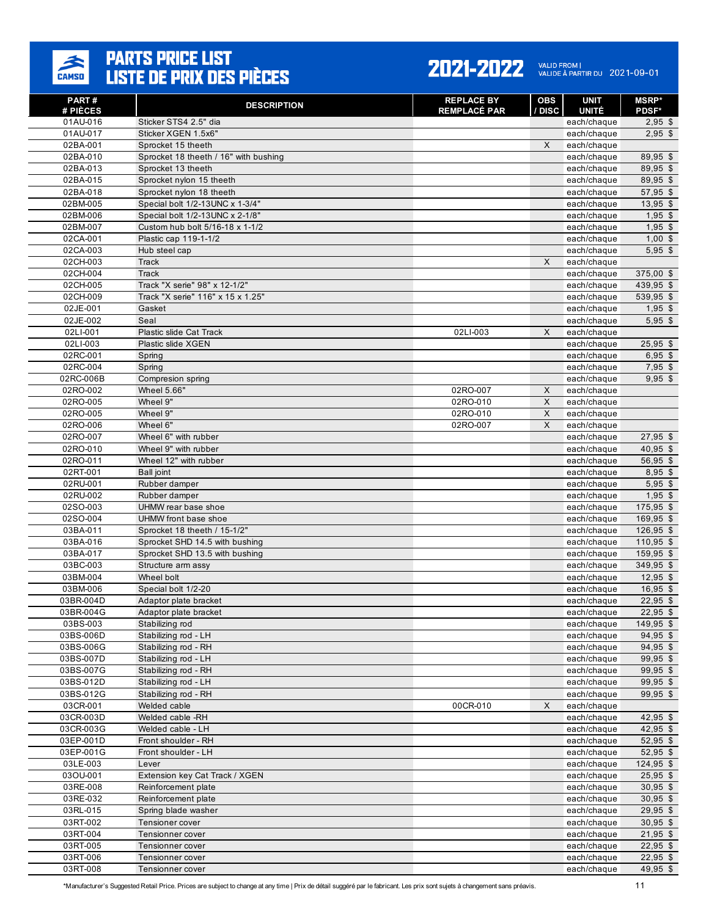

| PART#<br># PIÈCES     | <b>DESCRIPTION</b>                             | <b>REPLACE BY</b><br><b>REMPLACÉ PAR</b> | OBS<br>/ DISC | <b>UNIT</b><br><b>UNITÉ</b> | <b>MSRP</b> *<br><b>PDSF*</b> |
|-----------------------|------------------------------------------------|------------------------------------------|---------------|-----------------------------|-------------------------------|
| 01AU-016              | Sticker STS4 2.5" dia                          |                                          |               | each/chaque                 | $2,95$ \$                     |
| 01AU-017              | Sticker XGEN 1.5x6"                            |                                          |               | each/chaque                 | $2,95$ \$                     |
| 02BA-001              | Sprocket 15 theeth                             |                                          | X             | each/chaque                 |                               |
| 02BA-010              | Sprocket 18 theeth / 16" with bushing          |                                          |               | each/chaque                 | 89,95 \$                      |
| 02BA-013              | Sprocket 13 theeth                             |                                          |               | each/chaque                 | 89.95 \$                      |
| 02BA-015              | Sprocket nylon 15 theeth                       |                                          |               | each/chaque                 | 89,95 \$                      |
| 02BA-018              | Sprocket nylon 18 theeth                       |                                          |               | each/chaque                 | 57,95 \$                      |
| 02BM-005              | Special bolt 1/2-13UNC x 1-3/4"                |                                          |               | each/chaque                 | $13,95$ \$                    |
| 02BM-006              | Special bolt 1/2-13UNC x 2-1/8"                |                                          |               | each/chaque                 | $1,95$ \$                     |
| 02BM-007              | Custom hub bolt 5/16-18 x 1-1/2                |                                          |               | each/chaque                 | $1,95$ \$                     |
| 02CA-001              | Plastic cap 119-1-1/2                          |                                          |               | each/chaque                 | $1,00$ \$                     |
| 02CA-003              | Hub steel cap                                  |                                          |               | each/chaque                 | $5,95$ \$                     |
| 02CH-003              | Track                                          |                                          | $\times$      | each/chaque                 |                               |
| 02CH-004              | <b>Track</b>                                   |                                          |               | each/chaque                 | $375,00$ \$                   |
| 02CH-005<br>02CH-009  | Track "X serie" 98" x 12-1/2"                  |                                          |               | each/chaque                 | 439,95 \$                     |
| 02JE-001              | Track "X serie" 116" x 15 x 1.25"<br>Gasket    |                                          |               | each/chaque<br>each/chaque  | 539,95 \$<br>$1,95$ \$        |
| 02JE-002              | Seal                                           |                                          |               | each/chaque                 | $5,95$ \$                     |
| 02LI-001              | Plastic slide Cat Track                        | 02LI-003                                 | X             | each/chaque                 |                               |
| 02LI-003              | Plastic slide XGEN                             |                                          |               | each/chaque                 | $25,95$ \$                    |
| 02RC-001              | Spring                                         |                                          |               | each/chaque                 | $6,95$ \$                     |
| 02RC-004              | Spring                                         |                                          |               | each/chaque                 | $7.95$ \$                     |
| 02RC-006B             | Compresion spring                              |                                          |               | each/chaque                 | $9,95$ \$                     |
| 02RO-002              | Wheel 5.66"                                    | 02RO-007                                 | X             | each/chaque                 |                               |
| 02RO-005              | Wheel 9"                                       | 02RO-010                                 | X             | each/chaque                 |                               |
| 02RO-005              | Wheel 9"                                       | 02RO-010                                 | X             | each/chaque                 |                               |
| 02RO-006              | Wheel 6"                                       | 02RO-007                                 | X             | each/chaque                 |                               |
| 02RO-007              | Wheel 6" with rubber                           |                                          |               | each/chaque                 | $27,95$ \$                    |
| 02RO-010              | Wheel 9" with rubber                           |                                          |               | each/chaque                 | $40,95$ \$                    |
| 02RO-011              | Wheel 12" with rubber                          |                                          |               | each/chaque                 | 56,95 \$                      |
| 02RT-001              | Ball joint                                     |                                          |               | each/chaque                 | $8,95$ \$                     |
| 02RU-001              | Rubber damper                                  |                                          |               | each/chaque                 | $5,95$ \$                     |
| 02RU-002              | Rubber damper                                  |                                          |               | each/chaque                 | $1,95$ \$                     |
| 02SO-003              | UHMW rear base shoe                            |                                          |               | each/chaque                 | $175,95$ \$                   |
| 02SO-004              | UHMW front base shoe                           |                                          |               | each/chaque                 | 169,95 \$                     |
| 03BA-011              | Sprocket 18 theeth / 15-1/2"                   |                                          |               | each/chaque                 | $126,95$ \$                   |
| 03BA-016              | Sprocket SHD 14.5 with bushing                 |                                          |               | each/chaque                 | $110,95$ \$                   |
| 03BA-017              | Sprocket SHD 13.5 with bushing                 |                                          |               | each/chaque                 | 159,95 \$                     |
| 03BC-003              | Structure arm assy                             |                                          |               | each/chaque                 | 349,95 \$                     |
| 03BM-004              | Wheel bolt                                     |                                          |               | each/chaque                 | $12,95$ \$                    |
| 03BM-006<br>03BR-004D | Special bolt 1/2-20                            |                                          |               | each/chaque                 | $16,95$ \$                    |
| 03BR-004G             | Adaptor plate bracket<br>Adaptor plate bracket |                                          |               | each/chaque<br>each/chaque  | $22,95$ \$<br>$22,95$ \$      |
| 03BS-003              | Stabilizing rod                                |                                          |               | each/chaque                 | 149,95 \$                     |
| 03BS-006D             | Stabilizing rod - LH                           |                                          |               | each/chaque                 | 94,95 \$                      |
| 03BS-006G             | Stabilizing rod - RH                           |                                          |               | each/chaque                 | 94,95 \$                      |
| 03BS-007D             | Stabilizing rod - LH                           |                                          |               | each/chaque                 | 99,95 \$                      |
| 03BS-007G             | Stabilizing rod - RH                           |                                          |               | each/chaque                 | $99,95$ \$                    |
| 03BS-012D             | Stabilizing rod - LH                           |                                          |               | each/chaque                 | 99,95 \$                      |
| 03BS-012G             | Stabilizing rod - RH                           |                                          |               | each/chaque                 | 99,95 \$                      |
| 03CR-001              | Welded cable                                   | 00CR-010                                 | X             | each/chaque                 |                               |
| 03CR-003D             | Welded cable -RH                               |                                          |               | each/chaque                 | $42,95$ \$                    |
| 03CR-003G             | Welded cable - LH                              |                                          |               | each/chaque                 | 42,95 \$                      |
| 03EP-001D             | Front shoulder - RH                            |                                          |               | each/chaque                 | 52,95 \$                      |
| 03EP-001G             | Front shoulder - LH                            |                                          |               | each/chaque                 | 52,95 \$                      |
| 03LE-003              | Lever                                          |                                          |               | each/chaque                 | 124,95 \$                     |
| 03OU-001              | Extension key Cat Track / XGEN                 |                                          |               | each/chaque                 | $25,95$ \$                    |
| 03RE-008              | Reinforcement plate                            |                                          |               | each/chaque                 | $30,95$ \$                    |
| 03RE-032              | Reinforcement plate                            |                                          |               | each/chaque                 | $30,95$ \$                    |
| 03RL-015              | Spring blade washer                            |                                          |               | each/chaque                 | $29,95$ \$                    |
| 03RT-002              | Tensioner cover                                |                                          |               | each/chaque                 | $30,95$ \$                    |
| 03RT-004              | Tensionner cover                               |                                          |               | each/chaque                 | $21,95$ \$                    |
| 03RT-005              | Tensionner cover                               |                                          |               | each/chaque                 | $22,95$ \$                    |
| 03RT-006              | Tensionner cover                               |                                          |               | each/chaque                 | $22,95$ \$                    |
| 03RT-008              | Tensionner cover                               |                                          |               | each/chaque                 | 49,95 \$                      |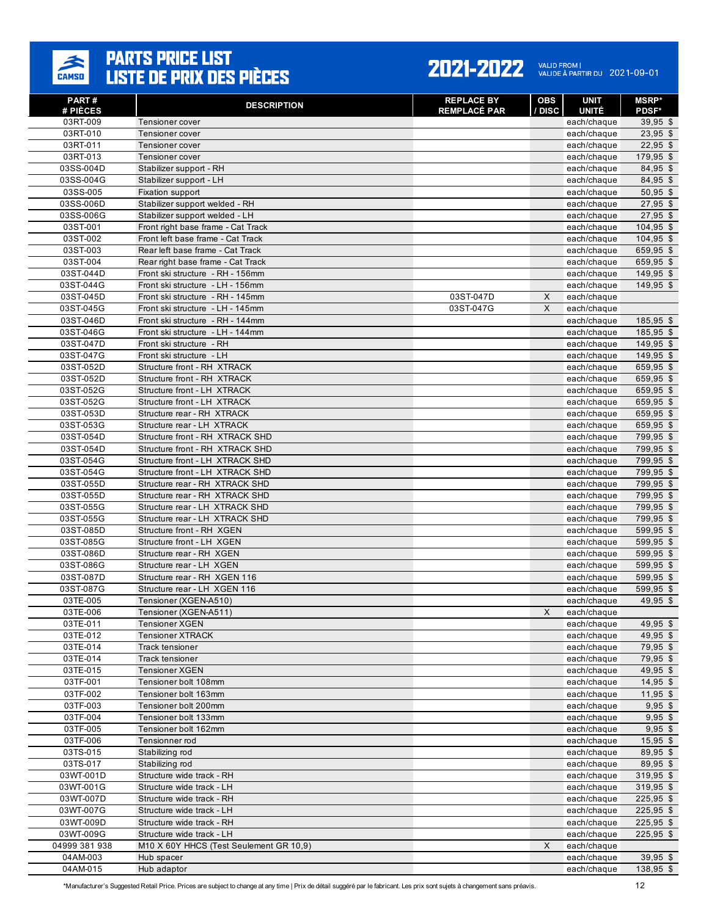

#### 2021-2022 VALID FROM | 2021-09-01

| PART #<br># PIÈCES     | <b>DESCRIPTION</b>                                                   | <b>REPLACE BY</b><br><b>REMPLACÉ PAR</b> | <b>OBS</b><br>/ DISC | <b>UNIT</b><br><b>UNITÉ</b> | <b>MSRP</b> *<br><b>PDSF*</b> |
|------------------------|----------------------------------------------------------------------|------------------------------------------|----------------------|-----------------------------|-------------------------------|
| 03RT-009               | Tensioner cover                                                      |                                          |                      | each/chaque                 | 39,95 \$                      |
| 03RT-010               | Tensioner cover                                                      |                                          |                      | each/chaque                 | $23,95$ \$                    |
| 03RT-011               | Tensioner cover                                                      |                                          |                      | each/chaque                 | $22,95$ \$                    |
| 03RT-013               | Tensioner cover                                                      |                                          |                      | each/chaque                 | 179,95 \$                     |
| 03SS-004D              | Stabilizer support - RH                                              |                                          |                      | each/chaque                 | 84.95 \$                      |
| 03SS-004G              | Stabilizer support - LH                                              |                                          |                      | each/chaque                 | 84,95 \$                      |
| 03SS-005               | Fixation support                                                     |                                          |                      | each/chaque                 | $50,95$ \$                    |
| 03SS-006D              | Stabilizer support welded - RH                                       |                                          |                      | each/chaque                 | $27,95$ \$                    |
| 03SS-006G              | Stabilizer support welded - LH                                       |                                          |                      | each/chaque                 | 27,95 \$                      |
| 03ST-001               | Front right base frame - Cat Track                                   |                                          |                      | each/chaque                 | $104,95$ \$                   |
| 03ST-002               | Front left base frame - Cat Track                                    |                                          |                      | each/chaque                 | 104,95 \$                     |
| 03ST-003               | Rear left base frame - Cat Track                                     |                                          |                      | each/chaque                 | 659,95 \$                     |
| 03ST-004               | Rear right base frame - Cat Track                                    |                                          |                      | each/chaque                 | 659,95 \$                     |
| 03ST-044D              | Front ski structure - RH - 156mm                                     |                                          |                      | each/chaque                 | 149,95 \$                     |
| 03ST-044G              | Front ski structure - LH - 156mm                                     | 03ST-047D                                | X                    | each/chaque                 | 149,95 \$                     |
| 03ST-045D<br>03ST-045G | Front ski structure - RH - 145mm<br>Front ski structure - LH - 145mm | 03ST-047G                                | X                    | each/chaque<br>each/chaque  |                               |
| 03ST-046D              | Front ski structure - RH - 144mm                                     |                                          |                      | each/chaque                 | 185,95 \$                     |
| 03ST-046G              | Front ski structure - LH - 144mm                                     |                                          |                      | each/chaque                 | 185,95 \$                     |
| 03ST-047D              | Front ski structure - RH                                             |                                          |                      | each/chaque                 | 149,95 \$                     |
| 03ST-047G              | Front ski structure - LH                                             |                                          |                      | each/chaque                 | 149,95 \$                     |
| 03ST-052D              | Structure front - RH XTRACK                                          |                                          |                      | each/chaque                 | 659,95 \$                     |
| 03ST-052D              | Structure front - RH XTRACK                                          |                                          |                      | each/chaque                 | 659,95 \$                     |
| 03ST-052G              | Structure front - LH XTRACK                                          |                                          |                      | each/chaque                 | 659,95 \$                     |
| 03ST-052G              | Structure front - LH XTRACK                                          |                                          |                      | each/chaque                 | 659,95 \$                     |
| 03ST-053D              | Structure rear - RH XTRACK                                           |                                          |                      | each/chaque                 | 659,95 \$                     |
| 03ST-053G              | Structure rear - LH XTRACK                                           |                                          |                      | each/chaque                 | 659,95 \$                     |
| 03ST-054D              | Structure front - RH XTRACK SHD                                      |                                          |                      | each/chaque                 | 799,95 \$                     |
| 03ST-054D              | Structure front - RH XTRACK SHD                                      |                                          |                      | each/chaque                 | 799,95 \$                     |
| 03ST-054G              | Structure front - LH XTRACK SHD                                      |                                          |                      | each/chaque                 | 799,95 \$                     |
| 03ST-054G              | Structure front - LH XTRACK SHD                                      |                                          |                      | each/chaque                 | 799,95 \$                     |
| 03ST-055D              | Structure rear - RH XTRACK SHD                                       |                                          |                      | each/chaque                 | 799,95 \$                     |
| 03ST-055D              | Structure rear - RH XTRACK SHD                                       |                                          |                      | each/chaque                 | 799,95 \$                     |
| 03ST-055G              | Structure rear - LH XTRACK SHD                                       |                                          |                      | each/chaque                 | 799,95 \$                     |
| 03ST-055G              | Structure rear - LH XTRACK SHD                                       |                                          |                      | each/chaque                 | 799,95 \$                     |
| 03ST-085D              | Structure front - RH XGEN                                            |                                          |                      | each/chaque                 | 599,95 \$                     |
| 03ST-085G              | Structure front - LH XGEN                                            |                                          |                      | each/chaque                 | 599,95 \$                     |
| 03ST-086D<br>03ST-086G | Structure rear - RH XGEN<br>Structure rear - LH XGEN                 |                                          |                      | each/chaque<br>each/chaque  | 599,95 \$<br>599,95 \$        |
| 03ST-087D              | Structure rear - RH XGEN 116                                         |                                          |                      | each/chaque                 | 599,95 \$                     |
| 03ST-087G              | Structure rear - LH XGEN 116                                         |                                          |                      | each/chaque                 | 599,95 \$                     |
| 03TE-005               | Tensioner (XGEN-A510)                                                |                                          |                      | each/chaque                 | 49,95 \$                      |
| 03TE-006               | Tensioner (XGEN-A511)                                                |                                          | X                    | each/chaque                 |                               |
| 03TE-011               | <b>Tensioner XGEN</b>                                                |                                          |                      | each/chaque                 | 49,95 \$                      |
| 03TE-012               | <b>Tensioner XTRACK</b>                                              |                                          |                      | each/chaque                 | 49,95 \$                      |
| 03TE-014               | Track tensioner                                                      |                                          |                      | each/chaque                 | 79,95 \$                      |
| 03TE-014               | Track tensioner                                                      |                                          |                      | each/chaque                 | 79,95 \$                      |
| 03TE-015               | <b>Tensioner XGEN</b>                                                |                                          |                      | each/chaque                 | 49,95 \$                      |
| 03TF-001               | Tensioner bolt 108mm                                                 |                                          |                      | each/chaque                 | $14,95$ \$                    |
| 03TF-002               | Tensioner bolt 163mm                                                 |                                          |                      | each/chaque                 | $11,95$ \$                    |
| 03TF-003               | Tensioner bolt 200mm                                                 |                                          |                      | each/chaque                 | $9,95$ \$                     |
| 03TF-004               | Tensioner bolt 133mm                                                 |                                          |                      | each/chaque                 | $9,95$ \$                     |
| 03TF-005               | Tensioner bolt 162mm                                                 |                                          |                      | each/chaque                 | $9,95$ \$                     |
| 03TF-006               | Tensionner rod                                                       |                                          |                      | each/chaque                 | 15,95 \$                      |
| 03TS-015               | Stabilizing rod                                                      |                                          |                      | each/chaque                 | 89,95 \$                      |
| 03TS-017               | Stabilizing rod                                                      |                                          |                      | each/chaque                 | 89,95 \$                      |
| 03WT-001D              | Structure wide track - RH                                            |                                          |                      | each/chaque                 | 319,95 \$                     |
| 03WT-001G              | Structure wide track - LH                                            |                                          |                      | each/chaque                 | 319,95 \$                     |
| 03WT-007D<br>03WT-007G | Structure wide track - RH                                            |                                          |                      | each/chaque                 | 225,95 \$<br>225,95 \$        |
| 03WT-009D              | Structure wide track - LH<br>Structure wide track - RH               |                                          |                      | each/chaque<br>each/chaque  | 225,95 \$                     |
| 03WT-009G              | Structure wide track - LH                                            |                                          |                      | each/chaque                 | 225,95 \$                     |
| 04999 381 938          | M10 X 60Y HHCS (Test Seulement GR 10,9)                              |                                          | X                    | each/chaque                 |                               |
| 04AM-003               | Hub spacer                                                           |                                          |                      | each/chaque                 | $39,95$ \$                    |
| 04AM-015               | Hub adaptor                                                          |                                          |                      | each/chaque                 | 138,95 \$                     |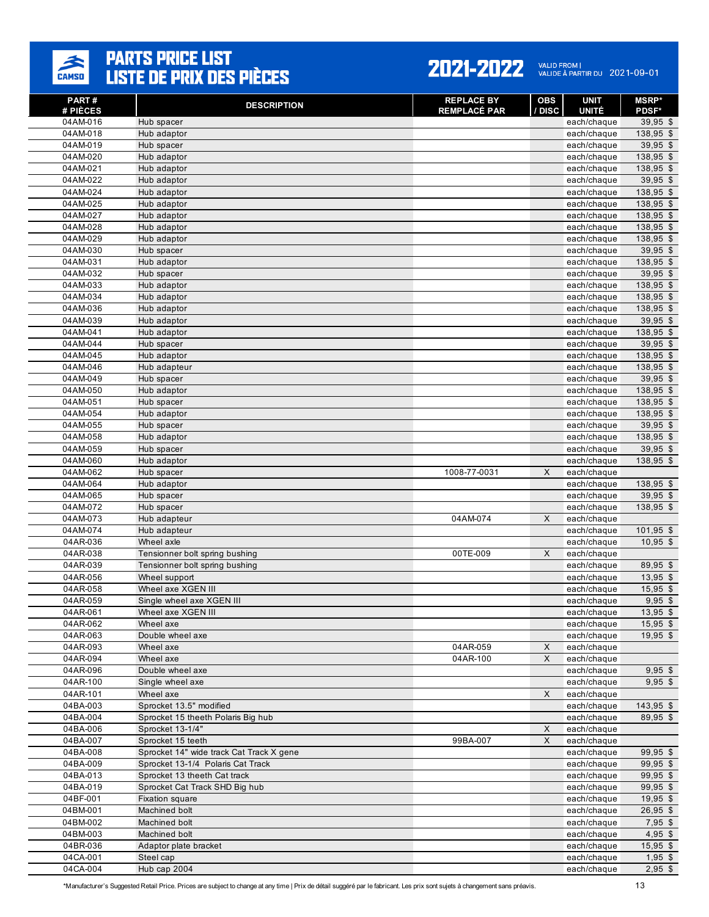

#### 2021-2022 VALID FROM | 2021-09-01

| <b>PART#</b><br># PIÈCES | <b>DESCRIPTION</b>                       | <b>REPLACE BY</b><br><b>REMPLACÉ PAR</b> | OBS<br>/ DISC | <b>UNIT</b><br><b>UNITÉ</b> | <b>MSRP</b> *<br><b>PDSF*</b> |
|--------------------------|------------------------------------------|------------------------------------------|---------------|-----------------------------|-------------------------------|
| 04AM-016                 | Hub spacer                               |                                          |               | each/chaque                 | $39,95$ \$                    |
| 04AM-018                 | Hub adaptor                              |                                          |               | each/chaque                 | 138,95 \$                     |
| 04AM-019                 | Hub spacer                               |                                          |               | each/chaque                 | 39,95 \$                      |
| 04AM-020                 | Hub adaptor                              |                                          |               | each/chaque                 | 138,95 \$                     |
| 04AM-021                 | Hub adaptor                              |                                          |               | each/chaque                 | 138,95 \$                     |
| 04AM-022                 | Hub adaptor                              |                                          |               | each/chaque                 | 39,95 \$                      |
| 04AM-024                 | Hub adaptor                              |                                          |               | each/chaque                 | 138,95 \$                     |
| 04AM-025                 | Hub adaptor                              |                                          |               | each/chaque                 | 138,95 \$                     |
| 04AM-027                 | Hub adaptor                              |                                          |               | each/chaque                 | 138,95 \$                     |
| 04AM-028                 | Hub adaptor                              |                                          |               | each/chaque                 | 138,95 \$                     |
| 04AM-029                 | Hub adaptor                              |                                          |               | each/chaque                 | 138,95 \$                     |
| 04AM-030                 | Hub spacer                               |                                          |               | each/chaque                 | 39,95 \$                      |
| 04AM-031                 | Hub adaptor                              |                                          |               | each/chaque                 | 138,95 \$                     |
| 04AM-032                 | Hub spacer                               |                                          |               | each/chaque                 | $39,95$ \$                    |
| 04AM-033                 | Hub adaptor                              |                                          |               | each/chaque                 | 138,95 \$                     |
| 04AM-034                 | Hub adaptor                              |                                          |               | each/chaque                 | 138,95 \$                     |
| 04AM-036                 | Hub adaptor                              |                                          |               | each/chaque                 | 138,95 \$                     |
| 04AM-039                 | Hub adaptor                              |                                          |               | each/chaque                 | 39,95 \$                      |
| 04AM-041<br>04AM-044     | Hub adaptor                              |                                          |               | each/chaque                 | 138,95 \$<br>$39,95$ \$       |
|                          | Hub spacer                               |                                          |               | each/chaque                 |                               |
| 04AM-045<br>04AM-046     | Hub adaptor<br>Hub adapteur              |                                          |               | each/chaque<br>each/chaque  | 138,95 \$<br>138,95 \$        |
| 04AM-049                 | Hub spacer                               |                                          |               | each/chaque                 | $39,95$ \$                    |
| 04AM-050                 | Hub adaptor                              |                                          |               | each/chaque                 | 138,95 \$                     |
| 04AM-051                 | Hub spacer                               |                                          |               | each/chaque                 | 138,95 \$                     |
| 04AM-054                 | Hub adaptor                              |                                          |               | each/chaque                 | 138,95 \$                     |
| 04AM-055                 | Hub spacer                               |                                          |               | each/chaque                 | 39,95 \$                      |
| 04AM-058                 | Hub adaptor                              |                                          |               | each/chaque                 | 138,95 \$                     |
| 04AM-059                 | Hub spacer                               |                                          |               | each/chaque                 | $39,95$ \$                    |
| 04AM-060                 | Hub adaptor                              |                                          |               | each/chaque                 | 138,95 \$                     |
| 04AM-062                 | Hub spacer                               | 1008-77-0031                             | X             | each/chaque                 |                               |
| 04AM-064                 | Hub adaptor                              |                                          |               | each/chaque                 | 138,95 \$                     |
| 04AM-065                 | Hub spacer                               |                                          |               | each/chaque                 | $39,95$ \$                    |
| 04AM-072                 | Hub spacer                               |                                          |               | each/chaque                 | 138,95 \$                     |
| 04AM-073                 | Hub adapteur                             | 04AM-074                                 | X             | each/chaque                 |                               |
| 04AM-074                 | Hub adapteur                             |                                          |               | each/chaque                 | 101,95 \$                     |
| 04AR-036                 | Wheel axle                               |                                          |               | each/chaque                 | $10,95$ \$                    |
| 04AR-038                 | Tensionner bolt spring bushing           | 00TE-009                                 | X             | each/chaque                 |                               |
| 04AR-039                 | Tensionner bolt spring bushing           |                                          |               | each/chaque                 | 89,95 \$                      |
| 04AR-056                 | Wheel support                            |                                          |               | each/chaque                 | $13,95$ \$                    |
| 04AR-058                 | Wheel axe XGEN III                       |                                          |               | each/chaque                 | $15,95$ \$                    |
| 04AR-059                 | Single wheel axe XGEN III                |                                          |               | each/chaque                 | $9,95$ \$                     |
| 04AR-061                 | Wheel axe XGEN III                       |                                          |               | each/chaque                 | 13,95 \$                      |
| 04AR-062                 | Wheel axe                                |                                          |               | each/chaque                 | $15,95$ \$                    |
| 04AR-063                 | Double wheel axe                         |                                          |               | each/chaque<br>each/chaque  | $19,95$ \$                    |
| 04AR-093<br>04AR-094     | Wheel axe<br>Wheel axe                   | 04AR-059<br>04AR-100                     | X<br>X        | each/chaque                 |                               |
| 04AR-096                 | Double wheel axe                         |                                          |               | each/chaque                 | $9,95$ \$                     |
| 04AR-100                 | Single wheel axe                         |                                          |               | each/chaque                 | $9,95$ \$                     |
| 04AR-101                 | Wheel axe                                |                                          | X             | each/chaque                 |                               |
| 04BA-003                 | Sprocket 13.5" modified                  |                                          |               | each/chaque                 | $143,95$ \$                   |
| 04BA-004                 | Sprocket 15 theeth Polaris Big hub       |                                          |               | each/chaque                 | 89,95 \$                      |
| 04BA-006                 | Sprocket 13-1/4"                         |                                          | X             | each/chaque                 |                               |
| 04BA-007                 | Sprocket 15 teeth                        | 99BA-007                                 | X             | each/chaque                 |                               |
| 04BA-008                 | Sprocket 14" wide track Cat Track X gene |                                          |               | each/chaque                 | $99,95$ \$                    |
| 04BA-009                 | Sprocket 13-1/4 Polaris Cat Track        |                                          |               | each/chaque                 | 99,95 \$                      |
| 04BA-013                 | Sprocket 13 theeth Cat track             |                                          |               | each/chaque                 | 99,95 \$                      |
| 04BA-019                 | Sprocket Cat Track SHD Big hub           |                                          |               | each/chaque                 | $99,95$ \$                    |
| 04BF-001                 | Fixation square                          |                                          |               | each/chaque                 | $19,95$ \$                    |
| 04BM-001                 | Machined bolt                            |                                          |               | each/chaque                 | $26,95$ \$                    |
| 04BM-002                 | Machined bolt                            |                                          |               | each/chaque                 | $7,95$ \$                     |
| 04BM-003                 | Machined bolt                            |                                          |               | each/chaque                 | $4,95$ \$                     |
| 04BR-036                 | Adaptor plate bracket                    |                                          |               | each/chaque                 | $15,95$ \$                    |
| 04CA-001                 | Steel cap                                |                                          |               | each/chaque                 | $1,95$ \$                     |
| 04CA-004                 | Hub cap 2004                             |                                          |               | each/chaque                 | $2,95$ \$                     |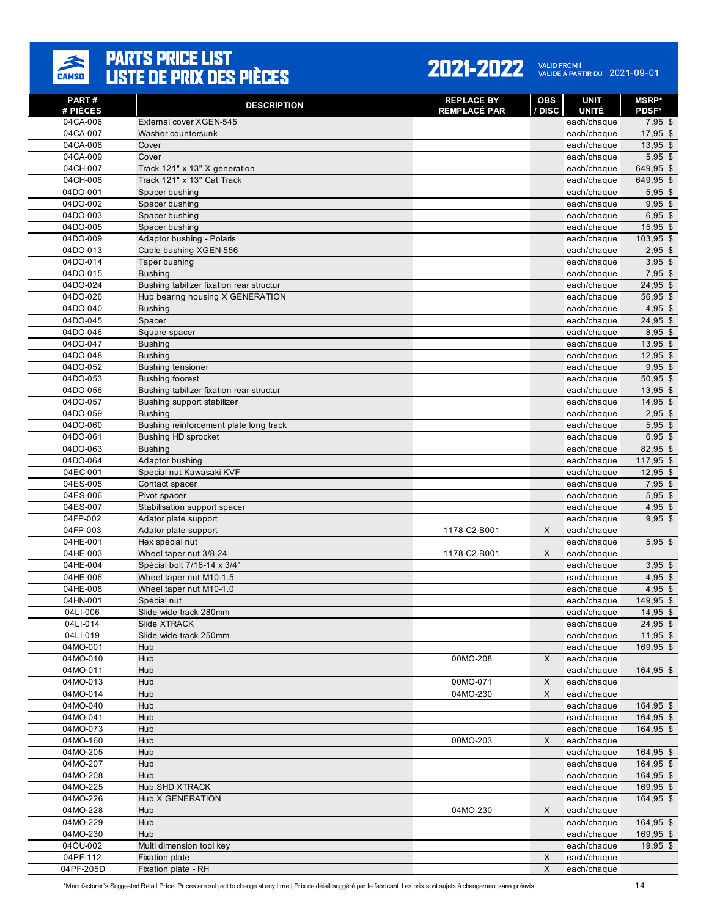

#### 2021-2022 VALID FROM | 2021-09-01

| <b>PART#</b><br># PIÈCES | <b>DESCRIPTION</b>                         | <b>REPLACE BY</b><br><b>REMPLACÉ PAR</b> | <b>OBS</b><br>/ DISC | <b>UNIT</b><br><b>UNITÉ</b> | <b>MSRP*</b><br><b>PDSF*</b> |
|--------------------------|--------------------------------------------|------------------------------------------|----------------------|-----------------------------|------------------------------|
| 04CA-006                 | External cover XGEN-545                    |                                          |                      | each/chaque                 | $7,95$ \$                    |
| 04CA-007                 | Washer countersunk                         |                                          |                      | each/chaque                 | $17,95$ \$                   |
| 04CA-008                 | Cover                                      |                                          |                      | each/chaque                 | $13,95$ \$                   |
| 04CA-009                 | Cover                                      |                                          |                      | each/chaque                 | $5,95$ \$                    |
| 04CH-007                 | Track 121" x 13" X generation              |                                          |                      | each/chaque                 | 649,95 \$                    |
| 04CH-008                 | Track 121" x 13" Cat Track                 |                                          |                      | each/chaque                 | 649,95 \$                    |
| 04DO-001                 | Spacer bushing                             |                                          |                      | each/chaque                 | $5,95$ \$                    |
| 04DO-002                 | Spacer bushing                             |                                          |                      | each/chaque                 | $9,95$ \$                    |
| 04DO-003                 | Spacer bushing                             |                                          |                      | each/chaque                 | $6,95$ \$                    |
| 04DO-005                 | Spacer bushing                             |                                          |                      | each/chaque                 | $15,95$ \$                   |
| 04DO-009                 | Adaptor bushing - Polaris                  |                                          |                      | each/chaque                 | $103,95$ \$                  |
| 04DO-013                 | Cable bushing XGEN-556                     |                                          |                      | each/chaque                 | $2,95$ \$                    |
| 04DO-014                 | Taper bushing                              |                                          |                      | each/chaque                 | $3,95$ \$                    |
| 04DO-015                 | <b>Bushing</b>                             |                                          |                      | each/chaque                 | $7,95$ \$                    |
| 04DO-024                 | Bushing tabilizer fixation rear structur   |                                          |                      | each/chaque                 | 24,95 \$                     |
| 04DO-026                 | Hub bearing housing X GENERATION           |                                          |                      | each/chaque                 | 56,95 \$                     |
| 04DO-040                 | <b>Bushing</b>                             |                                          |                      | each/chaque                 | $4,95$ \$                    |
| 04DO-045<br>04DO-046     | Spacer                                     |                                          |                      | each/chaque                 | 24,95 \$<br>8,95 \$          |
|                          | Square spacer                              |                                          |                      | each/chaque                 |                              |
| 04DO-047<br>04DO-048     | <b>Bushing</b>                             |                                          |                      | each/chaque<br>each/chaque  | $13,95$ \$                   |
| 04DO-052                 | <b>Bushing</b><br><b>Bushing tensioner</b> |                                          |                      | each/chaque                 | 12,95 \$<br>$9,95$ \$        |
| 04DO-053                 | <b>Bushing foorest</b>                     |                                          |                      | each/chaque                 | $50,95$ \$                   |
| 04DO-056                 | Bushing tabilizer fixation rear structur   |                                          |                      | each/chaque                 | $13,95$ \$                   |
| 04DO-057                 | Bushing support stabilizer                 |                                          |                      | each/chaque                 | $14,95$ \$                   |
| 04DO-059                 | <b>Bushing</b>                             |                                          |                      | each/chaque                 | $2.95$ \$                    |
| 04DO-060                 | Bushing reinforcement plate long track     |                                          |                      | each/chaque                 | $5,95$ \$                    |
| 04DO-061                 | <b>Bushing HD sprocket</b>                 |                                          |                      | each/chaque                 | $6,95$ \$                    |
| 04DO-063                 | <b>Bushing</b>                             |                                          |                      | each/chaque                 | 82,95 \$                     |
| 04DO-064                 | Adaptor bushing                            |                                          |                      | each/chaque                 | $117,95$ \$                  |
| 04EC-001                 | Special nut Kawasaki KVF                   |                                          |                      | each/chaque                 | $12,95$ \$                   |
| 04ES-005                 | Contact spacer                             |                                          |                      | each/chaque                 | $7,95$ \$                    |
| 04ES-006                 | Pivot spacer                               |                                          |                      | each/chaque                 | $5,95$ \$                    |
| 04ES-007                 | Stabilisation support spacer               |                                          |                      | each/chaque                 | $4,95$ \$                    |
| 04FP-002                 | Adator plate support                       |                                          |                      | each/chaque                 | $9,95$ \$                    |
| 04FP-003                 | Adator plate support                       | 1178-C2-B001                             | X                    | each/chaque                 |                              |
| 04HE-001                 | Hex special nut                            |                                          |                      | each/chaque                 | $5,95$ \$                    |
| 04HE-003                 | Wheel taper nut 3/8-24                     | 1178-C2-B001                             | X                    | each/chaque                 |                              |
| 04HE-004                 | Spécial bolt 7/16-14 x 3/4"                |                                          |                      | each/chaque                 | $3,95$ \$                    |
| 04HE-006                 | Wheel taper nut M10-1.5                    |                                          |                      | each/chaque                 | $4,95$ \$                    |
| 04HE-008                 | Wheel taper nut M10-1.0                    |                                          |                      | each/chaque                 | $4,95$ \$                    |
| 04HN-001                 | Spécial nut                                |                                          |                      | each/chaque                 | 149,95 \$                    |
| 04LI-006                 | Slide wide track 280mm                     |                                          |                      | each/chaque                 | 14,95 \$                     |
| 04LI-014                 | Slide XTRACK                               |                                          |                      | each/chaque                 | 24,95 \$                     |
| 04LI-019                 | Slide wide track 250mm                     |                                          |                      | each/chaque                 | $11,95$ \$                   |
| 04MO-001                 | Hub                                        |                                          |                      | each/chaque                 | 169,95 \$                    |
| 04MO-010                 | Hub                                        | 00MO-208                                 | X                    | each/chaque                 | $164,95$ \$                  |
| 04MO-011<br>04MO-013     | Hub<br>Hub                                 | 00MO-071                                 | X                    | each/chaque<br>each/chaque  |                              |
| 04MO-014                 | Hub                                        | 04MO-230                                 | X                    | each/chaque                 |                              |
| 04MO-040                 | Hub                                        |                                          |                      | each/chaque                 | 164,95 \$                    |
| 04MO-041                 | Hub                                        |                                          |                      | each/chaque                 | 164,95 \$                    |
| 04MO-073                 | Hub                                        |                                          |                      | each/chaque                 | 164,95 \$                    |
| 04MO-160                 | Hub                                        | 00MO-203                                 | X                    | each/chaque                 |                              |
| 04MO-205                 | Hub                                        |                                          |                      | each/chaque                 | 164,95 \$                    |
| 04MO-207                 | Hub                                        |                                          |                      | each/chaque                 | 164,95 \$                    |
| 04MO-208                 | Hub                                        |                                          |                      | each/chaque                 | 164,95 \$                    |
| 04MO-225                 | Hub SHD XTRACK                             |                                          |                      | each/chaque                 | 169,95 \$                    |
| 04MO-226                 | Hub X GENERATION                           |                                          |                      | each/chaque                 | 164,95 \$                    |
| 04MO-228                 | Hub                                        | 04MO-230                                 | X                    | each/chaque                 |                              |
| 04MO-229                 | Hub                                        |                                          |                      | each/chaque                 | 164,95 \$                    |
| 04MO-230                 | Hub                                        |                                          |                      | each/chaque                 | 169,95 \$                    |
| 04OU-002                 | Multi dimension tool key                   |                                          |                      | each/chaque                 | 19,95 \$                     |
| 04PF-112                 | Fixation plate                             |                                          | $\mathsf X$          | each/chaque                 |                              |
| 04PF-205D                | Fixation plate - RH                        |                                          | $\mathsf X$          | each/chaque                 |                              |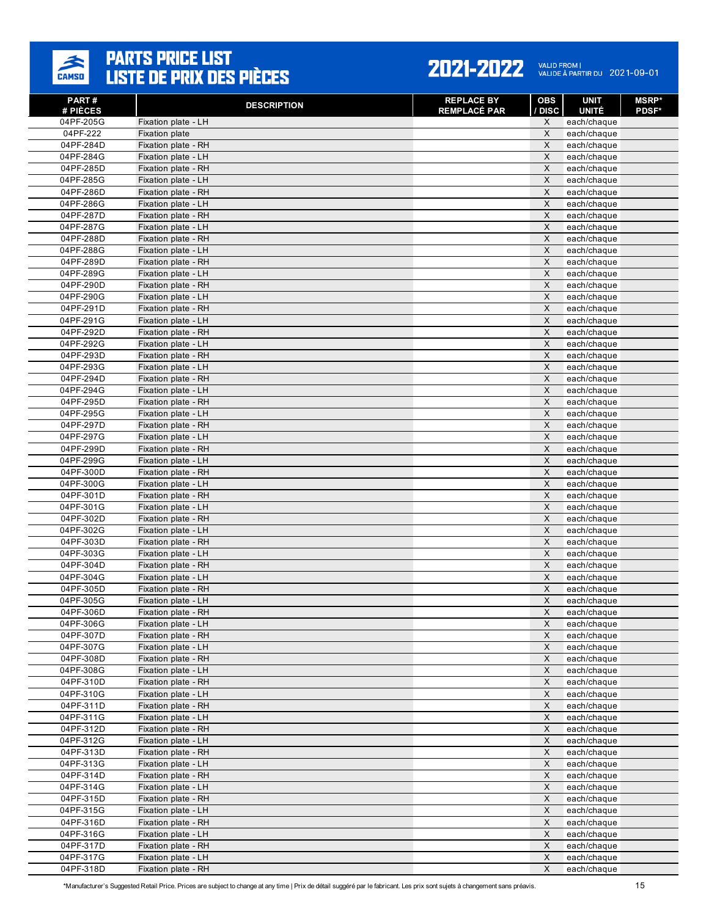

| PART#<br># PIÈCES      | <b>DESCRIPTION</b>                         | <b>REPLACE BY</b><br><b>REMPLACÉ PAR</b> | OBS<br>/ DISC             | <b>UNIT</b><br><b>UNITÉ</b> | <b>MSRP*</b><br><b>PDSF*</b> |
|------------------------|--------------------------------------------|------------------------------------------|---------------------------|-----------------------------|------------------------------|
| 04PF-205G              | Fixation plate - LH                        |                                          | X                         | each/chaque                 |                              |
| 04PF-222               | <b>Fixation plate</b>                      |                                          | X                         | each/chaque                 |                              |
| 04PF-284D              | Fixation plate - RH                        |                                          | X                         | each/chaque                 |                              |
| 04PF-284G              | Fixation plate - LH                        |                                          | $\pmb{\times}$            | each/chaque                 |                              |
| 04PF-285D              | Fixation plate - RH                        |                                          | X                         | each/chaque                 |                              |
| 04PF-285G              | Fixation plate - LH                        |                                          | $\pmb{\times}$            | each/chaque                 |                              |
| 04PF-286D              | Fixation plate - RH                        |                                          | X                         | each/chaque                 |                              |
| 04PF-286G              | Fixation plate - LH                        |                                          | X                         | each/chaque                 |                              |
| 04PF-287D              | Fixation plate - RH                        |                                          | X                         | each/chaque                 |                              |
| 04PF-287G              | Fixation plate - LH                        |                                          | $\pmb{\times}$            | each/chaque                 |                              |
| 04PF-288D              | Fixation plate - RH                        |                                          | X                         | each/chaque                 |                              |
| 04PF-288G              | Fixation plate - LH                        |                                          | X                         | each/chaque                 |                              |
| 04PF-289D              | Fixation plate - RH                        |                                          | $\pmb{\times}$            | each/chaque                 |                              |
| 04PF-289G              | Fixation plate - LH                        |                                          | X                         | each/chaque                 |                              |
| 04PF-290D              | Fixation plate - RH                        |                                          | $\pmb{\times}$            | each/chaque                 |                              |
| 04PF-290G              | Fixation plate - LH                        |                                          | X                         | each/chaque                 |                              |
| 04PF-291D              | Fixation plate - RH                        |                                          | X                         | each/chaque                 |                              |
| 04PF-291G              | Fixation plate - LH                        |                                          | X<br>$\pmb{\times}$       | each/chaque                 |                              |
| 04PF-292D              | Fixation plate - RH                        |                                          |                           | each/chaque                 |                              |
| 04PF-292G              | Fixation plate - LH<br>Fixation plate - RH |                                          | X<br>X                    | each/chaque<br>each/chaque  |                              |
| 04PF-293D<br>04PF-293G | Fixation plate - LH                        |                                          | $\mathsf{X}$              | each/chaque                 |                              |
| 04PF-294D              | Fixation plate - RH                        |                                          | X                         | each/chaque                 |                              |
| 04PF-294G              | Fixation plate - LH                        |                                          | X                         | each/chaque                 |                              |
| 04PF-295D              | Fixation plate - RH                        |                                          | X                         | each/chaque                 |                              |
| 04PF-295G              | Fixation plate - LH                        |                                          | $\pmb{\times}$            | each/chaque                 |                              |
| 04PF-297D              | Fixation plate - RH                        |                                          | X                         | each/chaque                 |                              |
| 04PF-297G              | Fixation plate - LH                        |                                          | X                         | each/chaque                 |                              |
| 04PF-299D              | Fixation plate - RH                        |                                          | $\pmb{\times}$            | each/chaque                 |                              |
| 04PF-299G              | Fixation plate - LH                        |                                          | X                         | each/chaque                 |                              |
| 04PF-300D              | Fixation plate - RH                        |                                          | $\pmb{\times}$            | each/chaque                 |                              |
| 04PF-300G              | Fixation plate - LH                        |                                          | X                         | each/chaque                 |                              |
| 04PF-301D              | Fixation plate - RH                        |                                          | X                         | each/chaque                 |                              |
| 04PF-301G              | Fixation plate - LH                        |                                          | X                         | each/chaque                 |                              |
| 04PF-302D              | Fixation plate - RH                        |                                          | $\pmb{\times}$            | each/chaque                 |                              |
| 04PF-302G              | Fixation plate - LH                        |                                          | X                         | each/chaque                 |                              |
| 04PF-303D              | Fixation plate - RH                        |                                          | X                         | each/chaque                 |                              |
| 04PF-303G              | Fixation plate - LH                        |                                          | $\pmb{\times}$            | each/chaque                 |                              |
| 04PF-304D              | Fixation plate - RH                        |                                          | X                         | each/chaque                 |                              |
| 04PF-304G              | Fixation plate - LH                        |                                          | $\pmb{\times}$            | each/chaque                 |                              |
| 04PF-305D              | Fixation plate - RH                        |                                          | X                         | each/chaque                 |                              |
| 04PF-305G              | Fixation plate - LH                        |                                          | X                         | each/chaque                 |                              |
| 04PF-306D              | Fixation plate - RH                        |                                          | X                         | each/chaque                 |                              |
| 04PF-306G              | Fixation plate - LH                        |                                          | X                         | each/chaque                 |                              |
| 04PF-307D              | Fixation plate - RH                        |                                          | $\mathsf X$               | each/chaque                 |                              |
| 04PF-307G<br>04PF-308D | Fixation plate - LH<br>Fixation plate - RH |                                          | $\mathsf X$<br>X          | each/chaque<br>each/chaque  |                              |
| 04PF-308G              | Fixation plate - LH                        |                                          | $\mathsf X$               | each/chaque                 |                              |
| 04PF-310D              | Fixation plate - RH                        |                                          | X                         | each/chaque                 |                              |
| 04PF-310G              | Fixation plate - LH                        |                                          | X                         | each/chaque                 |                              |
| 04PF-311D              | Fixation plate - RH                        |                                          | $\boldsymbol{\mathsf{X}}$ | each/chaque                 |                              |
| 04PF-311G              | Fixation plate - LH                        |                                          | X                         | each/chaque                 |                              |
| 04PF-312D              | Fixation plate - RH                        |                                          | $\mathsf X$               | each/chaque                 |                              |
| 04PF-312G              | Fixation plate - LH                        |                                          | $\boldsymbol{\mathsf{X}}$ | each/chaque                 |                              |
| 04PF-313D              | Fixation plate - RH                        |                                          | X                         | each/chaque                 |                              |
| 04PF-313G              | Fixation plate - LH                        |                                          | $\pmb{\times}$            | each/chaque                 |                              |
| 04PF-314D              | Fixation plate - RH                        |                                          | $\mathsf X$               | each/chaque                 |                              |
| 04PF-314G              | Fixation plate - LH                        |                                          | X                         | each/chaque                 |                              |
| 04PF-315D              | Fixation plate - RH                        |                                          | $\mathsf X$               | each/chaque                 |                              |
| 04PF-315G              | Fixation plate - LH                        |                                          | $\mathsf X$               | each/chaque                 |                              |
| 04PF-316D              | Fixation plate - RH                        |                                          | $\mathsf X$               | each/chaque                 |                              |
| 04PF-316G              | Fixation plate - LH                        |                                          | $\boldsymbol{\mathsf{X}}$ | each/chaque                 |                              |
| 04PF-317D              | Fixation plate - RH                        |                                          | $\pmb{\times}$            | each/chaque                 |                              |
| 04PF-317G              | Fixation plate - LH                        |                                          | X                         | each/chaque                 |                              |
| 04PF-318D              | Fixation plate - RH                        |                                          | X                         | each/chaque                 |                              |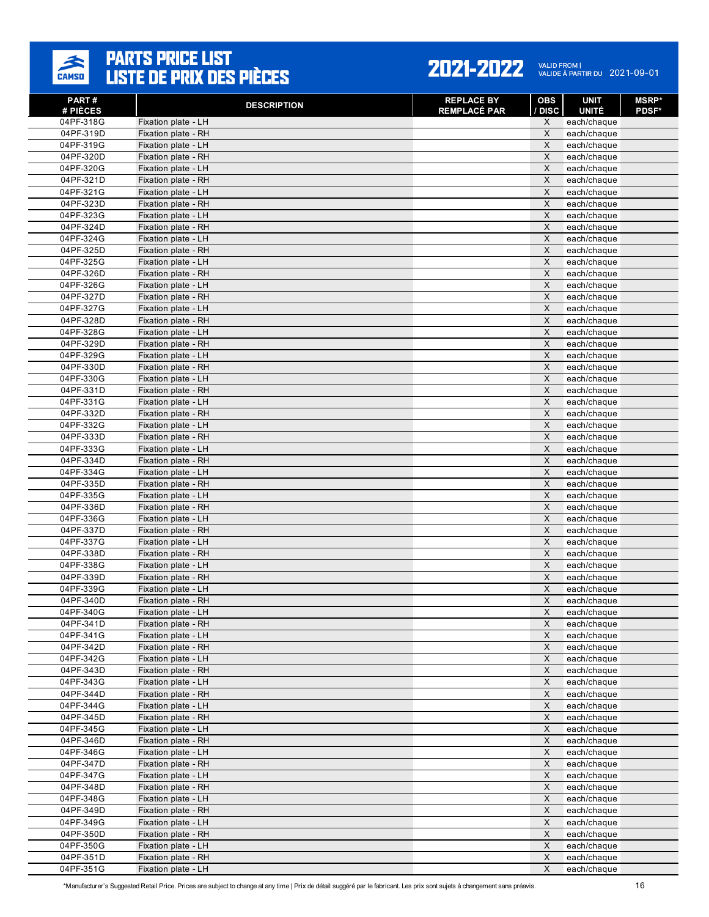

| PART#<br># PIÈCES      | <b>DESCRIPTION</b>                         | <b>REPLACE BY</b><br><b>REMPLACÉ PAR</b> | OBS<br>/ DISC             | <b>UNIT</b><br><b>UNITÉ</b> | <b>MSRP*</b><br><b>PDSF*</b> |
|------------------------|--------------------------------------------|------------------------------------------|---------------------------|-----------------------------|------------------------------|
| 04PF-318G              | Fixation plate - LH                        |                                          | X                         | each/chaque                 |                              |
| 04PF-319D              | Fixation plate - RH                        |                                          | X                         | each/chaque                 |                              |
| 04PF-319G              | Fixation plate - LH                        |                                          | X                         | each/chaque                 |                              |
| 04PF-320D              | Fixation plate - RH                        |                                          | $\pmb{\times}$            | each/chaque                 |                              |
| 04PF-320G              | Fixation plate - LH                        |                                          | X                         | each/chaque                 |                              |
| 04PF-321D              | Fixation plate - RH                        |                                          | $\pmb{\times}$            | each/chaque                 |                              |
| 04PF-321G              | Fixation plate - LH                        |                                          | X                         | each/chaque                 |                              |
| 04PF-323D              | Fixation plate - RH                        |                                          | X                         | each/chaque                 |                              |
| 04PF-323G              | Fixation plate - LH                        |                                          | X                         | each/chaque                 |                              |
| 04PF-324D              | Fixation plate - RH                        |                                          | $\pmb{\times}$            | each/chaque                 |                              |
| 04PF-324G              | Fixation plate - LH                        |                                          | X                         | each/chaque                 |                              |
| 04PF-325D              | Fixation plate - RH                        |                                          | X                         | each/chaque                 |                              |
| 04PF-325G              | Fixation plate - LH                        |                                          | $\pmb{\times}$            | each/chaque                 |                              |
| 04PF-326D              | Fixation plate - RH                        |                                          | X                         | each/chaque                 |                              |
| 04PF-326G              | Fixation plate - LH                        |                                          | $\pmb{\times}$            | each/chaque                 |                              |
| 04PF-327D              | Fixation plate - RH                        |                                          | X                         | each/chaque                 |                              |
| 04PF-327G              | Fixation plate - LH                        |                                          | X                         | each/chaque                 |                              |
| 04PF-328D              | Fixation plate - RH                        |                                          | X                         | each/chaque                 |                              |
| 04PF-328G              | Fixation plate - LH                        |                                          | $\pmb{\times}$            | each/chaque                 |                              |
| 04PF-329D              | Fixation plate - RH                        |                                          | X                         | each/chaque                 |                              |
| 04PF-329G              | Fixation plate - LH                        |                                          | X                         | each/chaque                 |                              |
| 04PF-330D              | Fixation plate - RH                        |                                          | $\mathsf{X}$              | each/chaque                 |                              |
| 04PF-330G<br>04PF-331D | Fixation plate - LH                        |                                          | X<br>X                    | each/chaque                 |                              |
| 04PF-331G              | Fixation plate - RH<br>Fixation plate - LH |                                          | X                         | each/chaque                 |                              |
| 04PF-332D              | Fixation plate - RH                        |                                          | $\pmb{\times}$            | each/chaque<br>each/chaque  |                              |
| 04PF-332G              | Fixation plate - LH                        |                                          | X                         | each/chaque                 |                              |
| 04PF-333D              | Fixation plate - RH                        |                                          | X                         | each/chaque                 |                              |
| 04PF-333G              | Fixation plate - LH                        |                                          | $\pmb{\times}$            | each/chaque                 |                              |
| 04PF-334D              | Fixation plate - RH                        |                                          | X                         | each/chaque                 |                              |
| 04PF-334G              | Fixation plate - LH                        |                                          | $\pmb{\times}$            | each/chaque                 |                              |
| 04PF-335D              | Fixation plate - RH                        |                                          | X                         | each/chaque                 |                              |
| 04PF-335G              | Fixation plate - LH                        |                                          | X                         | each/chaque                 |                              |
| 04PF-336D              | Fixation plate - RH                        |                                          | X                         | each/chaque                 |                              |
| 04PF-336G              | Fixation plate - LH                        |                                          | $\pmb{\times}$            | each/chaque                 |                              |
| 04PF-337D              | Fixation plate - RH                        |                                          | X                         | each/chaque                 |                              |
| 04PF-337G              | Fixation plate - LH                        |                                          | X                         | each/chaque                 |                              |
| 04PF-338D              | Fixation plate - RH                        |                                          | $\pmb{\times}$            | each/chaque                 |                              |
| 04PF-338G              | Fixation plate - LH                        |                                          | X                         | each/chaque                 |                              |
| 04PF-339D              | Fixation plate - RH                        |                                          | $\pmb{\times}$            | each/chaque                 |                              |
| 04PF-339G              | Fixation plate - LH                        |                                          | X                         | each/chaque                 |                              |
| 04PF-340D              | Fixation plate - RH                        |                                          | X                         | each/chaque                 |                              |
| 04PF-340G              | Fixation plate - LH                        |                                          | X                         | each/chaque                 |                              |
| 04PF-341D              | Fixation plate - RH                        |                                          | X                         | each/chaque                 |                              |
| 04PF-341G              | Fixation plate - LH                        |                                          | $\mathsf X$               | each/chaque                 |                              |
| 04PF-342D              | Fixation plate - RH                        |                                          | $\mathsf X$               | each/chaque                 |                              |
| 04PF-342G              | Fixation plate - LH                        |                                          | X                         | each/chaque                 |                              |
| 04PF-343D              | Fixation plate - RH                        |                                          | $\mathsf X$               | each/chaque                 |                              |
| 04PF-343G<br>04PF-344D | Fixation plate - LH                        |                                          | X<br>X                    | each/chaque                 |                              |
| 04PF-344G              | Fixation plate - RH<br>Fixation plate - LH |                                          | $\boldsymbol{\mathsf{X}}$ | each/chaque<br>each/chaque  |                              |
| 04PF-345D              | Fixation plate - RH                        |                                          | X                         | each/chaque                 |                              |
| 04PF-345G              | Fixation plate - LH                        |                                          | $\mathsf X$               | each/chaque                 |                              |
| 04PF-346D              | Fixation plate - RH                        |                                          | $\boldsymbol{\mathsf{X}}$ | each/chaque                 |                              |
| 04PF-346G              | Fixation plate - LH                        |                                          | X                         | each/chaque                 |                              |
| 04PF-347D              | Fixation plate - RH                        |                                          | $\pmb{\times}$            | each/chaque                 |                              |
| 04PF-347G              | Fixation plate - LH                        |                                          | $\mathsf X$               | each/chaque                 |                              |
| 04PF-348D              | Fixation plate - RH                        |                                          | X                         | each/chaque                 |                              |
| 04PF-348G              | Fixation plate - LH                        |                                          | $\mathsf X$               | each/chaque                 |                              |
| 04PF-349D              | Fixation plate - RH                        |                                          | $\mathsf X$               | each/chaque                 |                              |
| 04PF-349G              | Fixation plate - LH                        |                                          | $\mathsf X$               | each/chaque                 |                              |
| 04PF-350D              | Fixation plate - RH                        |                                          | $\boldsymbol{\mathsf{X}}$ | each/chaque                 |                              |
| 04PF-350G              | Fixation plate - LH                        |                                          | $\pmb{\times}$            | each/chaque                 |                              |
| 04PF-351D              | Fixation plate - RH                        |                                          | X                         | each/chaque                 |                              |
| 04PF-351G              | Fixation plate - LH                        |                                          | X                         | each/chaque                 |                              |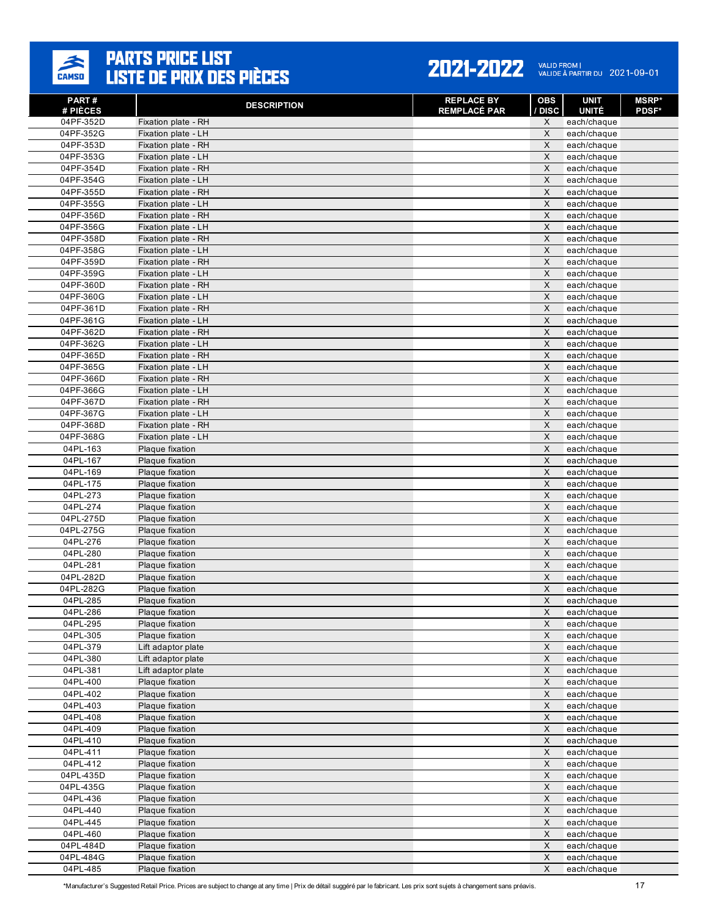

#### 2021-2022 VALID FROM | 2021-09-01

| <b>PART#</b><br># PIÈCES | <b>DESCRIPTION</b>                         | <b>REPLACE BY</b><br><b>REMPLACÉ PAR</b> | <b>OBS</b><br>/ DISC | <b>UNIT</b><br><b>UNITÉ</b> | <b>MSRP*</b><br><b>PDSF*</b> |
|--------------------------|--------------------------------------------|------------------------------------------|----------------------|-----------------------------|------------------------------|
| 04PF-352D                | Fixation plate - RH                        |                                          | X                    | each/chaque                 |                              |
| 04PF-352G                | Fixation plate - LH                        |                                          | X                    | each/chaque                 |                              |
| 04PF-353D                | Fixation plate - RH                        |                                          | X                    | each/chaque                 |                              |
| 04PF-353G                | Fixation plate - LH                        |                                          | $\pmb{\times}$       | each/chaque                 |                              |
| 04PF-354D                | Fixation plate - RH                        |                                          | X                    | each/chaque                 |                              |
| 04PF-354G                | Fixation plate - LH                        |                                          | X                    | each/chaque                 |                              |
| 04PF-355D                | Fixation plate - RH                        |                                          | $\pmb{\times}$       | each/chaque                 |                              |
| 04PF-355G                | Fixation plate - LH                        |                                          | X                    | each/chaque                 |                              |
| 04PF-356D                | Fixation plate - RH                        |                                          | X                    | each/chaque                 |                              |
| 04PF-356G                | Fixation plate - LH                        |                                          | $\pmb{\times}$       | each/chaque                 |                              |
| 04PF-358D                | Fixation plate - RH                        |                                          | X                    | each/chaque                 |                              |
| 04PF-358G                | Fixation plate - LH                        |                                          | X<br>$\pmb{\times}$  | each/chaque                 |                              |
| 04PF-359D<br>04PF-359G   | Fixation plate - RH<br>Fixation plate - LH |                                          | X                    | each/chaque<br>each/chaque  |                              |
| 04PF-360D                | Fixation plate - RH                        |                                          | X                    | each/chaque                 |                              |
| 04PF-360G                | Fixation plate - LH                        |                                          | X                    | each/chaque                 |                              |
| 04PF-361D                | Fixation plate - RH                        |                                          | X                    | each/chaque                 |                              |
| 04PF-361G                | Fixation plate - LH                        |                                          | X                    | each/chaque                 |                              |
| 04PF-362D                | Fixation plate - RH                        |                                          | $\pmb{\times}$       | each/chaque                 |                              |
| 04PF-362G                | Fixation plate - LH                        |                                          | X                    | each/chaque                 |                              |
| 04PF-365D                | Fixation plate - RH                        |                                          | X                    | each/chaque                 |                              |
| 04PF-365G                | Fixation plate - LH                        |                                          | X                    | each/chaque                 |                              |
| 04PF-366D                | Fixation plate - RH                        |                                          | X                    | each/chaque                 |                              |
| 04PF-366G                | Fixation plate - LH                        |                                          | X                    | each/chaque                 |                              |
| 04PF-367D                | Fixation plate - RH                        |                                          | X                    | each/chaque                 |                              |
| 04PF-367G                | Fixation plate - LH                        |                                          | $\pmb{\times}$       | each/chaque                 |                              |
| 04PF-368D                | Fixation plate - RH                        |                                          | X                    | each/chaque                 |                              |
| 04PF-368G                | Fixation plate - LH                        |                                          | X                    | each/chaque                 |                              |
| 04PL-163                 | Plaque fixation                            |                                          | $\mathsf X$          | each/chaque                 |                              |
| 04PL-167                 | Plaque fixation                            |                                          | X                    | each/chaque                 |                              |
| 04PL-169                 | Plaque fixation                            |                                          | X                    | each/chaque                 |                              |
| 04PL-175                 | Plaque fixation                            |                                          | X                    | each/chaque                 |                              |
| 04PL-273                 | Plaque fixation                            |                                          | X                    | each/chaque                 |                              |
| 04PL-274                 | Plaque fixation                            |                                          | X<br>$\pmb{\times}$  | each/chaque                 |                              |
| 04PL-275D<br>04PL-275G   | Plaque fixation<br>Plaque fixation         |                                          | X                    | each/chaque                 |                              |
| 04PL-276                 | Plaque fixation                            |                                          | X                    | each/chaque<br>each/chaque  |                              |
| 04PL-280                 | Plaque fixation                            |                                          | $\pmb{\times}$       | each/chaque                 |                              |
| 04PL-281                 | Plaque fixation                            |                                          | X                    | each/chaque                 |                              |
| 04PL-282D                | Plaque fixation                            |                                          | $\pmb{\times}$       | each/chaque                 |                              |
| 04PL-282G                | Plaque fixation                            |                                          | X                    | each/chaque                 |                              |
| 04PL-285                 | Plaque fixation                            |                                          | X                    | each/chaque                 |                              |
| 04PL-286                 | Plaque fixation                            |                                          | X                    | each/chaque                 |                              |
| 04PL-295                 | Plaque fixation                            |                                          | X                    | each/chaque                 |                              |
| 04PL-305                 | Plaque fixation                            |                                          | $\mathsf X$          | each/chaque                 |                              |
| 04PL-379                 | Lift adaptor plate                         |                                          | $\mathsf X$          | each/chaque                 |                              |
| 04PL-380                 | Lift adaptor plate                         |                                          | $\pmb{\times}$       | each/chaque                 |                              |
| 04PL-381                 | Lift adaptor plate                         |                                          | $\mathsf X$          | each/chaque                 |                              |
| 04PL-400                 | Plaque fixation                            |                                          | $\mathsf X$          | each/chaque                 |                              |
| 04PL-402                 | Plaque fixation                            |                                          | X                    | each/chaque                 |                              |
| 04PL-403                 | Plaque fixation                            |                                          | $\mathsf X$          | each/chaque                 |                              |
| 04PL-408                 | Plaque fixation                            |                                          | X                    | each/chaque                 |                              |
| 04PL-409                 | Plaque fixation                            |                                          | $\mathsf X$          | each/chaque                 |                              |
| 04PL-410                 | Plaque fixation                            |                                          | $\mathsf X$          | each/chaque                 |                              |
| 04PL-411                 | Plaque fixation                            |                                          | X                    | each/chaque                 |                              |
| 04PL-412                 | Plaque fixation                            |                                          | $\pmb{\times}$       | each/chaque                 |                              |
| 04PL-435D                | Plaque fixation                            |                                          | $\mathsf X$<br>X     | each/chaque                 |                              |
| 04PL-435G<br>04PL-436    | Plaque fixation<br>Plaque fixation         |                                          | $\mathsf X$          | each/chaque                 |                              |
| 04PL-440                 | Plaque fixation                            |                                          | $\mathsf X$          | each/chaque<br>each/chaque  |                              |
| 04PL-445                 | Plaque fixation                            |                                          | $\mathsf X$          | each/chaque                 |                              |
| 04PL-460                 | Plaque fixation                            |                                          | X                    | each/chaque                 |                              |
| 04PL-484D                | Plaque fixation                            |                                          | $\mathsf X$          | each/chaque                 |                              |
| 04PL-484G                | Plaque fixation                            |                                          | $\mathsf X$          | each/chaque                 |                              |
| 04PL-485                 | Plaque fixation                            |                                          | X                    | each/chaque                 |                              |
|                          |                                            |                                          |                      |                             |                              |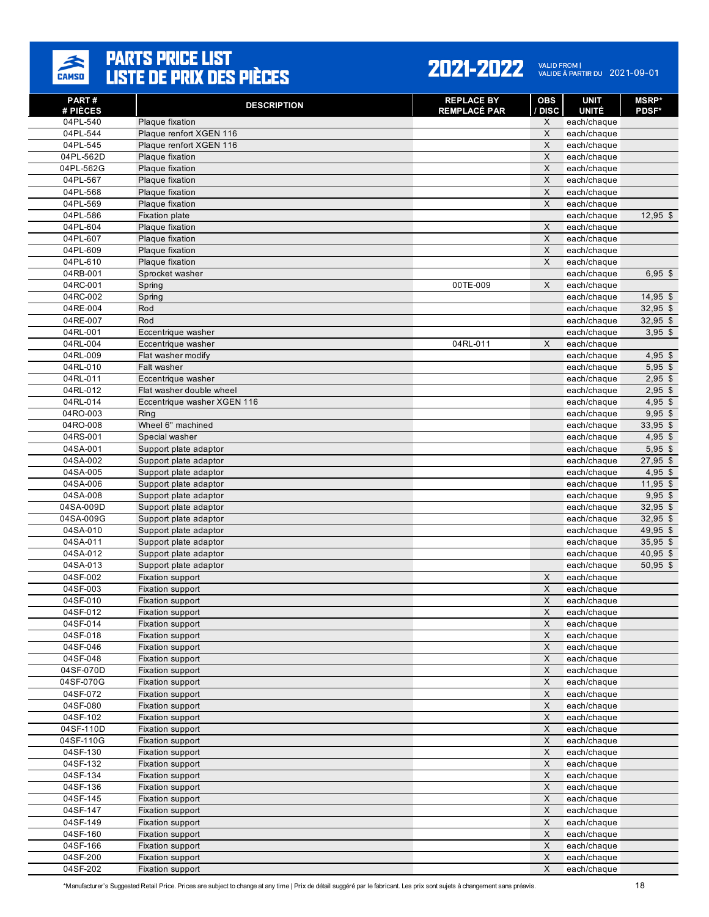

| <b>PART#</b>         | <b>DESCRIPTION</b>                        | <b>REPLACE BY</b>   | <b>OBS</b>                            | <b>UNIT</b>                 | <b>MSRP*</b>             |
|----------------------|-------------------------------------------|---------------------|---------------------------------------|-----------------------------|--------------------------|
| # PIÈCES<br>04PL-540 | Plaque fixation                           | <b>REMPLACÉ PAR</b> | / DISC<br>X                           | <b>UNITÉ</b><br>each/chaque | <b>PDSF*</b>             |
| 04PL-544             | Plaque renfort XGEN 116                   |                     | X                                     | each/chaque                 |                          |
| 04PL-545             | Plaque renfort XGEN 116                   |                     | $\times$                              | each/chaque                 |                          |
| 04PL-562D            | Plaque fixation                           |                     | $\mathsf{X}$                          | each/chaque                 |                          |
| 04PL-562G            | Plaque fixation                           |                     | X                                     | each/chaque                 |                          |
| 04PL-567             | Plaque fixation                           |                     | $\times$                              | each/chaque                 |                          |
| 04PL-568             | Plaque fixation                           |                     | X                                     | each/chaque                 |                          |
| 04PL-569             | Plaque fixation                           |                     | $\times$                              | each/chaque                 |                          |
| 04PL-586             | <b>Fixation plate</b>                     |                     |                                       | each/chaque                 | $12,95$ \$               |
| 04PL-604             | Plaque fixation                           |                     | X                                     | each/chaque                 |                          |
| 04PL-607             | Plaque fixation                           |                     | X                                     | each/chaque                 |                          |
| 04PL-609             | Plaque fixation                           |                     | $\boldsymbol{\mathsf{X}}$             | each/chaque                 |                          |
| 04PL-610             | Plaque fixation                           |                     | $\sf X$                               | each/chaque                 |                          |
| 04RB-001             | Sprocket washer                           |                     |                                       | each/chaque                 | $6,95$ \$                |
| 04RC-001             | Spring                                    | 00TE-009            | X                                     | each/chaque                 |                          |
| 04RC-002<br>04RE-004 | Spring<br>Rod                             |                     |                                       | each/chaque                 | $14,95$ \$<br>$32,95$ \$ |
| 04RE-007             | Rod                                       |                     |                                       | each/chaque<br>each/chaque  | $32,95$ \$               |
| 04RL-001             | Eccentrique washer                        |                     |                                       | each/chaque                 | $3,95$ \$                |
| 04RL-004             | Eccentrique washer                        | 04RL-011            | X                                     | each/chaque                 |                          |
| 04RL-009             | Flat washer modify                        |                     |                                       | each/chaque                 | $4,95$ \$                |
| 04RL-010             | Falt washer                               |                     |                                       | each/chaque                 | $5,95$ \$                |
| 04RL-011             | Eccentrique washer                        |                     |                                       | each/chaque                 | $2,95$ \$                |
| 04RL-012             | Flat washer double wheel                  |                     |                                       | each/chaque                 | $2,95$ \$                |
| 04RL-014             | Eccentrique washer XGEN 116               |                     |                                       | each/chaque                 | $4,95$ \$                |
| 04RO-003             | Ring                                      |                     |                                       | each/chaque                 | $9,95$ \$                |
| 04RO-008             | Wheel 6" machined                         |                     |                                       | each/chaque                 | $33,95$ \$               |
| 04RS-001             | Special washer                            |                     |                                       | each/chaque                 | $4,95$ \$                |
| 04SA-001             | Support plate adaptor                     |                     |                                       | each/chaque                 | $5,95$ \$                |
| 04SA-002             | Support plate adaptor                     |                     |                                       | each/chaque                 | $27,95$ \$               |
| 04SA-005             | Support plate adaptor                     |                     |                                       | each/chaque                 | $4,95$ \$                |
| 04SA-006             | Support plate adaptor                     |                     |                                       | each/chaque                 | $11,95$ \$               |
| 04SA-008             | Support plate adaptor                     |                     |                                       | each/chaque                 | $9,95$ \$                |
| 04SA-009D            | Support plate adaptor                     |                     |                                       | each/chaque                 | $32,95$ \$               |
| 04SA-009G            | Support plate adaptor                     |                     |                                       | each/chaque                 | $32,95$ \$               |
| 04SA-010             | Support plate adaptor                     |                     |                                       | each/chaque                 | $49,95$ \$               |
| 04SA-011             | Support plate adaptor                     |                     |                                       | each/chaque                 | 35,95 \$                 |
| 04SA-012             | Support plate adaptor                     |                     |                                       | each/chaque<br>each/chaque  | $40,95$ \$               |
| 04SA-013<br>04SF-002 | Support plate adaptor<br>Fixation support |                     | X                                     | each/chaque                 | $50,95$ \$               |
| 04SF-003             | Fixation support                          |                     | X                                     | each/chaque                 |                          |
| 04SF-010             | Fixation support                          |                     | $\times$                              | each/chaque                 |                          |
| 04SF-012             | <b>Fixation support</b>                   |                     | X                                     | each/chaque                 |                          |
| 04SF-014             | Fixation support                          |                     | X                                     | each/chaque                 |                          |
| 04SF-018             | Fixation support                          |                     | $\times$                              | each/chaque                 |                          |
| 04SF-046             | Fixation support                          |                     | X                                     | each/chaque                 |                          |
| 04SF-048             | Fixation support                          |                     | $\times$                              | each/chaque                 |                          |
| 04SF-070D            | Fixation support                          |                     | $\boldsymbol{\mathsf{X}}$             | each/chaque                 |                          |
| 04SF-070G            | Fixation support                          |                     | $\mathsf X$                           | each/chaque                 |                          |
| 04SF-072             | Fixation support                          |                     | $\mathsf X$                           | each/chaque                 |                          |
| 04SF-080             | Fixation support                          |                     | $\boldsymbol{\mathsf{X}}$             | each/chaque                 |                          |
| 04SF-102             | Fixation support                          |                     | $\mathsf X$                           | each/chaque                 |                          |
| 04SF-110D            | Fixation support                          |                     | $\mathsf X$                           | each/chaque                 |                          |
| 04SF-110G            | Fixation support                          |                     | $\boldsymbol{\mathsf{X}}$             | each/chaque                 |                          |
| 04SF-130             | Fixation support                          |                     | $\mathsf X$                           | each/chaque                 |                          |
| 04SF-132             | Fixation support                          |                     | $\mathsf X$                           | each/chaque                 |                          |
| 04SF-134             | Fixation support                          |                     | $\boldsymbol{\mathsf{X}}$             | each/chaque                 |                          |
| 04SF-136             | Fixation support                          |                     | $\mathsf{X}$                          | each/chaque                 |                          |
| 04SF-145             | Fixation support                          |                     | $\boldsymbol{\mathsf{X}}$<br>$\times$ | each/chaque                 |                          |
| 04SF-147<br>04SF-149 | Fixation support                          |                     | $\boldsymbol{\mathsf{X}}$             | each/chaque<br>each/chaque  |                          |
| 04SF-160             | Fixation support<br>Fixation support      |                     | $\mathsf X$                           |                             |                          |
| 04SF-166             | Fixation support                          |                     | X                                     | each/chaque<br>each/chaque  |                          |
| 04SF-200             | Fixation support                          |                     | $\boldsymbol{\mathsf{X}}$             | each/chaque                 |                          |
| 04SF-202             | Fixation support                          |                     | X                                     | each/chaque                 |                          |
|                      |                                           |                     |                                       |                             |                          |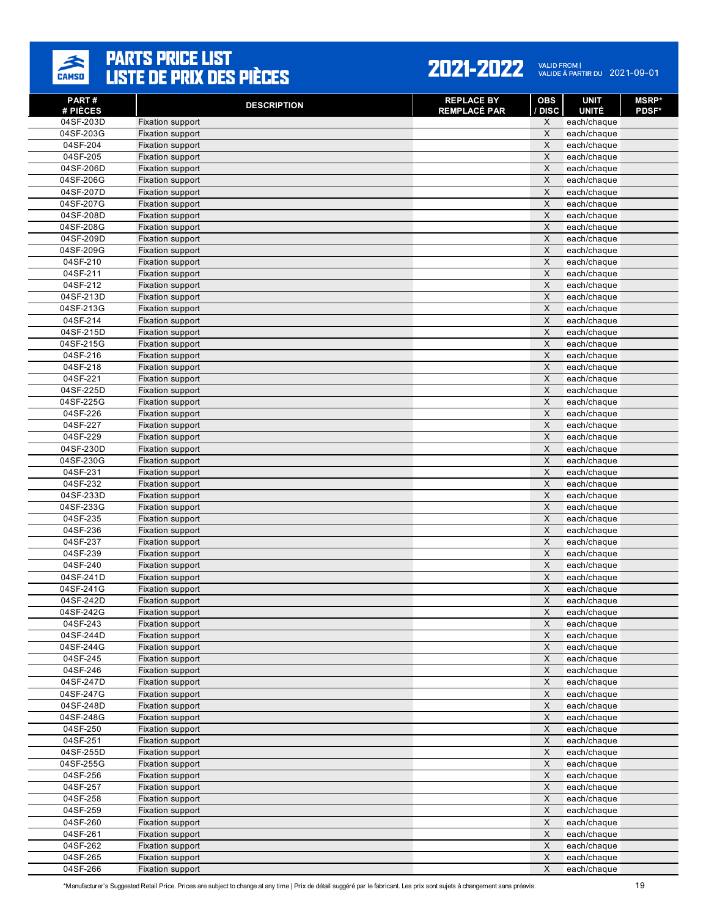

#### 2021-2022 VALID FROM | 2021-09-01

| PART#<br># PIÈCES     | <b>DESCRIPTION</b>                   | <b>REPLACE BY</b><br><b>REMPLACÉ PAR</b> | <b>OBS</b><br>/ DISC    | <b>UNIT</b><br><b>UNITÉ</b> | <b>MSRP</b> *<br><b>PDSF*</b> |
|-----------------------|--------------------------------------|------------------------------------------|-------------------------|-----------------------------|-------------------------------|
| 04SF-203D             | Fixation support                     |                                          | X                       | each/chaque                 |                               |
| 04SF-203G             | Fixation support                     |                                          | X                       | each/chaque                 |                               |
| 04SF-204              | Fixation support                     |                                          | $\times$                | each/chaque                 |                               |
| 04SF-205              | Fixation support                     |                                          | $\times$                | each/chaque                 |                               |
| 04SF-206D             | Fixation support                     |                                          | X                       | each/chaque                 |                               |
| 04SF-206G             | Fixation support                     |                                          | $\mathsf{X}$            | each/chaque                 |                               |
| 04SF-207D             | Fixation support                     |                                          | X                       | each/chaque                 |                               |
| 04SF-207G             | Fixation support                     |                                          | X                       | each/chaque                 |                               |
| 04SF-208D             | Fixation support                     |                                          | $\times$                | each/chaque                 |                               |
| 04SF-208G             | Fixation support                     |                                          | $\times$                | each/chaque                 |                               |
| 04SF-209D             | Fixation support                     |                                          | X                       | each/chaque                 |                               |
| 04SF-209G             | Fixation support                     |                                          | $\times$                | each/chaque                 |                               |
| 04SF-210              | Fixation support                     |                                          | $\times$                | each/chaque                 |                               |
| 04SF-211              | Fixation support                     |                                          | X                       | each/chaque                 |                               |
| 04SF-212              | Fixation support                     |                                          | $\times$                | each/chaque                 |                               |
| 04SF-213D             | Fixation support                     |                                          | X                       | each/chaque                 |                               |
| 04SF-213G             | Fixation support                     |                                          | X                       | each/chaque                 |                               |
| 04SF-214              | Fixation support                     |                                          | X                       | each/chaque                 |                               |
| 04SF-215D             | Fixation support                     |                                          | $\times$                | each/chaque                 |                               |
| 04SF-215G             | Fixation support                     |                                          | X                       | each/chaque                 |                               |
| 04SF-216              | Fixation support                     |                                          | $\times$                | each/chaque                 |                               |
| 04SF-218              | Fixation support                     |                                          | $\sf X$                 | each/chaque                 |                               |
| 04SF-221              | Fixation support                     |                                          | X                       | each/chaque                 |                               |
| 04SF-225D             | Fixation support                     |                                          | X                       | each/chaque                 |                               |
| 04SF-225G             | Fixation support                     |                                          | $\times$                | each/chaque                 |                               |
| 04SF-226              | Fixation support                     |                                          | $\times$                | each/chaque                 |                               |
| 04SF-227              | Fixation support                     |                                          | X                       | each/chaque                 |                               |
| 04SF-229              | Fixation support                     |                                          | $\times$<br>$\times$    | each/chaque                 |                               |
| 04SF-230D             | Fixation support                     |                                          |                         | each/chaque                 |                               |
| 04SF-230G<br>04SF-231 | Fixation support                     |                                          | X<br>$\sf X$            | each/chaque                 |                               |
| 04SF-232              | Fixation support<br>Fixation support |                                          | X                       | each/chaque<br>each/chaque  |                               |
| 04SF-233D             | Fixation support                     |                                          | X                       | each/chaque                 |                               |
| 04SF-233G             | Fixation support                     |                                          | $\times$                | each/chaque                 |                               |
| 04SF-235              | Fixation support                     |                                          | $\times$                | each/chaque                 |                               |
| 04SF-236              | Fixation support                     |                                          | X                       | each/chaque                 |                               |
| 04SF-237              | Fixation support                     |                                          | $\times$                | each/chaque                 |                               |
| 04SF-239              | Fixation support                     |                                          | $\times$                | each/chaque                 |                               |
| 04SF-240              | Fixation support                     |                                          | X                       | each/chaque                 |                               |
| 04SF-241D             | Fixation support                     |                                          | $\overline{\mathsf{x}}$ | each/chaque                 |                               |
| 04SF-241G             | Fixation support                     |                                          | X                       | each/chaque                 |                               |
| 04SF-242D             | Fixation support                     |                                          | X                       | each/chaque                 |                               |
| 04SF-242G             | <b>Fixation support</b>              |                                          | $\times$                | each/chaque                 |                               |
| 04SF-243              | Fixation support                     |                                          | X                       | each/chaque                 |                               |
| 04SF-244D             | Fixation support                     |                                          | $\times$                | each/chaque                 |                               |
| 04SF-244G             | Fixation support                     |                                          | $\mathsf X$             | each/chaque                 |                               |
| 04SF-245              | Fixation support                     |                                          | $\times$                | each/chaque                 |                               |
| 04SF-246              | Fixation support                     |                                          | $\mathsf X$             | each/chaque                 |                               |
| 04SF-247D             | Fixation support                     |                                          | $\mathsf X$             | each/chaque                 |                               |
| 04SF-247G             | Fixation support                     |                                          | $\times$                | each/chaque                 |                               |
| 04SF-248D             | Fixation support                     |                                          | $\mathsf X$             | each/chaque                 |                               |
| 04SF-248G             | Fixation support                     |                                          | X                       | each/chaque                 |                               |
| 04SF-250              | Fixation support                     |                                          | $\mathsf X$             | each/chaque                 |                               |
| 04SF-251              | Fixation support                     |                                          | $\mathsf X$             | each/chaque                 |                               |
| 04SF-255D             | Fixation support                     |                                          | X                       | each/chaque                 |                               |
| 04SF-255G             | Fixation support                     |                                          | $\times$                | each/chaque                 |                               |
| 04SF-256              | Fixation support                     |                                          | $\mathsf X$             | each/chaque                 |                               |
| 04SF-257              | Fixation support                     |                                          | $\mathsf X$             | each/chaque                 |                               |
| 04SF-258              | Fixation support                     |                                          | $\times$                | each/chaque                 |                               |
| 04SF-259              | Fixation support                     |                                          | $\mathsf X$             | each/chaque                 |                               |
| 04SF-260              | Fixation support                     |                                          | $\mathsf X$             | each/chaque                 |                               |
| 04SF-261              | Fixation support                     |                                          | $\mathsf X$<br>$\times$ | each/chaque                 |                               |
| 04SF-262<br>04SF-265  | Fixation support                     |                                          | X                       | each/chaque                 |                               |
| 04SF-266              | Fixation support                     |                                          | $\times$                | each/chaque<br>each/chaque  |                               |
|                       | Fixation support                     |                                          |                         |                             |                               |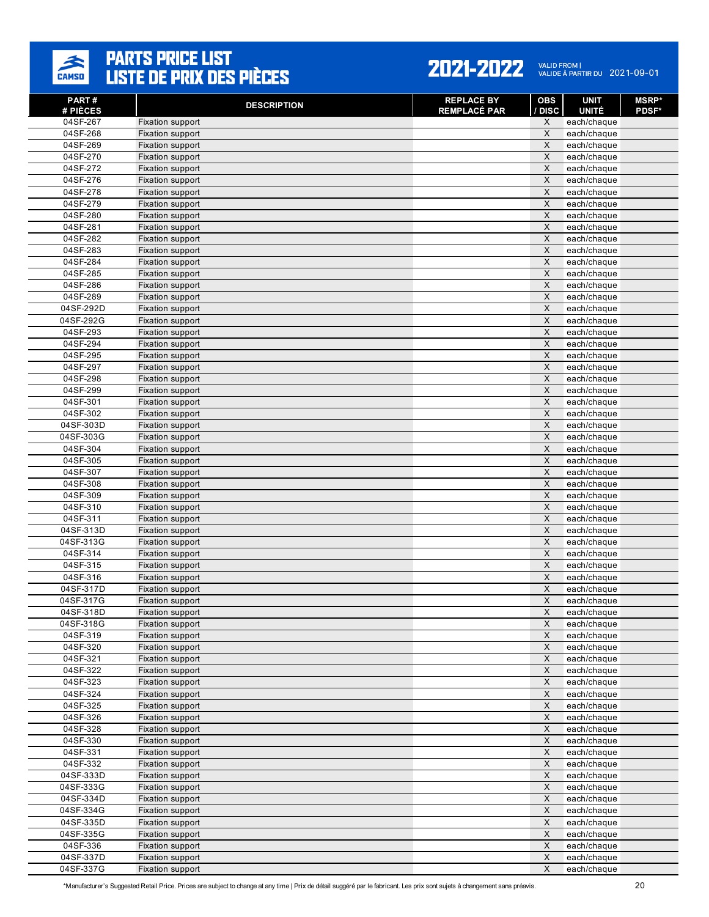

| PART#<br># PIÈCES    | <b>DESCRIPTION</b>                   | <b>REPLACE BY</b><br><b>REMPLACÉ PAR</b> | <b>OBS</b><br>/ DISC       | <b>UNIT</b><br><b>UNITÉ</b> | <b>MSRP</b> *<br><b>PDSF*</b> |
|----------------------|--------------------------------------|------------------------------------------|----------------------------|-----------------------------|-------------------------------|
| 04SF-267             | Fixation support                     |                                          | X                          | each/chaque                 |                               |
| 04SF-268             | Fixation support                     |                                          | X                          | each/chaque                 |                               |
| 04SF-269             | Fixation support                     |                                          | $\times$                   | each/chaque                 |                               |
| 04SF-270             | Fixation support                     |                                          | $\times$                   | each/chaque                 |                               |
| 04SF-272             | Fixation support                     |                                          | X                          | each/chaque                 |                               |
| 04SF-276             | Fixation support                     |                                          | $\sf X$                    | each/chaque                 |                               |
| 04SF-278             | Fixation support                     |                                          | X                          | each/chaque                 |                               |
| 04SF-279             | Fixation support                     |                                          | X                          | each/chaque                 |                               |
| 04SF-280             | Fixation support                     |                                          | $\times$                   | each/chaque                 |                               |
| 04SF-281             | Fixation support                     |                                          | $\times$                   | each/chaque                 |                               |
| 04SF-282             | Fixation support                     |                                          | X                          | each/chaque                 |                               |
| 04SF-283             | Fixation support                     |                                          | $\times$                   | each/chaque                 |                               |
| 04SF-284<br>04SF-285 | Fixation support                     |                                          | $\times$<br>X              | each/chaque                 |                               |
| 04SF-286             | Fixation support                     |                                          | $\times$                   | each/chaque                 |                               |
| 04SF-289             | Fixation support<br>Fixation support |                                          | X                          | each/chaque<br>each/chaque  |                               |
| 04SF-292D            | Fixation support                     |                                          | X                          | each/chaque                 |                               |
| 04SF-292G            | Fixation support                     |                                          | X                          | each/chaque                 |                               |
| 04SF-293             | Fixation support                     |                                          | $\times$                   | each/chaque                 |                               |
| 04SF-294             | Fixation support                     |                                          | X                          | each/chaque                 |                               |
| 04SF-295             | Fixation support                     |                                          | X                          | each/chaque                 |                               |
| 04SF-297             | Fixation support                     |                                          | $\sf X$                    | each/chaque                 |                               |
| 04SF-298             | Fixation support                     |                                          | X                          | each/chaque                 |                               |
| 04SF-299             | Fixation support                     |                                          | X                          | each/chaque                 |                               |
| 04SF-301             | Fixation support                     |                                          | $\times$                   | each/chaque                 |                               |
| 04SF-302             | Fixation support                     |                                          | $\times$                   | each/chaque                 |                               |
| 04SF-303D            | Fixation support                     |                                          | X                          | each/chaque                 |                               |
| 04SF-303G            | Fixation support                     |                                          | $\times$                   | each/chaque                 |                               |
| 04SF-304             | Fixation support                     |                                          | $\times$                   | each/chaque                 |                               |
| 04SF-305             | Fixation support                     |                                          | X                          | each/chaque                 |                               |
| 04SF-307             | Fixation support                     |                                          | $\sf X$                    | each/chaque                 |                               |
| 04SF-308             | Fixation support                     |                                          | X                          | each/chaque                 |                               |
| 04SF-309             | Fixation support                     |                                          | X                          | each/chaque                 |                               |
| 04SF-310             | Fixation support                     |                                          | $\times$                   | each/chaque                 |                               |
| 04SF-311             | Fixation support                     |                                          | $\times$                   | each/chaque                 |                               |
| 04SF-313D            | Fixation support                     |                                          | X                          | each/chaque                 |                               |
| 04SF-313G            | Fixation support                     |                                          | $\times$                   | each/chaque                 |                               |
| 04SF-314             | Fixation support                     |                                          | $\times$                   | each/chaque                 |                               |
| 04SF-315             | Fixation support                     |                                          | X                          | each/chaque                 |                               |
| 04SF-316             | Fixation support                     |                                          | $\overline{\mathsf{x}}$    | each/chaque                 |                               |
| 04SF-317D            | Fixation support                     |                                          | X                          | each/chaque                 |                               |
| 04SF-317G            | Fixation support                     |                                          | X                          | each/chaque                 |                               |
| 04SF-318D            | Fixation support                     |                                          | $\times$                   | each/chaque                 |                               |
| 04SF-318G            | Fixation support                     |                                          | X                          | each/chaque                 |                               |
| 04SF-319             | Fixation support                     |                                          | $\mathsf X$                | each/chaque                 |                               |
| 04SF-320             | Fixation support                     |                                          | $\mathsf X$                | each/chaque                 |                               |
| 04SF-321             | Fixation support                     |                                          | $\times$                   | each/chaque                 |                               |
| 04SF-322<br>04SF-323 | Fixation support<br>Fixation support |                                          | $\mathsf X$<br>$\mathsf X$ | each/chaque<br>each/chaque  |                               |
| 04SF-324             |                                      |                                          | $\boldsymbol{\mathsf{X}}$  |                             |                               |
| 04SF-325             | Fixation support<br>Fixation support |                                          | $\mathsf X$                | each/chaque<br>each/chaque  |                               |
| 04SF-326             | Fixation support                     |                                          | X                          | each/chaque                 |                               |
| 04SF-328             | Fixation support                     |                                          | $\mathsf X$                | each/chaque                 |                               |
| 04SF-330             | Fixation support                     |                                          | $\mathsf X$                | each/chaque                 |                               |
| 04SF-331             | Fixation support                     |                                          | X                          | each/chaque                 |                               |
| 04SF-332             | Fixation support                     |                                          | $\times$                   | each/chaque                 |                               |
| 04SF-333D            | Fixation support                     |                                          | $\mathsf X$                | each/chaque                 |                               |
| 04SF-333G            | Fixation support                     |                                          | $\mathsf X$                | each/chaque                 |                               |
| 04SF-334D            | Fixation support                     |                                          | $\mathsf X$                | each/chaque                 |                               |
| 04SF-334G            | Fixation support                     |                                          | $\mathsf X$                | each/chaque                 |                               |
| 04SF-335D            | Fixation support                     |                                          | $\mathsf X$                | each/chaque                 |                               |
| 04SF-335G            | Fixation support                     |                                          | $\mathsf X$                | each/chaque                 |                               |
| 04SF-336             | Fixation support                     |                                          | $\mathsf X$                | each/chaque                 |                               |
| 04SF-337D            | Fixation support                     |                                          | $\mathsf X$                | each/chaque                 |                               |
| 04SF-337G            | Fixation support                     |                                          | $\times$                   | each/chaque                 |                               |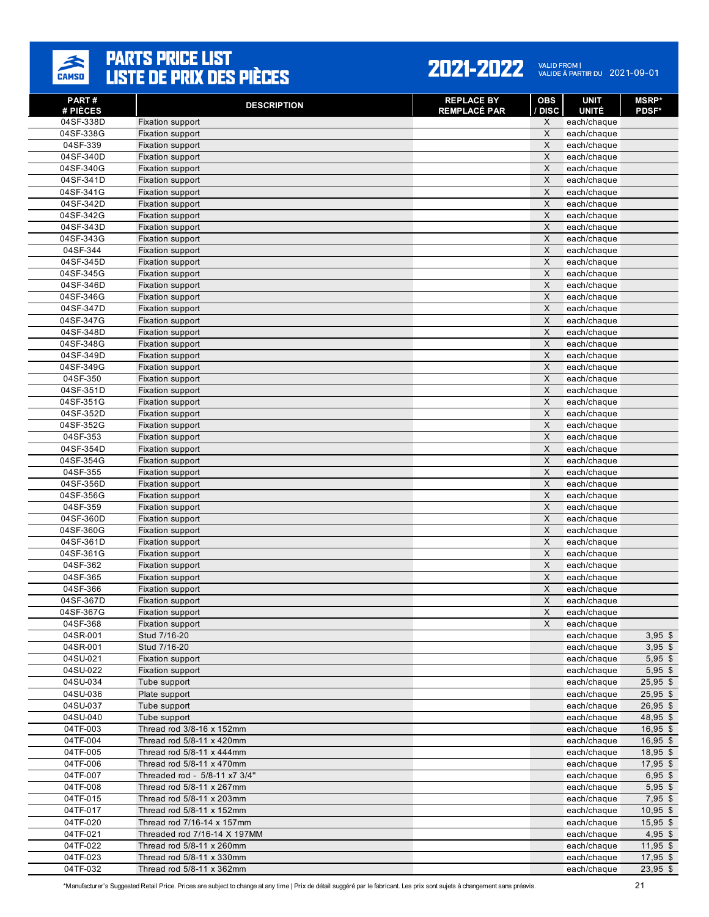

#### 2021-2022 VALID FROM | 2021-09-01

| PART#<br># PIÈCES      | <b>DESCRIPTION</b>                   | <b>REPLACE BY</b><br><b>REMPLACÉ PAR</b> | <b>OBS</b><br>/ DISC | UNIT<br><b>UNITÉ</b>       | <b>MSRP</b> *<br><b>PDSF*</b> |
|------------------------|--------------------------------------|------------------------------------------|----------------------|----------------------------|-------------------------------|
| 04SF-338D              | Fixation support                     |                                          | X                    | each/chaque                |                               |
| 04SF-338G              | Fixation support                     |                                          | X                    | each/chaque                |                               |
| 04SF-339               | Fixation support                     |                                          | X                    | each/chaque                |                               |
| 04SF-340D              | Fixation support                     |                                          | X                    | each/chaque                |                               |
| 04SF-340G              | Fixation support                     |                                          | X                    | each/chaque                |                               |
| 04SF-341D              | Fixation support                     |                                          | $\times$             | each/chaque                |                               |
| 04SF-341G              | Fixation support                     |                                          | X                    | each/chaque                |                               |
| 04SF-342D              | Fixation support                     |                                          | X                    | each/chaque                |                               |
| 04SF-342G              | Fixation support                     |                                          | X                    | each/chaque                |                               |
| 04SF-343D              | Fixation support                     |                                          | $\times$             | each/chaque                |                               |
| 04SF-343G              | Fixation support                     |                                          | X                    | each/chaque                |                               |
| 04SF-344               | Fixation support                     |                                          | X                    | each/chaque                |                               |
| 04SF-345D              | Fixation support                     |                                          | $\times$             | each/chaque                |                               |
| 04SF-345G              | Fixation support                     |                                          | X                    | each/chaque                |                               |
| 04SF-346D              | Fixation support                     |                                          | X                    | each/chaque                |                               |
| 04SF-346G              | Fixation support                     |                                          | X                    | each/chaque                |                               |
| 04SF-347D              | Fixation support                     |                                          | X                    | each/chaque                |                               |
| 04SF-347G              | Fixation support                     |                                          | X                    | each/chaque                |                               |
| 04SF-348D              | Fixation support                     |                                          | X                    | each/chaque                |                               |
| 04SF-348G              | Fixation support                     |                                          | X                    | each/chaque                |                               |
| 04SF-349D              | Fixation support                     |                                          | X                    | each/chaque                |                               |
| 04SF-349G              | Fixation support                     |                                          | X                    | each/chaque                |                               |
| 04SF-350               | Fixation support                     |                                          | X                    | each/chaque                |                               |
| 04SF-351D              | Fixation support                     |                                          | X                    | each/chaque                |                               |
| 04SF-351G              | Fixation support                     |                                          | X                    | each/chaque                |                               |
| 04SF-352D              | Fixation support                     |                                          | X                    | each/chaque                |                               |
| 04SF-352G              | Fixation support                     |                                          | X                    | each/chaque                |                               |
| 04SF-353               | Fixation support                     |                                          | X                    | each/chaque                |                               |
| 04SF-354D              | Fixation support                     |                                          | X                    | each/chaque                |                               |
| 04SF-354G              | Fixation support                     |                                          | X                    | each/chaque                |                               |
| 04SF-355               | Fixation support                     |                                          | $\times$             | each/chaque                |                               |
| 04SF-356D              | Fixation support                     |                                          | X                    | each/chaque                |                               |
| 04SF-356G              | Fixation support                     |                                          | X                    | each/chaque                |                               |
| 04SF-359               | Fixation support                     |                                          | X<br>$\times$        | each/chaque                |                               |
| 04SF-360D              | Fixation support                     |                                          |                      | each/chaque                |                               |
| 04SF-360G              | Fixation support                     |                                          | X<br>X               | each/chaque                |                               |
| 04SF-361D<br>04SF-361G | Fixation support                     |                                          | $\times$             | each/chaque                |                               |
| 04SF-362               | Fixation support<br>Fixation support |                                          | X                    | each/chaque<br>each/chaque |                               |
| 04SF-365               | Fixation support                     |                                          | X                    | each/chaque                |                               |
| 04SF-366               | Fixation support                     |                                          | X                    | each/chaque                |                               |
| 04SF-367D              | Fixation support                     |                                          | X                    | each/chaque                |                               |
| 04SF-367G              | Fixation support                     |                                          | X                    | each/chaque                |                               |
| 04SF-368               | Fixation support                     |                                          | X                    | each/chaque                |                               |
| 04SR-001               | Stud 7/16-20                         |                                          |                      | each/chaque                | $3,95$ \$                     |
| 04SR-001               | Stud 7/16-20                         |                                          |                      | each/chaque                | $3,95$ \$                     |
| 04SU-021               | Fixation support                     |                                          |                      | each/chaque                | $5,95$ \$                     |
| 04SU-022               | Fixation support                     |                                          |                      | each/chaque                | $5,95$ \$                     |
| 04SU-034               | Tube support                         |                                          |                      | each/chaque                | 25,95 \$                      |
| 04SU-036               | Plate support                        |                                          |                      | each/chaque                | $25,95$ \$                    |
| 04SU-037               | Tube support                         |                                          |                      | each/chaque                | $26,95$ \$                    |
| 04SU-040               | Tube support                         |                                          |                      | each/chaque                | 48,95 \$                      |
| 04TF-003               | Thread rod 3/8-16 x 152mm            |                                          |                      | each/chaque                | $16,95$ \$                    |
| 04TF-004               | Thread rod 5/8-11 x 420mm            |                                          |                      | each/chaque                | $16,95$ \$                    |
| 04TF-005               | Thread rod $5/8-11 \times 444$ mm    |                                          |                      | each/chaque                | $18,95$ \$                    |
| 04TF-006               | Thread rod 5/8-11 x 470mm            |                                          |                      | each/chaque                | $17,95$ \$                    |
| 04TF-007               | Threaded rod - 5/8-11 x7 3/4"        |                                          |                      | each/chaque                | $6,95$ \$                     |
| 04TF-008               | Thread rod 5/8-11 x 267mm            |                                          |                      | each/chaque                | $5,95$ \$                     |
| 04TF-015               | Thread rod 5/8-11 x 203mm            |                                          |                      | each/chaque                | $7,95$ \$                     |
| 04TF-017               | Thread rod 5/8-11 x 152mm            |                                          |                      | each/chaque                | $10,95$ \$                    |
| 04TF-020               | Thread rod 7/16-14 x 157mm           |                                          |                      | each/chaque                | $15,95$ \$                    |
| 04TF-021               | Threaded rod 7/16-14 X 197MM         |                                          |                      | each/chaque                | $4,95$ \$                     |
| 04TF-022               | Thread rod 5/8-11 x 260mm            |                                          |                      | each/chaque                | $11,95$ \$                    |
| 04TF-023               | Thread rod 5/8-11 x 330mm            |                                          |                      | each/chaque                | $17,95$ \$                    |
| 04TF-032               | Thread rod 5/8-11 x 362mm            |                                          |                      | each/chaque                | $23,95$ \$                    |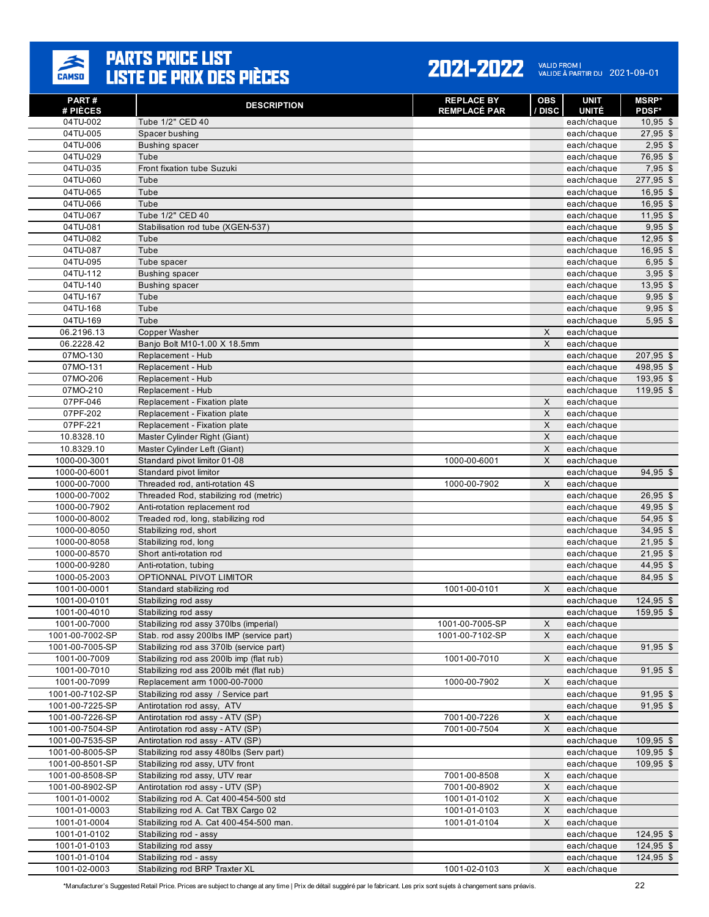

#### 2021-2022 VALID FROM | 2021-09-01

| PART#<br># PIÈCES            | <b>DESCRIPTION</b>                                            | <b>REPLACE BY</b><br><b>REMPLACÉ PAR</b> | OBS<br>/ DISC                         | <b>UNIT</b><br><b>UNITÉ</b> | <b>MSRP</b> *<br><b>PDSF*</b> |
|------------------------------|---------------------------------------------------------------|------------------------------------------|---------------------------------------|-----------------------------|-------------------------------|
| 04TU-002                     | Tube 1/2" CED 40                                              |                                          |                                       | each/chaque                 | $10,95$ \$                    |
| 04TU-005                     | Spacer bushing                                                |                                          |                                       | each/chaque                 | $27,95$ \$                    |
| 04TU-006                     | <b>Bushing spacer</b>                                         |                                          |                                       | each/chaque                 | $2,95$ \$                     |
| 04TU-029                     | Tube                                                          |                                          |                                       | each/chaque                 | 76,95 \$                      |
| 04TU-035                     | Front fixation tube Suzuki                                    |                                          |                                       | each/chaque                 | $7,95$ \$                     |
| 04TU-060                     | Tube                                                          |                                          |                                       | each/chaque                 | 277,95 \$                     |
| 04TU-065                     | Tube                                                          |                                          |                                       | each/chaque                 | $16,95$ \$                    |
| 04TU-066                     | Tube                                                          |                                          |                                       | each/chaque                 | $16,95$ \$                    |
| 04TU-067                     | Tube 1/2" CED 40                                              |                                          |                                       | each/chaque                 | $11,95$ \$                    |
| 04TU-081                     | Stabilisation rod tube (XGEN-537)                             |                                          |                                       | each/chaque                 | $9,95$ \$                     |
| 04TU-082                     | Tube                                                          |                                          |                                       | each/chaque                 | $12,95$ \$                    |
| 04TU-087                     | Tube                                                          |                                          |                                       | each/chaque                 | $16,95$ \$                    |
| 04TU-095                     | Tube spacer                                                   |                                          |                                       | each/chaque                 | $6,95$ \$                     |
| 04TU-112                     | <b>Bushing spacer</b>                                         |                                          |                                       | each/chaque                 | $3,95$ \$                     |
| $04TU-140$                   | <b>Bushing spacer</b>                                         |                                          |                                       | each/chaque                 | $13,95$ \$                    |
| 04TU-167                     | Tube                                                          |                                          |                                       | each/chaque                 | $9,95$ \$                     |
| 04TU-168                     | Tube                                                          |                                          |                                       | each/chaque                 | $9,95$ \$                     |
| 04TU-169                     | Tube                                                          |                                          |                                       | each/chaque                 | $5,95$ \$                     |
| 06.2196.13                   | <b>Copper Washer</b>                                          |                                          | $\times$                              | each/chaque                 |                               |
| 06.2228.42                   | Banjo Bolt M10-1.00 X 18.5mm                                  |                                          | X                                     | each/chaque                 |                               |
| 07MO-130                     | Replacement - Hub                                             |                                          |                                       | each/chaque                 | 207,95 \$                     |
| 07MO-131                     | Replacement - Hub                                             |                                          |                                       | each/chaque                 | 498,95 \$                     |
| 07MO-206                     | Replacement - Hub                                             |                                          |                                       | each/chaque                 | 193,95 \$                     |
| 07MO-210                     | Replacement - Hub                                             |                                          |                                       | each/chaque                 | 119,95 \$                     |
| 07PF-046                     | Replacement - Fixation plate                                  |                                          | $\times$                              | each/chaque                 |                               |
| 07PF-202                     | Replacement - Fixation plate                                  |                                          | $\mathsf{X}$                          | each/chaque                 |                               |
| 07PF-221                     | Replacement - Fixation plate                                  |                                          | $\times$<br>$\boldsymbol{\mathsf{X}}$ | each/chaque                 |                               |
| 10.8328.10<br>10.8329.10     | Master Cylinder Right (Giant)<br>Master Cylinder Left (Giant) |                                          | $\mathsf{X}$                          | each/chaque                 |                               |
| 1000-00-3001                 | Standard pivot limitor 01-08                                  | 1000-00-6001                             | $\times$                              | each/chaque<br>each/chaque  |                               |
| 1000-00-6001                 | Standard pivot limitor                                        |                                          |                                       | each/chaque                 | 94,95 \$                      |
| 1000-00-7000                 | Threaded rod, anti-rotation 4S                                | 1000-00-7902                             | X                                     | each/chaque                 |                               |
| 1000-00-7002                 | Threaded Rod, stabilizing rod (metric)                        |                                          |                                       | each/chaque                 | $26,95$ \$                    |
| 1000-00-7902                 | Anti-rotation replacement rod                                 |                                          |                                       | each/chaque                 | 49,95 \$                      |
| 1000-00-8002                 | Treaded rod, long, stabilizing rod                            |                                          |                                       | each/chaque                 | 54,95 \$                      |
| 1000-00-8050                 | Stabilizing rod, short                                        |                                          |                                       | each/chaque                 | $34,95$ \$                    |
| 1000-00-8058                 | Stabilizing rod, long                                         |                                          |                                       | each/chaque                 | $21,95$ \$                    |
| 1000-00-8570                 | Short anti-rotation rod                                       |                                          |                                       | each/chaque                 | $21,95$ \$                    |
| 1000-00-9280                 | Anti-rotation, tubing                                         |                                          |                                       | each/chaque                 | 44,95 \$                      |
| 1000-05-2003                 | OPTIONNAL PIVOT LIMITOR                                       |                                          |                                       | each/chaque                 | 84,95 \$                      |
| 1001-00-0001                 | Standard stabilizing rod                                      | 1001-00-0101                             | X                                     | each/chaque                 |                               |
| 1001-00-0101                 | Stabilizing rod assy                                          |                                          |                                       | each/chaque                 | 124,95 \$                     |
| 1001-00-4010                 | Stabilizing rod assy                                          |                                          |                                       | each/chaque                 | 159.95 \$                     |
| 1001-00-7000                 | Stabilizing rod assy 370lbs (imperial)                        | 1001-00-7005-SP                          | X                                     | each/chaque                 |                               |
| 1001-00-7002-SP              | Stab. rod assy 200lbs IMP (service part)                      | 1001-00-7102-SP                          | X                                     | each/chaque                 |                               |
| 1001-00-7005-SP              | Stabilizing rod ass 370lb (service part)                      |                                          |                                       | each/chaque                 | $91,95$ \$                    |
| 1001-00-7009                 | Stabilizing rod ass 200lb imp (flat rub)                      | 1001-00-7010                             | $\times$                              | each/chaque                 |                               |
| 1001-00-7010                 | Stabilizing rod ass 200lb mét (flat rub)                      |                                          |                                       | each/chaque                 | $91,95$ \$                    |
| 1001-00-7099                 | Replacement arm 1000-00-7000                                  | 1000-00-7902                             | X                                     | each/chaque                 |                               |
| 1001-00-7102-SP              | Stabilizing rod assy / Service part                           |                                          |                                       | each/chaque                 | $91,95$ \$                    |
| 1001-00-7225-SP              | Antirotation rod assy, ATV                                    |                                          |                                       | each/chaque                 | $91,95$ \$                    |
| 1001-00-7226-SP              | Antirotation rod assy - ATV (SP)                              | 7001-00-7226                             | X                                     | each/chaque                 |                               |
| 1001-00-7504-SP              | Antirotation rod assy - ATV (SP)                              | 7001-00-7504                             | X                                     | each/chaque                 |                               |
| 1001-00-7535-SP              | Antirotation rod assy - ATV (SP)                              |                                          |                                       | each/chaque                 | 109,95 \$                     |
| 1001-00-8005-SP              | Stabilizing rod assy 480lbs (Serv part)                       |                                          |                                       | each/chaque                 | $109,95$ \$                   |
| 1001-00-8501-SP              | Stabilizing rod assy, UTV front                               |                                          |                                       | each/chaque                 | 109,95 \$                     |
| 1001-00-8508-SP              | Stabilizing rod assy, UTV rear                                | 7001-00-8508                             | $\mathsf X$                           | each/chaque                 |                               |
| 1001-00-8902-SP              | Antirotation rod assy - UTV (SP)                              | 7001-00-8902                             | X                                     | each/chaque                 |                               |
| 1001-01-0002                 | Stabilizing rod A. Cat 400-454-500 std                        | 1001-01-0102                             | X                                     | each/chaque                 |                               |
| 1001-01-0003                 | Stabilizing rod A. Cat TBX Cargo 02                           | 1001-01-0103                             | $\boldsymbol{\mathsf{X}}$             | each/chaque                 |                               |
| 1001-01-0004                 | Stabilizing rod A. Cat 400-454-500 man.                       | 1001-01-0104                             | X                                     | each/chaque                 |                               |
| 1001-01-0102                 | Stabilizing rod - assy                                        |                                          |                                       | each/chaque                 | $124,95$ \$<br>$124,95$ \$    |
| 1001-01-0103<br>1001-01-0104 | Stabilizing rod assy<br>Stabilizing rod - assy                |                                          |                                       | each/chaque<br>each/chaque  | 124,95 \$                     |
| 1001-02-0003                 | Stabilizing rod BRP Traxter XL                                | 1001-02-0103                             | $\boldsymbol{\mathsf{X}}$             | each/chaque                 |                               |
|                              |                                                               |                                          |                                       |                             |                               |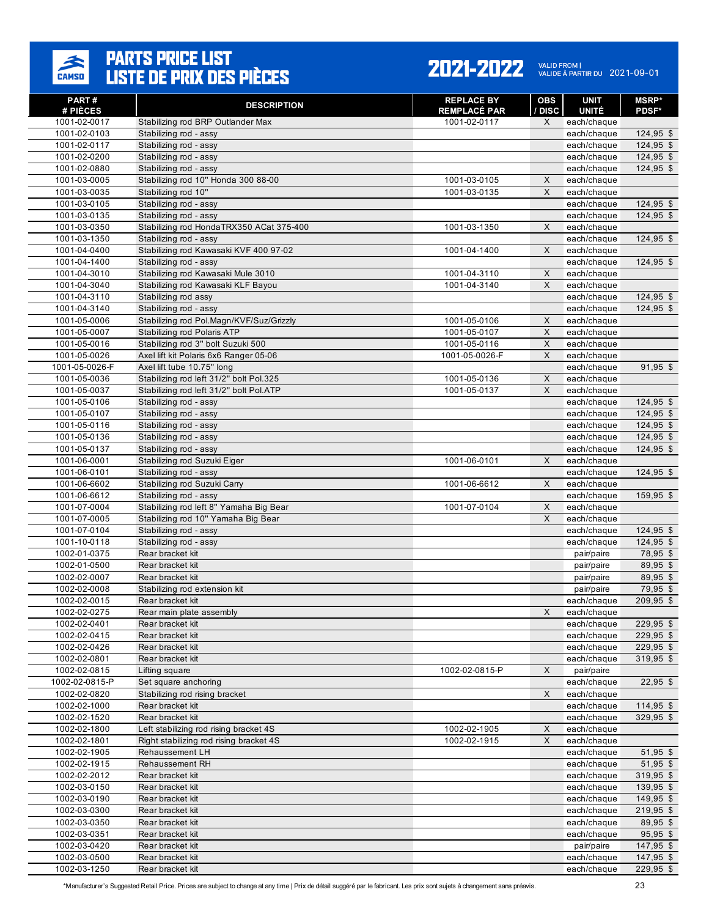

#### 2021-2022 VALID FROM | 2021-09-01

| PART#                        | <b>DESCRIPTION</b>                                                                 | <b>REPLACE BY</b>            | <b>OBS</b>       | <b>UNIT</b>                 | <b>MSRP</b> *              |
|------------------------------|------------------------------------------------------------------------------------|------------------------------|------------------|-----------------------------|----------------------------|
| # PIÈCES<br>1001-02-0017     | Stabilizing rod BRP Outlander Max                                                  | REMPLACÉ PAR<br>1001-02-0117 | <b>DISC</b><br>X | <b>UNITÉ</b><br>each/chaque | <b>PDSF*</b>               |
| 1001-02-0103                 | Stabilizing rod - assy                                                             |                              |                  | each/chaque                 | 124,95 \$                  |
| 1001-02-0117                 | Stabilizing rod - assy                                                             |                              |                  | each/chaque                 | $124,95$ \$                |
| 1001-02-0200                 | Stabilizing rod - assy                                                             |                              |                  | each/chaque                 | $124,95$ \$                |
| 1001-02-0880                 | Stabilizing rod - assy                                                             |                              |                  | each/chaque                 | $124,95$ \$                |
| 1001-03-0005                 | Stabilizing rod 10" Honda 300 88-00                                                | 1001-03-0105                 | X                | each/chaque                 |                            |
| 1001-03-0035                 | Stabilizing rod 10"                                                                | 1001-03-0135                 | X                | each/chaque                 |                            |
| 1001-03-0105                 | Stabilizing rod - assy                                                             |                              |                  | each/chaque                 | $124,95$ \$                |
| 1001-03-0135                 | Stabilizing rod - assy                                                             |                              |                  | each/chaque                 | $124,95$ \$                |
| 1001-03-0350                 | Stabilizing rod HondaTRX350 ACat 375-400                                           | 1001-03-1350                 | X                | each/chaque                 |                            |
| 1001-03-1350                 | Stabilizing rod - assy                                                             |                              |                  | each/chaque                 | 124,95 \$                  |
| 1001-04-0400                 | Stabilizing rod Kawasaki KVF 400 97-02                                             | 1001-04-1400                 | X                | each/chaque                 |                            |
| 1001-04-1400                 | Stabilizing rod - assy                                                             |                              |                  | each/chaque                 | 124,95 \$                  |
| 1001-04-3010                 | Stabilizing rod Kawasaki Mule 3010                                                 | 1001-04-3110                 | X                | each/chaque                 |                            |
| 1001-04-3040                 | Stabilizing rod Kawasaki KLF Bayou                                                 | 1001-04-3140                 | X                | each/chaque                 |                            |
| 1001-04-3110                 | Stabilizing rod assy                                                               |                              |                  | each/chaque                 | $124,95$ \$                |
| 1001-04-3140                 | Stabilizing rod - assy                                                             |                              |                  | each/chaque                 | 124,95 \$                  |
| 1001-05-0006                 | Stabilizing rod Pol.Magn/KVF/Suz/Grizzly                                           | 1001-05-0106                 | $\mathsf X$      | each/chaque                 |                            |
| 1001-05-0007                 | Stabilizing rod Polaris ATP                                                        | 1001-05-0107                 | X                | each/chaque                 |                            |
| 1001-05-0016                 | Stabilizing rod 3" bolt Suzuki 500                                                 | 1001-05-0116                 | X                | each/chaque                 |                            |
| 1001-05-0026                 | Axel lift kit Polaris 6x6 Ranger 05-06                                             | 1001-05-0026-F               | X                | each/chaque                 |                            |
| 1001-05-0026-F               | Axel lift tube 10.75" long                                                         |                              |                  | each/chaque                 | $91,95$ \$                 |
| 1001-05-0036<br>1001-05-0037 | Stabilizing rod left 31/2" bolt Pol.325<br>Stabilizing rod left 31/2" bolt Pol.ATP | 1001-05-0136<br>1001-05-0137 | X<br>X           | each/chaque                 |                            |
|                              | Stabilizing rod - assy                                                             |                              |                  | each/chaque                 |                            |
| 1001-05-0106<br>1001-05-0107 | Stabilizing rod - assy                                                             |                              |                  | each/chaque<br>each/chaque  | $124,95$ \$<br>$124,95$ \$ |
| 1001-05-0116                 | Stabilizing rod - assy                                                             |                              |                  | each/chaque                 | $124,95$ \$                |
| 1001-05-0136                 | Stabilizing rod - assy                                                             |                              |                  | each/chaque                 | $124,95$ \$                |
| 1001-05-0137                 | Stabilizing rod - assy                                                             |                              |                  | each/chaque                 | 124,95 \$                  |
| 1001-06-0001                 | Stabilizing rod Suzuki Eiger                                                       | 1001-06-0101                 | X                | each/chaque                 |                            |
| 1001-06-0101                 | Stabilizing rod - assy                                                             |                              |                  | each/chaque                 | 124,95 \$                  |
| 1001-06-6602                 | Stabilizing rod Suzuki Carry                                                       | 1001-06-6612                 | X                | each/chaque                 |                            |
| 1001-06-6612                 | Stabilizing rod - assy                                                             |                              |                  | each/chaque                 | 159,95 \$                  |
| 1001-07-0004                 | Stabilizing rod left 8" Yamaha Big Bear                                            | 1001-07-0104                 | X                | each/chaque                 |                            |
| 1001-07-0005                 | Stabilizing rod 10" Yamaha Big Bear                                                |                              | X                | each/chaque                 |                            |
| 1001-07-0104                 | Stabilizing rod - assy                                                             |                              |                  | each/chaque                 | $124,95$ \$                |
| 1001-10-0118                 | Stabilizing rod - assy                                                             |                              |                  | each/chaque                 | $124,95$ \$                |
| 1002-01-0375                 | Rear bracket kit                                                                   |                              |                  | pair/paire                  | 78,95 \$                   |
| 1002-01-0500                 | Rear bracket kit                                                                   |                              |                  | pair/paire                  | 89,95 \$                   |
| 1002-02-0007                 | Rear bracket kit                                                                   |                              |                  | pair/paire                  | 89,95 \$                   |
| 1002-02-0008                 | Stabilizing rod extension kit                                                      |                              |                  | pair/paire                  | 79,95 \$                   |
| 1002-02-0015                 | Rear bracket kit                                                                   |                              |                  | each/chaque                 | 209,95 \$                  |
| 1002-02-0275                 | Rear main plate assembly                                                           |                              | X                | each/chaque                 |                            |
| 1002-02-0401                 | Rear bracket kit                                                                   |                              |                  | each/chaque                 | 229,95 \$                  |
| 1002-02-0415                 | Rear bracket kit                                                                   |                              |                  | each/chaque                 | 229,95 \$                  |
| 1002-02-0426                 | Rear bracket kit                                                                   |                              |                  | each/chaque                 | 229,95 \$                  |
| 1002-02-0801                 | Rear bracket kit                                                                   |                              |                  | each/chaque                 | 319,95 \$                  |
| 1002-02-0815                 | Lifting square                                                                     | 1002-02-0815-P               | X                | pair/paire                  |                            |
| 1002-02-0815-P               | Set square anchoring                                                               |                              |                  | each/chaque                 | $22,95$ \$                 |
| 1002-02-0820<br>1002-02-1000 | Stabilizing rod rising bracket                                                     |                              | X                | each/chaque                 |                            |
| 1002-02-1520                 | Rear bracket kit<br>Rear bracket kit                                               |                              |                  | each/chaque<br>each/chaque  | $114,95$ \$<br>329,95 \$   |
| 1002-02-1800                 | Left stabilizing rod rising bracket 4S                                             | 1002-02-1905                 | X                | each/chaque                 |                            |
| 1002-02-1801                 | Right stabilizing rod rising bracket 4S                                            | 1002-02-1915                 | X                | each/chaque                 |                            |
| 1002-02-1905                 | Rehaussement LH                                                                    |                              |                  | each/chaque                 | $51,95$ \$                 |
| 1002-02-1915                 | Rehaussement RH                                                                    |                              |                  | each/chaque                 | $51,95$ \$                 |
| 1002-02-2012                 | Rear bracket kit                                                                   |                              |                  | each/chaque                 | $319,95$ \$                |
| 1002-03-0150                 | Rear bracket kit                                                                   |                              |                  | each/chaque                 | 139,95 \$                  |
| 1002-03-0190                 | Rear bracket kit                                                                   |                              |                  | each/chaque                 | 149,95 \$                  |
| 1002-03-0300                 | Rear bracket kit                                                                   |                              |                  | each/chaque                 | 219,95 \$                  |
| 1002-03-0350                 | Rear bracket kit                                                                   |                              |                  | each/chaque                 | 89,95 \$                   |
| 1002-03-0351                 | Rear bracket kit                                                                   |                              |                  | each/chaque                 | 95,95 \$                   |
| 1002-03-0420                 | Rear bracket kit                                                                   |                              |                  | pair/paire                  | $147,95$ \$                |
| 1002-03-0500                 | Rear bracket kit                                                                   |                              |                  | each/chaque                 | $147,95$ \$                |
| 1002-03-1250                 | Rear bracket kit                                                                   |                              |                  | each/chaque                 | 229,95 \$                  |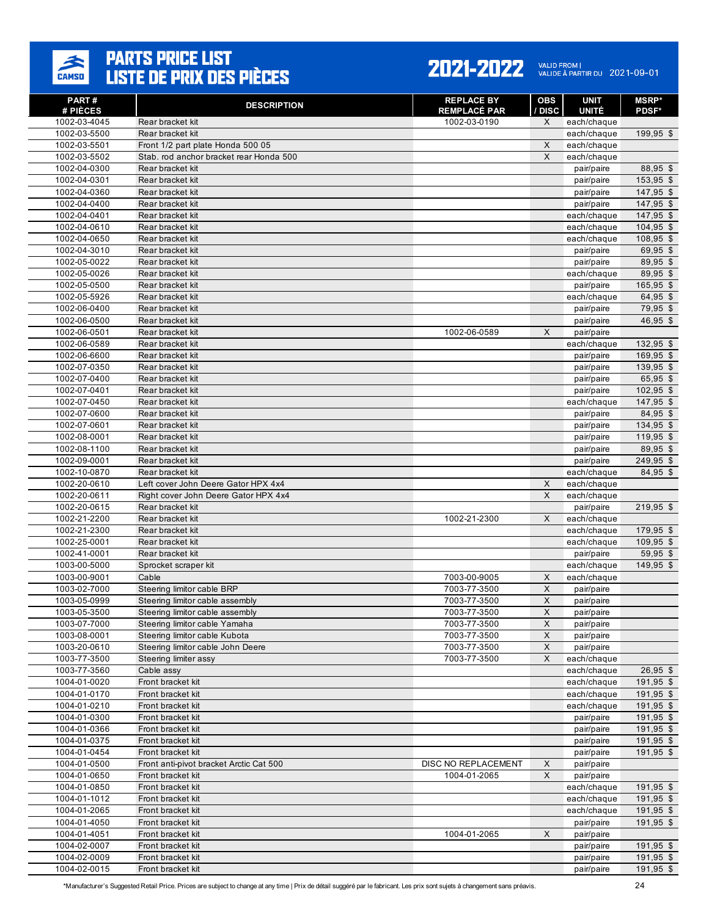

| PART#<br># PIÈCES            | <b>DESCRIPTION</b>                       | <b>REPLACE BY</b><br><b>REMPLACÉ PAR</b> | <b>OBS</b><br><b>DISC</b> | <b>UNIT</b><br><b>UNITÉ</b> | <b>MSRP</b> *<br><b>PDSF*</b> |
|------------------------------|------------------------------------------|------------------------------------------|---------------------------|-----------------------------|-------------------------------|
| 1002-03-4045                 | Rear bracket kit                         | 1002-03-0190                             | X                         | each/chaque                 |                               |
| 1002-03-5500                 | Rear bracket kit                         |                                          |                           | each/chaque                 | 199.95 \$                     |
| 1002-03-5501                 | Front 1/2 part plate Honda 500 05        |                                          | X                         | each/chaque                 |                               |
| 1002-03-5502                 | Stab, rod anchor bracket rear Honda 500  |                                          | X                         | each/chaque                 |                               |
| 1002-04-0300                 | Rear bracket kit                         |                                          |                           | pair/paire                  | 88,95 \$                      |
| 1002-04-0301                 | Rear bracket kit                         |                                          |                           | pair/paire                  | 153,95 \$                     |
| 1002-04-0360                 | Rear bracket kit                         |                                          |                           | pair/paire                  | 147,95 \$                     |
| 1002-04-0400                 | Rear bracket kit                         |                                          |                           | pair/paire                  | $147,95$ \$                   |
| 1002-04-0401                 | Rear bracket kit                         |                                          |                           | each/chaque                 | 147,95 \$                     |
| 1002-04-0610                 | Rear bracket kit                         |                                          |                           | each/chaque                 | 104,95 \$                     |
| 1002-04-0650                 | Rear bracket kit                         |                                          |                           | each/chaque                 | 108,95 \$                     |
| 1002-04-3010                 | Rear bracket kit                         |                                          |                           | pair/paire                  | 69,95 \$                      |
| 1002-05-0022                 | Rear bracket kit                         |                                          |                           | pair/paire                  | 89,95 \$                      |
| 1002-05-0026                 | Rear bracket kit                         |                                          |                           | each/chaque                 | 89,95 \$                      |
| 1002-05-0500                 | Rear bracket kit                         |                                          |                           | pair/paire                  | 165,95 \$                     |
| 1002-05-5926<br>1002-06-0400 | Rear bracket kit<br>Rear bracket kit     |                                          |                           | each/chaque<br>pair/paire   | 64,95 \$<br>79,95 \$          |
| 1002-06-0500                 | Rear bracket kit                         |                                          |                           | pair/paire                  | 46,95 \$                      |
| 1002-06-0501                 | Rear bracket kit                         | 1002-06-0589                             | X                         | pair/paire                  |                               |
| 1002-06-0589                 | Rear bracket kit                         |                                          |                           | each/chaque                 | 132,95 \$                     |
| 1002-06-6600                 | Rear bracket kit                         |                                          |                           | pair/paire                  | 169,95 \$                     |
| 1002-07-0350                 | Rear bracket kit                         |                                          |                           | pair/paire                  | 139,95 \$                     |
| 1002-07-0400                 | Rear bracket kit                         |                                          |                           | pair/paire                  | 65,95 \$                      |
| 1002-07-0401                 | Rear bracket kit                         |                                          |                           | pair/paire                  | 102,95 \$                     |
| 1002-07-0450                 | Rear bracket kit                         |                                          |                           | each/chaque                 | 147,95 \$                     |
| 1002-07-0600                 | Rear bracket kit                         |                                          |                           | pair/paire                  | 84,95 \$                      |
| 1002-07-0601                 | Rear bracket kit                         |                                          |                           | pair/paire                  | 134,95 \$                     |
| 1002-08-0001                 | Rear bracket kit                         |                                          |                           | pair/paire                  | 119,95 \$                     |
| 1002-08-1100                 | Rear bracket kit                         |                                          |                           | pair/paire                  | 89,95 \$                      |
| 1002-09-0001                 | Rear bracket kit                         |                                          |                           | pair/paire                  | 249,95 \$                     |
| 1002-10-0870                 | Rear bracket kit                         |                                          |                           | each/chaque                 | 84,95 \$                      |
| 1002-20-0610                 | Left cover John Deere Gator HPX 4x4      |                                          | X                         | each/chaque                 |                               |
| 1002-20-0611                 | Right cover John Deere Gator HPX 4x4     |                                          | X                         | each/chaque                 |                               |
| 1002-20-0615                 | Rear bracket kit                         |                                          |                           | pair/paire                  | 219,95 \$                     |
| 1002-21-2200                 | Rear bracket kit                         | 1002-21-2300                             | X                         | each/chaque                 |                               |
| 1002-21-2300                 | Rear bracket kit                         |                                          |                           | each/chaque                 | 179,95 \$                     |
| 1002-25-0001                 | Rear bracket kit                         |                                          |                           | each/chaque                 | $109,95$ \$                   |
| 1002-41-0001                 | Rear bracket kit<br>Sprocket scraper kit |                                          |                           | pair/paire                  | $59,95$ \$<br>149,95 \$       |
| 1003-00-5000<br>1003-00-9001 | Cable                                    | 7003-00-9005                             | X                         | each/chaque<br>each/chaque  |                               |
| 1003-02-7000                 | Steering limitor cable BRP               | 7003-77-3500                             | X                         | pair/paire                  |                               |
| 1003-05-0999                 | Steering limitor cable assembly          | 7003-77-3500                             | X                         | pair/paire                  |                               |
| 1003-05-3500                 | Steering limitor cable assembly          | 7003-77-3500                             | X                         | pair/paire                  |                               |
| 1003-07-7000                 | Steering limitor cable Yamaha            | 7003-77-3500                             | X                         | pair/paire                  |                               |
| 1003-08-0001                 | Steering limitor cable Kubota            | 7003-77-3500                             | $\mathsf X$               | pair/paire                  |                               |
| 1003-20-0610                 | Steering limitor cable John Deere        | 7003-77-3500                             | X                         | pair/paire                  |                               |
| 1003-77-3500                 | Steering limiter assy                    | 7003-77-3500                             | X                         | each/chaque                 |                               |
| 1003-77-3560                 | Cable assy                               |                                          |                           | each/chaque                 | 26,95 \$                      |
| 1004-01-0020                 | Front bracket kit                        |                                          |                           | each/chaque                 | 191,95 \$                     |
| 1004-01-0170                 | Front bracket kit                        |                                          |                           | each/chaque                 | 191,95 \$                     |
| 1004-01-0210                 | Front bracket kit                        |                                          |                           | each/chaque                 | $191,95$ \$                   |
| 1004-01-0300                 | Front bracket kit                        |                                          |                           | pair/paire                  | 191,95 \$                     |
| 1004-01-0366                 | Front bracket kit                        |                                          |                           | pair/paire                  | 191,95 \$                     |
| 1004-01-0375                 | Front bracket kit                        |                                          |                           | pair/paire                  | $191,95$ \$                   |
| 1004-01-0454                 | Front bracket kit                        |                                          |                           | pair/paire                  | 191,95 \$                     |
| 1004-01-0500                 | Front anti-pivot bracket Arctic Cat 500  | DISC NO REPLACEMENT                      | X                         | pair/paire                  |                               |
| 1004-01-0650                 | Front bracket kit                        | 1004-01-2065                             | X                         | pair/paire                  |                               |
| 1004-01-0850                 | Front bracket kit                        |                                          |                           | each/chaque                 | 191,95 \$                     |
| 1004-01-1012                 | Front bracket kit                        |                                          |                           | each/chaque                 | 191,95 \$                     |
| 1004-01-2065                 | Front bracket kit                        |                                          |                           | each/chaque                 | 191,95 \$                     |
| 1004-01-4050                 | Front bracket kit                        |                                          |                           | pair/paire                  | 191,95 \$                     |
| 1004-01-4051<br>1004-02-0007 | Front bracket kit                        | 1004-01-2065                             | X                         | pair/paire                  | 191,95 \$                     |
| 1004-02-0009                 | Front bracket kit<br>Front bracket kit   |                                          |                           | pair/paire<br>pair/paire    | 191,95 \$                     |
| 1004-02-0015                 | Front bracket kit                        |                                          |                           | pair/paire                  | 191,95 \$                     |
|                              |                                          |                                          |                           |                             |                               |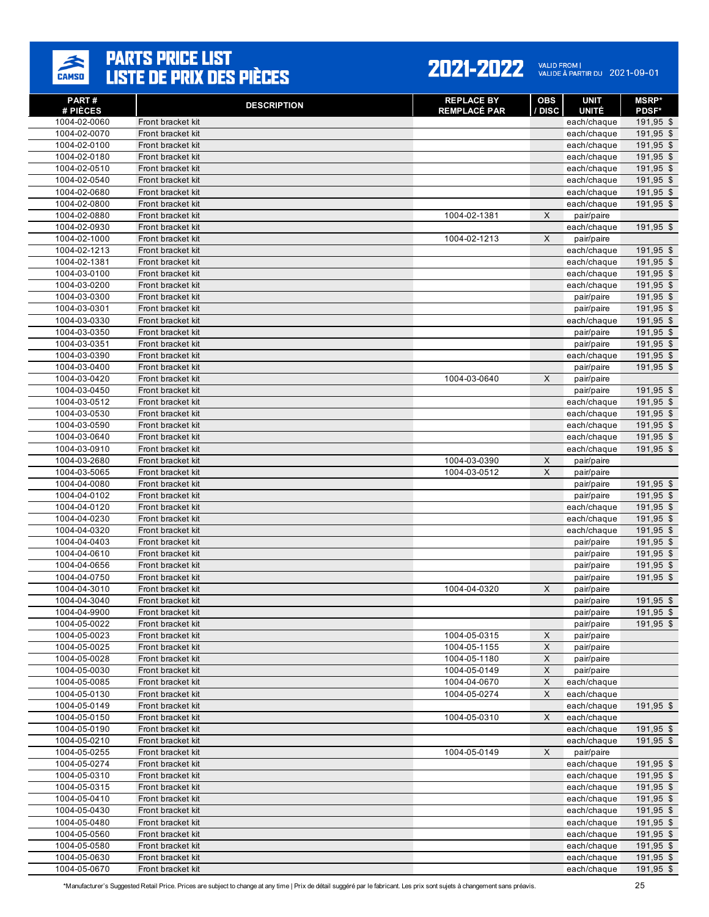

| PART#<br># PIÈCES            | <b>DESCRIPTION</b>                     | <b>REPLACE BY</b><br><b>REMPLACÉ PAR</b> | <b>OBS</b><br>/ DISC | <b>UNIT</b><br><b>UNITÉ</b> | <b>MSRP</b> *<br><b>PDSF*</b> |
|------------------------------|----------------------------------------|------------------------------------------|----------------------|-----------------------------|-------------------------------|
| 1004-02-0060                 | Front bracket kit                      |                                          |                      | each/chaque                 | 191,95 \$                     |
| 1004-02-0070                 | Front bracket kit                      |                                          |                      | each/chaque                 | 191,95 \$                     |
| 1004-02-0100                 | Front bracket kit                      |                                          |                      | each/chaque                 | 191,95 \$                     |
| 1004-02-0180                 | Front bracket kit                      |                                          |                      | each/chaque                 | 191,95 \$                     |
| 1004-02-0510                 | Front bracket kit                      |                                          |                      | each/chaque                 | 191,95 \$                     |
| 1004-02-0540                 | Front bracket kit                      |                                          |                      | each/chaque                 | 191,95 \$                     |
| 1004-02-0680                 | Front bracket kit                      |                                          |                      | each/chaque                 | 191,95 \$                     |
| 1004-02-0800                 | Front bracket kit                      |                                          |                      | each/chaque                 | 191,95 \$                     |
| 1004-02-0880                 | Front bracket kit                      | 1004-02-1381                             | X                    | pair/paire                  |                               |
| 1004-02-0930                 | Front bracket kit                      |                                          |                      | each/chaque                 | 191,95 \$                     |
| 1004-02-1000                 | Front bracket kit                      | 1004-02-1213                             | $\mathsf{X}$         | pair/paire                  |                               |
| 1004-02-1213                 | Front bracket kit                      |                                          |                      | each/chaque                 | 191,95 \$                     |
| 1004-02-1381<br>1004-03-0100 | Front bracket kit<br>Front bracket kit |                                          |                      | each/chaque                 | 191,95 \$<br>191,95 \$        |
| 1004-03-0200                 | Front bracket kit                      |                                          |                      | each/chaque                 | 191,95 \$                     |
| 1004-03-0300                 | Front bracket kit                      |                                          |                      | each/chaque<br>pair/paire   | 191,95 \$                     |
| 1004-03-0301                 | Front bracket kit                      |                                          |                      | pair/paire                  | 191,95 \$                     |
| 1004-03-0330                 | Front bracket kit                      |                                          |                      | each/chaque                 | 191,95 \$                     |
| 1004-03-0350                 | Front bracket kit                      |                                          |                      | pair/paire                  | 191,95 \$                     |
| 1004-03-0351                 | Front bracket kit                      |                                          |                      | pair/paire                  | $191,95$ \$                   |
| 1004-03-0390                 | Front bracket kit                      |                                          |                      | each/chaque                 | 191,95 \$                     |
| 1004-03-0400                 | Front bracket kit                      |                                          |                      | pair/paire                  | 191,95 \$                     |
| 1004-03-0420                 | Front bracket kit                      | 1004-03-0640                             | X                    | pair/paire                  |                               |
| 1004-03-0450                 | Front bracket kit                      |                                          |                      | pair/paire                  | 191,95 \$                     |
| 1004-03-0512                 | Front bracket kit                      |                                          |                      | each/chaque                 | 191,95 \$                     |
| 1004-03-0530                 | Front bracket kit                      |                                          |                      | each/chaque                 | 191,95 \$                     |
| 1004-03-0590                 | Front bracket kit                      |                                          |                      | each/chaque                 | 191,95 \$                     |
| 1004-03-0640                 | Front bracket kit                      |                                          |                      | each/chaque                 | 191,95 \$                     |
| 1004-03-0910                 | Front bracket kit                      |                                          |                      | each/chaque                 | 191,95 \$                     |
| 1004-03-2680<br>1004-03-5065 | Front bracket kit<br>Front bracket kit | 1004-03-0390                             | X<br>X               | pair/paire                  |                               |
| 1004-04-0080                 | Front bracket kit                      | 1004-03-0512                             |                      | pair/paire<br>pair/paire    | 191,95 \$                     |
| 1004-04-0102                 | Front bracket kit                      |                                          |                      | pair/paire                  | 191,95 \$                     |
| 1004-04-0120                 | Front bracket kit                      |                                          |                      | each/chaque                 | 191,95 \$                     |
| 1004-04-0230                 | Front bracket kit                      |                                          |                      | each/chaque                 | 191,95 \$                     |
| 1004-04-0320                 | Front bracket kit                      |                                          |                      | each/chaque                 | 191,95 \$                     |
| 1004-04-0403                 | Front bracket kit                      |                                          |                      | pair/paire                  | 191,95 \$                     |
| 1004-04-0610                 | Front bracket kit                      |                                          |                      | pair/paire                  | 191,95 \$                     |
| 1004-04-0656                 | Front bracket kit                      |                                          |                      | pair/paire                  | 191,95 \$                     |
| 1004-04-0750                 | Front bracket kit                      |                                          |                      | pair/paire                  | 191,95 \$                     |
| 1004-04-3010                 | Front bracket kit                      | 1004-04-0320                             | X                    | pair/paire                  |                               |
| 1004-04-3040                 | Front bracket kit                      |                                          |                      | pair/paire                  | 191,95 \$                     |
| 1004-04-9900                 | Front bracket kit                      |                                          |                      | pair/paire                  | 191,95 \$                     |
| 1004-05-0022                 | Front bracket kit                      |                                          |                      | pair/paire                  | $191,95$ \$                   |
| 1004-05-0023                 | Front bracket kit                      | 1004-05-0315                             | X                    | pair/paire                  |                               |
| 1004-05-0025<br>1004-05-0028 | Front bracket kit                      | 1004-05-1155<br>1004-05-1180             | X<br>X               | pair/paire                  |                               |
| 1004-05-0030                 | Front bracket kit<br>Front bracket kit | 1004-05-0149                             | $\mathsf X$          | pair/paire<br>pair/paire    |                               |
| 1004-05-0085                 | Front bracket kit                      | 1004-04-0670                             | X                    | each/chaque                 |                               |
| 1004-05-0130                 | Front bracket kit                      | 1004-05-0274                             | X                    | each/chaque                 |                               |
| 1004-05-0149                 | Front bracket kit                      |                                          |                      | each/chaque                 | 191,95 \$                     |
| 1004-05-0150                 | Front bracket kit                      | 1004-05-0310                             | X                    | each/chaque                 |                               |
| 1004-05-0190                 | Front bracket kit                      |                                          |                      | each/chaque                 | 191,95 \$                     |
| 1004-05-0210                 | Front bracket kit                      |                                          |                      | each/chaque                 | 191,95 \$                     |
| 1004-05-0255                 | Front bracket kit                      | 1004-05-0149                             | X                    | pair/paire                  |                               |
| 1004-05-0274                 | Front bracket kit                      |                                          |                      | each/chaque                 | 191,95 \$                     |
| 1004-05-0310                 | Front bracket kit                      |                                          |                      | each/chaque                 | 191,95 \$                     |
| 1004-05-0315                 | Front bracket kit                      |                                          |                      | each/chaque                 | 191,95 \$                     |
| 1004-05-0410                 | Front bracket kit                      |                                          |                      | each/chaque                 | 191,95 \$                     |
| 1004-05-0430                 | Front bracket kit                      |                                          |                      | each/chaque                 | 191,95 \$                     |
| 1004-05-0480                 | Front bracket kit                      |                                          |                      | each/chaque                 | 191,95 \$                     |
| 1004-05-0560<br>1004-05-0580 | Front bracket kit                      |                                          |                      | each/chaque                 | 191,95 \$<br>191,95 \$        |
| 1004-05-0630                 | Front bracket kit<br>Front bracket kit |                                          |                      | each/chaque<br>each/chaque  | 191,95 \$                     |
| 1004-05-0670                 | Front bracket kit                      |                                          |                      | each/chaque                 | 191,95 \$                     |
|                              |                                        |                                          |                      |                             |                               |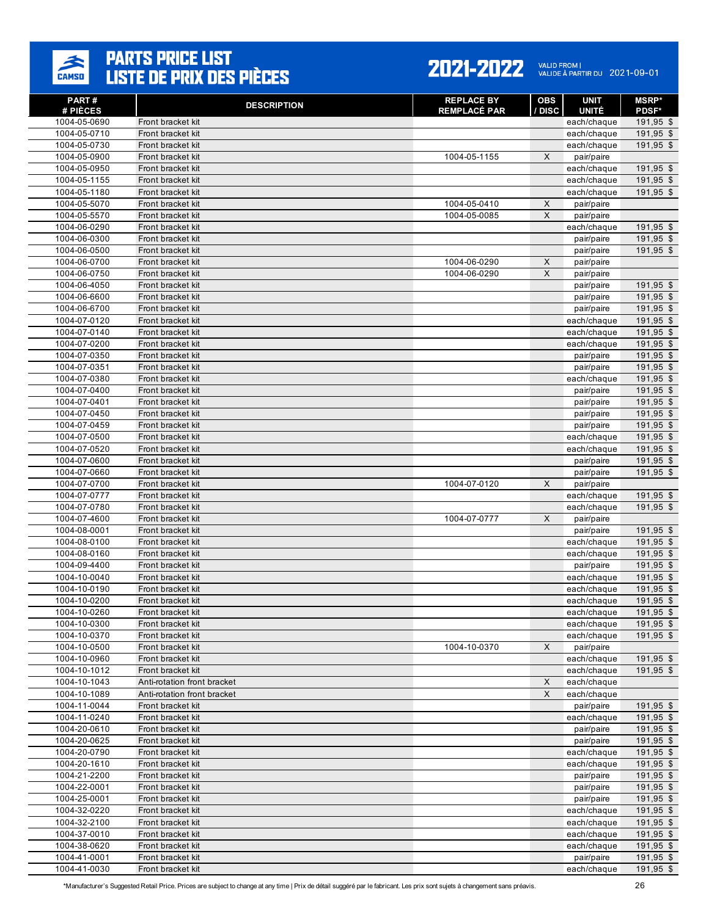

| PART#                        | <b>DESCRIPTION</b>                               | <b>REPLACE BY</b>   | <b>OBS</b>                    | <b>UNIT</b>               | <b>MSRP</b> *          |
|------------------------------|--------------------------------------------------|---------------------|-------------------------------|---------------------------|------------------------|
| # PIÈCES                     |                                                  | <b>REMPLACÉ PAR</b> | / DISC                        | <b>UNITÉ</b>              | <b>PDSF*</b>           |
| 1004-05-0690<br>1004-05-0710 | Front bracket kit<br>Front bracket kit           |                     |                               | each/chaque               | 191,95 \$<br>191,95 \$ |
| 1004-05-0730                 | Front bracket kit                                |                     |                               | each/chaque               | 191,95 \$              |
| 1004-05-0900                 | Front bracket kit                                | 1004-05-1155        | $\mathsf{X}$                  | each/chaque<br>pair/paire |                        |
| 1004-05-0950                 | Front bracket kit                                |                     |                               | each/chaque               | 191,95 \$              |
| 1004-05-1155                 | Front bracket kit                                |                     |                               | each/chaque               | 191,95 \$              |
| 1004-05-1180                 | Front bracket kit                                |                     |                               | each/chaque               | 191,95 \$              |
| 1004-05-5070                 | Front bracket kit                                | 1004-05-0410        | $\mathsf X$                   | pair/paire                |                        |
| 1004-05-5570                 | Front bracket kit                                | 1004-05-0085        | X                             | pair/paire                |                        |
| 1004-06-0290                 | Front bracket kit                                |                     |                               | each/chaque               | 191,95 \$              |
| 1004-06-0300                 | Front bracket kit                                |                     |                               | pair/paire                | 191,95 \$              |
| 1004-06-0500                 | Front bracket kit                                |                     |                               | pair/paire                | 191,95 \$              |
| 1004-06-0700                 | Front bracket kit                                | 1004-06-0290        | X                             | pair/paire                |                        |
| 1004-06-0750                 | Front bracket kit                                | 1004-06-0290        | $\mathsf X$                   | pair/paire                |                        |
| 1004-06-4050                 | Front bracket kit                                |                     |                               | pair/paire                | 191,95 \$              |
| 1004-06-6600                 | Front bracket kit                                |                     |                               | pair/paire                | 191,95 \$              |
| 1004-06-6700                 | Front bracket kit                                |                     |                               | pair/paire                | 191,95 \$              |
| 1004-07-0120                 | Front bracket kit                                |                     |                               | each/chaque               | 191,95 \$              |
| 1004-07-0140                 | Front bracket kit                                |                     |                               | each/chaque               | 191,95 \$              |
| 1004-07-0200                 | Front bracket kit                                |                     |                               | each/chaque               | 191,95 \$              |
| 1004-07-0350                 | Front bracket kit                                |                     |                               | pair/paire                | 191,95 \$              |
| 1004-07-0351                 | Front bracket kit                                |                     |                               | pair/paire                | 191,95 \$              |
| 1004-07-0380                 | Front bracket kit                                |                     |                               | each/chaque               | 191,95 \$              |
| 1004-07-0400                 | Front bracket kit                                |                     |                               | pair/paire                | 191,95 \$              |
| 1004-07-0401                 | Front bracket kit                                |                     |                               | pair/paire                | 191,95 \$              |
| 1004-07-0450                 | Front bracket kit                                |                     |                               | pair/paire                | $191,95$ \$            |
| 1004-07-0459                 | Front bracket kit                                |                     |                               | pair/paire                | 191,95 \$              |
| 1004-07-0500                 | Front bracket kit                                |                     |                               | each/chaque               | 191,95 \$              |
| 1004-07-0520                 | Front bracket kit                                |                     |                               | each/chaque               | 191,95 \$              |
| 1004-07-0600                 | Front bracket kit                                |                     |                               | pair/paire                | 191,95 \$              |
| 1004-07-0660                 | Front bracket kit                                |                     |                               | pair/paire                | 191,95 \$              |
| 1004-07-0700                 | Front bracket kit                                | 1004-07-0120        | X                             | pair/paire                |                        |
| 1004-07-0777                 | Front bracket kit                                |                     |                               | each/chaque               | 191,95 \$              |
| 1004-07-0780                 | Front bracket kit                                |                     |                               | each/chaque               | 191,95 \$              |
| 1004-07-4600                 | Front bracket kit                                | 1004-07-0777        | X                             | pair/paire                |                        |
| 1004-08-0001                 | Front bracket kit                                |                     |                               | pair/paire                | 191,95 \$              |
| 1004-08-0100                 | Front bracket kit                                |                     |                               | each/chaque               | 191,95 \$              |
| 1004-08-0160                 | Front bracket kit                                |                     |                               | each/chaque               | 191,95 \$              |
| 1004-09-4400                 | Front bracket kit                                |                     |                               | pair/paire                | 191,95 \$              |
| 1004-10-0040                 | Front bracket kit                                |                     |                               | each/chaque               | 191,95 \$              |
| 1004-10-0190                 | Front bracket kit                                |                     |                               | each/chaque               | 191,95 \$              |
| 1004-10-0200                 | Front bracket kit                                |                     |                               | each/chaque               | 191,95 \$              |
| 1004-10-0260                 | Front bracket kit                                |                     |                               | each/chaque               | 191,95 \$              |
| 1004-10-0300                 | Front bracket kit                                |                     |                               | each/chaque               | 191,95 \$              |
| 1004-10-0370                 | Front bracket kit                                |                     |                               | each/chaque               | 191,95 \$              |
| 1004-10-0500                 | Front bracket kit                                | 1004-10-0370        | X                             | pair/paire                |                        |
| 1004-10-0960                 | Front bracket kit                                |                     |                               | each/chaque               | 191,95 \$              |
| 1004-10-1012                 | Front bracket kit<br>Anti-rotation front bracket |                     |                               | each/chaque               | 191,95 \$              |
| 1004-10-1043<br>1004-10-1089 |                                                  |                     | $\mathsf X$<br>$\pmb{\times}$ | each/chaque               |                        |
| 1004-11-0044                 | Anti-rotation front bracket<br>Front bracket kit |                     |                               | each/chaque               |                        |
| 1004-11-0240                 | Front bracket kit                                |                     |                               | pair/paire<br>each/chaque | 191,95 \$<br>191,95 \$ |
| 1004-20-0610                 | Front bracket kit                                |                     |                               |                           | 191,95 \$              |
| 1004-20-0625                 | Front bracket kit                                |                     |                               | pair/paire<br>pair/paire  | 191,95 \$              |
| 1004-20-0790                 | Front bracket kit                                |                     |                               | each/chaque               | 191,95 \$              |
| 1004-20-1610                 | Front bracket kit                                |                     |                               | each/chaque               | 191,95 \$              |
| 1004-21-2200                 | Front bracket kit                                |                     |                               | pair/paire                | 191,95 \$              |
| 1004-22-0001                 | Front bracket kit                                |                     |                               | pair/paire                | 191,95 \$              |
| 1004-25-0001                 | Front bracket kit                                |                     |                               | pair/paire                | 191,95 \$              |
| 1004-32-0220                 | Front bracket kit                                |                     |                               | each/chaque               | 191,95 \$              |
| 1004-32-2100                 | Front bracket kit                                |                     |                               | each/chaque               | 191,95 \$              |
| 1004-37-0010                 | Front bracket kit                                |                     |                               | each/chaque               | 191,95 \$              |
| 1004-38-0620                 | Front bracket kit                                |                     |                               | each/chaque               | 191,95 \$              |
| 1004-41-0001                 | Front bracket kit                                |                     |                               | pair/paire                | 191,95 \$              |
| 1004-41-0030                 | Front bracket kit                                |                     |                               | each/chaque               | 191,95 \$              |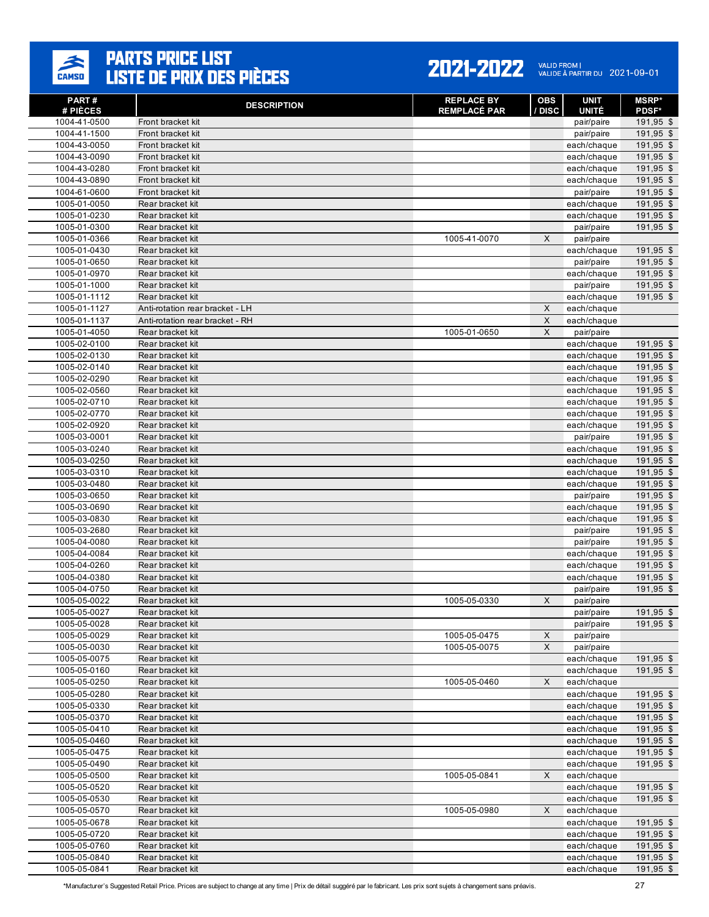

| PART#<br># PIÈCES            | <b>DESCRIPTION</b>                   | <b>REPLACE BY</b><br><b>REMPLACÉ PAR</b> | <b>OBS</b><br>/ DISC | <b>UNIT</b><br><b>UNITÉ</b> | <b>MSRP</b> *<br><b>PDSF*</b> |
|------------------------------|--------------------------------------|------------------------------------------|----------------------|-----------------------------|-------------------------------|
| 1004-41-0500                 | Front bracket kit                    |                                          |                      | pair/paire                  | 191,95 \$                     |
| 1004-41-1500                 | Front bracket kit                    |                                          |                      | pair/paire                  | 191,95 \$                     |
| 1004-43-0050                 | Front bracket kit                    |                                          |                      | each/chaque                 | 191,95 \$                     |
| 1004-43-0090                 | Front bracket kit                    |                                          |                      | each/chaque                 | 191,95 \$                     |
| 1004-43-0280                 | Front bracket kit                    |                                          |                      | each/chaque                 | 191,95 \$                     |
| 1004-43-0890                 | Front bracket kit                    |                                          |                      | each/chaque                 | 191,95 \$                     |
| 1004-61-0600                 | Front bracket kit                    |                                          |                      | pair/paire                  | 191,95 \$                     |
| 1005-01-0050                 | Rear bracket kit                     |                                          |                      | each/chaque                 | 191,95 \$                     |
| 1005-01-0230                 | Rear bracket kit                     |                                          |                      | each/chaque                 | 191,95 \$                     |
| 1005-01-0300                 | Rear bracket kit                     |                                          |                      | pair/paire                  | 191,95 \$                     |
| 1005-01-0366                 | Rear bracket kit                     | 1005-41-0070                             | X                    | pair/paire                  |                               |
| 1005-01-0430<br>1005-01-0650 | Rear bracket kit<br>Rear bracket kit |                                          |                      | each/chaque                 | 191,95 \$<br>$191,95$ \$      |
| 1005-01-0970                 | Rear bracket kit                     |                                          |                      | pair/paire<br>each/chaque   | 191,95 \$                     |
| 1005-01-1000                 | Rear bracket kit                     |                                          |                      | pair/paire                  | 191,95 \$                     |
| 1005-01-1112                 | Rear bracket kit                     |                                          |                      | each/chaque                 | 191,95 \$                     |
| 1005-01-1127                 | Anti-rotation rear bracket - LH      |                                          | X                    | each/chaque                 |                               |
| 1005-01-1137                 | Anti-rotation rear bracket - RH      |                                          | X                    | each/chaque                 |                               |
| 1005-01-4050                 | Rear bracket kit                     | 1005-01-0650                             | X                    | pair/paire                  |                               |
| 1005-02-0100                 | Rear bracket kit                     |                                          |                      | each/chaque                 | 191,95 \$                     |
| 1005-02-0130                 | Rear bracket kit                     |                                          |                      | each/chaque                 | 191,95 \$                     |
| 1005-02-0140                 | Rear bracket kit                     |                                          |                      | each/chaque                 | 191,95 \$                     |
| 1005-02-0290                 | Rear bracket kit                     |                                          |                      | each/chaque                 | 191,95 \$                     |
| 1005-02-0560                 | Rear bracket kit                     |                                          |                      | each/chaque                 | 191,95 \$                     |
| 1005-02-0710                 | Rear bracket kit                     |                                          |                      | each/chaque                 | 191,95 \$                     |
| 1005-02-0770                 | Rear bracket kit                     |                                          |                      | each/chaque                 | 191,95 \$                     |
| 1005-02-0920                 | Rear bracket kit                     |                                          |                      | each/chaque                 | 191,95 \$                     |
| 1005-03-0001                 | Rear bracket kit                     |                                          |                      | pair/paire                  | 191,95 \$                     |
| 1005-03-0240                 | Rear bracket kit                     |                                          |                      | each/chaque                 | $191,95$ \$                   |
| 1005-03-0250<br>1005-03-0310 | Rear bracket kit<br>Rear bracket kit |                                          |                      | each/chaque                 | 191,95 \$<br>191,95 \$        |
| 1005-03-0480                 | Rear bracket kit                     |                                          |                      | each/chaque<br>each/chaque  | 191,95 \$                     |
| 1005-03-0650                 | Rear bracket kit                     |                                          |                      | pair/paire                  | 191,95 \$                     |
| 1005-03-0690                 | Rear bracket kit                     |                                          |                      | each/chaque                 | 191,95 \$                     |
| 1005-03-0830                 | Rear bracket kit                     |                                          |                      | each/chaque                 | $191,95$ \$                   |
| 1005-03-2680                 | Rear bracket kit                     |                                          |                      | pair/paire                  | 191,95 \$                     |
| 1005-04-0080                 | Rear bracket kit                     |                                          |                      | pair/paire                  | 191,95 \$                     |
| 1005-04-0084                 | Rear bracket kit                     |                                          |                      | each/chaque                 | 191,95 \$                     |
| 1005-04-0260                 | Rear bracket kit                     |                                          |                      | each/chaque                 | 191,95 \$                     |
| 1005-04-0380                 | Rear bracket kit                     |                                          |                      | each/chaque                 | 191,95 \$                     |
| 1005-04-0750                 | Rear bracket kit                     |                                          |                      | pair/paire                  | 191,95 \$                     |
| 1005-05-0022                 | Rear bracket kit                     | 1005-05-0330                             | X                    | pair/paire                  |                               |
| 1005-05-0027                 | Rear bracket kit                     |                                          |                      | pair/paire                  | 191,95 \$                     |
| 1005-05-0028                 | Rear bracket kit                     |                                          |                      | pair/paire                  | 191,95 \$                     |
| 1005-05-0029                 | Rear bracket kit                     | 1005-05-0475                             | X<br>$\mathsf X$     | pair/paire                  |                               |
| 1005-05-0030<br>1005-05-0075 | Rear bracket kit<br>Rear bracket kit | 1005-05-0075                             |                      | pair/paire<br>each/chaque   | 191,95 \$                     |
| 1005-05-0160                 | Rear bracket kit                     |                                          |                      | each/chaque                 | 191,95 \$                     |
| 1005-05-0250                 | Rear bracket kit                     | 1005-05-0460                             | X                    | each/chaque                 |                               |
| 1005-05-0280                 | Rear bracket kit                     |                                          |                      | each/chaque                 | 191,95 \$                     |
| 1005-05-0330                 | Rear bracket kit                     |                                          |                      | each/chaque                 | 191,95 \$                     |
| 1005-05-0370                 | Rear bracket kit                     |                                          |                      | each/chaque                 | 191,95 \$                     |
| 1005-05-0410                 | Rear bracket kit                     |                                          |                      | each/chaque                 | 191,95 \$                     |
| 1005-05-0460                 | Rear bracket kit                     |                                          |                      | each/chaque                 | 191,95 \$                     |
| 1005-05-0475                 | Rear bracket kit                     |                                          |                      | each/chaque                 | 191,95 \$                     |
| 1005-05-0490                 | Rear bracket kit                     |                                          |                      | each/chaque                 | 191,95 \$                     |
| 1005-05-0500                 | Rear bracket kit                     | 1005-05-0841                             | X                    | each/chaque                 |                               |
| 1005-05-0520                 | Rear bracket kit                     |                                          |                      | each/chaque                 | 191,95 \$                     |
| 1005-05-0530                 | Rear bracket kit                     |                                          |                      | each/chaque                 | 191,95 \$                     |
| 1005-05-0570                 | Rear bracket kit                     | 1005-05-0980                             | X                    | each/chaque                 |                               |
| 1005-05-0678<br>1005-05-0720 | Rear bracket kit<br>Rear bracket kit |                                          |                      | each/chaque                 | 191,95 \$<br>191,95 \$        |
| 1005-05-0760                 | Rear bracket kit                     |                                          |                      | each/chaque<br>each/chaque  | 191,95 \$                     |
| 1005-05-0840                 | Rear bracket kit                     |                                          |                      | each/chaque                 | 191,95 \$                     |
| 1005-05-0841                 | Rear bracket kit                     |                                          |                      | each/chaque                 | 191,95 \$                     |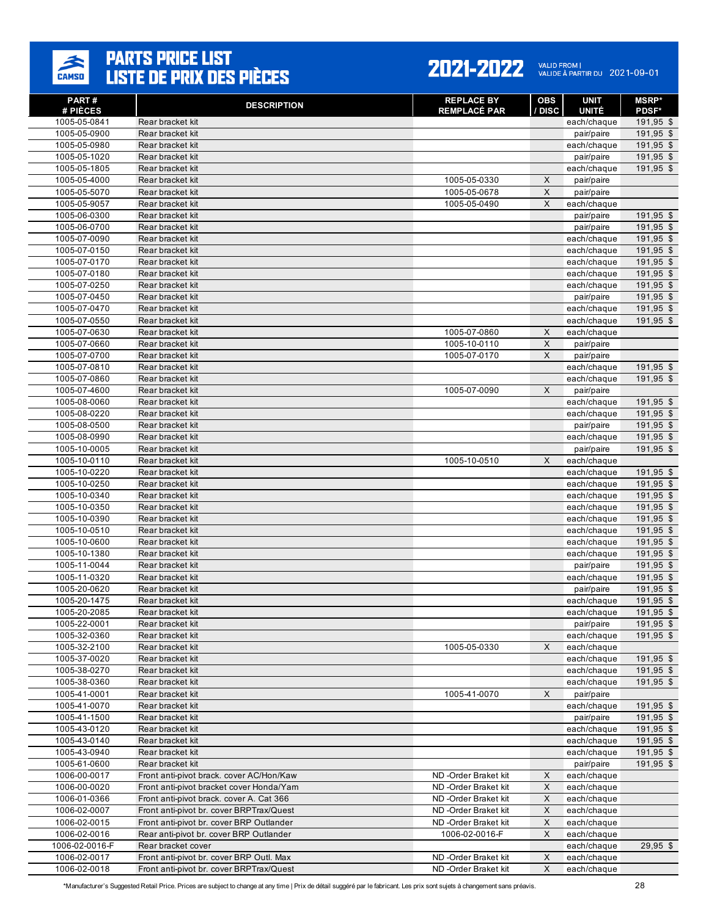

#### 2021-2022 VALID FROM | 2021-09-01

| PART#                        | <b>DESCRIPTION</b>                       | <b>REPLACE BY</b>   | <b>OBS</b>  | <b>UNIT</b>               | <b>MSRP*</b>           |
|------------------------------|------------------------------------------|---------------------|-------------|---------------------------|------------------------|
| # PIÈCES                     |                                          | <b>REMPLACÉ PAR</b> | / DISC      | <b>UNITÉ</b>              | <b>PDSF*</b>           |
| 1005-05-0841<br>1005-05-0900 | Rear bracket kit<br>Rear bracket kit     |                     |             | each/chaque               | 191,95 \$<br>191,95 \$ |
| 1005-05-0980                 | Rear bracket kit                         |                     |             | pair/paire<br>each/chaque | 191,95 \$              |
| 1005-05-1020                 | Rear bracket kit                         |                     |             | pair/paire                | 191,95 \$              |
| 1005-05-1805                 | Rear bracket kit                         |                     |             | each/chaque               | 191,95 \$              |
| 1005-05-4000                 | Rear bracket kit                         | 1005-05-0330        | X           | pair/paire                |                        |
| 1005-05-5070                 | Rear bracket kit                         | 1005-05-0678        | X           | pair/paire                |                        |
| 1005-05-9057                 | Rear bracket kit                         | 1005-05-0490        | X           | each/chaque               |                        |
| 1005-06-0300                 | Rear bracket kit                         |                     |             | pair/paire                | 191,95 \$              |
| 1005-06-0700                 | Rear bracket kit                         |                     |             | pair/paire                | 191,95 \$              |
| 1005-07-0090                 | Rear bracket kit                         |                     |             | each/chaque               | 191,95 \$              |
| 1005-07-0150                 | Rear bracket kit                         |                     |             | each/chaque               | 191,95 \$              |
| 1005-07-0170                 | Rear bracket kit                         |                     |             | each/chaque               | 191,95 \$              |
| 1005-07-0180                 | Rear bracket kit                         |                     |             | each/chaque               | 191,95 \$              |
| 1005-07-0250                 | Rear bracket kit                         |                     |             | each/chaque               | 191,95 \$              |
| 1005-07-0450                 | Rear bracket kit                         |                     |             | pair/paire                | 191,95 \$              |
| 1005-07-0470                 | Rear bracket kit                         |                     |             | each/chaque               | 191,95 \$              |
| 1005-07-0550                 | Rear bracket kit                         |                     |             | each/chaque               | 191,95 \$              |
| 1005-07-0630                 | Rear bracket kit                         | 1005-07-0860        | X           | each/chaque               |                        |
| 1005-07-0660                 | Rear bracket kit                         | 1005-10-0110        | X           | pair/paire                |                        |
| 1005-07-0700                 | Rear bracket kit                         | 1005-07-0170        | X           | pair/paire                |                        |
| 1005-07-0810                 | Rear bracket kit                         |                     |             | each/chaque               | 191,95 \$              |
| 1005-07-0860                 | Rear bracket kit                         |                     |             | each/chaque               | 191,95 \$              |
| 1005-07-4600                 | Rear bracket kit                         | 1005-07-0090        | X           | pair/paire                |                        |
| 1005-08-0060                 | Rear bracket kit                         |                     |             | each/chaque               | 191,95 \$              |
| 1005-08-0220                 | Rear bracket kit                         |                     |             | each/chaque               | 191,95 \$              |
| 1005-08-0500                 | Rear bracket kit                         |                     |             | pair/paire                | 191,95 \$              |
| 1005-08-0990                 | Rear bracket kit                         |                     |             | each/chaque               | 191,95 \$              |
| 1005-10-0005                 | Rear bracket kit                         |                     |             | pair/paire                | 191,95 \$              |
| 1005-10-0110                 | Rear bracket kit                         | 1005-10-0510        | X           | each/chaque               |                        |
| 1005-10-0220                 | Rear bracket kit                         |                     |             | each/chaque               | 191,95 \$              |
| 1005-10-0250                 | Rear bracket kit                         |                     |             | each/chaque               | 191,95 \$              |
| 1005-10-0340                 | Rear bracket kit                         |                     |             | each/chaque               | 191,95 \$              |
| 1005-10-0350                 | Rear bracket kit                         |                     |             | each/chaque               | 191,95 \$              |
| 1005-10-0390                 | Rear bracket kit                         |                     |             | each/chaque               | 191,95 \$              |
| 1005-10-0510                 | Rear bracket kit                         |                     |             | each/chaque               | 191,95 \$              |
| 1005-10-0600                 | Rear bracket kit                         |                     |             | each/chaque               | 191,95 \$              |
| 1005-10-1380                 | Rear bracket kit                         |                     |             | each/chaque               | 191,95 \$              |
| 1005-11-0044                 | Rear bracket kit                         |                     |             | pair/paire                | 191,95 \$              |
| 1005-11-0320                 | Rear bracket kit                         |                     |             | each/chaque               | 191,95 \$              |
| 1005-20-0620                 | Rear bracket kit                         |                     |             | pair/paire                | 191,95 \$              |
| 1005-20-1475                 | Rear bracket kit                         |                     |             | each/chaque               | 191,95 \$              |
| 1005-20-2085                 | Rear bracket kit                         |                     |             | each/chaque               | $191,95$ \$            |
| 1005-22-0001                 | Rear bracket kit                         |                     |             | pair/paire                | 191,95 \$              |
| 1005-32-0360                 | Rear bracket kit                         |                     |             | each/chaque               | 191,95 \$              |
| 1005-32-2100                 | Rear bracket kit                         | 1005-05-0330        | X           | each/chaque               |                        |
| 1005-37-0020                 | Rear bracket kit                         |                     |             | each/chaque               | 191,95 \$              |
| 1005-38-0270                 | Rear bracket kit                         |                     |             | each/chaque               | 191,95 \$              |
| 1005-38-0360                 | Rear bracket kit                         |                     |             | each/chaque               | $191,95$ \$            |
| 1005-41-0001                 | Rear bracket kit                         | 1005-41-0070        | X           | pair/paire                |                        |
| 1005-41-0070                 | Rear bracket kit                         |                     |             | each/chaque               | 191,95 \$              |
| 1005-41-1500                 | Rear bracket kit                         |                     |             | pair/paire                | 191,95 \$              |
| 1005-43-0120                 | Rear bracket kit                         |                     |             | each/chaque               | 191,95 \$              |
| 1005-43-0140                 | Rear bracket kit                         |                     |             | each/chaque               | 191,95 \$              |
| 1005-43-0940                 | Rear bracket kit                         |                     |             | each/chaque               | 191,95 \$              |
| 1005-61-0600                 | Rear bracket kit                         |                     |             | pair/paire                | 191,95 \$              |
| 1006-00-0017                 | Front anti-pivot brack. cover AC/Hon/Kaw | ND-Order Braket kit | X           | each/chaque               |                        |
| 1006-00-0020                 | Front anti-pivot bracket cover Honda/Yam | ND-Order Braket kit | X           | each/chaque               |                        |
| 1006-01-0366                 | Front anti-pivot brack. cover A. Cat 366 | ND-Order Braket kit | X           | each/chaque               |                        |
| 1006-02-0007                 | Front anti-pivot br. cover BRPTrax/Quest | ND-Order Braket kit | X           | each/chaque               |                        |
| 1006-02-0015                 | Front anti-pivot br. cover BRP Outlander | ND-Order Braket kit | X           | each/chaque               |                        |
| 1006-02-0016                 | Rear anti-pivot br. cover BRP Outlander  | 1006-02-0016-F      | X           | each/chaque               |                        |
| 1006-02-0016-F               | Rear bracket cover                       |                     |             | each/chaque               | $29,95$ \$             |
| 1006-02-0017                 | Front anti-pivot br. cover BRP Outl. Max | ND-Order Braket kit | X           | each/chaque               |                        |
| 1006-02-0018                 | Front anti-pivot br. cover BRPTrax/Quest | ND-Order Braket kit | $\mathsf X$ | each/chaque               |                        |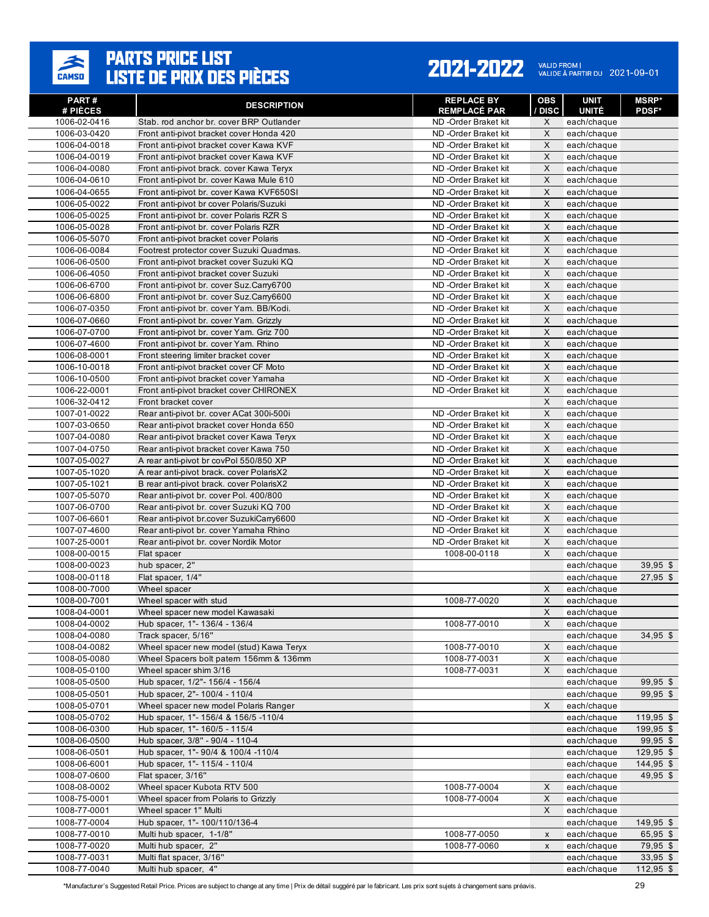

| PART#<br># PIÈCES            | <b>DESCRIPTION</b>                                                                  | <b>REPLACE BY</b><br><b>REMPLACÉ PAR</b>   | <b>OBS</b><br><b>DISC</b> | <b>UNIT</b><br><b>UNITÉ</b> | <b>MSRP*</b><br><b>PDSF*</b> |
|------------------------------|-------------------------------------------------------------------------------------|--------------------------------------------|---------------------------|-----------------------------|------------------------------|
| 1006-02-0416                 | Stab. rod anchor br. cover BRP Outlander                                            | ND-Order Braket kit                        | X                         | each/chaque                 |                              |
| 1006-03-0420                 | Front anti-pivot bracket cover Honda 420                                            | ND-Order Braket kit                        | X                         | each/chaque                 |                              |
| 1006-04-0018                 | Front anti-pivot bracket cover Kawa KVF                                             | ND-Order Braket kit                        | X                         | each/chaque                 |                              |
| 1006-04-0019                 | Front anti-pivot bracket cover Kawa KVF                                             | ND-Order Braket kit                        | X                         | each/chaque                 |                              |
| 1006-04-0080                 | Front anti-pivot brack. cover Kawa Teryx                                            | ND-Order Braket kit                        | X                         | each/chaque                 |                              |
| 1006-04-0610                 | Front anti-pivot br. cover Kawa Mule 610                                            | ND-Order Braket kit                        | X                         | each/chaque                 |                              |
| 1006-04-0655                 | Front anti-pivot br. cover Kawa KVF650SI                                            | ND-Order Braket kit                        | X                         | each/chaque                 |                              |
| 1006-05-0022                 | Front anti-pivot br cover Polaris/Suzuki                                            | ND-Order Braket kit                        | X                         | each/chaque                 |                              |
| 1006-05-0025                 | Front anti-pivot br. cover Polaris RZR S                                            | ND-Order Braket kit                        | X                         | each/chaque                 |                              |
| 1006-05-0028                 | Front anti-pivot br. cover Polaris RZR                                              | ND-Order Braket kit                        | X                         | each/chaque                 |                              |
| 1006-05-5070                 | Front anti-pivot bracket cover Polaris                                              | ND-Order Braket kit                        | X                         | each/chaque                 |                              |
| 1006-06-0084                 | Footrest protector cover Suzuki Quadmas.                                            | ND-Order Braket kit                        | X                         | each/chaque                 |                              |
| 1006-06-0500                 | Front anti-pivot bracket cover Suzuki KQ                                            | ND-Order Braket kit                        | X                         | each/chaque                 |                              |
| 1006-06-4050                 | Front anti-pivot bracket cover Suzuki                                               | ND-Order Braket kit                        | X                         | each/chaque                 |                              |
| 1006-06-6700                 | Front anti-pivot br. cover Suz.Carry6700                                            | ND-Order Braket kit                        | X                         | each/chaque                 |                              |
| 1006-06-6800                 | Front anti-pivot br. cover Suz.Carry6600                                            | ND-Order Braket kit                        | X                         | each/chaque                 |                              |
| 1006-07-0350                 | Front anti-pivot br. cover Yam. BB/Kodi.                                            | ND-Order Braket kit                        | X                         | each/chaque                 |                              |
| 1006-07-0660                 | Front anti-pivot br. cover Yam. Grizzly                                             | ND-Order Braket kit                        | X                         | each/chaque                 |                              |
| 1006-07-0700                 | Front anti-pivot br. cover Yam. Griz 700                                            | ND-Order Braket kit                        | X                         | each/chaque                 |                              |
| 1006-07-4600                 | Front anti-pivot br. cover Yam. Rhino                                               | ND-Order Braket kit                        | X                         | each/chaque                 |                              |
| 1006-08-0001                 | Front steering limiter bracket cover                                                | ND-Order Braket kit                        | X                         | each/chaque                 |                              |
| 1006-10-0018                 | Front anti-pivot bracket cover CF Moto                                              | ND-Order Braket kit                        | X                         | each/chaque                 |                              |
| 1006-10-0500                 | Front anti-pivot bracket cover Yamaha                                               | ND-Order Braket kit                        | X                         | each/chaque                 |                              |
| 1006-22-0001                 | Front anti-pivot bracket cover CHIRONEX                                             | ND-Order Braket kit                        | X                         | each/chaque                 |                              |
| 1006-32-0412                 | Front bracket cover                                                                 |                                            | X                         | each/chaque                 |                              |
| 1007-01-0022                 | Rear anti-pivot br. cover ACat 300i-500i                                            | ND-Order Braket kit                        | X                         | each/chaque                 |                              |
| 1007-03-0650                 | Rear anti-pivot bracket cover Honda 650                                             | ND-Order Braket kit                        | X                         | each/chaque                 |                              |
| 1007-04-0080                 | Rear anti-pivot bracket cover Kawa Teryx                                            | ND-Order Braket kit                        | X                         | each/chaque                 |                              |
| 1007-04-0750                 | Rear anti-pivot bracket cover Kawa 750                                              | ND-Order Braket kit                        | X                         | each/chaque                 |                              |
| 1007-05-0027                 | A rear anti-pivot br covPol 550/850 XP                                              | ND-Order Braket kit                        | X                         | each/chaque                 |                              |
| 1007-05-1020                 | A rear anti-pivot brack. cover PolarisX2                                            | ND-Order Braket kit                        | X                         | each/chaque                 |                              |
| 1007-05-1021                 | B rear anti-pivot brack. cover PolarisX2                                            | ND-Order Braket kit                        | X                         | each/chaque                 |                              |
| 1007-05-5070                 | Rear anti-pivot br. cover Pol. 400/800                                              | ND-Order Braket kit                        | X                         | each/chaque                 |                              |
| 1007-06-0700                 | Rear anti-pivot br. cover Suzuki KQ 700<br>Rear anti-pivot br.cover SuzukiCarry6600 | ND-Order Braket kit                        | X                         | each/chaque                 |                              |
| 1007-06-6601                 |                                                                                     | ND-Order Braket kit                        | X<br>X                    | each/chaque                 |                              |
| 1007-07-4600<br>1007-25-0001 | Rear anti-pivot br. cover Yamaha Rhino<br>Rear anti-pivot br. cover Nordik Motor    | ND-Order Braket kit<br>ND-Order Braket kit | X                         | each/chaque                 |                              |
| 1008-00-0015                 | Flat spacer                                                                         | 1008-00-0118                               | X                         | each/chaque<br>each/chaque  |                              |
| 1008-00-0023                 | hub spacer, 2"                                                                      |                                            |                           | each/chaque                 | $39,95$ \$                   |
| 1008-00-0118                 | Flat spacer, 1/4"                                                                   |                                            |                           | each/chaque                 | $27,95$ \$                   |
| 1008-00-7000                 | Wheel spacer                                                                        |                                            | X                         | each/chaque                 |                              |
| 1008-00-7001                 | Wheel spacer with stud                                                              | 1008-77-0020                               | X                         | each/chaque                 |                              |
| 1008-04-0001                 | Wheel spacer new model Kawasaki                                                     |                                            | $\overline{X}$            | each/chaque                 |                              |
| 1008-04-0002                 | Hub spacer, 1"- 136/4 - 136/4                                                       | 1008-77-0010                               | X                         | each/chaque                 |                              |
| 1008-04-0080                 | Track spacer, 5/16"                                                                 |                                            |                           | each/chaque                 | $34,95$ \$                   |
| 1008-04-0082                 | Wheel spacer new model (stud) Kawa Teryx                                            | 1008-77-0010                               | X                         | each/chaque                 |                              |
| 1008-05-0080                 | Wheel Spacers bolt patern 156mm & 136mm                                             | 1008-77-0031                               | X                         | each/chaque                 |                              |
| 1008-05-0100                 | Wheel spacer shim 3/16                                                              | 1008-77-0031                               | X                         | each/chaque                 |                              |
| 1008-05-0500                 | Hub spacer, 1/2"- 156/4 - 156/4                                                     |                                            |                           | each/chaque                 | $99,95$ \$                   |
| 1008-05-0501                 | Hub spacer, 2"- 100/4 - 110/4                                                       |                                            |                           | each/chaque                 | $99,95$ \$                   |
| 1008-05-0701                 | Wheel spacer new model Polaris Ranger                                               |                                            | X                         | each/chaque                 |                              |
| 1008-05-0702                 | Hub spacer, 1"- 156/4 & 156/5 -110/4                                                |                                            |                           | each/chaque                 | $119,95$ \$                  |
| 1008-06-0300                 | Hub spacer, 1"- 160/5 - 115/4                                                       |                                            |                           | each/chaque                 | 199,95 \$                    |
| 1008-06-0500                 | Hub spacer, 3/8" - 90/4 - 110-4                                                     |                                            |                           | each/chaque                 | $99,95$ \$                   |
| 1008-06-0501                 | Hub spacer, 1"- 90/4 & 100/4 -110/4                                                 |                                            |                           | each/chaque                 | $129,95$ \$                  |
| 1008-06-6001                 | Hub spacer, 1"- 115/4 - 110/4                                                       |                                            |                           | each/chaque                 | 144,95 \$                    |
| 1008-07-0600                 | Flat spacer, 3/16"                                                                  |                                            |                           | each/chaque                 | $49,95$ \$                   |
| 1008-08-0002                 | Wheel spacer Kubota RTV 500                                                         | 1008-77-0004                               | X                         | each/chaque                 |                              |
| 1008-75-0001                 | Wheel spacer from Polaris to Grizzly                                                | 1008-77-0004                               | $\mathsf X$               | each/chaque                 |                              |
| 1008-77-0001                 | Wheel spacer 1" Multi                                                               |                                            | X                         | each/chaque                 |                              |
| 1008-77-0004                 | Hub spacer, 1"- 100/110/136-4                                                       |                                            |                           | each/chaque                 | 149,95 \$                    |
| 1008-77-0010                 | Multi hub spacer, 1-1/8"                                                            | 1008-77-0050                               | x                         | each/chaque                 | 65,95 \$                     |
| 1008-77-0020                 | Multi hub spacer, 2"                                                                | 1008-77-0060                               | X                         | each/chaque                 | 79,95 \$                     |
| 1008-77-0031                 | Multi flat spacer, 3/16"                                                            |                                            |                           | each/chaque                 | $33,95$ \$                   |
| 1008-77-0040                 | Multi hub spacer, 4"                                                                |                                            |                           | each/chaque                 | $112,95$ \$                  |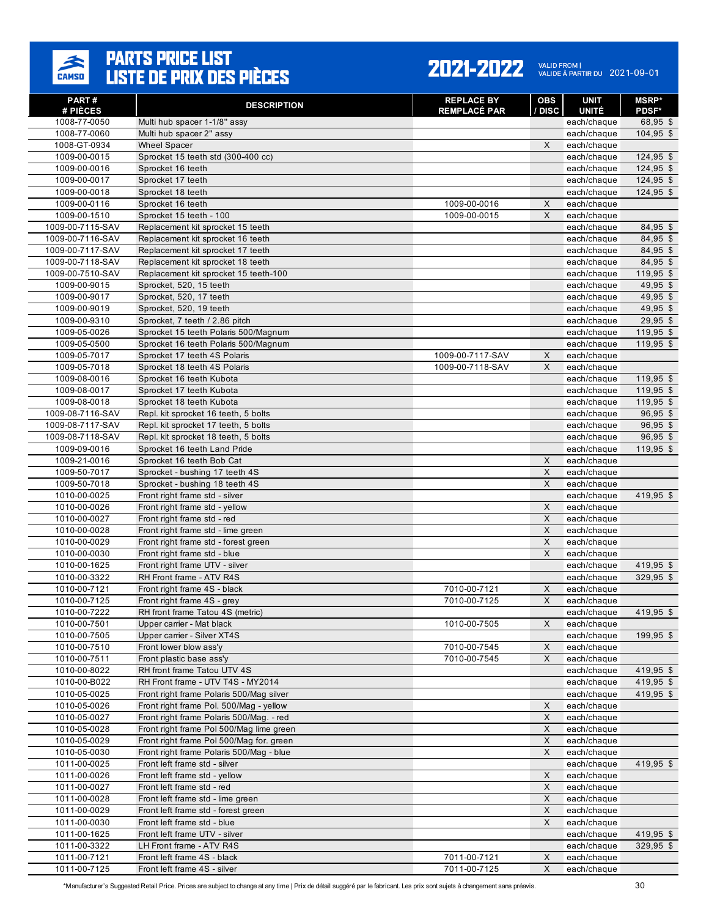

#### 2021-2022 VALID FROM | 2021-09-01

| PART#<br># PIÈCES            | <b>DESCRIPTION</b>                                                   | <b>REPLACE BY</b><br><b>REMPLACÉ PAR</b> | OBS<br>/ DISC       | UNIT<br><b>UNITÉ</b>       | <b>MSRP</b> *<br><b>PDSF*</b> |
|------------------------------|----------------------------------------------------------------------|------------------------------------------|---------------------|----------------------------|-------------------------------|
| 1008-77-0050                 | Multi hub spacer 1-1/8" assy                                         |                                          |                     | each/chaque                | 68,95 \$                      |
| 1008-77-0060                 | Multi hub spacer 2" assy                                             |                                          |                     | each/chaque                | 104,95 \$                     |
| 1008-GT-0934                 | <b>Wheel Spacer</b>                                                  |                                          | X                   | each/chaque                |                               |
| 1009-00-0015                 | Sprocket 15 teeth std (300-400 cc)                                   |                                          |                     | each/chaque                | 124,95 \$                     |
| 1009-00-0016                 | Sprocket 16 teeth                                                    |                                          |                     | each/chaque                | $124,95$ \$                   |
| 1009-00-0017                 | Sprocket 17 teeth                                                    |                                          |                     | each/chaque                | $124,95$ \$                   |
| 1009-00-0018                 | Sprocket 18 teeth                                                    |                                          |                     | each/chaque                | $124,95$ \$                   |
| 1009-00-0116                 | Sprocket 16 teeth                                                    | 1009-00-0016                             | X                   | each/chaque                |                               |
| 1009-00-1510                 | Sprocket 15 teeth - 100                                              | 1009-00-0015                             | X                   | each/chaque                |                               |
| 1009-00-7115-SAV             | Replacement kit sprocket 15 teeth                                    |                                          |                     | each/chaque                | 84,95 \$                      |
| 1009-00-7116-SAV             | Replacement kit sprocket 16 teeth                                    |                                          |                     | each/chaque                | 84,95 \$                      |
| 1009-00-7117-SAV             | Replacement kit sprocket 17 teeth                                    |                                          |                     | each/chaque                | 84,95 \$                      |
| 1009-00-7118-SAV             | Replacement kit sprocket 18 teeth                                    |                                          |                     | each/chaque                | 84,95 \$                      |
| 1009-00-7510-SAV             | Replacement kit sprocket 15 teeth-100                                |                                          |                     | each/chaque                | 119,95 \$                     |
| 1009-00-9015                 | Sprocket, 520, 15 teeth                                              |                                          |                     | each/chaque                | 49,95 \$                      |
| 1009-00-9017                 | Sprocket, 520, 17 teeth                                              |                                          |                     | each/chaque                | 49,95 \$                      |
| 1009-00-9019                 | Sprocket, 520, 19 teeth                                              |                                          |                     | each/chaque                | 49,95 \$                      |
| 1009-00-9310                 | Sprocket, 7 teeth / 2.86 pitch                                       |                                          |                     | each/chaque                | $29,95$ \$                    |
| 1009-05-0026                 | Sprocket 15 teeth Polaris 500/Magnum                                 |                                          |                     | each/chaque                | 119,95 \$                     |
| 1009-05-0500                 | Sprocket 16 teeth Polaris 500/Magnum                                 |                                          |                     | each/chaque                | $119,95$ \$                   |
| 1009-05-7017                 | Sprocket 17 teeth 4S Polaris                                         | 1009-00-7117-SAV                         | $\mathsf X$         | each/chaque                |                               |
| 1009-05-7018                 | Sprocket 18 teeth 4S Polaris                                         | 1009-00-7118-SAV                         | X                   | each/chaque                |                               |
| 1009-08-0016                 | Sprocket 16 teeth Kubota                                             |                                          |                     | each/chaque                | $119,95$ \$                   |
| 1009-08-0017                 | Sprocket 17 teeth Kubota                                             |                                          |                     | each/chaque                | 119,95 \$                     |
| 1009-08-0018                 | Sprocket 18 teeth Kubota                                             |                                          |                     | each/chaque                | 119,95 \$                     |
| 1009-08-7116-SAV             | Repl. kit sprocket 16 teeth, 5 bolts                                 |                                          |                     | each/chaque                | $96,95$ \$                    |
| 1009-08-7117-SAV             | Repl. kit sprocket 17 teeth, 5 bolts                                 |                                          |                     | each/chaque                | $96,95$ \$                    |
| 1009-08-7118-SAV             | Repl. kit sprocket 18 teeth, 5 bolts                                 |                                          |                     | each/chaque                | $96,95$ \$                    |
| 1009-09-0016                 | Sprocket 16 teeth Land Pride                                         |                                          |                     | each/chaque                | 119,95 \$                     |
| 1009-21-0016                 | Sprocket 16 teeth Bob Cat                                            |                                          | X                   | each/chaque                |                               |
| 1009-50-7017                 | Sprocket - bushing 17 teeth 4S                                       |                                          | $\mathsf{X}$        | each/chaque                |                               |
| 1009-50-7018                 | Sprocket - bushing 18 teeth 4S                                       |                                          | X                   | each/chaque                |                               |
| 1010-00-0025                 | Front right frame std - silver                                       |                                          |                     | each/chaque                | 419,95 \$                     |
| 1010-00-0026                 | Front right frame std - yellow                                       |                                          | X                   | each/chaque                |                               |
| 1010-00-0027                 | Front right frame std - red                                          |                                          | X                   | each/chaque                |                               |
| 1010-00-0028                 | Front right frame std - lime green                                   |                                          | X<br>$\pmb{\times}$ | each/chaque                |                               |
| 1010-00-0029                 | Front right frame std - forest green<br>Front right frame std - blue |                                          | $\mathsf{X}$        | each/chaque                |                               |
| 1010-00-0030<br>1010-00-1625 | Front right frame UTV - silver                                       |                                          |                     | each/chaque<br>each/chaque | 419,95 \$                     |
| 1010-00-3322                 | RH Front frame - ATV R4S                                             |                                          |                     | each/chaque                | 329,95 \$                     |
| 1010-00-7121                 | Front right frame 4S - black                                         | 7010-00-7121                             | X                   | each/chaque                |                               |
| 1010-00-7125                 | Front right frame 4S - grey                                          | 7010-00-7125                             | X                   | each/chaque                |                               |
| 1010-00-7222                 | RH front frame Tatou 4S (metric)                                     |                                          |                     | each/chaque                | 419,95 \$                     |
| 1010-00-7501                 | Upper carrier - Mat black                                            | 1010-00-7505                             | X                   | each/chaque                |                               |
| 1010-00-7505                 | Upper carrier - Silver XT4S                                          |                                          |                     | each/chaque                | 199,95 \$                     |
| 1010-00-7510                 | Front lower blow ass'y                                               | 7010-00-7545                             | $\mathsf X$         | each/chaque                |                               |
| 1010-00-7511                 | Front plastic base ass'y                                             | 7010-00-7545                             | X                   | each/chaque                |                               |
| 1010-00-8022                 | RH front frame Tatou UTV 4S                                          |                                          |                     | each/chaque                | 419,95 \$                     |
| 1010-00-B022                 | RH Front frame - UTV T4S - MY2014                                    |                                          |                     | each/chaque                | 419,95 \$                     |
| 1010-05-0025                 | Front right frame Polaris 500/Mag silver                             |                                          |                     | each/chaque                | 419,95 \$                     |
| 1010-05-0026                 | Front right frame Pol. 500/Mag - yellow                              |                                          | X                   | each/chaque                |                               |
| 1010-05-0027                 | Front right frame Polaris 500/Mag. - red                             |                                          | X                   | each/chaque                |                               |
| 1010-05-0028                 | Front right frame Pol 500/Mag lime green                             |                                          | $\mathsf X$         | each/chaque                |                               |
| 1010-05-0029                 | Front right frame Pol 500/Mag for. green                             |                                          | $\mathsf X$         | each/chaque                |                               |
| 1010-05-0030                 | Front right frame Polaris 500/Mag - blue                             |                                          | X                   | each/chaque                |                               |
| 1011-00-0025                 | Front left frame std - silver                                        |                                          |                     | each/chaque                | 419,95 \$                     |
| 1011-00-0026                 | Front left frame std - yellow                                        |                                          | X                   | each/chaque                |                               |
| 1011-00-0027                 | Front left frame std - red                                           |                                          | X                   | each/chaque                |                               |
| 1011-00-0028                 | Front left frame std - lime green                                    |                                          | X                   | each/chaque                |                               |
| 1011-00-0029                 | Front left frame std - forest green                                  |                                          | $\mathsf{X}$        | each/chaque                |                               |
| 1011-00-0030                 | Front left frame std - blue                                          |                                          | X                   | each/chaque                |                               |
| 1011-00-1625                 | Front left frame UTV - silver                                        |                                          |                     | each/chaque                | 419,95 \$                     |
| 1011-00-3322                 | LH Front frame - ATV R4S                                             |                                          |                     | each/chaque                | 329,95 \$                     |
| 1011-00-7121                 | Front left frame 4S - black                                          | 7011-00-7121                             | X                   | each/chaque                |                               |
| 1011-00-7125                 | Front left frame 4S - silver                                         | 7011-00-7125                             | X                   | each/chaque                |                               |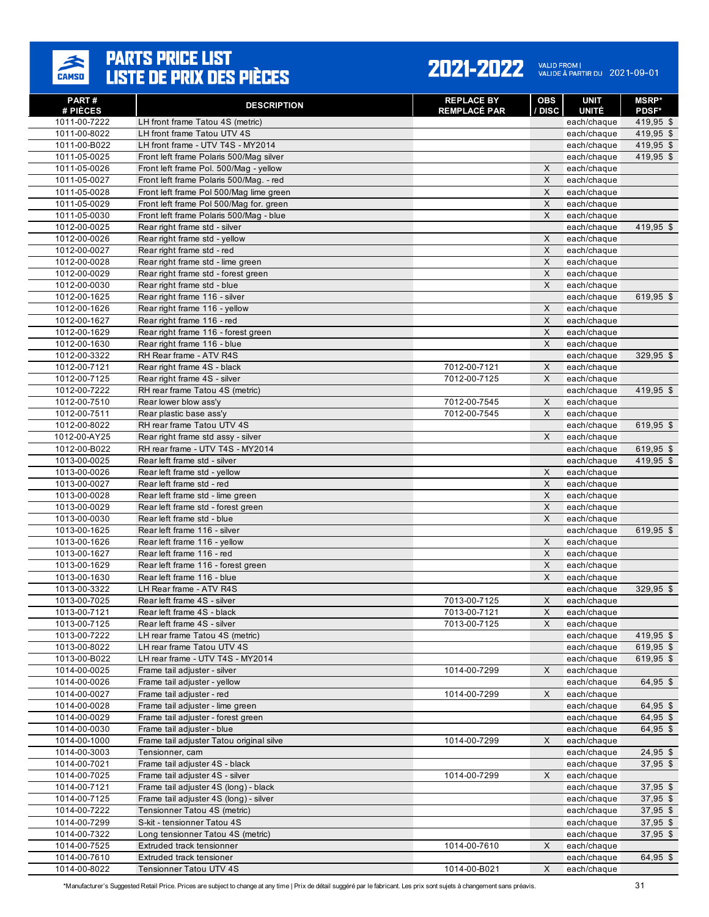

#### 2021-2022 VALID FROM | 2021-09-01

| PART#<br># PIÈCES            | <b>DESCRIPTION</b>                                               | <b>REPLACE BY</b><br><b>REMPLACÉ PAR</b> | <b>OBS</b><br>/ DISC | <b>UNIT</b><br><b>UNITÉ</b> | <b>MSRP*</b><br><b>PDSF*</b> |
|------------------------------|------------------------------------------------------------------|------------------------------------------|----------------------|-----------------------------|------------------------------|
| 1011-00-7222                 | LH front frame Tatou 4S (metric)                                 |                                          |                      | each/chaque                 | $419,95$ \$                  |
| 1011-00-8022                 | LH front frame Tatou UTV 4S                                      |                                          |                      | each/chaque                 | $419,95$ \$                  |
| 1011-00-B022                 | LH front frame - UTV T4S - MY2014                                |                                          |                      | each/chaque                 | 419,95 \$                    |
| 1011-05-0025                 | Front left frame Polaris 500/Mag silver                          |                                          |                      | each/chaque                 | 419,95 \$                    |
| 1011-05-0026                 | Front left frame Pol. 500/Mag - vellow                           |                                          | X                    | each/chaque                 |                              |
| 1011-05-0027                 | Front left frame Polaris 500/Mag. - red                          |                                          | X                    | each/chaque                 |                              |
| 1011-05-0028                 | Front left frame Pol 500/Mag lime green                          |                                          | X                    | each/chaque                 |                              |
| 1011-05-0029                 | Front left frame Pol 500/Mag for. green                          |                                          | X                    | each/chaque                 |                              |
| 1011-05-0030                 | Front left frame Polaris 500/Mag - blue                          |                                          | X                    | each/chaque                 |                              |
| 1012-00-0025                 | Rear right frame std - silver                                    |                                          |                      | each/chaque                 | 419,95 \$                    |
| 1012-00-0026                 | Rear right frame std - yellow                                    |                                          | X                    | each/chaque                 |                              |
| 1012-00-0027                 | Rear right frame std - red                                       |                                          | X                    | each/chaque                 |                              |
| 1012-00-0028                 | Rear right frame std - lime green                                |                                          | X                    | each/chaque                 |                              |
| 1012-00-0029                 | Rear right frame std - forest green                              |                                          | X                    | each/chaque                 |                              |
| 1012-00-0030                 | Rear right frame std - blue                                      |                                          | X                    | each/chaque                 |                              |
| 1012-00-1625                 | Rear right frame 116 - silver                                    |                                          |                      | each/chaque                 | 619,95 \$                    |
| 1012-00-1626                 | Rear right frame 116 - yellow                                    |                                          | X                    | each/chaque                 |                              |
| 1012-00-1627                 | Rear right frame 116 - red                                       |                                          | $\mathsf{X}$         | each/chaque                 |                              |
| 1012-00-1629                 | Rear right frame 116 - forest green                              |                                          | $\pmb{\times}$       | each/chaque                 |                              |
| 1012-00-1630                 | Rear right frame 116 - blue                                      |                                          | X                    | each/chaque                 |                              |
| 1012-00-3322                 | RH Rear frame - ATV R4S                                          |                                          |                      | each/chaque                 | 329,95 \$                    |
| 1012-00-7121                 | Rear right frame 4S - black                                      | 7012-00-7121                             | X                    | each/chaque                 |                              |
| 1012-00-7125                 | Rear right frame 4S - silver                                     | 7012-00-7125                             | X                    | each/chaque                 |                              |
| 1012-00-7222                 | RH rear frame Tatou 4S (metric)                                  |                                          |                      | each/chaque                 | 419,95 \$                    |
| 1012-00-7510                 | Rear lower blow ass'y                                            | 7012-00-7545                             | X                    | each/chaque                 |                              |
| 1012-00-7511                 | Rear plastic base ass'y                                          | 7012-00-7545                             | X                    | each/chaque                 |                              |
| 1012-00-8022                 | RH rear frame Tatou UTV 4S                                       |                                          |                      | each/chaque                 | 619,95 \$                    |
| 1012-00-AY25                 | Rear right frame std assy - silver                               |                                          | X                    | each/chaque                 |                              |
| 1012-00-B022                 | RH rear frame - UTV T4S - MY2014                                 |                                          |                      | each/chaque                 | 619,95 \$                    |
| 1013-00-0025                 | Rear left frame std - silver                                     |                                          |                      | each/chaque                 | 419,95 \$                    |
| 1013-00-0026                 | Rear left frame std - yellow                                     |                                          | X                    | each/chaque                 |                              |
| 1013-00-0027                 | Rear left frame std - red                                        |                                          | $\pmb{\times}$       | each/chaque                 |                              |
| 1013-00-0028                 | Rear left frame std - lime green                                 |                                          | X                    | each/chaque                 |                              |
| 1013-00-0029                 | Rear left frame std - forest green                               |                                          | X                    | each/chaque                 |                              |
| 1013-00-0030                 | Rear left frame std - blue                                       |                                          | X                    | each/chaque                 |                              |
| 1013-00-1625                 | Rear left frame 116 - silver                                     |                                          |                      | each/chaque                 | 619,95 \$                    |
| 1013-00-1626                 | Rear left frame 116 - yellow                                     |                                          | X                    | each/chaque                 |                              |
| 1013-00-1627                 | Rear left frame 116 - red                                        |                                          | X<br>X               | each/chaque                 |                              |
| 1013-00-1629<br>1013-00-1630 | Rear left frame 116 - forest green<br>Rear left frame 116 - blue |                                          | X                    | each/chaque                 |                              |
| 1013-00-3322                 | LH Rear frame - ATV R4S                                          |                                          |                      | each/chaque                 | 329,95 \$                    |
| 1013-00-7025                 | Rear left frame 4S - silver                                      |                                          | X                    | each/chaque<br>each/chaque  |                              |
| 1013-00-7121                 | Rear left frame 4S - black                                       | 7013-00-7125<br>7013-00-7121             | $\mathsf{X}$         | each/chaque                 |                              |
| 1013-00-7125                 | Rear left frame 4S - silver                                      | 7013-00-7125                             | X                    | each/chaque                 |                              |
| 1013-00-7222                 | LH rear frame Tatou 4S (metric)                                  |                                          |                      | each/chaque                 | 419,95 \$                    |
| 1013-00-8022                 | LH rear frame Tatou UTV 4S                                       |                                          |                      | each/chaque                 | 619,95 \$                    |
| 1013-00-B022                 | LH rear frame - UTV T4S - MY2014                                 |                                          |                      | each/chaque                 | 619,95 \$                    |
| 1014-00-0025                 | Frame tail adjuster - silver                                     | 1014-00-7299                             | X                    | each/chaque                 |                              |
| 1014-00-0026                 | Frame tail adjuster - yellow                                     |                                          |                      | each/chaque                 | 64,95 \$                     |
| 1014-00-0027                 | Frame tail adjuster - red                                        | 1014-00-7299                             | X                    | each/chaque                 |                              |
| 1014-00-0028                 | Frame tail adjuster - lime green                                 |                                          |                      | each/chaque                 | 64,95 \$                     |
| 1014-00-0029                 | Frame tail adjuster - forest green                               |                                          |                      | each/chaque                 | 64,95 \$                     |
| 1014-00-0030                 | Frame tail adjuster - blue                                       |                                          |                      | each/chaque                 | 64,95 \$                     |
| 1014-00-1000                 | Frame tail adjuster Tatou original silve                         | 1014-00-7299                             | X                    | each/chaque                 |                              |
| 1014-00-3003                 | Tensionner, cam                                                  |                                          |                      | each/chaque                 | 24,95 \$                     |
| 1014-00-7021                 | Frame tail adjuster 4S - black                                   |                                          |                      | each/chaque                 | $37,95$ \$                   |
| 1014-00-7025                 | Frame tail adjuster 4S - silver                                  | 1014-00-7299                             | X                    | each/chaque                 |                              |
| 1014-00-7121                 | Frame tail adjuster 4S (long) - black                            |                                          |                      | each/chaque                 | 37,95 \$                     |
| 1014-00-7125                 | Frame tail adjuster 4S (long) - silver                           |                                          |                      | each/chaque                 | 37,95 \$                     |
| 1014-00-7222                 | Tensionner Tatou 4S (metric)                                     |                                          |                      | each/chaque                 | $37,95$ \$                   |
| 1014-00-7299                 | S-kit - tensionner Tatou 4S                                      |                                          |                      | each/chaque                 | 37,95 \$                     |
| 1014-00-7322                 | Long tensionner Tatou 4S (metric)                                |                                          |                      | each/chaque                 | 37,95 \$                     |
| 1014-00-7525                 | Extruded track tensionner                                        | 1014-00-7610                             | X                    | each/chaque                 |                              |
| 1014-00-7610                 | Extruded track tensioner                                         |                                          |                      | each/chaque                 | 64,95 \$                     |
| 1014-00-8022                 | Tensionner Tatou UTV 4S                                          | 1014-00-B021                             | X                    | each/chaque                 |                              |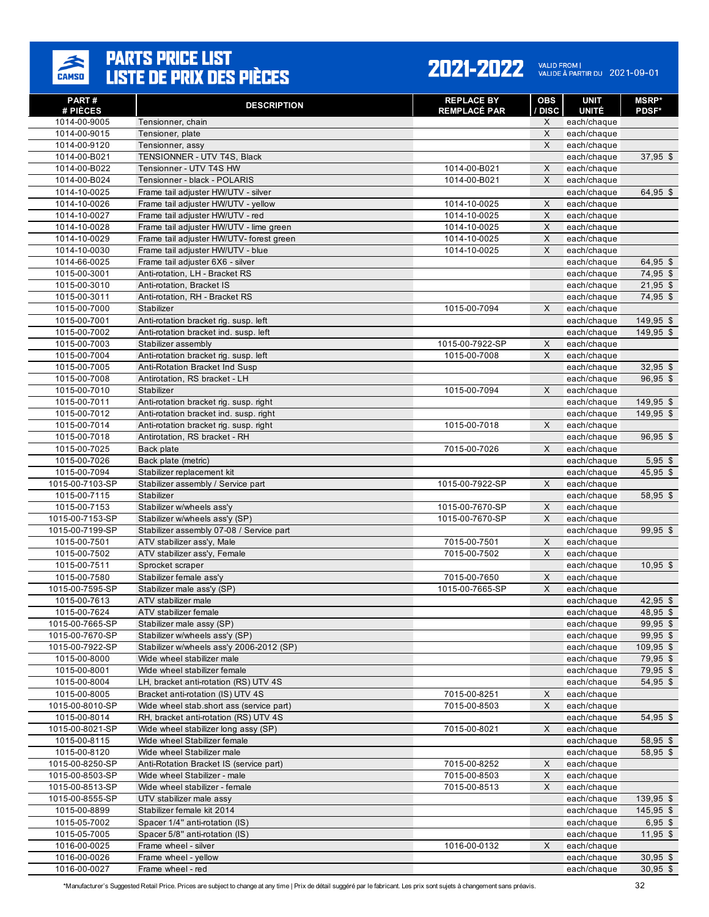

| PART#                    | <b>DESCRIPTION</b>                       | <b>REPLACE BY</b>   | <b>OBS</b>  | <b>UNIT</b>                 | <b>MSRP*</b> |
|--------------------------|------------------------------------------|---------------------|-------------|-----------------------------|--------------|
| # PIÈCES<br>1014-00-9005 | Tensionner, chain                        | <b>REMPLACÉ PAR</b> | / DISC<br>X | <b>UNITÉ</b><br>each/chaque | <b>PDSF*</b> |
| 1014-00-9015             | Tensioner, plate                         |                     | X           | each/chaque                 |              |
| 1014-00-9120             | Tensionner, assy                         |                     | X           | each/chaque                 |              |
| 1014-00-B021             | TENSIONNER - UTV T4S, Black              |                     |             | each/chaque                 | $37,95$ \$   |
| 1014-00-B022             | Tensionner - UTV T4S HW                  | 1014-00-B021        | X           | each/chaque                 |              |
| 1014-00-B024             | Tensionner - black - POLARIS             | 1014-00-B021        | X           | each/chaque                 |              |
| 1014-10-0025             | Frame tail adjuster HW/UTV - silver      |                     |             | each/chaque                 | 64,95 \$     |
| 1014-10-0026             | Frame tail adjuster HW/UTV - yellow      | 1014-10-0025        | X           | each/chaque                 |              |
| 1014-10-0027             | Frame tail adjuster HW/UTV - red         | 1014-10-0025        | X           | each/chaque                 |              |
| 1014-10-0028             | Frame tail adjuster HW/UTV - lime green  | 1014-10-0025        | X           | each/chaque                 |              |
| 1014-10-0029             | Frame tail adjuster HW/UTV- forest green | 1014-10-0025        | X           | each/chaque                 |              |
| 1014-10-0030             | Frame tail adjuster HW/UTV - blue        | 1014-10-0025        | X           | each/chaque                 |              |
| 1014-66-0025             | Frame tail adjuster 6X6 - silver         |                     |             | each/chaque                 | 64,95 \$     |
| 1015-00-3001             | Anti-rotation, LH - Bracket RS           |                     |             | each/chaque                 | 74,95 \$     |
| 1015-00-3010             | Anti-rotation, Bracket IS                |                     |             | each/chaque                 | $21,95$ \$   |
| 1015-00-3011             | Anti-rotation, RH - Bracket RS           |                     |             | each/chaque                 | 74,95 \$     |
| 1015-00-7000             | Stabilizer                               | 1015-00-7094        | X           | each/chaque                 |              |
| 1015-00-7001             | Anti-rotation bracket rig. susp. left    |                     |             | each/chaque                 | 149,95 \$    |
| 1015-00-7002             | Anti-rotation bracket ind. susp. left    |                     |             | each/chaque                 | 149,95 \$    |
| 1015-00-7003             | Stabilizer assembly                      | 1015-00-7922-SP     | X           | each/chaque                 |              |
| 1015-00-7004             | Anti-rotation bracket rig. susp. left    | 1015-00-7008        | X           | each/chaque                 |              |
| 1015-00-7005             | Anti-Rotation Bracket Ind Susp           |                     |             | each/chaque                 | $32,95$ \$   |
| 1015-00-7008             | Antirotation. RS bracket - LH            |                     |             | each/chaque                 | 96,95 \$     |
| 1015-00-7010             | Stabilizer                               | 1015-00-7094        | X           | each/chaque                 |              |
| 1015-00-7011             | Anti-rotation bracket rig. susp. right   |                     |             | each/chaque                 | 149,95 \$    |
| 1015-00-7012             | Anti-rotation bracket ind. susp. right   |                     |             | each/chaque                 | 149,95 \$    |
| 1015-00-7014             | Anti-rotation bracket rig. susp. right   | 1015-00-7018        | X           | each/chaque                 |              |
| 1015-00-7018             | Antirotation, RS bracket - RH            |                     |             | each/chaque                 | $96,95$ \$   |
| 1015-00-7025             | Back plate                               | 7015-00-7026        | X           | each/chaque                 |              |
| 1015-00-7026             | Back plate (metric)                      |                     |             | each/chaque                 | $5,95$ \$    |
| 1015-00-7094             | Stabilizer replacement kit               |                     |             | each/chaque                 | $45,95$ \$   |
| 1015-00-7103-SP          | Stabilizer assembly / Service part       | 1015-00-7922-SP     | $\times$    | each/chaque                 |              |
| 1015-00-7115             | Stabilizer                               |                     |             | each/chaque                 | 58,95 \$     |
| 1015-00-7153             | Stabilizer w/wheels ass'y                | 1015-00-7670-SP     | X           | each/chaque                 |              |
| 1015-00-7153-SP          | Stabilizer w/wheels ass'y (SP)           | 1015-00-7670-SP     | X           | each/chaque                 |              |
| 1015-00-7199-SP          | Stabilizer assembly 07-08 / Service part |                     |             | each/chaque                 | $99,95$ \$   |
| 1015-00-7501             | ATV stabilizer ass'y, Male               | 7015-00-7501        | X           | each/chaque                 |              |
| 1015-00-7502             | ATV stabilizer ass'y, Female             | 7015-00-7502        | X           | each/chaque                 |              |
| 1015-00-7511             | Sprocket scraper                         |                     |             | each/chaque                 | $10,95$ \$   |
| 1015-00-7580             | Stabilizer female ass'y                  | 7015-00-7650        | X           | each/chaque                 |              |
| 1015-00-7595-SP          | Stabilizer male ass'y (SP)               | 1015-00-7665-SP     | X           | each/chaque                 |              |
| 1015-00-7613             | ATV stabilizer male                      |                     |             | each/chaque                 | $42,95$ \$   |
| 1015-00-7624             | ATV stabilizer female                    |                     |             | each/chaque                 | 48,95 \$     |
| 1015-00-7665-SP          | Stabilizer male assy (SP)                |                     |             | each/chaque                 | 99,95 \$     |
| 1015-00-7670-SP          | Stabilizer w/wheels ass'y (SP)           |                     |             | each/chaque                 | 99,95 \$     |
| 1015-00-7922-SP          | Stabilizer w/wheels ass'y 2006-2012 (SP) |                     |             | each/chaque                 | $109,95$ \$  |
| 1015-00-8000             | Wide wheel stabilizer male               |                     |             | each/chaque                 | 79,95 \$     |
| 1015-00-8001             | Wide wheel stabilizer female             |                     |             | each/chaque                 | 79,95 \$     |
| 1015-00-8004             | LH, bracket anti-rotation (RS) UTV 4S    |                     |             | each/chaque                 | 54,95 \$     |
| 1015-00-8005             | Bracket anti-rotation (IS) UTV 4S        | 7015-00-8251        | X           | each/chaque                 |              |
| 1015-00-8010-SP          | Wide wheel stab.short ass (service part) | 7015-00-8503        | X           | each/chaque                 |              |
| 1015-00-8014             | RH, bracket anti-rotation (RS) UTV 4S    |                     |             | each/chaque                 | 54,95 \$     |
| 1015-00-8021-SP          | Wide wheel stabilizer long assy (SP)     | 7015-00-8021        | X           | each/chaque                 |              |
| 1015-00-8115             | Wide wheel Stabilizer female             |                     |             | each/chaque                 | 58,95 \$     |
| 1015-00-8120             | Wide wheel Stabilizer male               |                     |             | each/chaque                 | 58,95 \$     |
| 1015-00-8250-SP          | Anti-Rotation Bracket IS (service part)  | 7015-00-8252        | X           | each/chaque                 |              |
| 1015-00-8503-SP          | Wide wheel Stabilizer - male             | 7015-00-8503        | X           | each/chaque                 |              |
| 1015-00-8513-SP          | Wide wheel stabilizer - female           | 7015-00-8513        | X           | each/chaque                 |              |
| 1015-00-8555-SP          | UTV stabilizer male assy                 |                     |             | each/chaque                 | 139,95 \$    |
| 1015-00-8899             | Stabilizer female kit 2014               |                     |             | each/chaque                 | $145,95$ \$  |
| 1015-05-7002             | Spacer 1/4" anti-rotation (IS)           |                     |             | each/chaque                 | $6,95$ \$    |
| 1015-05-7005             | Spacer 5/8" anti-rotation (IS)           |                     |             | each/chaque                 | $11,95$ \$   |
| 1016-00-0025             | Frame wheel - silver                     | 1016-00-0132        | X           | each/chaque                 |              |
| 1016-00-0026             | Frame wheel - yellow                     |                     |             | each/chaque                 | $30,95$ \$   |
| 1016-00-0027             | Frame wheel - red                        |                     |             | each/chaque                 | $30,95$ \$   |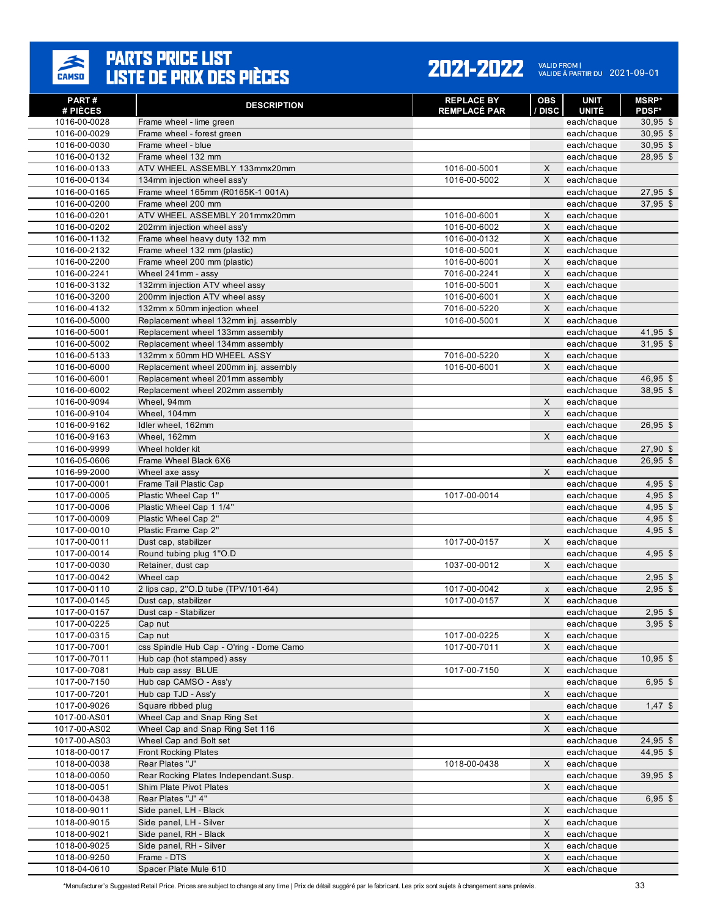

#### 2021-2022 VALID FROM | 2021-09-01

| PART#<br># PIÈCES            | <b>DESCRIPTION</b>                                                        | <b>REPLACE BY</b><br><b>REMPLACÉ PAR</b> | <b>OBS</b><br>/ DISC | <b>UNIT</b><br><b>UNITÉ</b> | <b>MSRP*</b><br><b>PDSF*</b> |
|------------------------------|---------------------------------------------------------------------------|------------------------------------------|----------------------|-----------------------------|------------------------------|
| 1016-00-0028                 | Frame wheel - lime green                                                  |                                          |                      | each/chaque                 | $30,95$ \$                   |
| 1016-00-0029                 | Frame wheel - forest green                                                |                                          |                      | each/chaque                 | $30,95$ \$                   |
| 1016-00-0030                 | Frame wheel - blue                                                        |                                          |                      | each/chaque                 | $30,95$ \$                   |
| 1016-00-0132                 | Frame wheel 132 mm                                                        |                                          |                      | each/chaque                 | $28,95$ \$                   |
| 1016-00-0133                 | ATV WHEEL ASSEMBLY 133mmx20mm                                             | 1016-00-5001                             | X                    | each/chaque                 |                              |
| 1016-00-0134                 | 134mm injection wheel ass'y                                               | 1016-00-5002                             | X                    | each/chaque                 |                              |
| 1016-00-0165                 | Frame wheel 165mm (R0165K-1 001A)                                         |                                          |                      | each/chaque                 | $27,95$ \$                   |
| 1016-00-0200                 | Frame wheel 200 mm                                                        |                                          |                      | each/chaque                 | 37,95 \$                     |
| 1016-00-0201                 | ATV WHEEL ASSEMBLY 201mmx20mm                                             | 1016-00-6001                             | X                    | each/chaque                 |                              |
| 1016-00-0202                 | 202mm injection wheel ass'y                                               | 1016-00-6002                             | X                    | each/chaque                 |                              |
| 1016-00-1132                 | Frame wheel heavy duty 132 mm                                             | 1016-00-0132                             | X                    | each/chaque                 |                              |
| 1016-00-2132                 | Frame wheel 132 mm (plastic)                                              | 1016-00-5001                             | X                    | each/chaque                 |                              |
| 1016-00-2200                 | Frame wheel 200 mm (plastic)                                              | 1016-00-6001                             | X                    | each/chaque                 |                              |
| 1016-00-2241                 | Wheel 241mm - assy                                                        | 7016-00-2241                             | X                    | each/chaque                 |                              |
| 1016-00-3132                 | 132mm injection ATV wheel assy                                            | 1016-00-5001                             | X                    | each/chaque                 |                              |
| 1016-00-3200                 | 200mm injection ATV wheel assy                                            | 1016-00-6001                             | X                    | each/chaque                 |                              |
| 1016-00-4132                 | 132mm x 50mm injection wheel                                              | 7016-00-5220                             | X                    | each/chaque                 |                              |
| 1016-00-5000                 | Replacement wheel 132mm inj. assembly                                     | 1016-00-5001                             | X                    | each/chaque                 |                              |
| 1016-00-5001                 | Replacement wheel 133mm assembly                                          |                                          |                      | each/chaque                 | $41,95$ \$                   |
| 1016-00-5002                 | Replacement wheel 134mm assembly                                          |                                          |                      | each/chaque                 | $31,95$ \$                   |
| 1016-00-5133                 | 132mm x 50mm HD WHEEL ASSY                                                | 7016-00-5220                             | $\mathsf X$          | each/chaque                 |                              |
| 1016-00-6000                 | Replacement wheel 200mm inj. assembly<br>Replacement wheel 201mm assembly | 1016-00-6001                             | X                    | each/chaque                 | 46,95 \$                     |
| 1016-00-6001                 |                                                                           |                                          |                      | each/chaque                 |                              |
| 1016-00-6002<br>1016-00-9094 | Replacement wheel 202mm assembly<br>Wheel, 94mm                           |                                          | X                    | each/chaque<br>each/chaque  | $38,95$ \$                   |
| 1016-00-9104                 | Wheel, 104mm                                                              |                                          | $\mathsf{X}$         | each/chaque                 |                              |
| 1016-00-9162                 | Idler wheel, 162mm                                                        |                                          |                      | each/chaque                 | $26,95$ \$                   |
| 1016-00-9163                 | Wheel, 162mm                                                              |                                          | X                    | each/chaque                 |                              |
| 1016-00-9999                 | Wheel holder kit                                                          |                                          |                      | each/chaque                 | $27,90$ \$                   |
| 1016-05-0606                 | Frame Wheel Black 6X6                                                     |                                          |                      | each/chaque                 | $26,95$ \$                   |
| 1016-99-2000                 | Wheel axe assy                                                            |                                          | X                    | each/chaque                 |                              |
| 1017-00-0001                 | Frame Tail Plastic Cap                                                    |                                          |                      | each/chaque                 | $4,95$ \$                    |
| 1017-00-0005                 | Plastic Wheel Cap 1"                                                      | 1017-00-0014                             |                      | each/chaque                 | $4,95$ \$                    |
| 1017-00-0006                 | Plastic Wheel Cap 1 1/4"                                                  |                                          |                      | each/chaque                 | $4,95$ \$                    |
| 1017-00-0009                 | Plastic Wheel Cap 2"                                                      |                                          |                      | each/chaque                 | $4,95$ \$                    |
| 1017-00-0010                 | Plastic Frame Cap 2"                                                      |                                          |                      | each/chaque                 | $4,95$ \$                    |
| 1017-00-0011                 | Dust cap, stabilizer                                                      | 1017-00-0157                             | X                    | each/chaque                 |                              |
| 1017-00-0014                 | Round tubing plug 1"O.D                                                   |                                          |                      | each/chaque                 | $4,95$ \$                    |
| 1017-00-0030                 | Retainer, dust cap                                                        | 1037-00-0012                             | X                    | each/chaque                 |                              |
| 1017-00-0042                 | Wheel cap                                                                 |                                          |                      | each/chaque                 | $2,95$ \$                    |
| 1017-00-0110                 | 2 lips cap, 2"O.D tube (TPV/101-64)                                       | 1017-00-0042                             | X                    | each/chaque                 | $2,95$ \$                    |
| 1017-00-0145                 | Dust cap, stabilizer                                                      | 1017-00-0157                             | X                    | each/chaque                 |                              |
| 1017-00-0157                 | Dust cap - Stabilizer                                                     |                                          |                      | each/chaque                 | $2,95$ \$                    |
| 1017-00-0225                 | Cap nut                                                                   |                                          |                      | each/chaque                 | $3,95$ \$                    |
| 1017-00-0315                 | Cap nut                                                                   | 1017-00-0225                             | X                    | each/chaque                 |                              |
| 1017-00-7001                 | css Spindle Hub Cap - O'ring - Dome Camo                                  | 1017-00-7011                             | X                    | each/chaque                 |                              |
| 1017-00-7011                 | Hub cap (hot stamped) assy                                                |                                          |                      | each/chaque                 | $10,95$ \$                   |
| 1017-00-7081                 | Hub cap assy BLUE                                                         | 1017-00-7150                             | X                    | each/chaque                 |                              |
| 1017-00-7150                 | Hub cap CAMSO - Ass'y                                                     |                                          |                      | each/chaque                 | $6,95$ \$                    |
| 1017-00-7201                 | Hub cap TJD - Ass'y                                                       |                                          | X                    | each/chaque                 |                              |
| 1017-00-9026                 | Square ribbed plug                                                        |                                          |                      | each/chaque                 | $1,47$ \$                    |
| 1017-00-AS01                 | Wheel Cap and Snap Ring Set                                               |                                          | X                    | each/chaque                 |                              |
| 1017-00-AS02<br>1017-00-AS03 | Wheel Cap and Snap Ring Set 116<br>Wheel Cap and Bolt set                 |                                          | X                    | each/chaque<br>each/chaque  | 24,95 \$                     |
| 1018-00-0017                 | <b>Front Rocking Plates</b>                                               |                                          |                      | each/chaque                 | 44,95 \$                     |
| 1018-00-0038                 | Rear Plates "J"                                                           | 1018-00-0438                             | X                    | each/chaque                 |                              |
| 1018-00-0050                 | Rear Rocking Plates Independant.Susp.                                     |                                          |                      | each/chaque                 | $39,95$ \$                   |
| 1018-00-0051                 | Shim Plate Pivot Plates                                                   |                                          | X                    | each/chaque                 |                              |
| 1018-00-0438                 | Rear Plates "J" 4"                                                        |                                          |                      | each/chaque                 | $6,95$ \$                    |
| 1018-00-9011                 | Side panel, LH - Black                                                    |                                          | X                    | each/chaque                 |                              |
| 1018-00-9015                 | Side panel, LH - Silver                                                   |                                          | X                    | each/chaque                 |                              |
| 1018-00-9021                 | Side panel, RH - Black                                                    |                                          | X                    | each/chaque                 |                              |
| 1018-00-9025                 | Side panel, RH - Silver                                                   |                                          | X                    | each/chaque                 |                              |
| 1018-00-9250                 | Frame - DTS                                                               |                                          | X                    | each/chaque                 |                              |
| 1018-04-0610                 | Spacer Plate Mule 610                                                     |                                          | X                    | each/chaque                 |                              |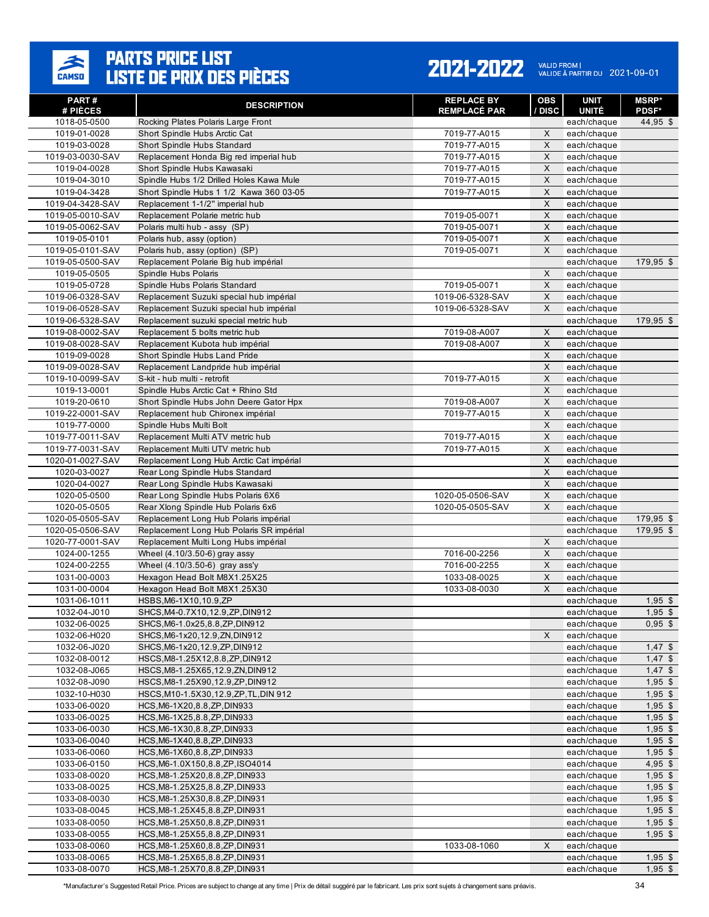

#### 2021-2022 VALID FROM | 2021-09-01

| PART#<br># PIÈCES                    | <b>DESCRIPTION</b>                                                          | <b>REPLACE BY</b><br><b>REMPLACÉ PAR</b> | <b>OBS</b><br>/ DISC | <b>UNIT</b><br><b>UNITÉ</b> | <b>MSRP*</b><br><b>PDSF*</b> |
|--------------------------------------|-----------------------------------------------------------------------------|------------------------------------------|----------------------|-----------------------------|------------------------------|
| 1018-05-0500                         | Rocking Plates Polaris Large Front                                          |                                          |                      | each/chaque                 | 44,95 \$                     |
| 1019-01-0028                         | Short Spindle Hubs Arctic Cat                                               | 7019-77-A015                             | X                    | each/chaque                 |                              |
| 1019-03-0028                         | Short Spindle Hubs Standard                                                 | 7019-77-A015                             | $\mathsf X$          | each/chaque                 |                              |
| 1019-03-0030-SAV                     | Replacement Honda Big red imperial hub                                      | 7019-77-A015                             | X                    | each/chaque                 |                              |
| 1019-04-0028                         | Short Spindle Hubs Kawasaki                                                 | 7019-77-A015                             | X                    | each/chaque                 |                              |
| 1019-04-3010                         | Spindle Hubs 1/2 Drilled Holes Kawa Mule                                    | 7019-77-A015                             | $\mathsf X$          | each/chaque                 |                              |
| 1019-04-3428                         | Short Spindle Hubs 1 1/2 Kawa 360 03-05                                     | 7019-77-A015                             | X                    | each/chaque                 |                              |
| 1019-04-3428-SAV<br>1019-05-0010-SAV | Replacement 1-1/2" imperial hub                                             | 7019-05-0071                             | X<br>X               | each/chaque                 |                              |
| 1019-05-0062-SAV                     | Replacement Polarie metric hub<br>Polaris multi hub - assy (SP)             | 7019-05-0071                             | X                    | each/chaque<br>each/chaque  |                              |
| 1019-05-0101                         | Polaris hub, assy (option)                                                  | 7019-05-0071                             | X                    | each/chaque                 |                              |
| 1019-05-0101-SAV                     | Polaris hub, assy (option) (SP)                                             | 7019-05-0071                             | X                    | each/chaque                 |                              |
| 1019-05-0500-SAV                     | Replacement Polarie Big hub impérial                                        |                                          |                      | each/chaque                 | 179,95 \$                    |
| 1019-05-0505                         | Spindle Hubs Polaris                                                        |                                          | X                    | each/chaque                 |                              |
| 1019-05-0728                         | Spindle Hubs Polaris Standard                                               | 7019-05-0071                             | X                    | each/chaque                 |                              |
| 1019-06-0328-SAV                     | Replacement Suzuki special hub impérial                                     | 1019-06-5328-SAV                         | X                    | each/chaque                 |                              |
| 1019-06-0528-SAV                     | Replacement Suzuki special hub impérial                                     | 1019-06-5328-SAV                         | X                    | each/chaque                 |                              |
| 1019-06-5328-SAV                     | Replacement suzuki special metric hub                                       |                                          |                      | each/chaque                 | 179,95 \$                    |
| 1019-08-0002-SAV                     | Replacement 5 bolts metric hub                                              | 7019-08-A007                             | X                    | each/chaque                 |                              |
| 1019-08-0028-SAV                     | Replacement Kubota hub impérial                                             | 7019-08-A007                             | X                    | each/chaque                 |                              |
| 1019-09-0028                         | Short Spindle Hubs Land Pride                                               |                                          | X                    | each/chaque                 |                              |
| 1019-09-0028-SAV                     | Replacement Landpride hub impérial                                          |                                          | X                    | each/chaque                 |                              |
| 1019-10-0099-SAV                     | S-kit - hub multi - retrofit                                                | 7019-77-A015                             | X                    | each/chaque                 |                              |
| 1019-13-0001                         | Spindle Hubs Arctic Cat + Rhino Std                                         |                                          | X                    | each/chaque                 |                              |
| 1019-20-0610                         | Short Spindle Hubs John Deere Gator Hpx                                     | 7019-08-A007                             | $\mathsf X$          | each/chaque                 |                              |
| 1019-22-0001-SAV                     | Replacement hub Chironex impérial                                           | 7019-77-A015                             | X                    | each/chaque                 |                              |
| 1019-77-0000                         | Spindle Hubs Multi Bolt                                                     |                                          | X                    | each/chaque                 |                              |
| 1019-77-0011-SAV                     | Replacement Multi ATV metric hub                                            | 7019-77-A015                             | $\mathsf X$          | each/chaque                 |                              |
| 1019-77-0031-SAV                     | Replacement Multi UTV metric hub                                            | 7019-77-A015                             | X                    | each/chaque                 |                              |
| 1020-01-0027-SAV<br>1020-03-0027     | Replacement Long Hub Arctic Cat impérial<br>Rear Long Spindle Hubs Standard |                                          | X<br>X               | each/chaque                 |                              |
| 1020-04-0027                         | Rear Long Spindle Hubs Kawasaki                                             |                                          | X                    | each/chaque<br>each/chaque  |                              |
| 1020-05-0500                         | Rear Long Spindle Hubs Polaris 6X6                                          | 1020-05-0506-SAV                         | X                    | each/chaque                 |                              |
| 1020-05-0505                         | Rear Xlong Spindle Hub Polaris 6x6                                          | 1020-05-0505-SAV                         | X                    | each/chaque                 |                              |
| 1020-05-0505-SAV                     | Replacement Long Hub Polaris impérial                                       |                                          |                      | each/chaque                 | $179,95$ \$                  |
| 1020-05-0506-SAV                     | Replacement Long Hub Polaris SR impérial                                    |                                          |                      | each/chaque                 | 179,95 \$                    |
| 1020-77-0001-SAV                     | Replacement Multi Long Hubs impérial                                        |                                          | X                    | each/chaque                 |                              |
| 1024-00-1255                         | Wheel (4.10/3.50-6) gray assy                                               | 7016-00-2256                             | X                    | each/chaque                 |                              |
| 1024-00-2255                         | Wheel (4.10/3.50-6) gray ass'y                                              | 7016-00-2255                             | X                    | each/chaque                 |                              |
| 1031-00-0003                         | Hexagon Head Bolt M8X1.25X25                                                | 1033-08-0025                             | X                    | each/chaque                 |                              |
| 1031-00-0004                         | Hexagon Head Bolt M8X1.25X30                                                | 1033-08-0030                             | $\mathsf X$          | each/chaque                 |                              |
| 1031-06-1011                         | HSBS, M6-1X10, 10.9, ZP                                                     |                                          |                      | each/chaque                 | $1,95$ \$                    |
| 1032-04-J010                         | SHCS, M4-0.7X10, 12.9, ZP, DIN912                                           |                                          |                      | each/chaque                 | $1,95$ \$                    |
| 1032-06-0025                         | SHCS, M6-1.0x25, 8.8, ZP, DIN912                                            |                                          |                      | each/chaque                 | $0,95$ \$                    |
| 1032-06-H020                         | SHCS, M6-1x20, 12.9, ZN, DIN912                                             |                                          | X                    | each/chaque                 |                              |
| 1032-06-J020                         | SHCS, M6-1x20, 12.9, ZP, DIN912                                             |                                          |                      | each/chaque                 | $1,47$ \$                    |
| 1032-08-0012                         | HSCS, M8-1.25X12, 8.8, ZP, DIN912                                           |                                          |                      | each/chaque                 | $1,47$ \$                    |
| 1032-08-J065                         | HSCS, M8-1.25X65, 12.9, ZN, DIN912                                          |                                          |                      | each/chaque                 | $1,47$ \$                    |
| 1032-08-J090                         | HSCS, M8-1.25X90, 12.9, ZP, DIN912                                          |                                          |                      | each/chaque                 | $1,95$ \$                    |
| 1032-10-H030                         | HSCS, M10-1.5X30, 12.9, ZP, TL, DIN 912                                     |                                          |                      | each/chaque                 | $1,95$ \$                    |
| 1033-06-0020                         | HCS, M6-1X20, 8.8, ZP, DIN933<br>HCS, M6-1X25, 8.8, ZP, DIN933              |                                          |                      | each/chaque<br>each/chaque  | $1,95$ \$                    |
| 1033-06-0025                         |                                                                             |                                          |                      |                             | $1,95$ \$                    |
| 1033-06-0030<br>1033-06-0040         | HCS, M6-1X30, 8.8, ZP, DIN933<br>HCS, M6-1X40, 8.8, ZP, DIN933              |                                          |                      | each/chaque<br>each/chaque  | $1,95$ \$<br>$1,95$ \$       |
| 1033-06-0060                         | HCS, M6-1X60, 8.8, ZP, DIN933                                               |                                          |                      | each/chaque                 | $1,95$ \$                    |
| 1033-06-0150                         | HCS, M6-1.0X150, 8.8, ZP, ISO4014                                           |                                          |                      | each/chaque                 | $4,95$ \$                    |
| 1033-08-0020                         | HCS, M8-1.25X20, 8.8, ZP, DIN933                                            |                                          |                      | each/chaque                 | $1,95$ \$                    |
| 1033-08-0025                         | HCS, M8-1.25X25, 8.8, ZP, DIN933                                            |                                          |                      | each/chaque                 | $1,95$ \$                    |
| 1033-08-0030                         | HCS, M8-1.25X30, 8.8, ZP, DIN931                                            |                                          |                      | each/chaque                 | $1,95$ \$                    |
| 1033-08-0045                         | HCS, M8-1.25X45, 8.8, ZP, DIN931                                            |                                          |                      | each/chaque                 | $1,95$ \$                    |
| 1033-08-0050                         | HCS, M8-1.25X50, 8.8, ZP, DIN931                                            |                                          |                      | each/chaque                 | $1,95$ \$                    |
| 1033-08-0055                         | HCS, M8-1.25X55, 8.8, ZP, DIN931                                            |                                          |                      | each/chaque                 | $1,95$ \$                    |
| 1033-08-0060                         | HCS, M8-1.25X60, 8.8, ZP, DIN931                                            | 1033-08-1060                             | X                    | each/chaque                 |                              |
| 1033-08-0065                         | HCS, M8-1.25X65, 8.8, ZP, DIN931                                            |                                          |                      | each/chaque                 | $1,95$ \$                    |
| 1033-08-0070                         | HCS, M8-1.25X70, 8.8, ZP, DIN931                                            |                                          |                      | each/chaque                 | $1,95$ \$                    |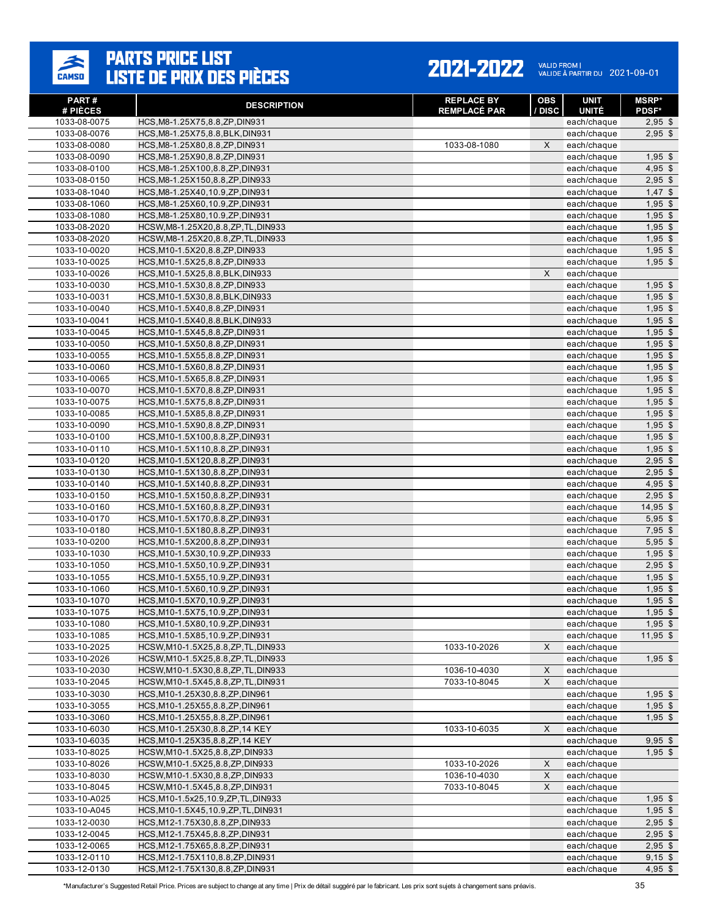### $\sum_{\text{CAMSD}}$

# **PARTS PRICE LIST<br>LISTE DE PRIX DES PIÈCES**

#### 2021-2022 VALID FROM | 2021-09-01

| PART#<br># PIÈCES | <b>DESCRIPTION</b>                    | <b>REPLACE BY</b><br><b>REMPLACÉ PAR</b> | <b>OBS</b><br>/ DISC | UNIT<br><b>UNITÉ</b> | <b>MSRP</b> *<br>PDSF* |
|-------------------|---------------------------------------|------------------------------------------|----------------------|----------------------|------------------------|
| 1033-08-0075      | HCS, M8-1.25X75, 8.8, ZP, DIN931      |                                          |                      | each/chaque          | $2,95$ \$              |
| 1033-08-0076      | HCS, M8-1.25X75, 8.8, BLK, DIN931     |                                          |                      | each/chaque          | $2,95$ \$              |
| 1033-08-0080      | HCS, M8-1.25X80, 8.8, ZP, DIN931      | 1033-08-1080                             | X                    | each/chaque          |                        |
| 1033-08-0090      | HCS, M8-1.25X90, 8.8, ZP, DIN931      |                                          |                      | each/chaque          | $1,95$ \$              |
| 1033-08-0100      | HCS, M8-1.25X100, 8.8, ZP, DIN931     |                                          |                      | each/chaque          | $4,95$ \$              |
| 1033-08-0150      | HCS, M8-1.25X150, 8.8, ZP, DIN933     |                                          |                      | each/chaque          | $2,95$ \$              |
| 1033-08-1040      | HCS, M8-1.25X40, 10.9, ZP, DIN931     |                                          |                      | each/chaque          | $1,47$ \$              |
| 1033-08-1060      | HCS, M8-1.25X60, 10.9, ZP, DIN931     |                                          |                      | each/chaque          | $1,95$ \$              |
| 1033-08-1080      | HCS, M8-1.25X80, 10.9, ZP, DIN931     |                                          |                      | each/chaque          | $1,95$ \$              |
| 1033-08-2020      | HCSW, M8-1.25X20, 8.8, ZP, TL, DIN933 |                                          |                      | each/chaque          | $1,95$ \$              |
| 1033-08-2020      | HCSW, M8-1.25X20, 8.8, ZP, TL, DIN933 |                                          |                      | each/chaque          | $1,95$ \$              |
| 1033-10-0020      | HCS, M10-1.5X20, 8.8, ZP, DIN933      |                                          |                      | each/chaque          | $1,95$ \$              |
| 1033-10-0025      | HCS, M10-1.5X25, 8.8, ZP, DIN933      |                                          |                      | each/chaque          | $1,95$ \$              |
| 1033-10-0026      | HCS, M10-1.5X25, 8.8, BLK, DIN933     |                                          | X                    | each/chaque          |                        |
| 1033-10-0030      | HCS, M10-1.5X30, 8.8, ZP, DIN933      |                                          |                      | each/chaque          | $1,95$ \$              |
| 1033-10-0031      | HCS, M10-1.5X30, 8.8, BLK, DIN933     |                                          |                      | each/chaque          | $1,95$ \$              |
| 1033-10-0040      | HCS, M10-1.5X40, 8.8, ZP, DIN931      |                                          |                      | each/chaque          | $1,95$ \$              |
| 1033-10-0041      | HCS, M10-1.5X40, 8.8, BLK, DIN933     |                                          |                      | each/chaque          | $1,95$ \$              |
| 1033-10-0045      | HCS, M10-1.5X45, 8.8, ZP, DIN931      |                                          |                      | each/chaque          | $1,95$ \$              |
| 1033-10-0050      | HCS, M10-1.5X50, 8.8, ZP, DIN931      |                                          |                      | each/chaque          | $1,95$ \$              |
| 1033-10-0055      | HCS, M10-1.5X55, 8.8, ZP, DIN931      |                                          |                      | each/chaque          | $1,95$ \$              |
| 1033-10-0060      | HCS, M10-1.5X60, 8.8, ZP, DIN931      |                                          |                      | each/chaque          | $1,95$ \$              |
| 1033-10-0065      | HCS, M10-1.5X65, 8.8, ZP, DIN931      |                                          |                      | each/chaque          | $1,95$ \$              |
| 1033-10-0070      | HCS, M10-1.5X70, 8.8, ZP, DIN931      |                                          |                      | each/chaque          | $1,95$ \$              |
| 1033-10-0075      | HCS, M10-1.5X75, 8.8, ZP, DIN931      |                                          |                      | each/chaque          | $1,95$ \$              |
| 1033-10-0085      | HCS, M10-1.5X85, 8.8, ZP, DIN931      |                                          |                      | each/chaque          | $1.95$ \$              |
| 1033-10-0090      | HCS, M10-1.5X90, 8.8, ZP, DIN931      |                                          |                      | each/chaque          | $1,95$ \$              |
| 1033-10-0100      | HCS, M10-1.5X100, 8.8, ZP, DIN931     |                                          |                      | each/chaque          | $1,95$ \$              |
| 1033-10-0110      | HCS, M10-1.5X110, 8.8, ZP, DIN931     |                                          |                      | each/chaque          | $1,95$ \$              |
| 1033-10-0120      | HCS, M10-1.5X120, 8.8, ZP, DIN931     |                                          |                      | each/chaque          | $2,95$ \$              |
| 1033-10-0130      | HCS, M10-1.5X130, 8.8, ZP, DIN931     |                                          |                      | each/chaque          | $2,95$ \$              |
| 1033-10-0140      | HCS, M10-1.5X140, 8.8, ZP, DIN931     |                                          |                      | each/chaque          | $4,95$ \$              |
| 1033-10-0150      | HCS, M10-1.5X150, 8.8, ZP, DIN931     |                                          |                      | each/chaque          | $2,95$ \$              |
| 1033-10-0160      | HCS, M10-1.5X160, 8.8, ZP, DIN931     |                                          |                      | each/chaque          | $14,95$ \$             |
| 1033-10-0170      | HCS, M10-1.5X170, 8.8, ZP, DIN931     |                                          |                      | each/chaque          | $5,95$ \$              |
| 1033-10-0180      | HCS, M10-1.5X180, 8.8, ZP, DIN931     |                                          |                      | each/chaque          | $7,95$ \$              |
| 1033-10-0200      | HCS, M10-1.5X200, 8.8, ZP, DIN931     |                                          |                      | each/chaque          | $5,95$ \$              |
| 1033-10-1030      | HCS, M10-1.5X30, 10.9, ZP, DIN933     |                                          |                      | each/chaque          | $1,95$ \$              |
| 1033-10-1050      | HCS, M10-1.5X50, 10.9, ZP, DIN931     |                                          |                      | each/chaque          | $2,95$ \$              |
| 1033-10-1055      | HCS, M10-1.5X55, 10.9, ZP, DIN931     |                                          |                      | each/chaque          | $1,95$ \$              |
| 1033-10-1060      | HCS, M10-1.5X60, 10.9, ZP, DIN931     |                                          |                      | each/chaque          | $1,95$ \$              |
| 1033-10-1070      | HCS, M10-1.5X70, 10.9, ZP, DIN931     |                                          |                      | each/chaque          | $1,95$ \$              |
| 1033-10-1075      | HCS, M10-1.5X75, 10.9, ZP, DIN931     |                                          |                      | each/chaque          | $1,95$ \$              |
| 1033-10-1080      | HCS, M10-1.5X80, 10.9, ZP, DIN931     |                                          |                      | each/chaque          | $1,95$ \$              |
| 1033-10-1085      | HCS, M10-1.5X85, 10.9, ZP, DIN931     |                                          |                      | each/chaque          | $11,95$ \$             |
| 1033-10-2025      | HCSW, M10-1.5X25, 8.8, ZP, TL, DIN933 | 1033-10-2026                             | X                    | each/chaque          |                        |
| 1033-10-2026      | HCSW, M10-1.5X25, 8.8, ZP, TL, DIN933 |                                          |                      | each/chaque          | $1,95$ \$              |
| 1033-10-2030      | HCSW, M10-1.5X30, 8.8, ZP, TL, DIN933 | 1036-10-4030                             | X                    | each/chaque          |                        |
| 1033-10-2045      | HCSW, M10-1.5X45, 8.8, ZP, TL, DIN931 | 7033-10-8045                             | X                    | each/chaque          |                        |
| 1033-10-3030      | HCS, M10-1.25X30, 8.8, ZP, DIN961     |                                          |                      | each/chaque          | $1,95$ \$              |
| 1033-10-3055      | HCS, M10-1.25X55, 8.8, ZP, DIN961     |                                          |                      | each/chaque          | $1,95$ \$              |
| 1033-10-3060      | HCS, M10-1.25X55, 8.8, ZP, DIN961     |                                          |                      | each/chaque          | $1,95$ \$              |
| 1033-10-6030      | HCS, M10-1.25X30, 8.8, ZP, 14 KEY     | 1033-10-6035                             | X                    | each/chaque          |                        |
| 1033-10-6035      | HCS, M10-1.25X35, 8.8, ZP, 14 KEY     |                                          |                      | each/chaque          | $9,95$ \$              |
| 1033-10-8025      | HCSW, M10-1.5X25, 8.8, ZP, DIN933     |                                          |                      | each/chaque          | $1,95$ \$              |
| 1033-10-8026      | HCSW, M10-1.5X25, 8.8, ZP, DIN933     | 1033-10-2026                             | X                    | each/chaque          |                        |
| 1033-10-8030      | HCSW, M10-1.5X30, 8.8, ZP, DIN933     | 1036-10-4030                             | X                    | each/chaque          |                        |
| 1033-10-8045      | HCSW, M10-1.5X45, 8.8, ZP, DIN931     | 7033-10-8045                             | X                    | each/chaque          |                        |
| 1033-10-A025      | HCS, M10-1.5x25, 10.9, ZP, TL, DIN933 |                                          |                      | each/chaque          | $1,95$ \$              |
| 1033-10-A045      | HCS, M10-1.5X45, 10.9, ZP, TL, DIN931 |                                          |                      | each/chaque          | $1,95$ \$              |
| 1033-12-0030      | HCS, M12-1.75X30, 8.8, ZP, DIN933     |                                          |                      | each/chaque          | $2,95$ \$              |
| 1033-12-0045      | HCS, M12-1.75X45, 8.8, ZP, DIN931     |                                          |                      | each/chaque          | $2,95$ \$              |
| 1033-12-0065      | HCS, M12-1.75X65, 8.8, ZP, DIN931     |                                          |                      | each/chaque          | $2,95$ \$              |
| 1033-12-0110      | HCS, M12-1.75X110, 8.8, ZP, DIN931    |                                          |                      | each/chaque          | $9,15$ \$              |
| 1033-12-0130      | HCS, M12-1.75X130, 8.8, ZP, DIN931    |                                          |                      | each/chaque          | $4,95$ \$              |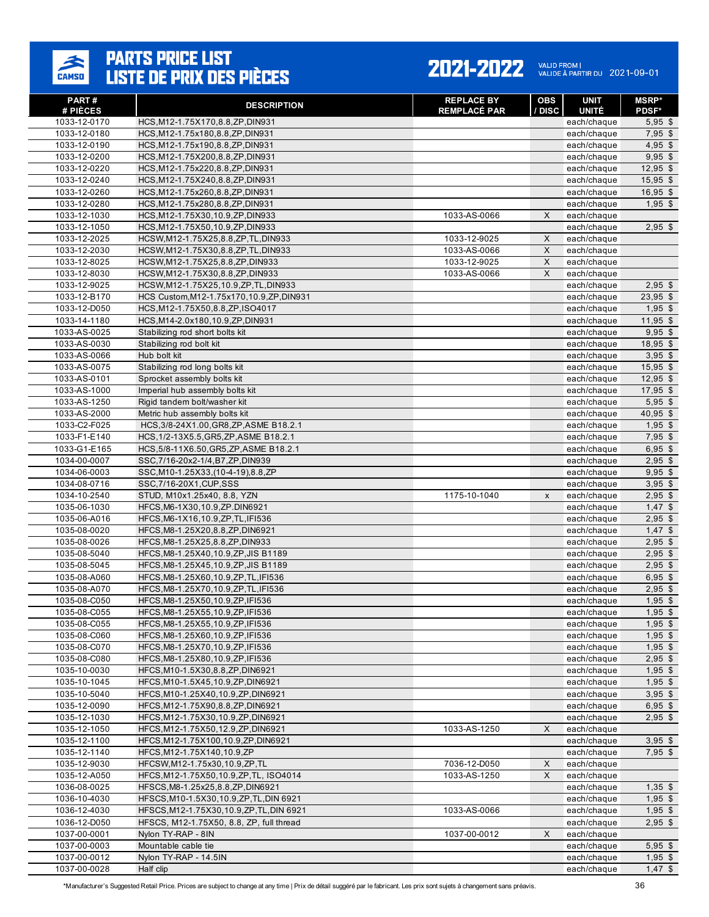### $\sum_{\text{CAMSD}}$

# **PARTS PRICE LIST<br>LISTE DE PRIX DES PIÈCES**

#### 2021-2022 VALID FROM | 2021-09-01

| <b>PART#</b><br># PIÈCES     | <b>DESCRIPTION</b>                                                       | <b>REPLACE BY</b><br><b>REMPLACÉ PAR</b> | <b>OBS</b><br>/ DISC | <b>UNIT</b><br><b>UNITÉ</b> | <b>MSRP*</b><br><b>PDSF*</b> |
|------------------------------|--------------------------------------------------------------------------|------------------------------------------|----------------------|-----------------------------|------------------------------|
| 1033-12-0170                 | HCS, M12-1.75X170, 8.8, ZP, DIN931                                       |                                          |                      | each/chaque                 | $5,95$ \$                    |
| 1033-12-0180                 | HCS, M12-1.75x180, 8.8, ZP, DIN931                                       |                                          |                      | each/chaque                 | $7,95$ \$                    |
| 1033-12-0190                 | HCS, M12-1.75x190, 8.8, ZP, DIN931                                       |                                          |                      | each/chaque                 | $4,95$ \$                    |
| 1033-12-0200                 | HCS, M12-1.75X200, 8.8, ZP, DIN931                                       |                                          |                      | each/chaque                 | $9.95$ \$                    |
| 1033-12-0220                 | HCS, M12-1.75x220, 8.8, ZP, DIN931                                       |                                          |                      | each/chaque                 | $12,95$ \$                   |
| 1033-12-0240                 | HCS, M12-1.75X240, 8.8, ZP, DIN931                                       |                                          |                      | each/chaque                 | $15,95$ \$                   |
| 1033-12-0260                 | HCS, M12-1.75x260, 8.8, ZP, DIN931                                       |                                          |                      | each/chaque                 | $16,95$ \$                   |
| 1033-12-0280                 | HCS, M12-1.75x280, 8.8, ZP, DIN931                                       |                                          |                      | each/chaque                 | $1,95$ \$                    |
| 1033-12-1030                 | HCS, M12-1.75X30, 10.9, ZP, DIN933                                       | 1033-AS-0066                             | X                    | each/chaque                 |                              |
| 1033-12-1050                 | HCS, M12-1.75X50, 10.9, ZP, DIN933                                       |                                          |                      | each/chaque                 | $2,95$ \$                    |
| 1033-12-2025                 | HCSW, M12-1.75X25, 8.8, ZP, TL, DIN933                                   | 1033-12-9025                             | X                    | each/chaque                 |                              |
| 1033-12-2030                 | HCSW, M12-1.75X30, 8.8, ZP, TL, DIN933                                   | 1033-AS-0066                             | X                    | each/chaque                 |                              |
| 1033-12-8025                 | HCSW, M12-1.75X25, 8.8, ZP, DIN933                                       | 1033-12-9025                             | X                    | each/chaque                 |                              |
| 1033-12-8030                 | HCSW, M12-1.75X30, 8.8, ZP, DIN933                                       | 1033-AS-0066                             | X                    | each/chaque                 |                              |
| 1033-12-9025                 | HCSW, M12-1.75X25, 10.9, ZP, TL, DIN933                                  |                                          |                      | each/chaque                 | $2,95$ \$                    |
| 1033-12-B170                 | HCS Custom, M12-1.75x170, 10.9, ZP, DIN931                               |                                          |                      | each/chaque                 | $23,95$ \$                   |
| 1033-12-D050                 | HCS, M12-1.75X50, 8.8, ZP, ISO4017                                       |                                          |                      | each/chaque                 | $1,95$ \$                    |
| 1033-14-1180                 | HCS, M14-2.0x180, 10.9, ZP, DIN931                                       |                                          |                      | each/chaque                 | $11,95$ \$<br>$9.95$ \$      |
| 1033-AS-0025<br>1033-AS-0030 | Stabilizing rod short bolts kit<br>Stabilizing rod bolt kit              |                                          |                      | each/chaque                 | 18,95 \$                     |
| 1033-AS-0066                 | Hub bolt kit                                                             |                                          |                      | each/chaque<br>each/chaque  | $3,95$ \$                    |
| 1033-AS-0075                 | Stabilizing rod long bolts kit                                           |                                          |                      | each/chaque                 | $15,95$ \$                   |
| 1033-AS-0101                 | Sprocket assembly bolts kit                                              |                                          |                      | each/chaque                 | $12,95$ \$                   |
| 1033-AS-1000                 | Imperial hub assembly bolts kit                                          |                                          |                      | each/chaque                 | $17,95$ \$                   |
| 1033-AS-1250                 | Rigid tandem bolt/washer kit                                             |                                          |                      | each/chaque                 | $5,95$ \$                    |
| 1033-AS-2000                 | Metric hub assembly bolts kit                                            |                                          |                      | each/chaque                 | $40,95$ \$                   |
| 1033-C2-F025                 | HCS, 3/8-24X1.00, GR8, ZP, ASME B18.2.1                                  |                                          |                      | each/chaque                 | $1,95$ \$                    |
| 1033-F1-E140                 | HCS, 1/2-13X5.5, GR5, ZP, ASME B18.2.1                                   |                                          |                      | each/chaque                 | $7,95$ \$                    |
| 1033-G1-E165                 | HCS, 5/8-11X6.50, GR5, ZP, ASME B18.2.1                                  |                                          |                      | each/chaque                 | $6,95$ \$                    |
| 1034-00-0007                 | SSC, 7/16-20x2-1/4, B7, ZP, DIN939                                       |                                          |                      | each/chaque                 | $2,95$ \$                    |
| 1034-06-0003                 | SSC, M10-1.25X33, (10-4-19), 8.8, ZP                                     |                                          |                      | each/chaque                 | $9,95$ \$                    |
| 1034-08-0716                 | SSC, 7/16-20X1, CUP, SSS                                                 |                                          |                      | each/chaque                 | $3,95$ \$                    |
| 1034-10-2540                 | STUD, M10x1.25x40, 8.8, YZN                                              | 1175-10-1040                             | $\pmb{\chi}$         | each/chaque                 | $2,95$ \$                    |
| 1035-06-1030                 | HFCS, M6-1X30, 10.9, ZP. DIN6921                                         |                                          |                      | each/chaque                 | $1,47$ \$                    |
| 1035-06-A016                 | HFCS, M6-1X16, 10.9, ZP, TL, IFI536                                      |                                          |                      | each/chaque                 | $2,95$ \$                    |
| 1035-08-0020                 | HFCS, M8-1.25X20, 8.8, ZP, DIN6921                                       |                                          |                      | each/chaque                 | $1,47$ \$                    |
| 1035-08-0026                 | HFCS, M8-1.25X25, 8.8, ZP, DIN933                                        |                                          |                      | each/chaque                 | $2,95$ \$                    |
| 1035-08-5040                 | HFCS, M8-1.25X40, 10.9, ZP, JIS B1189                                    |                                          |                      | each/chaque                 | $2,95$ \$                    |
| 1035-08-5045                 | HFCS, M8-1.25X45, 10.9, ZP, JIS B1189                                    |                                          |                      | each/chaque                 | $2,95$ \$                    |
| 1035-08-A060                 | HFCS, M8-1.25X60, 10.9, ZP, TL, IFI536                                   |                                          |                      | each/chaque                 | $6,95$ \$                    |
| 1035-08-A070                 | HFCS, M8-1.25X70, 10.9, ZP, TL, IFI536                                   |                                          |                      | each/chaque                 | $2,95$ \$                    |
| 1035-08-C050                 | HFCS, M8-1.25X50, 10.9, ZP, IFI536                                       |                                          |                      | each/chaque                 | $1,95$ \$                    |
| 1035-08-C055                 | HFCS, M8-1.25X55, 10.9, ZP, IFI536                                       |                                          |                      | each/chaque                 | $1,95$ \$                    |
| 1035-08-C055<br>1035-08-C060 | HFCS, M8-1.25X55, 10.9, ZP, IFI536<br>HFCS, M8-1.25X60, 10.9, ZP, IFI536 |                                          |                      | each/chaque<br>each/chaque  | $1,95$ \$<br>$1,95$ \$       |
| 1035-08-C070                 | HFCS, M8-1.25X70, 10.9, ZP, IFI536                                       |                                          |                      | each/chaque                 | $1,95$ \$                    |
| 1035-08-C080                 | HFCS, M8-1.25X80, 10.9, ZP, IFI536                                       |                                          |                      | each/chaque                 | $2,95$ \$                    |
| 1035-10-0030                 | HFCS, M10-1.5X30, 8.8, ZP, DIN6921                                       |                                          |                      | each/chaque                 | $1,95$ \$                    |
| 1035-10-1045                 | HFCS, M10-1.5X45, 10.9, ZP, DIN6921                                      |                                          |                      | each/chaque                 | $1,95$ \$                    |
| 1035-10-5040                 | HFCS, M10-1.25X40, 10.9, ZP, DIN6921                                     |                                          |                      | each/chaque                 | $3,95$ \$                    |
| 1035-12-0090                 | HFCS, M12-1.75X90, 8.8, ZP, DIN6921                                      |                                          |                      | each/chaque                 | $6,95$ \$                    |
| 1035-12-1030                 | HFCS, M12-1.75X30, 10.9, ZP, DIN6921                                     |                                          |                      | each/chaque                 | $2,95$ \$                    |
| 1035-12-1050                 | HFCS, M12-1.75X50, 12.9, ZP, DIN6921                                     | 1033-AS-1250                             | X                    | each/chaque                 |                              |
| 1035-12-1100                 | HFCS, M12-1.75X100, 10.9, ZP, DIN6921                                    |                                          |                      | each/chaque                 | $3,95$ \$                    |
| 1035-12-1140                 | HFCS, M12-1.75X140, 10.9, ZP                                             |                                          |                      | each/chaque                 | $7,95$ \$                    |
| 1035-12-9030                 | HFCSW, M12-1.75x30, 10.9, ZP, TL                                         | 7036-12-D050                             | X                    | each/chaque                 |                              |
| 1035-12-A050                 | HFCS, M12-1.75X50, 10.9, ZP, TL, ISO4014                                 | 1033-AS-1250                             | X                    | each/chaque                 |                              |
| 1036-08-0025                 | HFSCS, M8-1.25x25, 8.8, ZP, DIN6921                                      |                                          |                      | each/chaque                 | $1,35$ \$                    |
| 1036-10-4030                 | HFSCS, M10-1.5X30, 10.9, ZP, TL, DIN 6921                                |                                          |                      | each/chaque                 | $1,95$ \$                    |
| 1036-12-4030                 | HFSCS, M12-1.75X30, 10.9, ZP, TL, DIN 6921                               | 1033-AS-0066                             |                      | each/chaque                 | $1,95$ \$                    |
| 1036-12-D050                 | HFSCS, M12-1.75X50, 8.8, ZP, full thread                                 |                                          |                      | each/chaque                 | $2,95$ \$                    |
| 1037-00-0001                 | Nylon TY-RAP - 8IN                                                       | 1037-00-0012                             | X                    | each/chaque                 |                              |
| 1037-00-0003                 | Mountable cable tie                                                      |                                          |                      | each/chaque                 | $5,95$ \$                    |
| 1037-00-0012                 | Nylon TY-RAP - 14.5IN                                                    |                                          |                      | each/chaque                 | $1,95$ \$                    |
| 1037-00-0028                 | Half clip                                                                |                                          |                      | each/chaque                 | $1,47$ \$                    |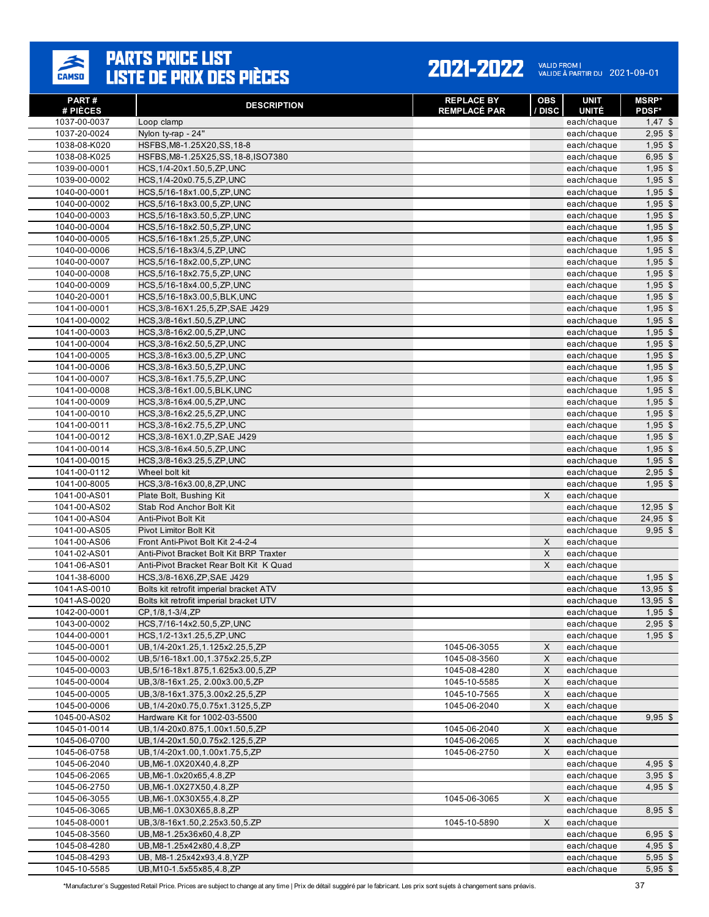

| PART#<br># PIÈCES | <b>DESCRIPTION</b>                      | <b>REPLACE BY</b><br><b>REMPLACÉ PAR</b> | <b>OBS</b><br>/ DISC | <b>UNIT</b><br><b>UNITÉ</b> | <b>MSRP</b> *<br><b>PDSF*</b> |
|-------------------|-----------------------------------------|------------------------------------------|----------------------|-----------------------------|-------------------------------|
| 1037-00-0037      | Loop clamp                              |                                          |                      | each/chaque                 | $1,47$ \$                     |
| 1037-20-0024      | Nylon ty-rap - 24"                      |                                          |                      | each/chaque                 | $2,95$ \$                     |
| 1038-08-K020      | HSFBS, M8-1.25X20, SS, 18-8             |                                          |                      | each/chaque                 | $1,95$ \$                     |
| 1038-08-K025      | HSFBS, M8-1.25X25, SS, 18-8, ISO7380    |                                          |                      | each/chaque                 | $6,95$ \$                     |
| 1039-00-0001      | HCS, 1/4-20x1.50, 5, ZP, UNC            |                                          |                      | each/chaque                 | $1,95$ \$                     |
| 1039-00-0002      | HCS, 1/4-20x0.75, 5, ZP, UNC            |                                          |                      | each/chaque                 | $1,95$ \$                     |
| 1040-00-0001      | HCS, 5/16-18x1.00, 5, ZP, UNC           |                                          |                      | each/chaque                 | $1,95$ \$                     |
| 1040-00-0002      | HCS, 5/16-18x3.00, 5, ZP, UNC           |                                          |                      | each/chaque                 | $1,95$ \$                     |
| 1040-00-0003      | HCS, 5/16-18x3.50, 5, ZP, UNC           |                                          |                      | each/chaque                 | $1,95$ \$                     |
| 1040-00-0004      | HCS, 5/16-18x2.50, 5, ZP, UNC           |                                          |                      | each/chaque                 | $1,95$ \$                     |
| 1040-00-0005      | HCS, 5/16-18x1.25, 5, ZP, UNC           |                                          |                      | each/chaque                 | $1,95$ \$                     |
| 1040-00-0006      | HCS, 5/16-18x3/4, 5, ZP, UNC            |                                          |                      | each/chaque                 | $1,95$ \$                     |
| 1040-00-0007      | HCS, 5/16-18x2.00, 5, ZP, UNC           |                                          |                      | each/chaque                 | $1,95$ \$                     |
| 1040-00-0008      | HCS, 5/16-18x2.75, 5, ZP, UNC           |                                          |                      | each/chaque                 | $1,95$ \$                     |
| 1040-00-0009      | HCS, 5/16-18x4.00, 5, ZP, UNC           |                                          |                      | each/chaque                 | $1,95$ \$                     |
| 1040-20-0001      | HCS, 5/16-18x3.00, 5, BLK, UNC          |                                          |                      | each/chaque                 | $1,95$ \$                     |
| 1041-00-0001      | HCS, 3/8-16X1.25, 5, ZP, SAE J429       |                                          |                      | each/chaque                 | $1,95$ \$                     |
| 1041-00-0002      | HCS, 3/8-16x1.50, 5, ZP, UNC            |                                          |                      | each/chaque                 | $1,95$ \$                     |
| 1041-00-0003      | HCS, 3/8-16x2.00, 5, ZP, UNC            |                                          |                      | each/chaque                 | $1,95$ \$                     |
| 1041-00-0004      | HCS, 3/8-16x2.50, 5, ZP, UNC            |                                          |                      | each/chaque                 | $1,95$ \$                     |
| 1041-00-0005      | HCS, 3/8-16x3.00, 5, ZP, UNC            |                                          |                      | each/chaque                 | $1,95$ \$                     |
| 1041-00-0006      | HCS, 3/8-16x3.50, 5, ZP, UNC            |                                          |                      | each/chaque                 | $1,95$ \$                     |
| 1041-00-0007      | HCS, 3/8-16x1.75, 5, ZP, UNC            |                                          |                      | each/chaque                 | $1,95$ \$                     |
| 1041-00-0008      | HCS, 3/8-16x1.00, 5, BLK, UNC           |                                          |                      | each/chaque                 | $1,95$ \$                     |
| 1041-00-0009      | HCS, 3/8-16x4.00, 5, ZP, UNC            |                                          |                      | each/chaque                 | $1,95$ \$                     |
| 1041-00-0010      | HCS, 3/8-16x2.25, 5, ZP, UNC            |                                          |                      | each/chaque                 | $1,95$ \$                     |
| 1041-00-0011      | HCS, 3/8-16x2.75, 5, ZP, UNC            |                                          |                      | each/chaque                 | $1,95$ \$                     |
| 1041-00-0012      | HCS, 3/8-16X1.0, ZP, SAE J429           |                                          |                      | each/chaque                 | $1,95$ \$                     |
| 1041-00-0014      | HCS, 3/8-16x4.50, 5, ZP, UNC            |                                          |                      | each/chaque                 | $1,95$ \$                     |
| 1041-00-0015      | HCS, 3/8-16x3.25, 5, ZP, UNC            |                                          |                      | each/chaque                 | $1,95$ \$                     |
| 1041-00-0112      | Wheel bolt kit                          |                                          |                      | each/chaque                 | $2,95$ \$                     |
| 1041-00-8005      | HCS, 3/8-16x3.00, 8, ZP, UNC            |                                          |                      | each/chaque                 | $1,95$ \$                     |
| 1041-00-AS01      | Plate Bolt, Bushing Kit                 |                                          | X                    | each/chaque                 |                               |
| 1041-00-AS02      | Stab Rod Anchor Bolt Kit                |                                          |                      | each/chaque                 | 12,95 \$                      |
| 1041-00-AS04      | Anti-Pivot Bolt Kit                     |                                          |                      | each/chaque                 | $24,95$ \$                    |
| 1041-00-AS05      | Pivot Limitor Bolt Kit                  |                                          |                      | each/chaque                 | $9,95$ \$                     |
| 1041-00-AS06      | Front Anti-Pivot Bolt Kit 2-4-2-4       |                                          | $\pmb{\times}$       | each/chaque                 |                               |
| 1041-02-AS01      | Anti-Pivot Bracket Bolt Kit BRP Traxter |                                          | X                    | each/chaque                 |                               |
| 1041-06-AS01      | Anti-Pivot Bracket Rear Bolt Kit K Quad |                                          | X                    | each/chaque                 |                               |
| 1041-38-6000      | HCS, 3/8-16X6, ZP, SAE J429             |                                          |                      | each/chaque                 | $1,95$ \$                     |
| 1041-AS-0010      | Bolts kit retrofit imperial bracket ATV |                                          |                      | each/chaque                 | $13,95$ \$                    |
| 1041-AS-0020      | Bolts kit retrofit imperial bracket UTV |                                          |                      | each/chaque                 | $13,95$ \$                    |
| 1042-00-0001      | CP, 1/8, 1-3/4, ZP                      |                                          |                      | each/chaque                 | $1,95$ \$                     |
| 1043-00-0002      | HCS, 7/16-14x2.50, 5, ZP, UNC           |                                          |                      | each/chaque                 | $2,95$ \$                     |
| 1044-00-0001      | HCS, 1/2-13x1.25, 5, ZP, UNC            |                                          |                      | each/chaque                 | $1,95$ \$                     |
| 1045-00-0001      | UB, 1/4-20x1.25, 1.125x2.25, 5, ZP      | 1045-06-3055                             | X                    | each/chaque                 |                               |
| 1045-00-0002      | UB, 5/16-18x1.00, 1.375x2.25, 5, ZP     | 1045-08-3560                             | $\mathsf X$          | each/chaque                 |                               |
| 1045-00-0003      | UB, 5/16-18x1.875, 1.625x3.00, 5, ZP    | 1045-08-4280                             | X                    | each/chaque                 |                               |
| 1045-00-0004      | UB, 3/8-16x1.25, 2.00x3.00, 5, ZP       | 1045-10-5585                             | X                    | each/chaque                 |                               |
| 1045-00-0005      | UB, 3/8-16x1.375, 3.00x2.25, 5, ZP      | 1045-10-7565                             | $\mathsf X$          | each/chaque                 |                               |
| 1045-00-0006      | UB, 1/4-20x0.75, 0.75x1.3125, 5, ZP     | 1045-06-2040                             | X                    | each/chaque                 |                               |
| 1045-00-AS02      | Hardware Kit for 1002-03-5500           |                                          |                      | each/chaque                 | $9,95$ \$                     |
| 1045-01-0014      | UB, 1/4-20x0.875, 1.00x1.50, 5, ZP      | 1045-06-2040                             | X                    | each/chaque                 |                               |
| 1045-06-0700      | UB, 1/4-20x1.50, 0.75x2.125, 5, ZP      | 1045-06-2065                             | $\mathsf X$          | each/chaque                 |                               |
| 1045-06-0758      | UB, 1/4-20x1.00, 1.00x1.75, 5, ZP       | 1045-06-2750                             | X                    | each/chaque                 |                               |
| 1045-06-2040      | UB, M6-1.0X20X40, 4.8, ZP               |                                          |                      | each/chaque                 | $4,95$ \$                     |
| 1045-06-2065      | UB, M6-1.0x20x65, 4.8, ZP               |                                          |                      | each/chaque                 | $3,95$ \$                     |
| 1045-06-2750      | UB, M6-1.0X27X50, 4.8, ZP               |                                          |                      | each/chaque                 | $4,95$ \$                     |
| 1045-06-3055      | UB, M6-1.0X30X55, 4.8, ZP               | 1045-06-3065                             | X                    | each/chaque                 |                               |
| 1045-06-3065      | UB, M6-1.0X30X65, 8.8, ZP               |                                          |                      | each/chaque                 | 8,95 \$                       |
| 1045-08-0001      | UB, 3/8-16x1.50, 2.25x3.50, 5.ZP        | 1045-10-5890                             | X                    | each/chaque                 |                               |
| 1045-08-3560      | UB, M8-1.25x36x60, 4.8, ZP              |                                          |                      | each/chaque                 | $6,95$ \$                     |
| 1045-08-4280      | UB, M8-1.25x42x80, 4.8, ZP              |                                          |                      | each/chaque                 | $4,95$ \$                     |
| 1045-08-4293      | UB, M8-1.25x42x93,4.8, YZP              |                                          |                      | each/chaque                 | $5,95$ \$                     |
| 1045-10-5585      | UB, M10-1.5x55x85, 4.8, ZP              |                                          |                      | each/chaque                 | $5,95$ \$                     |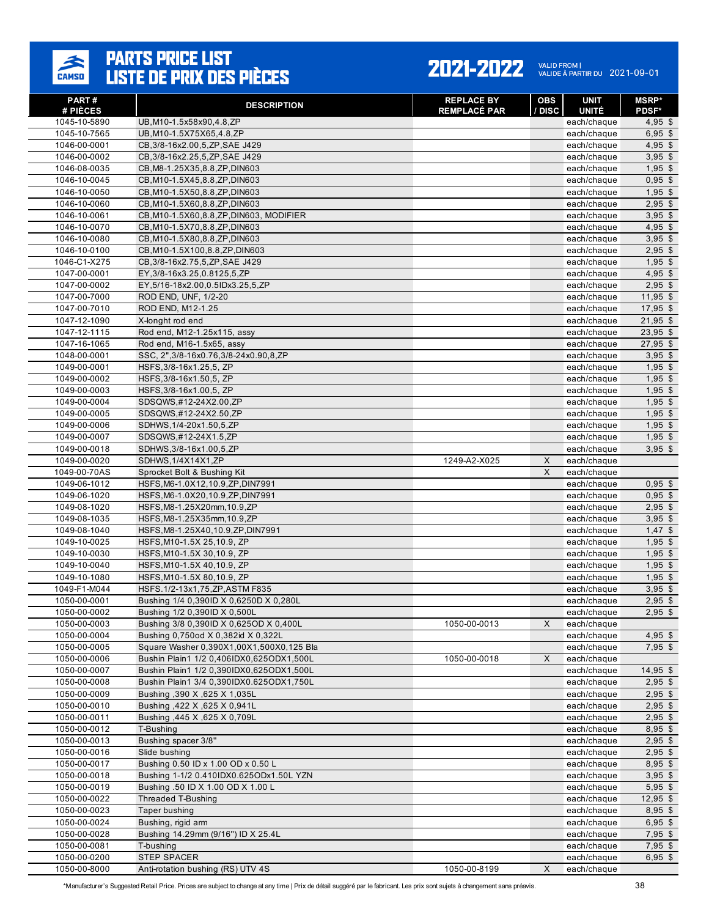### $\frac{1}{\text{CAMSD}}$

# **PARTS PRICE LIST<br>LISTE DE PRIX DES PIÈCES**

#### 2021-2022 VALID FROM | 2021-09-01

| PART#<br># PIÈCES            | <b>DESCRIPTION</b>                                                                   | <b>REPLACE BY</b><br><b>REMPLACÉ PAR</b> | <b>OBS</b><br>/ DISC | <b>UNIT</b><br><b>UNITÉ</b> | <b>MSRP*</b><br><b>PDSF*</b> |
|------------------------------|--------------------------------------------------------------------------------------|------------------------------------------|----------------------|-----------------------------|------------------------------|
| 1045-10-5890                 | UB, M10-1.5x58x90, 4.8, ZP                                                           |                                          |                      | each/chaque                 | $4,95$ \$                    |
| 1045-10-7565                 | UB, M10-1.5X75X65, 4.8, ZP                                                           |                                          |                      | each/chaque                 | $6,95$ \$                    |
| 1046-00-0001                 | CB, 3/8-16x2.00, 5, ZP, SAE J429                                                     |                                          |                      | each/chaque                 | $4,95$ \$                    |
| 1046-00-0002                 | CB, 3/8-16x2.25, 5, ZP, SAE J429                                                     |                                          |                      | each/chaque                 | $3,95$ \$                    |
| 1046-08-0035                 | CB, M8-1.25X35, 8.8, ZP, DIN603                                                      |                                          |                      | each/chaque                 | $1,95$ \$                    |
| 1046-10-0045                 | CB, M10-1.5X45, 8.8, ZP, DIN603                                                      |                                          |                      | each/chaque                 | $0,95$ \$                    |
| 1046-10-0050                 | CB, M10-1.5X50, 8.8, ZP, DIN603                                                      |                                          |                      | each/chaque                 | $1,95$ \$                    |
| 1046-10-0060                 | CB, M10-1.5X60, 8.8, ZP, DIN603                                                      |                                          |                      | each/chaque                 | $2,95$ \$                    |
| 1046-10-0061                 | CB, M10-1.5X60, 8.8, ZP, DIN603, MODIFIER                                            |                                          |                      | each/chaque                 | $3,95$ \$                    |
| 1046-10-0070                 | CB, M10-1.5X70, 8.8, ZP, DIN603                                                      |                                          |                      | each/chaque                 | $4,95$ \$                    |
| 1046-10-0080                 | CB, M10-1.5X80, 8.8, ZP, DIN603                                                      |                                          |                      | each/chaque                 | $3,95$ \$                    |
| 1046-10-0100                 | CB, M10-1.5X100, 8.8, ZP, DIN603                                                     |                                          |                      | each/chaque                 | $2,95$ \$                    |
| 1046-C1-X275                 | CB, 3/8-16x2.75, 5, ZP, SAE J429                                                     |                                          |                      | each/chaque                 | $1,95$ \$                    |
| 1047-00-0001                 | EY, 3/8-16x3.25, 0.8125, 5, ZP                                                       |                                          |                      | each/chaque                 | $4,95$ \$                    |
| 1047-00-0002                 | EY, 5/16-18x2.00, 0.5IDx3.25, 5, ZP                                                  |                                          |                      | each/chaque                 | $2,95$ \$                    |
| 1047-00-7000                 | ROD END, UNF, 1/2-20                                                                 |                                          |                      | each/chaque                 | $11,95$ \$                   |
| 1047-00-7010                 | ROD END, M12-1.25                                                                    |                                          |                      | each/chaque                 | $17,95$ \$                   |
| 1047-12-1090                 | X-longht rod end                                                                     |                                          |                      | each/chaque                 | $21,95$ \$                   |
| 1047-12-1115                 | Rod end, M12-1.25x115, assy                                                          |                                          |                      | each/chaque                 | $23,95$ \$                   |
| 1047-16-1065                 | Rod end, M16-1.5x65, assy                                                            |                                          |                      | each/chaque                 | $27,95$ \$                   |
| 1048-00-0001<br>1049-00-0001 | SSC, 2", 3/8-16x0.76, 3/8-24x0.90, 8, ZP<br>HSFS.3/8-16x1.25.5. ZP                   |                                          |                      | each/chaque<br>each/chaque  | $3,95$ \$<br>$1,95$ \$       |
| 1049-00-0002                 | HSFS, 3/8-16x1.50, 5, ZP                                                             |                                          |                      | each/chaque                 | $1,95$ \$                    |
| 1049-00-0003                 | HSFS, 3/8-16x1.00, 5, ZP                                                             |                                          |                      | each/chaque                 | $1,95$ \$                    |
| 1049-00-0004                 | SDSQWS,#12-24X2.00,ZP                                                                |                                          |                      | each/chaque                 | $1,95$ \$                    |
| 1049-00-0005                 | SDSQWS,#12-24X2.50,ZP                                                                |                                          |                      | each/chaque                 | $1,95$ \$                    |
| 1049-00-0006                 | SDHWS, 1/4-20x1.50, 5, ZP                                                            |                                          |                      | each/chaque                 | $1,95$ \$                    |
| 1049-00-0007                 | SDSQWS,#12-24X1.5,ZP                                                                 |                                          |                      | each/chaque                 | $1,95$ \$                    |
| 1049-00-0018                 | SDHWS, 3/8-16x1.00, 5, ZP                                                            |                                          |                      | each/chaque                 | $3,95$ \$                    |
| 1049-00-0020                 | SDHWS, 1/4X14X1, ZP                                                                  | 1249-A2-X025                             | X                    | each/chaque                 |                              |
| 1049-00-70AS                 | Sprocket Bolt & Bushing Kit                                                          |                                          | X                    | each/chaque                 |                              |
| 1049-06-1012                 | HSFS, M6-1.0X12, 10.9, ZP, DIN7991                                                   |                                          |                      | each/chaque                 | $0,95$ \$                    |
| 1049-06-1020                 | HSFS, M6-1.0X20, 10.9, ZP, DIN7991                                                   |                                          |                      | each/chaque                 | $0,95$ \$                    |
| 1049-08-1020                 | HSFS, M8-1.25X20mm, 10.9, ZP                                                         |                                          |                      | each/chaque                 | $2,95$ \$                    |
| 1049-08-1035                 | HSFS, M8-1.25X35mm, 10.9, ZP                                                         |                                          |                      | each/chaque                 | $3,95$ \$                    |
| 1049-08-1040                 | HSFS, M8-1.25X40, 10.9, ZP, DIN7991                                                  |                                          |                      | each/chaque                 | $1,47$ \$                    |
| 1049-10-0025                 | HSFS, M10-1.5X 25, 10.9, ZP                                                          |                                          |                      | each/chaque                 | $1,95$ \$                    |
| 1049-10-0030                 | HSFS, M10-1.5X 30, 10.9, ZP                                                          |                                          |                      | each/chaque                 | $1,95$ \$                    |
| 1049-10-0040                 | HSFS, M10-1.5X 40, 10.9, ZP                                                          |                                          |                      | each/chaque                 | $1,95$ \$                    |
| 1049-10-1080                 | HSFS, M10-1.5X 80, 10.9, ZP                                                          |                                          |                      | each/chaque                 | $1,95$ \$                    |
| 1049-F1-M044                 | HSFS.1/2-13x1,75,ZP,ASTM F835                                                        |                                          |                      | each/chaque                 | $3,95$ \$                    |
| 1050-00-0001                 | Bushing 1/4 0,390ID X 0,6250D X 0,280L                                               |                                          |                      | each/chaque                 | $2.95$ \$                    |
| 1050-00-0002                 | Bushing 1/2 0,390ID X 0,500L                                                         |                                          |                      | each/chaque                 | $2.95$ \$                    |
| 1050-00-0003                 | Bushing 3/8 0,390ID X 0,625OD X 0,400L                                               | 1050-00-0013                             | X                    | each/chaque                 |                              |
| 1050-00-0004                 | Bushing 0,750od X 0,382id X 0,322L                                                   |                                          |                      | each/chaque                 | $4,95$ \$                    |
| 1050-00-0005<br>1050-00-0006 | Square Washer 0,390X1,00X1,500X0,125 Bla<br>Bushin Plain1 1/2 0,406IDX0,625ODX1,500L | 1050-00-0018                             | X                    | each/chaque<br>each/chaque  | $7,95$ \$                    |
|                              |                                                                                      |                                          |                      |                             |                              |
| 1050-00-0007<br>1050-00-0008 | Bushin Plain1 1/2 0,390IDX0,625ODX1,500L<br>Bushin Plain1 3/4 0,390IDX0.625ODX1,750L |                                          |                      | each/chaque<br>each/chaque  | $14,95$ \$<br>$2,95$ \$      |
| 1050-00-0009                 | Bushing , 390 X , 625 X 1, 035L                                                      |                                          |                      | each/chaque                 | $2,95$ \$                    |
| 1050-00-0010                 | Bushing ,422 X ,625 X 0,941L                                                         |                                          |                      | each/chaque                 | $2,95$ \$                    |
| 1050-00-0011                 | Bushing ,445 X ,625 X 0,709L                                                         |                                          |                      | each/chaque                 | $2,95$ \$                    |
| 1050-00-0012                 | T-Bushing                                                                            |                                          |                      | each/chaque                 | $8,95$ \$                    |
| 1050-00-0013                 | Bushing spacer 3/8"                                                                  |                                          |                      | each/chaque                 | $2,95$ \$                    |
| 1050-00-0016                 | Slide bushing                                                                        |                                          |                      | each/chaque                 | $2,95$ \$                    |
| 1050-00-0017                 | Bushing 0.50 ID x 1.00 OD x 0.50 L                                                   |                                          |                      | each/chaque                 | $8,95$ \$                    |
| 1050-00-0018                 | Bushing 1-1/2 0.410IDX0.625ODx1.50L YZN                                              |                                          |                      | each/chaque                 | $3,95$ \$                    |
| 1050-00-0019                 | Bushing .50 ID X 1.00 OD X 1.00 L                                                    |                                          |                      | each/chaque                 | $5,95$ \$                    |
| 1050-00-0022                 | <b>Threaded T-Bushing</b>                                                            |                                          |                      | each/chaque                 | $12,95$ \$                   |
| 1050-00-0023                 | Taper bushing                                                                        |                                          |                      | each/chaque                 | $8,95$ \$                    |
| 1050-00-0024                 | Bushing, rigid arm                                                                   |                                          |                      | each/chaque                 | $6,95$ \$                    |
| 1050-00-0028                 | Bushing 14.29mm (9/16") ID X 25.4L                                                   |                                          |                      | each/chaque                 | $7,95$ \$                    |
| 1050-00-0081                 | T-bushing                                                                            |                                          |                      | each/chaque                 | $7,95$ \$                    |
| 1050-00-0200                 | <b>STEP SPACER</b>                                                                   |                                          |                      | each/chaque                 | $6,95$ \$                    |
| 1050-00-8000                 | Anti-rotation bushing (RS) UTV 4S                                                    | 1050-00-8199                             | X                    | each/chaque                 |                              |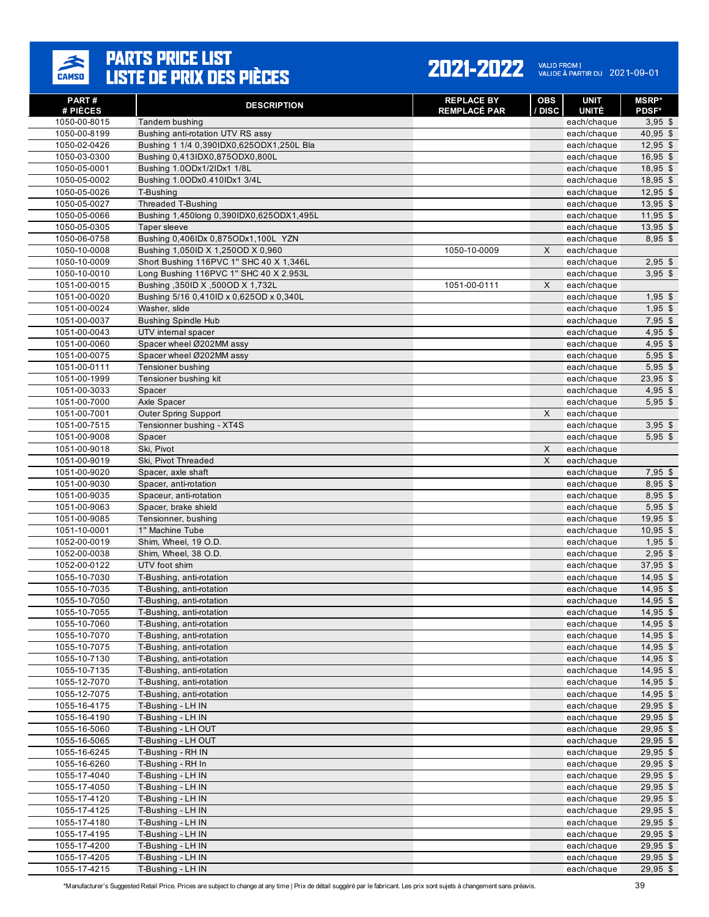

| PART#<br># PIÈCES            | <b>DESCRIPTION</b>                                                             | <b>REPLACE BY</b><br><b>REMPLACÉ PAR</b> | <b>OBS</b><br>/ DISC | <b>UNIT</b><br><b>UNITÉ</b> | <b>MSRP*</b><br><b>PDSF*</b> |
|------------------------------|--------------------------------------------------------------------------------|------------------------------------------|----------------------|-----------------------------|------------------------------|
| 1050-00-8015                 | Tandem bushing                                                                 |                                          |                      | each/chaque                 | $3,95$ \$                    |
| 1050-00-8199                 | Bushing anti-rotation UTV RS assy                                              |                                          |                      | each/chaque                 | $40,95$ \$                   |
| 1050-02-0426                 | Bushing 1 1/4 0,390IDX0,625ODX1,250L Bla                                       |                                          |                      | each/chaque                 | $12,95$ \$                   |
| 1050-03-0300                 | Bushing 0,413IDX0,875ODX0,800L                                                 |                                          |                      | each/chaque                 | $16.95$ \$                   |
| 1050-05-0001                 | Bushing 1.0ODx1/2IDx1 1/8L                                                     |                                          |                      | each/chaque                 | $18,95$ \$                   |
| 1050-05-0002                 | Bushing 1.0ODx0.410IDx1 3/4L                                                   |                                          |                      | each/chaque                 | $18,95$ \$                   |
| 1050-05-0026                 | T-Bushing                                                                      |                                          |                      | each/chaque                 | $12,95$ \$                   |
| 1050-05-0027                 | <b>Threaded T-Bushing</b>                                                      |                                          |                      | each/chaque                 | $13,95$ \$                   |
| 1050-05-0066                 | Bushing 1,450long 0,390IDX0,625ODX1,495L                                       |                                          |                      | each/chaque                 | $11,95$ \$                   |
| 1050-05-0305                 | Taper sleeve                                                                   |                                          |                      | each/chaque                 | $13,95$ \$                   |
| 1050-06-0758                 | Bushing 0,406IDx 0,875ODx1,100L YZN                                            |                                          |                      | each/chaque                 | 8.95 \$                      |
| 1050-10-0008                 | Bushing 1,050ID X 1,250OD X 0,960                                              | 1050-10-0009                             | X                    | each/chaque                 |                              |
| 1050-10-0009                 | Short Bushing 116PVC 1" SHC 40 X 1,346L                                        |                                          |                      | each/chaque                 | $2,95$ \$                    |
| 1050-10-0010                 | Long Bushing 116PVC 1" SHC 40 X 2.953L                                         |                                          |                      | each/chaque                 | $3,95$ \$                    |
| 1051-00-0015<br>1051-00-0020 | Bushing , 350ID X , 500OD X 1, 732L<br>Bushing 5/16 0,410ID x 0,625OD x 0,340L | 1051-00-0111                             | X                    | each/chaque                 |                              |
| 1051-00-0024                 | Washer, slide                                                                  |                                          |                      | each/chaque<br>each/chaque  | $1,95$ \$<br>$1,95$ \$       |
| 1051-00-0037                 | <b>Bushing Spindle Hub</b>                                                     |                                          |                      | each/chaque                 | $7,95$ \$                    |
| 1051-00-0043                 | UTV internal spacer                                                            |                                          |                      | each/chaque                 | $4,95$ \$                    |
| 1051-00-0060                 | Spacer wheel Ø202MM assy                                                       |                                          |                      | each/chaque                 | $4,95$ \$                    |
| 1051-00-0075                 | Spacer wheel Ø202MM assv                                                       |                                          |                      | each/chaque                 | $5,95$ \$                    |
| 1051-00-0111                 | Tensioner bushing                                                              |                                          |                      | each/chaque                 | $5,95$ \$                    |
| 1051-00-1999                 | Tensioner bushing kit                                                          |                                          |                      | each/chaque                 | $23,95$ \$                   |
| 1051-00-3033                 | Spacer                                                                         |                                          |                      | each/chaque                 | $4,95$ \$                    |
| 1051-00-7000                 | Axle Spacer                                                                    |                                          |                      | each/chaque                 | $5,95$ \$                    |
| 1051-00-7001                 | <b>Outer Spring Support</b>                                                    |                                          | X                    | each/chaque                 |                              |
| 1051-00-7515                 | Tensionner bushing - XT4S                                                      |                                          |                      | each/chaque                 | $3,95$ \$                    |
| 1051-00-9008                 | Spacer                                                                         |                                          |                      | each/chaque                 | $5,95$ \$                    |
| 1051-00-9018                 | Ski, Pivot                                                                     |                                          | X                    | each/chaque                 |                              |
| 1051-00-9019                 | Ski, Pivot Threaded                                                            |                                          | X                    | each/chaque                 |                              |
| 1051-00-9020                 | Spacer, axle shaft                                                             |                                          |                      | each/chaque                 | $7,95$ \$                    |
| 1051-00-9030                 | Spacer, anti-rotation                                                          |                                          |                      | each/chaque                 | $8,95$ \$                    |
| 1051-00-9035                 | Spaceur, anti-rotation                                                         |                                          |                      | each/chaque                 | $8,95$ \$                    |
| 1051-00-9063                 | Spacer, brake shield                                                           |                                          |                      | each/chaque                 | $5,95$ \$                    |
| 1051-00-9085<br>1051-10-0001 | Tensionner, bushing<br>1" Machine Tube                                         |                                          |                      | each/chaque<br>each/chaque  | $19,95$ \$<br>$10,95$ \$     |
| 1052-00-0019                 | Shim, Wheel, 19 O.D.                                                           |                                          |                      | each/chaque                 | $1,95$ \$                    |
| 1052-00-0038                 | Shim, Wheel, 38 O.D.                                                           |                                          |                      | each/chaque                 | $2,95$ \$                    |
| 1052-00-0122                 | UTV foot shim                                                                  |                                          |                      | each/chaque                 | $37,95$ \$                   |
| 1055-10-7030                 | T-Bushing, anti-rotation                                                       |                                          |                      | each/chaque                 | $14,95$ \$                   |
| 1055-10-7035                 | T-Bushing, anti-rotation                                                       |                                          |                      | each/chaque                 | $14,95$ \$                   |
| 1055-10-7050                 | T-Bushing, anti-rotation                                                       |                                          |                      | each/chaque                 | $14,95$ \$                   |
| 1055-10-7055                 | T-Bushing, anti-rotation                                                       |                                          |                      | each/chaque                 | 14,95 \$                     |
| 1055-10-7060                 | T-Bushing, anti-rotation                                                       |                                          |                      | each/chaque                 | $14,95$ \$                   |
| 1055-10-7070                 | T-Bushing, anti-rotation                                                       |                                          |                      | each/chaque                 | $14,95$ \$                   |
| 1055-10-7075                 | T-Bushing, anti-rotation                                                       |                                          |                      | each/chaque                 | $14,95$ \$                   |
| 1055-10-7130                 | T-Bushing, anti-rotation                                                       |                                          |                      | each/chaque                 | $14,95$ \$                   |
| 1055-10-7135                 | T-Bushing, anti-rotation                                                       |                                          |                      | each/chaque                 | $14,95$ \$                   |
| 1055-12-7070                 | T-Bushing, anti-rotation                                                       |                                          |                      | each/chaque                 | $14,95$ \$                   |
| 1055-12-7075                 | T-Bushing, anti-rotation                                                       |                                          |                      | each/chaque                 | 14,95 \$                     |
| 1055-16-4175                 | T-Bushing - LH IN<br>T-Bushing - LH IN                                         |                                          |                      | each/chaque                 | $29,95$ \$                   |
| 1055-16-4190<br>1055-16-5060 | T-Bushing - LH OUT                                                             |                                          |                      | each/chaque<br>each/chaque  | $29,95$ \$<br>29,95 \$       |
| 1055-16-5065                 | T-Bushing - LH OUT                                                             |                                          |                      | each/chaque                 | 29,95 \$                     |
| 1055-16-6245                 | T-Bushing - RH IN                                                              |                                          |                      | each/chaque                 | $29,95$ \$                   |
| 1055-16-6260                 | T-Bushing - RH In                                                              |                                          |                      | each/chaque                 | $29,95$ \$                   |
| 1055-17-4040                 | T-Bushing - LH IN                                                              |                                          |                      | each/chaque                 | 29,95 \$                     |
| 1055-17-4050                 | T-Bushing - LH IN                                                              |                                          |                      | each/chaque                 | $29,95$ \$                   |
| 1055-17-4120                 | T-Bushing - LH IN                                                              |                                          |                      | each/chaque                 | $29,95$ \$                   |
| 1055-17-4125                 | T-Bushing - LH IN                                                              |                                          |                      | each/chaque                 | $29,95$ \$                   |
| 1055-17-4180                 | T-Bushing - LH IN                                                              |                                          |                      | each/chaque                 | $29,95$ \$                   |
| 1055-17-4195                 | T-Bushing - LH IN                                                              |                                          |                      | each/chaque                 | $29,95$ \$                   |
| 1055-17-4200                 | T-Bushing - LH IN                                                              |                                          |                      | each/chaque                 | $29,95$ \$                   |
| 1055-17-4205                 | T-Bushing - LH IN                                                              |                                          |                      | each/chaque                 | $29,95$ \$                   |
| 1055-17-4215                 | T-Bushing - LH IN                                                              |                                          |                      | each/chaque                 | $29,95$ \$                   |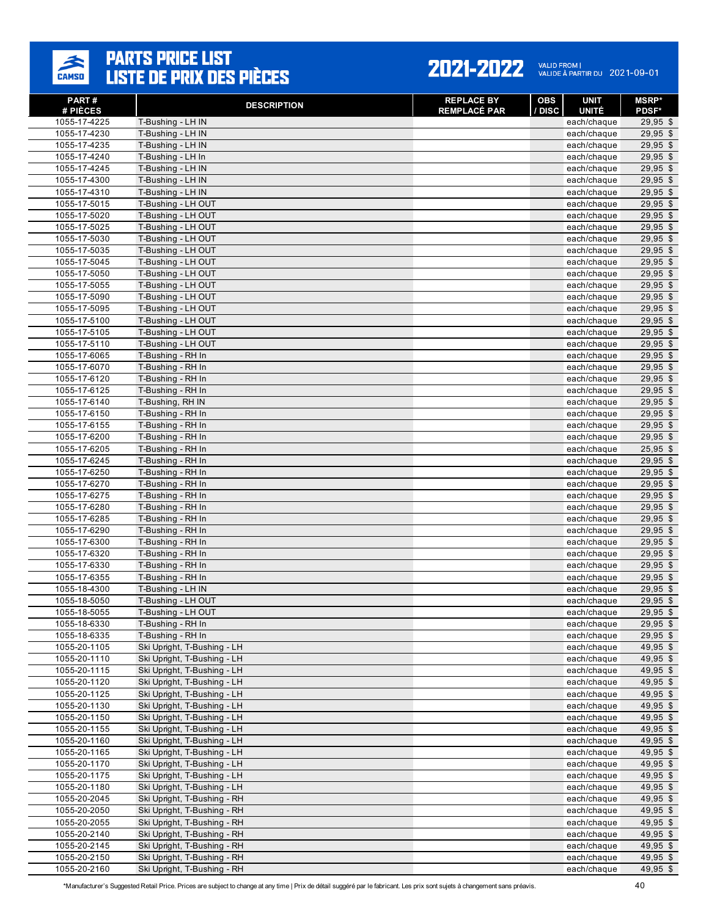

| PART#<br># PIÈCES            | <b>DESCRIPTION</b>                       | <b>REPLACE BY</b><br><b>REMPLACÉ PAR</b> | OBS<br>/ DISC | <b>UNIT</b><br><b>UNITÉ</b> | <b>MSRP</b> *<br><b>PDSF*</b> |
|------------------------------|------------------------------------------|------------------------------------------|---------------|-----------------------------|-------------------------------|
| 1055-17-4225                 | T-Bushing - LH IN                        |                                          |               | each/chaque                 | 29,95 \$                      |
| 1055-17-4230                 | T-Bushing - LH IN                        |                                          |               | each/chaque                 | $29,95$ \$                    |
| 1055-17-4235                 | T-Bushing - LH IN                        |                                          |               | each/chaque                 | $29,95$ \$                    |
| 1055-17-4240                 | T-Bushing - LH In                        |                                          |               | each/chaque                 | 29,95 \$                      |
| 1055-17-4245                 | T-Bushing - LH IN                        |                                          |               | each/chaque                 | $29,95$ \$                    |
| 1055-17-4300                 | T-Bushing - LH IN                        |                                          |               | each/chaque                 | 29,95 \$                      |
| 1055-17-4310                 | T-Bushing - LH IN                        |                                          |               | each/chaque                 | $29,95$ \$                    |
| 1055-17-5015                 | T-Bushing - LH OUT                       |                                          |               | each/chaque                 | $29,95$ \$                    |
| 1055-17-5020                 | T-Bushing - LH OUT                       |                                          |               | each/chaque                 | 29,95 \$                      |
| 1055-17-5025                 | T-Bushing - LH OUT                       |                                          |               | each/chaque                 | 29,95 \$                      |
| 1055-17-5030                 | T-Bushing - LH OUT                       |                                          |               | each/chaque                 | 29,95 \$                      |
| 1055-17-5035                 | T-Bushing - LH OUT                       |                                          |               | each/chaque                 | 29,95 \$                      |
| 1055-17-5045                 | T-Bushing - LH OUT                       |                                          |               | each/chaque                 | 29,95 \$                      |
| 1055-17-5050                 | T-Bushing - LH OUT                       |                                          |               | each/chaque                 | $29,95$ \$                    |
| 1055-17-5055                 | T-Bushing - LH OUT                       |                                          |               | each/chaque                 | 29,95 \$                      |
| 1055-17-5090                 | T-Bushing - LH OUT                       |                                          |               | each/chaque                 | $29,95$ \$                    |
| 1055-17-5095                 | T-Bushing - LH OUT                       |                                          |               | each/chaque                 | 29,95 \$                      |
| 1055-17-5100                 | T-Bushing - LH OUT                       |                                          |               | each/chaque                 | 29,95 \$<br>29,95 \$          |
| 1055-17-5105<br>1055-17-5110 | T-Bushing - LH OUT<br>T-Bushing - LH OUT |                                          |               | each/chaque<br>each/chaque  | $29,95$ \$                    |
| 1055-17-6065                 | T-Bushing - RH In                        |                                          |               | each/chaque                 | 29,95 \$                      |
| 1055-17-6070                 | T-Bushing - RH In                        |                                          |               | each/chaque                 | 29,95 \$                      |
| 1055-17-6120                 | T-Bushing - RH In                        |                                          |               | each/chaque                 | 29,95 \$                      |
| 1055-17-6125                 | T-Bushing - RH In                        |                                          |               | each/chaque                 | 29,95 \$                      |
| 1055-17-6140                 | T-Bushing, RH IN                         |                                          |               | each/chaque                 | 29,95 \$                      |
| 1055-17-6150                 | T-Bushing - RH In                        |                                          |               | each/chaque                 | 29,95 \$                      |
| 1055-17-6155                 | T-Bushing - RH In                        |                                          |               | each/chaque                 | $29,95$ \$                    |
| 1055-17-6200                 | T-Bushing - RH In                        |                                          |               | each/chaque                 | 29,95 \$                      |
| 1055-17-6205                 | T-Bushing - RH In                        |                                          |               | each/chaque                 | $25,95$ \$                    |
| 1055-17-6245                 | T-Bushing - RH In                        |                                          |               | each/chaque                 | $29,95$ \$                    |
| 1055-17-6250                 | T-Bushing - RH In                        |                                          |               | each/chaque                 | $29,95$ \$                    |
| 1055-17-6270                 | T-Bushing - RH In                        |                                          |               | each/chaque                 | 29,95 \$                      |
| 1055-17-6275                 | T-Bushing - RH In                        |                                          |               | each/chaque                 | $29,95$ \$                    |
| 1055-17-6280                 | T-Bushing - RH In                        |                                          |               | each/chaque                 | 29,95 \$                      |
| 1055-17-6285                 | T-Bushing - RH In                        |                                          |               | each/chaque                 | 29,95 \$                      |
| 1055-17-6290                 | T-Bushing - RH In                        |                                          |               | each/chaque                 | 29,95 \$                      |
| 1055-17-6300                 | T-Bushing - RH In                        |                                          |               | each/chaque                 | 29,95 \$                      |
| 1055-17-6320                 | T-Bushing - RH In                        |                                          |               | each/chaque                 | 29,95 \$                      |
| 1055-17-6330                 | T-Bushing - RH In                        |                                          |               | each/chaque                 | $29,95$ \$                    |
| 1055-17-6355                 | T-Bushing - RH In                        |                                          |               | each/chaque                 | 29,95 \$                      |
| 1055-18-4300                 | T-Bushing - LH IN                        |                                          |               | each/chaque                 | $29,95$ \$                    |
| 1055-18-5050                 | T-Bushing - LH OUT<br>T-Bushing - LH OUT |                                          |               | each/chaque<br>each/chaque  | 29,95 \$<br>29,95 \$          |
| 1055-18-5055<br>1055-18-6330 |                                          |                                          |               |                             |                               |
| 1055-18-6335                 | T-Bushing - RH In<br>T-Bushing - RH In   |                                          |               | each/chaque<br>each/chaque  | $29,95$ \$<br>29,95 \$        |
| 1055-20-1105                 | Ski Upright, T-Bushing - LH              |                                          |               | each/chaque                 | 49,95 \$                      |
| 1055-20-1110                 | Ski Upright, T-Bushing - LH              |                                          |               | each/chaque                 | 49,95 \$                      |
| 1055-20-1115                 | Ski Upright, T-Bushing - LH              |                                          |               | each/chaque                 | 49,95 \$                      |
| 1055-20-1120                 | Ski Upright, T-Bushing - LH              |                                          |               | each/chaque                 | 49,95 \$                      |
| 1055-20-1125                 | Ski Upright, T-Bushing - LH              |                                          |               | each/chaque                 | 49,95 \$                      |
| 1055-20-1130                 | Ski Upright, T-Bushing - LH              |                                          |               | each/chaque                 | 49,95 \$                      |
| 1055-20-1150                 | Ski Upright, T-Bushing - LH              |                                          |               | each/chaque                 | 49,95 \$                      |
| 1055-20-1155                 | Ski Upright, T-Bushing - LH              |                                          |               | each/chaque                 | 49,95 \$                      |
| 1055-20-1160                 | Ski Upright, T-Bushing - LH              |                                          |               | each/chaque                 | 49,95 \$                      |
| 1055-20-1165                 | Ski Upright, T-Bushing - LH              |                                          |               | each/chaque                 | 49,95 \$                      |
| 1055-20-1170                 | Ski Upright, T-Bushing - LH              |                                          |               | each/chaque                 | 49,95 \$                      |
| 1055-20-1175                 | Ski Upright, T-Bushing - LH              |                                          |               | each/chaque                 | 49,95 \$                      |
| 1055-20-1180                 | Ski Upright, T-Bushing - LH              |                                          |               | each/chaque                 | 49,95 \$                      |
| 1055-20-2045                 | Ski Upright, T-Bushing - RH              |                                          |               | each/chaque                 | 49,95 \$                      |
| 1055-20-2050                 | Ski Upright, T-Bushing - RH              |                                          |               | each/chaque                 | 49,95 \$                      |
| 1055-20-2055                 | Ski Upright, T-Bushing - RH              |                                          |               | each/chaque                 | 49,95 \$                      |
| 1055-20-2140                 | Ski Upright, T-Bushing - RH              |                                          |               | each/chaque                 | 49,95 \$                      |
| 1055-20-2145                 | Ski Upright, T-Bushing - RH              |                                          |               | each/chaque                 | 49,95 \$                      |
| 1055-20-2150                 | Ski Upright, T-Bushing - RH              |                                          |               | each/chaque                 | 49,95 \$                      |
| 1055-20-2160                 | Ski Upright, T-Bushing - RH              |                                          |               | each/chaque                 | 49,95 \$                      |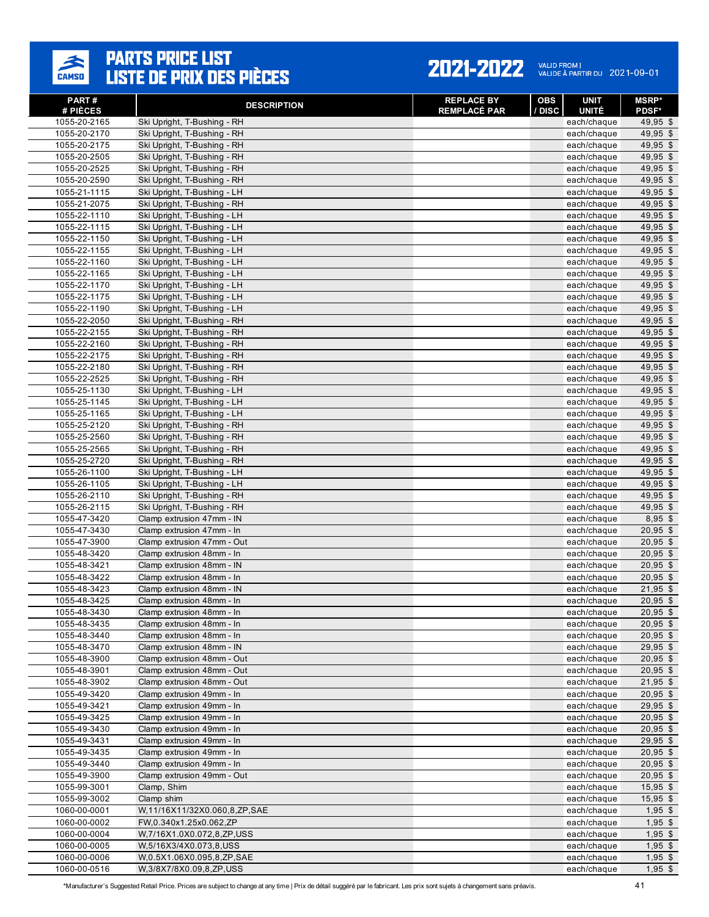#### **PARTS PRICE LIST<br>LISTE DE PRIX DES PIÈCES**  $\frac{1}{\text{CAMSD}}$

#### 2021-2022 VALID FROM | 2021-09-01

| PART#<br># PIÈCES            | <b>DESCRIPTION</b>                                         | <b>REPLACE BY</b><br><b>REMPLACÉ PAR</b> | <b>OBS</b><br><b>UNIT</b><br>/ DISC<br><b>UNITÉ</b> | <b>MSRP</b> *<br><b>PDSF*</b> |
|------------------------------|------------------------------------------------------------|------------------------------------------|-----------------------------------------------------|-------------------------------|
| 1055-20-2165                 | Ski Upright, T-Bushing - RH                                |                                          | each/chaque                                         | 49,95 \$                      |
| 1055-20-2170                 | Ski Upright, T-Bushing - RH                                |                                          | each/chaque                                         | $49,95$ \$                    |
| 1055-20-2175                 | Ski Upright, T-Bushing - RH                                |                                          | each/chaque                                         | 49,95 \$                      |
| 1055-20-2505                 | Ski Upright, T-Bushing - RH                                |                                          | each/chaque                                         | 49,95 \$                      |
| 1055-20-2525                 | Ski Upright, T-Bushing - RH                                |                                          | each/chaque                                         | 49,95 \$                      |
| 1055-20-2590                 | Ski Upright, T-Bushing - RH                                |                                          | each/chaque                                         | 49,95 \$                      |
| 1055-21-1115                 | Ski Upright, T-Bushing - LH                                |                                          | each/chaque                                         | 49,95 \$                      |
| 1055-21-2075                 | Ski Upright, T-Bushing - RH                                |                                          | each/chaque                                         | 49,95 \$                      |
| 1055-22-1110                 | Ski Upright, T-Bushing - LH                                |                                          | each/chaque                                         | 49,95 \$                      |
| 1055-22-1115                 | Ski Upright, T-Bushing - LH                                |                                          | each/chaque                                         | 49,95 \$                      |
| 1055-22-1150                 | Ski Upright, T-Bushing - LH                                |                                          | each/chaque                                         | 49,95 \$                      |
| 1055-22-1155                 | Ski Upright, T-Bushing - LH                                |                                          | each/chaque                                         | 49,95 \$                      |
| 1055-22-1160                 | Ski Upright, T-Bushing - LH                                |                                          | each/chaque                                         | 49,95 \$                      |
| 1055-22-1165                 | Ski Upright, T-Bushing - LH                                |                                          | each/chaque                                         | $49,95$ \$                    |
| 1055-22-1170                 | Ski Upright, T-Bushing - LH                                |                                          | each/chaque                                         | 49,95 \$                      |
| 1055-22-1175                 | Ski Upright, T-Bushing - LH                                |                                          | each/chaque                                         | 49,95 \$                      |
| 1055-22-1190                 | Ski Upright, T-Bushing - LH                                |                                          | each/chaque                                         | 49,95 \$                      |
| 1055-22-2050                 | Ski Upright, T-Bushing - RH                                |                                          | each/chaque                                         | 49,95 \$<br>49,95 \$          |
| 1055-22-2155                 | Ski Upright, T-Bushing - RH                                |                                          | each/chaque                                         | $49,95$ \$                    |
| 1055-22-2160<br>1055-22-2175 | Ski Upright, T-Bushing - RH<br>Ski Upright, T-Bushing - RH |                                          | each/chaque<br>each/chaque                          | 49,95 \$                      |
| 1055-22-2180                 | Ski Upright, T-Bushing - RH                                |                                          | each/chaque                                         | 49.95 \$                      |
| 1055-22-2525                 | Ski Upright, T-Bushing - RH                                |                                          | each/chaque                                         | $49,95$ \$                    |
| 1055-25-1130                 | Ski Upright, T-Bushing - LH                                |                                          | each/chaque                                         | 49,95 \$                      |
| 1055-25-1145                 | Ski Upright, T-Bushing - LH                                |                                          | each/chaque                                         | 49,95 \$                      |
| 1055-25-1165                 | Ski Upright, T-Bushing - LH                                |                                          | each/chaque                                         | 49,95 \$                      |
| 1055-25-2120                 | Ski Upright, T-Bushing - RH                                |                                          | each/chaque                                         | 49,95 \$                      |
| 1055-25-2560                 | Ski Upright, T-Bushing - RH                                |                                          | each/chaque                                         | 49,95 \$                      |
| 1055-25-2565                 | Ski Upright, T-Bushing - RH                                |                                          | each/chaque                                         | 49,95 \$                      |
| 1055-25-2720                 | Ski Upright, T-Bushing - RH                                |                                          | each/chaque                                         | 49,95 \$                      |
| 1055-26-1100                 | Ski Upright, T-Bushing - LH                                |                                          | each/chaque                                         | 49,95 \$                      |
| 1055-26-1105                 | Ski Upright, T-Bushing - LH                                |                                          | each/chaque                                         | 49,95 \$                      |
| 1055-26-2110                 | Ski Upright, T-Bushing - RH                                |                                          | each/chaque                                         | 49,95 \$                      |
| 1055-26-2115                 | Ski Upright, T-Bushing - RH                                |                                          | each/chaque                                         | 49,95 \$                      |
| 1055-47-3420                 | Clamp extrusion 47mm - IN                                  |                                          | each/chaque                                         | 8,95 \$                       |
| 1055-47-3430                 | Clamp extrusion 47mm - In                                  |                                          | each/chaque                                         | $20,95$ \$                    |
| 1055-47-3900                 | Clamp extrusion 47mm - Out                                 |                                          | each/chaque                                         | $20,95$ \$                    |
| 1055-48-3420                 | Clamp extrusion 48mm - In                                  |                                          | each/chaque                                         | $20,95$ \$                    |
| 1055-48-3421                 | Clamp extrusion 48mm - IN                                  |                                          | each/chaque                                         | $20,95$ \$                    |
| 1055-48-3422                 | Clamp extrusion 48mm - In                                  |                                          | each/chaque                                         | $20,95$ \$                    |
| 1055-48-3423                 | Clamp extrusion 48mm - IN                                  |                                          | each/chaque                                         | $21,95$ \$                    |
| 1055-48-3425                 | Clamp extrusion 48mm - In                                  |                                          | each/chaque                                         | $20,95$ \$                    |
| 1055-48-3430                 | Clamp extrusion 48mm - In                                  |                                          | each/chaque                                         | $20,95$ \$                    |
| 1055-48-3435                 | Clamp extrusion 48mm - In                                  |                                          | each/chaque                                         | $20,95$ \$                    |
| 1055-48-3440                 | Clamp extrusion 48mm - In<br>Clamp extrusion 48mm - IN     |                                          | each/chaque                                         | $20,95$ \$                    |
| 1055-48-3470<br>1055-48-3900 | Clamp extrusion 48mm - Out                                 |                                          | each/chaque<br>each/chaque                          | $29,95$ \$<br>$20,95$ \$      |
| 1055-48-3901                 | Clamp extrusion 48mm - Out                                 |                                          | each/chaque                                         | $20,95$ \$                    |
| 1055-48-3902                 | Clamp extrusion 48mm - Out                                 |                                          | each/chaque                                         | 21,95 \$                      |
| 1055-49-3420                 | Clamp extrusion 49mm - In                                  |                                          | each/chaque                                         | $20,95$ \$                    |
| 1055-49-3421                 | Clamp extrusion 49mm - In                                  |                                          | each/chaque                                         | $29,95$ \$                    |
| 1055-49-3425                 | Clamp extrusion 49mm - In                                  |                                          | each/chaque                                         | $20,95$ \$                    |
| 1055-49-3430                 | Clamp extrusion 49mm - In                                  |                                          | each/chaque                                         | $20,95$ \$                    |
| 1055-49-3431                 | Clamp extrusion 49mm - In                                  |                                          | each/chaque                                         | 29,95 \$                      |
| 1055-49-3435                 | Clamp extrusion 49mm - In                                  |                                          | each/chaque                                         | $20,95$ \$                    |
| 1055-49-3440                 | Clamp extrusion 49mm - In                                  |                                          | each/chaque                                         | $20,95$ \$                    |
| 1055-49-3900                 | Clamp extrusion 49mm - Out                                 |                                          | each/chaque                                         | $20,95$ \$                    |
| 1055-99-3001                 | Clamp, Shim                                                |                                          | each/chaque                                         | $15,95$ \$                    |
| 1055-99-3002                 | Clamp shim                                                 |                                          | each/chaque                                         | $15,95$ \$                    |
| 1060-00-0001                 | W,11/16X11/32X0.060,8,ZP,SAE                               |                                          | each/chaque                                         | $1,95$ \$                     |
| 1060-00-0002                 | FW,0.340x1.25x0.062,ZP                                     |                                          | each/chaque                                         | $1,95$ \$                     |
| 1060-00-0004                 | W,7/16X1.0X0.072,8,ZP,USS                                  |                                          | each/chaque                                         | $1,95$ \$                     |
| 1060-00-0005                 | W,5/16X3/4X0.073,8,USS                                     |                                          | each/chaque                                         | $1,95$ \$                     |
| 1060-00-0006                 | W,0.5X1.06X0.095,8,ZP,SAE                                  |                                          | each/chaque                                         | $1,95$ \$                     |
| 1060-00-0516                 | W,3/8X7/8X0.09,8,ZP,USS                                    |                                          | each/chaque                                         | $1,95$ \$                     |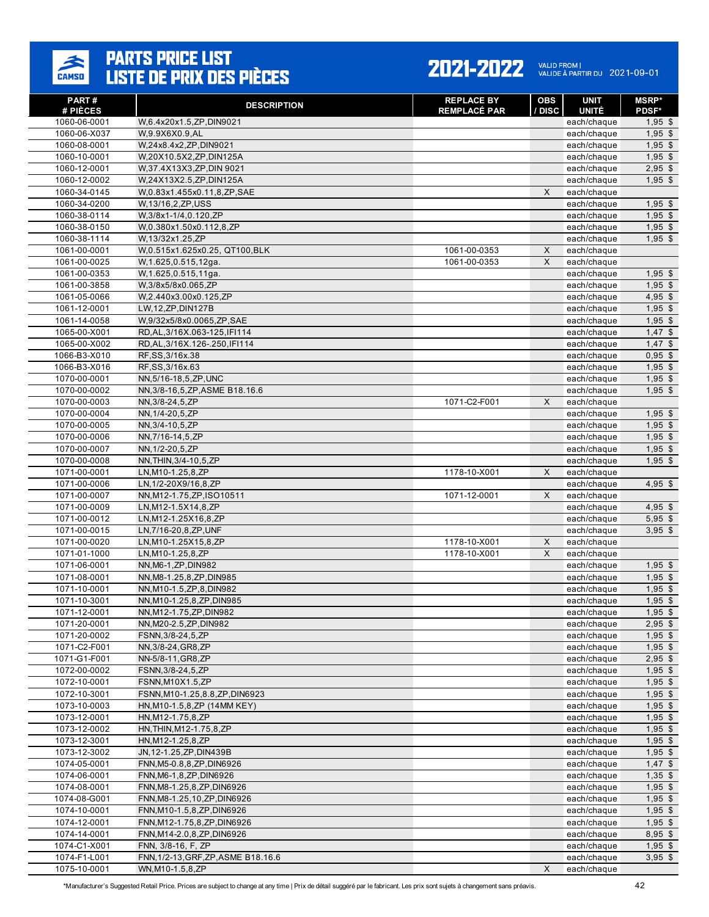

#### 2021-2022 VALID FROM | 2021-09-01

| PART#<br># PIÈCES            | <b>DESCRIPTION</b>                                        | <b>REPLACE BY</b><br><b>REMPLACÉ PAR</b> | <b>OBS</b><br>/ DISC | <b>UNIT</b><br><b>UNITÉ</b> | <b>MSRP*</b><br><b>PDSF*</b> |
|------------------------------|-----------------------------------------------------------|------------------------------------------|----------------------|-----------------------------|------------------------------|
| 1060-06-0001                 | W.6.4x20x1.5.ZP.DIN9021                                   |                                          |                      | each/chaque                 | $1,95$ \$                    |
| 1060-06-X037                 | W,9.9X6X0.9,AL                                            |                                          |                      | each/chaque                 | $1,95$ \$                    |
| 1060-08-0001                 | W,24x8.4x2,ZP,DIN9021                                     |                                          |                      | each/chaque                 | $1,95$ \$                    |
| 1060-10-0001                 | W,20X10.5X2,ZP,DIN125A                                    |                                          |                      | each/chaque                 | $1,95$ \$                    |
| 1060-12-0001                 | W, 37.4X13X3, ZP, DIN 9021                                |                                          |                      | each/chaque                 | $2,95$ \$                    |
| 1060-12-0002                 | W,24X13X2.5,ZP,DIN125A                                    |                                          |                      | each/chaque                 | $1,95$ \$                    |
| 1060-34-0145                 | W,0.83x1.455x0.11,8,ZP,SAE                                |                                          | $\mathsf{x}$         | each/chaque                 |                              |
| 1060-34-0200                 | W,13/16,2,ZP,USS                                          |                                          |                      | each/chaque                 | $1,95$ \$                    |
| 1060-38-0114                 | W,3/8x1-1/4,0.120,ZP                                      |                                          |                      | each/chaque                 | $1,95$ \$                    |
| 1060-38-0150                 | W,0.380x1.50x0.112,8,ZP                                   |                                          |                      | each/chaque                 | $1,95$ \$                    |
| 1060-38-1114                 | W,13/32x1.25,ZP                                           |                                          |                      | each/chaque                 | $1,95$ \$                    |
| 1061-00-0001                 | W,0.515x1.625x0.25, QT100,BLK                             | 1061-00-0353                             | $\mathsf X$          | each/chaque                 |                              |
| 1061-00-0025                 | W, 1.625, 0.515, 12ga.                                    | 1061-00-0353                             | $\mathsf{x}$         | each/chaque                 |                              |
| 1061-00-0353                 | W, 1.625, 0.515, 11ga.                                    |                                          |                      | each/chaque                 | $1,95$ \$                    |
| 1061-00-3858                 | W,3/8x5/8x0.065,ZP                                        |                                          |                      | each/chaque                 | $1,95$ \$                    |
| 1061-05-0066                 | W,2.440x3.00x0.125,ZP                                     |                                          |                      | each/chaque                 | $4,95$ \$                    |
| 1061-12-0001                 | LW, 12, ZP, DIN127B                                       |                                          |                      | each/chaque                 | $1,95$ \$                    |
| 1061-14-0058<br>1065-00-X001 | W,9/32x5/8x0.0065,ZP,SAE<br>RD, AL, 3/16X.063-125, IFI114 |                                          |                      | each/chaque                 | $1,95$ \$<br>$1,47$ \$       |
| 1065-00-X002                 | RD, AL, 3/16X. 126-. 250, IFI114                          |                                          |                      | each/chaque<br>each/chaque  | $1,47$ \$                    |
| 1066-B3-X010                 | RF, SS, 3/16x.38                                          |                                          |                      | each/chaque                 | $0,95$ \$                    |
| 1066-B3-X016                 | RF, SS, 3/16x.63                                          |                                          |                      | each/chaque                 | $1,95$ \$                    |
| 1070-00-0001                 | NN, 5/16-18, 5, ZP, UNC                                   |                                          |                      | each/chaque                 | $1,95$ \$                    |
| 1070-00-0002                 | NN, 3/8-16, 5, ZP, ASME B18.16.6                          |                                          |                      | each/chaque                 | $1,95$ \$                    |
| 1070-00-0003                 | NN, 3/8-24, 5, ZP                                         | 1071-C2-F001                             | X                    | each/chaque                 |                              |
| 1070-00-0004                 | NN, 1/4-20, 5, ZP                                         |                                          |                      | each/chaque                 | $1,95$ \$                    |
| 1070-00-0005                 | NN, 3/4-10, 5, ZP                                         |                                          |                      | each/chaque                 | $1,95$ \$                    |
| 1070-00-0006                 | NN, 7/16-14, 5, ZP                                        |                                          |                      | each/chaque                 | $1,95$ \$                    |
| 1070-00-0007                 | NN, 1/2-20, 5, ZP                                         |                                          |                      | each/chaque                 | $1,95$ \$                    |
| 1070-00-0008                 | NN, THIN, 3/4-10, 5, ZP                                   |                                          |                      | each/chaque                 | $1,95$ \$                    |
| 1071-00-0001                 | LN, M10-1.25, 8, ZP                                       | 1178-10-X001                             | X                    | each/chaque                 |                              |
| 1071-00-0006                 | LN, 1/2-20X9/16, 8, ZP                                    |                                          |                      | each/chaque                 | $4,95$ \$                    |
| 1071-00-0007                 | NN, M12-1.75, ZP, ISO10511                                | 1071-12-0001                             | X                    | each/chaque                 |                              |
| 1071-00-0009                 | LN, M12-1.5X14, 8, ZP                                     |                                          |                      | each/chaque                 | $4,95$ \$                    |
| 1071-00-0012                 | LN, M12-1.25X16, 8, ZP                                    |                                          |                      | each/chaque                 | $5,95$ \$                    |
| 1071-00-0015                 | LN,7/16-20,8,ZP,UNF                                       |                                          |                      | each/chaque                 | $3,95$ \$                    |
| 1071-00-0020                 | LN, M10-1.25X15, 8, ZP                                    | 1178-10-X001                             | $\mathsf X$          | each/chaque                 |                              |
| 1071-01-1000                 | LN, M10-1.25, 8, ZP                                       | 1178-10-X001                             | $\mathsf{x}$         | each/chaque                 |                              |
| 1071-06-0001                 | NN, M6-1, ZP, DIN982                                      |                                          |                      | each/chaque                 | $1,95$ \$                    |
| 1071-08-0001                 | NN, M8-1.25, 8, ZP, DIN985                                |                                          |                      | each/chaque                 | $1,95$ \$                    |
| 1071-10-0001                 | NN, M10-1.5, ZP, 8, DIN982                                |                                          |                      | each/chaque                 | $1,95$ \$                    |
| 1071-10-3001<br>1071-12-0001 | NN, M10-1.25, 8, ZP, DIN985<br>NN, M12-1.75, ZP, DIN982   |                                          |                      | each/chaque                 | $1,95$ \$<br>$1,95$ \$       |
| 1071-20-0001                 | NN, M20-2.5, ZP, DIN982                                   |                                          |                      | each/chaque                 | $2,95$ \$                    |
| 1071-20-0002                 | FSNN, 3/8-24, 5, ZP                                       |                                          |                      | each/chaque<br>each/chaque  | $1,95$ \$                    |
| 1071-C2-F001                 | NN, 3/8-24, GR8, ZP                                       |                                          |                      | each/chaque                 | $1,95$ \$                    |
| 1071-G1-F001                 | NN-5/8-11, GR8, ZP                                        |                                          |                      | each/chaque                 | $2,95$ \$                    |
| 1072-00-0002                 | FSNN, 3/8-24, 5, ZP                                       |                                          |                      | each/chaque                 | $1,95$ \$                    |
| 1072-10-0001                 | FSNN, M10X1.5, ZP                                         |                                          |                      | each/chaque                 | $1,95$ \$                    |
| 1072-10-3001                 | FSNN, M10-1.25, 8.8, ZP, DIN6923                          |                                          |                      | each/chaque                 | $1,95$ \$                    |
| 1073-10-0003                 | HN, M10-1.5, 8, ZP (14MM KEY)                             |                                          |                      | each/chaque                 | $1,95$ \$                    |
| 1073-12-0001                 | HN, M12-1.75, 8, ZP                                       |                                          |                      | each/chaque                 | $1,95$ \$                    |
| 1073-12-0002                 | HN, THIN, M12-1.75, 8, ZP                                 |                                          |                      | each/chaque                 | $1,95$ \$                    |
| 1073-12-3001                 | HN, M12-1.25, 8, ZP                                       |                                          |                      | each/chaque                 | $1,95$ \$                    |
| 1073-12-3002                 | JN, 12-1.25, ZP, DIN439B                                  |                                          |                      | each/chaque                 | $1,95$ \$                    |
| 1074-05-0001                 | FNN, M5-0.8, 8, ZP, DIN6926                               |                                          |                      | each/chaque                 | $1,47$ \$                    |
| 1074-06-0001                 | FNN, M6-1, 8, ZP, DIN6926                                 |                                          |                      | each/chaque                 | $1,35$ \$                    |
| 1074-08-0001                 | FNN, M8-1.25, 8, ZP, DIN6926                              |                                          |                      | each/chaque                 | $1,95$ \$                    |
| 1074-08-G001                 | FNN, M8-1.25, 10, ZP, DIN6926                             |                                          |                      | each/chaque                 | $1,95$ \$                    |
| 1074-10-0001                 | FNN, M10-1.5, 8, ZP, DIN6926                              |                                          |                      | each/chaque                 | $1,95$ \$                    |
| 1074-12-0001                 | FNN, M12-1.75, 8, ZP, DIN6926                             |                                          |                      | each/chaque                 | $1,95$ \$                    |
| 1074-14-0001                 | FNN, M14-2.0, 8, ZP, DIN6926                              |                                          |                      | each/chaque                 | $8,95$ \$                    |
| 1074-C1-X001                 | FNN, 3/8-16, F, ZP                                        |                                          |                      | each/chaque                 | $1,95$ \$                    |
| 1074-F1-L001                 | FNN, 1/2-13, GRF, ZP, ASME B18.16.6                       |                                          |                      | each/chaque                 | $3,95$ \$                    |
| 1075-10-0001                 | WN, M10-1.5, 8, ZP                                        |                                          | X                    | each/chaque                 |                              |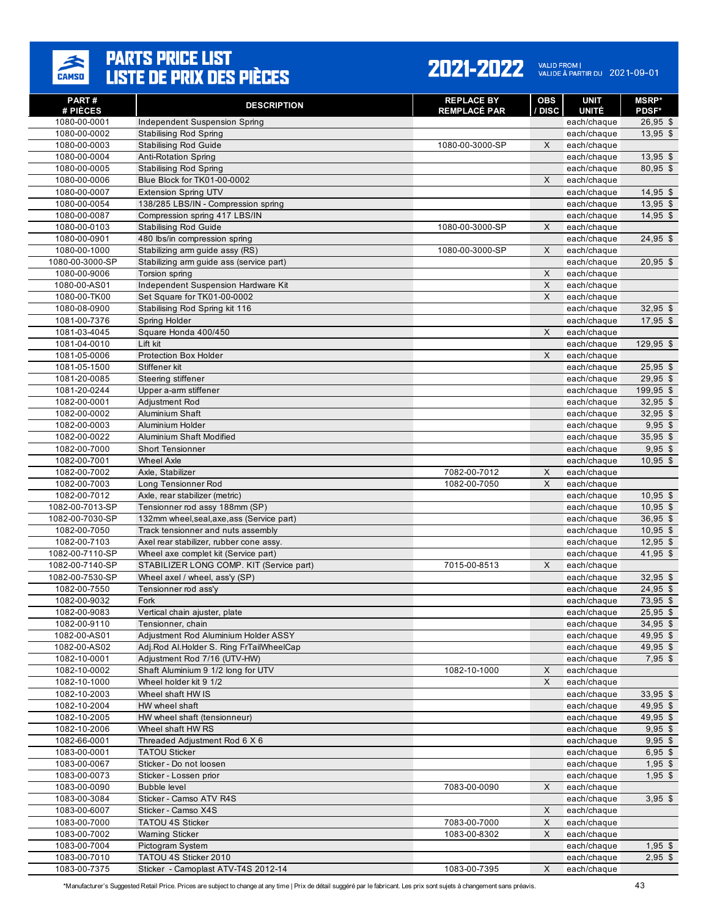

#### 2021-2022 VALID FROM | 2021-09-01

| <b>PART#</b><br># PIÈCES     | <b>DESCRIPTION</b>                                            | <b>REPLACE BY</b><br><b>REMPLACÉ PAR</b> | OBS<br>/ DISC | UNIT<br><b>UNITÉ</b>       | <b>MSRP*</b><br><b>PDSF*</b> |
|------------------------------|---------------------------------------------------------------|------------------------------------------|---------------|----------------------------|------------------------------|
| 1080-00-0001                 | Independent Suspension Spring                                 |                                          |               | each/chaque                | $26,95$ \$                   |
| 1080-00-0002                 | <b>Stabilising Rod Spring</b>                                 |                                          |               | each/chaque                | $13,95$ \$                   |
| 1080-00-0003                 | <b>Stabilising Rod Guide</b>                                  | 1080-00-3000-SP                          | X             | each/chaque                |                              |
| 1080-00-0004                 | <b>Anti-Rotation Spring</b>                                   |                                          |               | each/chaque                | $13,95$ \$                   |
| 1080-00-0005                 | <b>Stabilising Rod Spring</b>                                 |                                          |               | each/chaque                | 80,95 \$                     |
| 1080-00-0006                 | Blue Block for TK01-00-0002                                   |                                          | X             | each/chaque                |                              |
| 1080-00-0007                 | <b>Extension Spring UTV</b>                                   |                                          |               | each/chaque                | $14,95$ \$                   |
| 1080-00-0054                 | 138/285 LBS/IN - Compression spring                           |                                          |               | each/chaque                | $13,95$ \$                   |
| 1080-00-0087                 | Compression spring 417 LBS/IN                                 |                                          |               | each/chaque                | $14,95$ \$                   |
| 1080-00-0103                 | <b>Stabilising Rod Guide</b>                                  | 1080-00-3000-SP                          | X             | each/chaque                |                              |
| 1080-00-0901                 | 480 lbs/in compression spring                                 |                                          |               | each/chaque                | 24,95 \$                     |
| 1080-00-1000                 | Stabilizing arm guide assy (RS)                               | 1080-00-3000-SP                          | X             | each/chaque                |                              |
| 1080-00-3000-SP              | Stabilizing arm quide ass (service part)                      |                                          |               | each/chaque                | $20,95$ \$                   |
| 1080-00-9006                 | Torsion spring<br>Independent Suspension Hardware Kit         |                                          | X<br>X        | each/chaque                |                              |
| 1080-00-AS01<br>1080-00-TK00 |                                                               |                                          | X             | each/chaque                |                              |
| 1080-08-0900                 | Set Square for TK01-00-0002<br>Stabilising Rod Spring kit 116 |                                          |               | each/chaque<br>each/chaque | $32,95$ \$                   |
| 1081-00-7376                 | Spring Holder                                                 |                                          |               | each/chaque                | $17,95$ \$                   |
| 1081-03-4045                 | Square Honda 400/450                                          |                                          | X             | each/chaque                |                              |
| 1081-04-0010                 | Lift kit                                                      |                                          |               | each/chaque                | $129,95$ \$                  |
| 1081-05-0006                 | Protection Box Holder                                         |                                          | X             | each/chaque                |                              |
| 1081-05-1500                 | Stiffener kit                                                 |                                          |               | each/chaque                | $25,95$ \$                   |
| 1081-20-0085                 | Steering stiffener                                            |                                          |               | each/chaque                | $29,95$ \$                   |
| 1081-20-0244                 | Upper a-arm stiffener                                         |                                          |               | each/chaque                | 199,95 \$                    |
| 1082-00-0001                 | Adjustment Rod                                                |                                          |               | each/chaque                | $32,95$ \$                   |
| 1082-00-0002                 | Aluminium Shaft                                               |                                          |               | each/chaque                | $32,95$ \$                   |
| 1082-00-0003                 | Aluminium Holder                                              |                                          |               | each/chaque                | $9,95$ \$                    |
| 1082-00-0022                 | Aluminium Shaft Modified                                      |                                          |               | each/chaque                | $35,95$ \$                   |
| 1082-00-7000                 | Short Tensionner                                              |                                          |               | each/chaque                | $9,95$ \$                    |
| 1082-00-7001                 | <b>Wheel Axle</b>                                             |                                          |               | each/chaque                | $10,95$ \$                   |
| 1082-00-7002                 | Axle, Stabilizer                                              | 7082-00-7012                             | X             | each/chaque                |                              |
| 1082-00-7003                 | Long Tensionner Rod                                           | 1082-00-7050                             | X             | each/chaque                |                              |
| 1082-00-7012                 | Axle, rear stabilizer (metric)                                |                                          |               | each/chaque                | $10,95$ \$                   |
| 1082-00-7013-SP              | Tensionner rod assy 188mm (SP)                                |                                          |               | each/chaque                | $10,95$ \$                   |
| 1082-00-7030-SP              | 132mm wheel, seal, axe, ass (Service part)                    |                                          |               | each/chaque                | 36,95 \$                     |
| 1082-00-7050                 | Track tensionner and nuts assembly                            |                                          |               | each/chaque                | $10,95$ \$                   |
| 1082-00-7103                 | Axel rear stabilizer, rubber cone assy.                       |                                          |               | each/chaque                | $12,95$ \$                   |
| 1082-00-7110-SP              | Wheel axe complet kit (Service part)                          |                                          |               | each/chaque                | 41,95 \$                     |
| 1082-00-7140-SP              | STABILIZER LONG COMP. KIT (Service part)                      | 7015-00-8513                             | X             | each/chaque                |                              |
| 1082-00-7530-SP              | Wheel axel / wheel, ass'y (SP)                                |                                          |               | each/chaque                | $32,95$ \$                   |
| 1082-00-7550                 | Tensionner rod ass'y                                          |                                          |               | each/chaque                | $24,95$ \$                   |
| 1082-00-9032                 | Fork                                                          |                                          |               | each/chaque                | 73,95 \$                     |
| 1082-00-9083                 | Vertical chain ajuster, plate                                 |                                          |               | each/chaque                | $25,95$ \$                   |
| 1082-00-9110                 | Tensionner, chain                                             |                                          |               | each/chaque                | $34,95$ \$                   |
| 1082-00-AS01                 | Adjustment Rod Aluminium Holder ASSY                          |                                          |               | each/chaque                | $49,95$ \$                   |
| 1082-00-AS02                 | Adj.Rod Al.Holder S. Ring FrTailWheelCap                      |                                          |               | each/chaque                | 49,95 \$                     |
| 1082-10-0001                 | Adjustment Rod 7/16 (UTV-HW)                                  |                                          |               | each/chaque                | $7,95$ \$                    |
| 1082-10-0002<br>1082-10-1000 | Shaft Aluminium 9 1/2 long for UTV<br>Wheel holder kit 9 1/2  | 1082-10-1000                             | X<br>X        | each/chaque<br>each/chaque |                              |
| 1082-10-2003                 | Wheel shaft HW IS                                             |                                          |               | each/chaque                | $33,95$ \$                   |
| 1082-10-2004                 | HW wheel shaft                                                |                                          |               | each/chaque                | 49,95 \$                     |
| 1082-10-2005                 | HW wheel shaft (tensionneur)                                  |                                          |               | each/chaque                | $49,95$ \$                   |
| 1082-10-2006                 | Wheel shaft HW RS                                             |                                          |               | each/chaque                | $9,95$ \$                    |
| 1082-66-0001                 | Threaded Adjustment Rod 6 X 6                                 |                                          |               | each/chaque                | $9,95$ \$                    |
| 1083-00-0001                 | <b>TATOU Sticker</b>                                          |                                          |               | each/chaque                | $6,95$ \$                    |
| 1083-00-0067                 | Sticker - Do not loosen                                       |                                          |               | each/chaque                | $1,95$ \$                    |
| 1083-00-0073                 | Sticker - Lossen prior                                        |                                          |               | each/chaque                | $1,95$ \$                    |
| 1083-00-0090                 | <b>Bubble level</b>                                           | 7083-00-0090                             | X             | each/chaque                |                              |
| 1083-00-3084                 | Sticker - Camso ATV R4S                                       |                                          |               | each/chaque                | $3,95$ \$                    |
| 1083-00-6007                 | Sticker - Camso X4S                                           |                                          | X             | each/chaque                |                              |
| 1083-00-7000                 | <b>TATOU 4S Sticker</b>                                       | 7083-00-7000                             | X             | each/chaque                |                              |
| 1083-00-7002                 | <b>Warning Sticker</b>                                        | 1083-00-8302                             | X             | each/chaque                |                              |
| 1083-00-7004                 | Pictogram System                                              |                                          |               | each/chaque                | $1,95$ \$                    |
| 1083-00-7010                 | TATOU 4S Sticker 2010                                         |                                          |               | each/chaque                | $2,95$ \$                    |
| 1083-00-7375                 | Sticker - Camoplast ATV-T4S 2012-14                           | 1083-00-7395                             | X             | each/chaque                |                              |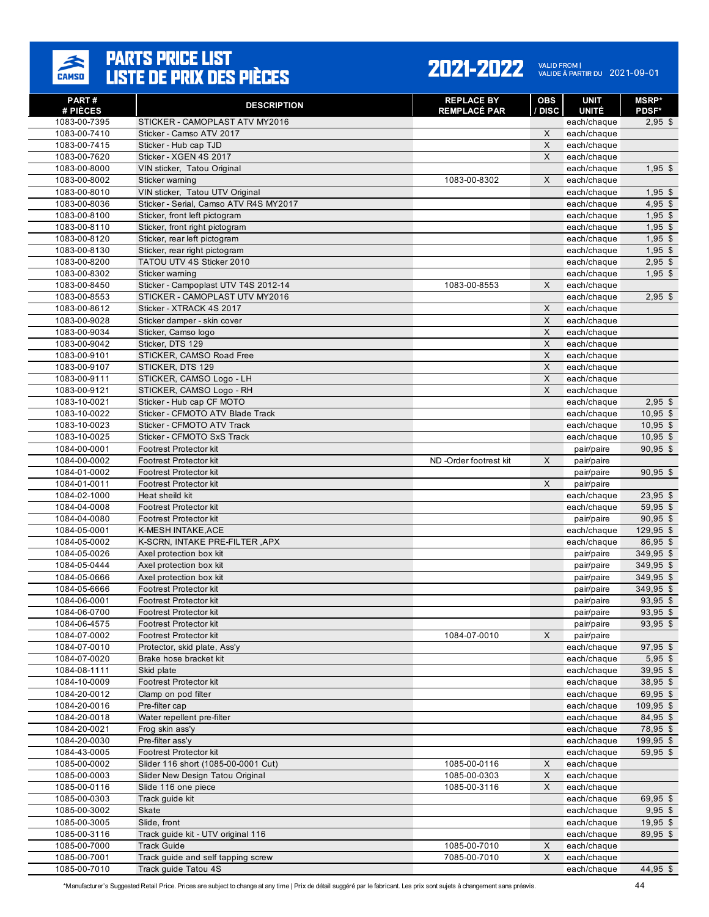

#### 2021-2022 VALID FROM | 2021-09-01

| PART#<br># PIÈCES            | <b>DESCRIPTION</b>                           | <b>REPLACE BY</b><br><b>REMPLACÉ PAR</b> | <b>OBS</b><br>/ DISC | <b>UNIT</b><br><b>UNITÉ</b> | <b>MSRP*</b><br><b>PDSF*</b> |
|------------------------------|----------------------------------------------|------------------------------------------|----------------------|-----------------------------|------------------------------|
| 1083-00-7395                 | STICKER - CAMOPLAST ATV MY2016               |                                          |                      | each/chaque                 | $2,95$ \$                    |
| 1083-00-7410                 | Sticker - Camso ATV 2017                     |                                          | X                    | each/chaque                 |                              |
| 1083-00-7415                 | Sticker - Hub cap TJD                        |                                          | X                    | each/chaque                 |                              |
| 1083-00-7620                 | Sticker - XGEN 4S 2017                       |                                          | X                    | each/chaque                 |                              |
| 1083-00-8000                 | VIN sticker, Tatou Original                  |                                          |                      | each/chaque                 | $1,95$ \$                    |
| 1083-00-8002                 | Sticker warning                              | 1083-00-8302                             | X                    | each/chaque                 |                              |
| 1083-00-8010                 | VIN sticker, Tatou UTV Original              |                                          |                      | each/chaque                 | $1,95$ \$                    |
| 1083-00-8036                 | Sticker - Serial, Camso ATV R4S MY2017       |                                          |                      | each/chaque                 | $4,95$ \$                    |
| 1083-00-8100                 | Sticker, front left pictogram                |                                          |                      | each/chaque                 | $1,95$ \$                    |
| 1083-00-8110                 | Sticker, front right pictogram               |                                          |                      | each/chaque                 | $1,95$ \$                    |
| 1083-00-8120                 | Sticker, rear left pictogram                 |                                          |                      | each/chaque                 | $1,95$ \$                    |
| 1083-00-8130                 | Sticker, rear right pictogram                |                                          |                      | each/chaque                 | $1,95$ \$                    |
| 1083-00-8200                 | TATOU UTV 4S Sticker 2010                    |                                          |                      | each/chaque                 | $2,95$ \$                    |
| 1083-00-8302                 | Sticker warning                              |                                          |                      | each/chaque                 | $1,95$ \$                    |
| 1083-00-8450                 | Sticker - Campoplast UTV T4S 2012-14         | 1083-00-8553                             | X                    | each/chaque                 |                              |
| 1083-00-8553                 | STICKER - CAMOPLAST UTV MY2016               |                                          |                      | each/chaque                 | $2,95$ \$                    |
| 1083-00-8612                 | Sticker - XTRACK 4S 2017                     |                                          | X                    | each/chaque                 |                              |
| 1083-00-9028                 | Sticker damper - skin cover                  |                                          | X                    | each/chaque                 |                              |
| 1083-00-9034                 | Sticker, Camso logo                          |                                          | X                    | each/chaque                 |                              |
| 1083-00-9042                 | Sticker, DTS 129                             |                                          | X                    | each/chaque                 |                              |
| 1083-00-9101                 | STICKER, CAMSO Road Free<br>STICKER, DTS 129 |                                          | X<br>X               | each/chaque                 |                              |
| 1083-00-9107<br>1083-00-9111 | STICKER, CAMSO Logo - LH                     |                                          | X                    | each/chaque<br>each/chaque  |                              |
| 1083-00-9121                 | STICKER, CAMSO Logo - RH                     |                                          | X                    | each/chaque                 |                              |
| 1083-10-0021                 | Sticker - Hub cap CF MOTO                    |                                          |                      | each/chaque                 | $2,95$ \$                    |
| 1083-10-0022                 | Sticker - CFMOTO ATV Blade Track             |                                          |                      | each/chaque                 | $10.95$ \$                   |
| 1083-10-0023                 | Sticker - CFMOTO ATV Track                   |                                          |                      | each/chaque                 | $10,95$ \$                   |
| 1083-10-0025                 | Sticker - CFMOTO SxS Track                   |                                          |                      | each/chaque                 | $10,95$ \$                   |
| 1084-00-0001                 | <b>Footrest Protector kit</b>                |                                          |                      | pair/paire                  | $90,95$ \$                   |
| 1084-00-0002                 | <b>Footrest Protector kit</b>                | ND-Order footrest kit                    | X                    | pair/paire                  |                              |
| 1084-01-0002                 | <b>Footrest Protector kit</b>                |                                          |                      | pair/paire                  | $90,95$ \$                   |
| 1084-01-0011                 | <b>Footrest Protector kit</b>                |                                          | X                    | pair/paire                  |                              |
| 1084-02-1000                 | Heat sheild kit                              |                                          |                      | each/chaque                 | $23,95$ \$                   |
| 1084-04-0008                 | <b>Footrest Protector kit</b>                |                                          |                      | each/chaque                 | 59,95 \$                     |
| 1084-04-0080                 | <b>Footrest Protector kit</b>                |                                          |                      | pair/paire                  | $90,95$ \$                   |
| 1084-05-0001                 | K-MESH INTAKE, ACE                           |                                          |                      | each/chaque                 | 129,95 \$                    |
| 1084-05-0002                 | K-SCRN, INTAKE PRE-FILTER, APX               |                                          |                      | each/chaque                 | 86,95 \$                     |
| 1084-05-0026                 | Axel protection box kit                      |                                          |                      | pair/paire                  | 349,95 \$                    |
| 1084-05-0444                 | Axel protection box kit                      |                                          |                      | pair/paire                  | 349,95 \$                    |
| 1084-05-0666                 | Axel protection box kit                      |                                          |                      | pair/paire                  | 349,95 \$                    |
| 1084-05-6666                 | <b>Footrest Protector kit</b>                |                                          |                      | pair/paire                  | 349,95 \$                    |
| 1084-06-0001                 | <b>Footrest Protector kit</b>                |                                          |                      | pair/paire                  | 93.95 \$                     |
| 1084-06-0700                 | Footrest Protector kit                       |                                          |                      | pair/paire                  | 93,95 \$                     |
| 1084-06-4575                 | Footrest Protector kit                       |                                          |                      | pair/paire                  | $93,95$ \$                   |
| 1084-07-0002                 | <b>Footrest Protector kit</b>                | 1084-07-0010                             | X                    | pair/paire                  |                              |
| 1084-07-0010                 | Protector, skid plate, Ass'y                 |                                          |                      | each/chaque                 | $97,95$ \$                   |
| 1084-07-0020                 | Brake hose bracket kit                       |                                          |                      | each/chaque                 | $5,95$ \$                    |
| 1084-08-1111<br>1084-10-0009 | Skid plate<br>Footrest Protector kit         |                                          |                      | each/chaque                 | $39,95$ \$                   |
| 1084-20-0012                 | Clamp on pod filter                          |                                          |                      | each/chaque<br>each/chaque  | 38,95 \$<br>69,95 \$         |
| 1084-20-0016                 | Pre-filter cap                               |                                          |                      | each/chaque                 | 109,95 \$                    |
| 1084-20-0018                 | Water repellent pre-filter                   |                                          |                      | each/chaque                 | 84,95 \$                     |
| 1084-20-0021                 | Frog skin ass'y                              |                                          |                      | each/chaque                 | 78,95 \$                     |
| 1084-20-0030                 | Pre-filter ass'y                             |                                          |                      | each/chaque                 | 199,95 \$                    |
| 1084-43-0005                 | Footrest Protector kit                       |                                          |                      | each/chaque                 | 59,95 \$                     |
| 1085-00-0002                 | Slider 116 short (1085-00-0001 Cut)          | 1085-00-0116                             | X                    | each/chaque                 |                              |
| 1085-00-0003                 | Slider New Design Tatou Original             | 1085-00-0303                             | X                    | each/chaque                 |                              |
| 1085-00-0116                 | Slide 116 one piece                          | 1085-00-3116                             | X                    | each/chaque                 |                              |
| 1085-00-0303                 | Track guide kit                              |                                          |                      | each/chaque                 | $69,95$ \$                   |
| 1085-00-3002                 | Skate                                        |                                          |                      | each/chaque                 | $9,95$ \$                    |
| 1085-00-3005                 | Slide, front                                 |                                          |                      | each/chaque                 | $19,95$ \$                   |
| 1085-00-3116                 | Track guide kit - UTV original 116           |                                          |                      | each/chaque                 | 89,95 \$                     |
| 1085-00-7000                 | <b>Track Guide</b>                           | 1085-00-7010                             | X                    | each/chaque                 |                              |
| 1085-00-7001                 | Track guide and self tapping screw           | 7085-00-7010                             | $\mathsf X$          | each/chaque                 |                              |
| 1085-00-7010                 | Track guide Tatou 4S                         |                                          |                      | each/chaque                 | 44,95 \$                     |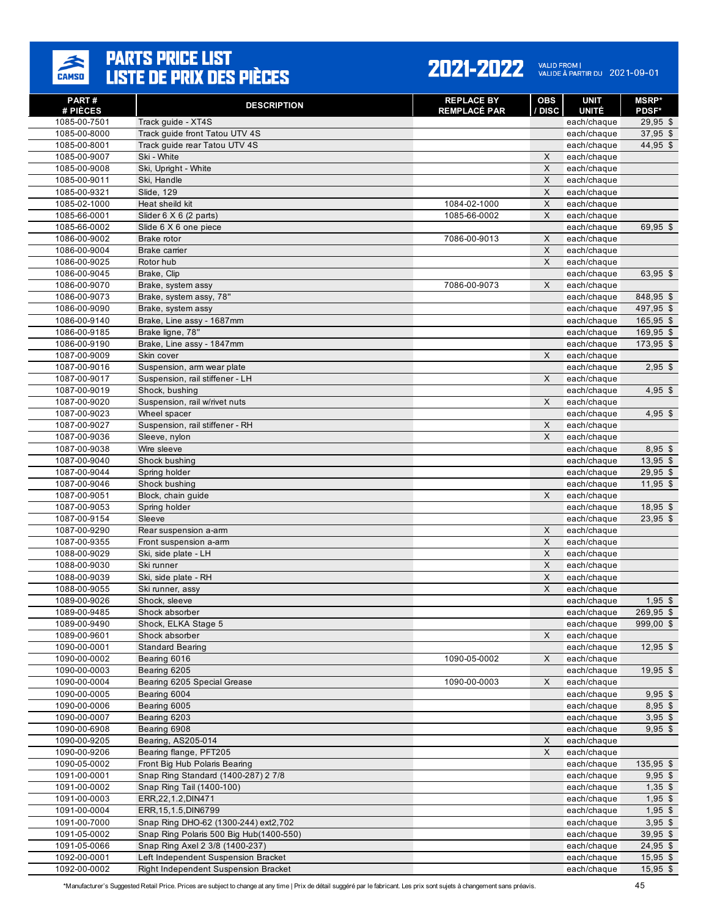

#### 2021-2022 VALID FROM | 2021-09-01

| PART#<br># PIÈCES            | <b>DESCRIPTION</b>                                               | <b>REPLACE BY</b><br><b>REMPLACÉ PAR</b> | <b>OBS</b><br>/ DISC | <b>UNIT</b><br><b>UNITÉ</b> | <b>MSRP*</b><br><b>PDSF*</b> |
|------------------------------|------------------------------------------------------------------|------------------------------------------|----------------------|-----------------------------|------------------------------|
| 1085-00-7501                 | Track guide - XT4S                                               |                                          |                      | each/chaque                 | $29,95$ \$                   |
| 1085-00-8000                 | Track guide front Tatou UTV 4S                                   |                                          |                      | each/chaque                 | 37,95 \$                     |
| 1085-00-8001                 | Track quide rear Tatou UTV 4S                                    |                                          |                      | each/chaque                 | 44,95 \$                     |
| 1085-00-9007                 | Ski - White                                                      |                                          | X                    | each/chaque                 |                              |
| 1085-00-9008                 | Ski, Upright - White                                             |                                          | $\pmb{\times}$       | each/chaque                 |                              |
| 1085-00-9011                 | Ski, Handle                                                      |                                          | X                    | each/chaque                 |                              |
| 1085-00-9321                 | <b>Slide, 129</b>                                                |                                          | $\pmb{\times}$       | each/chaque                 |                              |
| 1085-02-1000                 | Heat sheild kit                                                  | 1084-02-1000                             | $\mathsf X$          | each/chaque                 |                              |
| 1085-66-0001                 | Slider $6 \times 6$ (2 parts)                                    | 1085-66-0002                             | X                    | each/chaque                 |                              |
| 1085-66-0002                 | Slide 6 X 6 one piece                                            |                                          |                      | each/chaque                 | 69,95 \$                     |
| 1086-00-9002                 | Brake rotor                                                      | 7086-00-9013                             | $\mathsf X$          | each/chaque                 |                              |
| 1086-00-9004                 | Brake carrier                                                    |                                          | $\mathsf X$          | each/chaque                 |                              |
| 1086-00-9025                 | Rotor hub                                                        |                                          | X                    | each/chaque                 |                              |
| 1086-00-9045                 | Brake, Clip                                                      |                                          |                      | each/chaque                 | 63,95 \$                     |
| 1086-00-9070                 | Brake, system assy                                               | 7086-00-9073                             | X                    | each/chaque                 |                              |
| 1086-00-9073                 | Brake, system assy, 78"                                          |                                          |                      | each/chaque                 | 848,95 \$                    |
| 1086-00-9090                 | Brake, system assy                                               |                                          |                      | each/chaque                 | 497,95 \$                    |
| 1086-00-9140                 | Brake, Line assy - 1687mm                                        |                                          |                      | each/chaque                 | 165,95 \$                    |
| 1086-00-9185                 | Brake ligne, 78"                                                 |                                          |                      | each/chaque                 | 169,95 \$                    |
| 1086-00-9190                 | Brake, Line assy - 1847mm                                        |                                          |                      | each/chaque                 | 173,95 \$                    |
| 1087-00-9009                 | Skin cover                                                       |                                          | X                    | each/chaque                 |                              |
| 1087-00-9016                 | Suspension, arm wear plate                                       |                                          |                      | each/chaque                 | $2,95$ \$                    |
| 1087-00-9017                 | Suspension, rail stiffener - LH                                  |                                          | X                    | each/chaque                 |                              |
| 1087-00-9019                 | Shock, bushing                                                   |                                          |                      | each/chaque                 | $4,95$ \$                    |
| 1087-00-9020                 | Suspension, rail w/rivet nuts                                    |                                          | X                    | each/chaque                 |                              |
| 1087-00-9023                 | Wheel spacer                                                     |                                          |                      | each/chaque                 | $4,95$ \$                    |
| 1087-00-9027                 | Suspension, rail stiffener - RH                                  |                                          | X                    | each/chaque                 |                              |
| 1087-00-9036                 | Sleeve, nylon                                                    |                                          | X                    | each/chaque                 |                              |
| 1087-00-9038                 | Wire sleeve                                                      |                                          |                      | each/chaque                 | $8,95$ \$                    |
| 1087-00-9040                 | Shock bushing                                                    |                                          |                      | each/chaque                 | $13,95$ \$                   |
| 1087-00-9044                 | Spring holder                                                    |                                          |                      | each/chaque                 | $29,95$ \$                   |
| 1087-00-9046                 | Shock bushing                                                    |                                          |                      | each/chaque                 | $11,95$ \$                   |
| 1087-00-9051                 | Block, chain guide                                               |                                          | X                    | each/chaque                 |                              |
| 1087-00-9053                 | Spring holder                                                    |                                          |                      | each/chaque                 | $18,95$ \$                   |
| 1087-00-9154                 | Sleeve                                                           |                                          |                      | each/chaque                 | $23,95$ \$                   |
| 1087-00-9290                 | Rear suspension a-arm                                            |                                          | X                    | each/chaque                 |                              |
| 1087-00-9355                 | Front suspension a-arm                                           |                                          | $\mathsf X$          | each/chaque                 |                              |
| 1088-00-9029                 | Ski, side plate - LH                                             |                                          | X                    | each/chaque                 |                              |
| 1088-00-9030                 | Ski runner                                                       |                                          | $\pmb{\times}$       | each/chaque                 |                              |
| 1088-00-9039                 | Ski, side plate - RH                                             |                                          | X                    | each/chaque                 |                              |
| 1088-00-9055                 | Ski runner, assy                                                 |                                          | $\pmb{\times}$       | each/chaque                 |                              |
| 1089-00-9026                 | Shock, sleeve                                                    |                                          |                      | each/chaque                 | $1,95$ \$                    |
| 1089-00-9485                 | Shock absorber                                                   |                                          |                      | each/chaque                 | 269,95 \$                    |
| 1089-00-9490                 | Shock, ELKA Stage 5                                              |                                          |                      | each/chaque                 | 999,00 \$                    |
| 1089-00-9601                 | Shock absorber                                                   |                                          | X                    | each/chaque                 |                              |
| 1090-00-0001                 | <b>Standard Bearing</b>                                          |                                          |                      | each/chaque                 | 12,95 \$                     |
| 1090-00-0002                 | Bearing 6016                                                     | 1090-05-0002                             | X                    | each/chaque                 |                              |
| 1090-00-0003                 | Bearing 6205                                                     |                                          |                      | each/chaque                 | 19,95 \$                     |
| 1090-00-0004                 | Bearing 6205 Special Grease                                      | 1090-00-0003                             | X                    | each/chaque                 |                              |
| 1090-00-0005                 | Bearing 6004                                                     |                                          |                      | each/chaque                 | $9,95$ \$                    |
| 1090-00-0006                 | Bearing 6005                                                     |                                          |                      | each/chaque                 | $8,95$ \$                    |
| 1090-00-0007                 | Bearing 6203                                                     |                                          |                      | each/chaque                 | $3,95$ \$                    |
| 1090-00-6908                 | Bearing 6908                                                     |                                          |                      | each/chaque                 | $9,95$ \$                    |
| 1090-00-9205                 | Bearing, AS205-014                                               |                                          | X                    | each/chaque                 |                              |
| 1090-00-9206                 | Bearing flange, PFT205                                           |                                          | X                    | each/chaque                 |                              |
| 1090-05-0002                 | Front Big Hub Polaris Bearing                                    |                                          |                      | each/chaque                 | 135,95 \$                    |
| 1091-00-0001<br>1091-00-0002 | Snap Ring Standard (1400-287) 2 7/8<br>Snap Ring Tail (1400-100) |                                          |                      | each/chaque<br>each/chaque  | $9,95$ \$<br>$1,35$ \$       |
| 1091-00-0003                 | ERR, 22, 1.2, DIN471                                             |                                          |                      | each/chaque                 | $1,95$ \$                    |
| 1091-00-0004                 | ERR, 15, 1.5, DIN6799                                            |                                          |                      | each/chaque                 | $1,95$ \$                    |
| 1091-00-7000                 | Snap Ring DHO-62 (1300-244) ext2,702                             |                                          |                      | each/chaque                 | $3,95$ \$                    |
| 1091-05-0002                 | Snap Ring Polaris 500 Big Hub(1400-550)                          |                                          |                      | each/chaque                 | $39,95$ \$                   |
| 1091-05-0066                 | Snap Ring Axel 2 3/8 (1400-237)                                  |                                          |                      | each/chaque                 | 24,95 \$                     |
| 1092-00-0001                 | Left Independent Suspension Bracket                              |                                          |                      | each/chaque                 | $15,95$ \$                   |
| 1092-00-0002                 | Right Independent Suspension Bracket                             |                                          |                      | each/chaque                 | $15,95$ \$                   |
|                              |                                                                  |                                          |                      |                             |                              |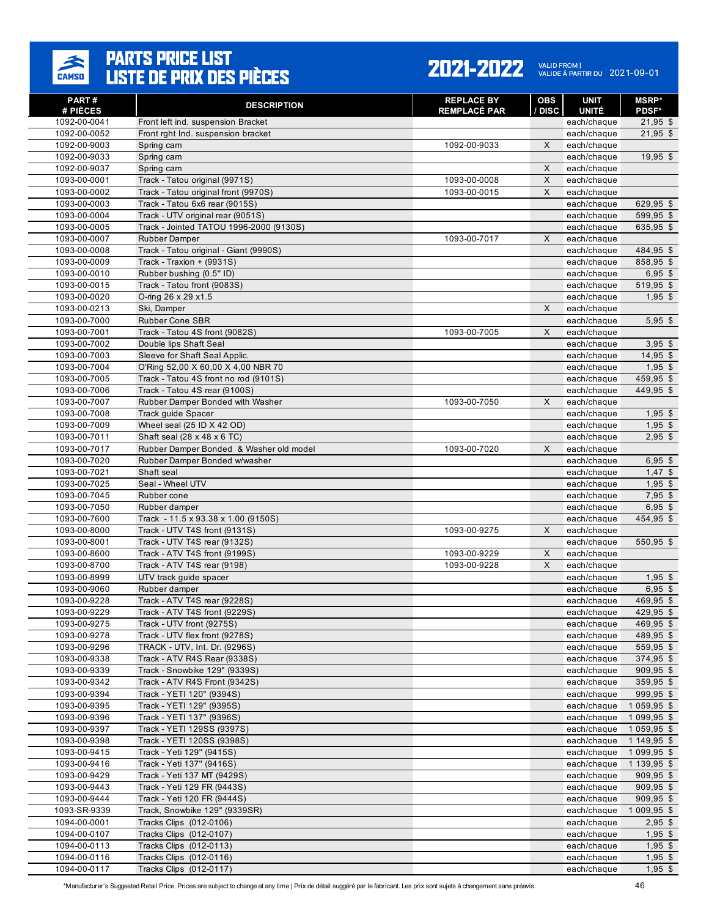

| PART#<br># PIÈCES            | <b>DESCRIPTION</b>                                                  | <b>REPLACE BY</b><br><b>REMPLACÉ PAR</b> | <b>OBS</b><br>/ DISC | <b>UNIT</b><br><b>UNITÉ</b> | <b>MSRP</b> *<br><b>PDSF*</b> |
|------------------------------|---------------------------------------------------------------------|------------------------------------------|----------------------|-----------------------------|-------------------------------|
| 1092-00-0041                 | Front left ind. suspension Bracket                                  |                                          |                      | each/chaque                 | $21,95$ \$                    |
| 1092-00-0052                 | Front rght Ind. suspension bracket                                  |                                          |                      | each/chaque                 | $21,95$ \$                    |
| 1092-00-9003                 | Spring cam                                                          | 1092-00-9033                             | X                    | each/chaque                 |                               |
| 1092-00-9033                 | Spring cam                                                          |                                          |                      | each/chaque                 | $19,95$ \$                    |
| 1092-00-9037                 | Spring cam                                                          |                                          | X                    | each/chaque                 |                               |
| 1093-00-0001                 | Track - Tatou original (9971S)                                      | 1093-00-0008                             | X                    | each/chaque                 |                               |
| 1093-00-0002                 | Track - Tatou original front (9970S)                                | 1093-00-0015                             | X                    | each/chaque                 |                               |
| 1093-00-0003                 | Track - Tatou 6x6 rear (9015S)                                      |                                          |                      | each/chaque                 | 629,95 \$                     |
| 1093-00-0004                 | Track - UTV original rear (9051S)                                   |                                          |                      | each/chaque                 | 599,95 \$                     |
| 1093-00-0005                 | Track - Jointed TATOU 1996-2000 (9130S)                             |                                          |                      | each/chaque                 | 635,95 \$                     |
| 1093-00-0007                 | <b>Rubber Damper</b>                                                | 1093-00-7017                             | X                    | each/chaque                 |                               |
| 1093-00-0008                 | Track - Tatou original - Giant (9990S)                              |                                          |                      | each/chaque                 | 484,95 \$                     |
| 1093-00-0009                 | Track - Traxion + (9931S)                                           |                                          |                      | each/chaque                 | 858,95 \$                     |
| 1093-00-0010                 | Rubber bushing (0.5" ID)                                            |                                          |                      | each/chaque                 | $6,95$ \$                     |
| 1093-00-0015                 | Track - Tatou front (9083S)                                         |                                          |                      | each/chaque                 | 519,95 \$                     |
| 1093-00-0020                 | O-ring 26 x 29 x1.5                                                 |                                          |                      | each/chaque                 | $1,95$ \$                     |
| 1093-00-0213                 | Ski, Damper                                                         |                                          | X                    | each/chaque                 |                               |
| 1093-00-7000                 | <b>Rubber Cone SBR</b>                                              |                                          |                      | each/chaque                 | $5,95$ \$                     |
| 1093-00-7001                 | Track - Tatou 4S front (9082S)                                      | 1093-00-7005                             | X                    | each/chaque                 |                               |
| 1093-00-7002                 | Double lips Shaft Seal                                              |                                          |                      | each/chaque                 | $3,95$ \$                     |
| 1093-00-7003<br>1093-00-7004 | Sleeve for Shaft Seal Applic.<br>O'Ring 52,00 X 60,00 X 4,00 NBR 70 |                                          |                      | each/chaque                 | $14,95$ \$<br>$1,95$ \$       |
| 1093-00-7005                 | Track - Tatou 4S front no rod (9101S)                               |                                          |                      | each/chaque<br>each/chaque  | 459,95 \$                     |
| 1093-00-7006                 | Track - Tatou 4S rear (9100S)                                       |                                          |                      | each/chaque                 | 449,95 \$                     |
| 1093-00-7007                 | Rubber Damper Bonded with Washer                                    | 1093-00-7050                             | X                    | each/chaque                 |                               |
| 1093-00-7008                 | Track guide Spacer                                                  |                                          |                      | each/chaque                 | $1,95$ \$                     |
| 1093-00-7009                 | Wheel seal (25 ID X 42 OD)                                          |                                          |                      | each/chaque                 | $1,95$ \$                     |
| 1093-00-7011                 | Shaft seal (28 x 48 x 6 TC)                                         |                                          |                      | each/chaque                 | $2,95$ \$                     |
| 1093-00-7017                 | Rubber Damper Bonded & Washer old model                             | 1093-00-7020                             | $\times$             | each/chaque                 |                               |
| 1093-00-7020                 | Rubber Damper Bonded w/washer                                       |                                          |                      | each/chaque                 | $6,95$ \$                     |
| 1093-00-7021                 | Shaft seal                                                          |                                          |                      | each/chaque                 | $1,47$ \$                     |
| 1093-00-7025                 | Seal - Wheel UTV                                                    |                                          |                      | each/chaque                 | $1,95$ \$                     |
| 1093-00-7045                 | Rubber cone                                                         |                                          |                      | each/chaque                 | $7,95$ \$                     |
| 1093-00-7050                 | Rubber damper                                                       |                                          |                      | each/chaque                 | $6,95$ \$                     |
| 1093-00-7600                 | Track - 11.5 x 93.38 x 1.00 (9150S)                                 |                                          |                      | each/chaque                 | 454,95 \$                     |
| 1093-00-8000                 | Track - UTV T4S front (9131S)                                       | 1093-00-9275                             | X                    | each/chaque                 |                               |
| 1093-00-8001                 | Track - UTV T4S rear (9132S)                                        |                                          |                      | each/chaque                 | 550,95 \$                     |
| 1093-00-8600                 | Track - ATV T4S front (9199S)                                       | 1093-00-9229                             | X                    | each/chaque                 |                               |
| 1093-00-8700                 | Track - ATV T4S rear (9198)                                         | 1093-00-9228                             | X                    | each/chaque                 |                               |
| 1093-00-8999                 | UTV track quide spacer                                              |                                          |                      | each/chaque                 | $1,95$ \$                     |
| 1093-00-9060                 | Rubber damper                                                       |                                          |                      | each/chaque                 | $6,95$ \$                     |
| 1093-00-9228                 | Track - ATV T4S rear (9228S)                                        |                                          |                      | each/chaque                 | 469,95 \$                     |
| 1093-00-9229                 | Track - ATV T4S front (9229S)                                       |                                          |                      | each/chaque                 | 429,95 \$                     |
| 1093-00-9275                 | Track - UTV front (9275S)                                           |                                          |                      | each/chaque                 | 469,95 \$                     |
| 1093-00-9278                 | Track - UTV flex front (9278S)                                      |                                          |                      | each/chaque                 | 489,95 \$                     |
| 1093-00-9296<br>1093-00-9338 | TRACK - UTV, Int. Dr. (9296S)<br>Track - ATV R4S Rear (9338S)       |                                          |                      | each/chaque<br>each/chaque  | 559,95 \$<br>374,95 \$        |
| 1093-00-9339                 | Track - Snowbike 129" (9339S)                                       |                                          |                      | each/chaque                 | $909,95$ \$                   |
| 1093-00-9342                 | Track - ATV R4S Front (9342S)                                       |                                          |                      | each/chaque                 | 359,95 \$                     |
| 1093-00-9394                 | Track - YETI 120" (9394S)                                           |                                          |                      | each/chaque                 | 999,95 \$                     |
| 1093-00-9395                 | Track - YETI 129" (9395S)                                           |                                          |                      | each/chaque                 | 1 0 5 9, 9 5 \$               |
| 1093-00-9396                 | Track - YETI 137" (9396S)                                           |                                          |                      | each/chaque                 | 1 0 9 9, 95 \$                |
| 1093-00-9397                 | Track - YETI 129SS (9397S)                                          |                                          |                      | each/chaque                 | 1 0 5 9, 9 5 \$               |
| 1093-00-9398                 | Track - YETI 120SS (9398S)                                          |                                          |                      | each/chaque                 | 1 149,95 \$                   |
| 1093-00-9415                 | Track - Yeti 129" (9415S)                                           |                                          |                      | each/chaque                 | 1 0 9 9, 95 \$                |
| 1093-00-9416                 | Track - Yeti 137" (9416S)                                           |                                          |                      | each/chaque                 | 1 139,95 \$                   |
| 1093-00-9429                 | Track - Yeti 137 MT (9429S)                                         |                                          |                      | each/chaque                 | $909,95$ \$                   |
| 1093-00-9443                 | Track - Yeti 129 FR (9443S)                                         |                                          |                      | each/chaque                 | 909,95 \$                     |
| 1093-00-9444                 | Track - Yeti 120 FR (9444S)                                         |                                          |                      | each/chaque                 | 909,95 \$                     |
| 1093-SR-9339                 | Track, Snowbike 129" (9339SR)                                       |                                          |                      | each/chaque                 | 1 009,95 \$                   |
| 1094-00-0001                 | Tracks Clips (012-0106)                                             |                                          |                      | each/chaque                 | $2,95$ \$                     |
| 1094-00-0107                 | Tracks Clips (012-0107)                                             |                                          |                      | each/chaque                 | $1,95$ \$                     |
| 1094-00-0113                 | Tracks Clips (012-0113)                                             |                                          |                      | each/chaque                 | $1,95$ \$                     |
| 1094-00-0116                 | <b>Tracks Clips (012-0116)</b>                                      |                                          |                      | each/chaque                 | $1,95$ \$                     |
| 1094-00-0117                 | Tracks Clips (012-0117)                                             |                                          |                      | each/chaque                 | $1,95$ \$                     |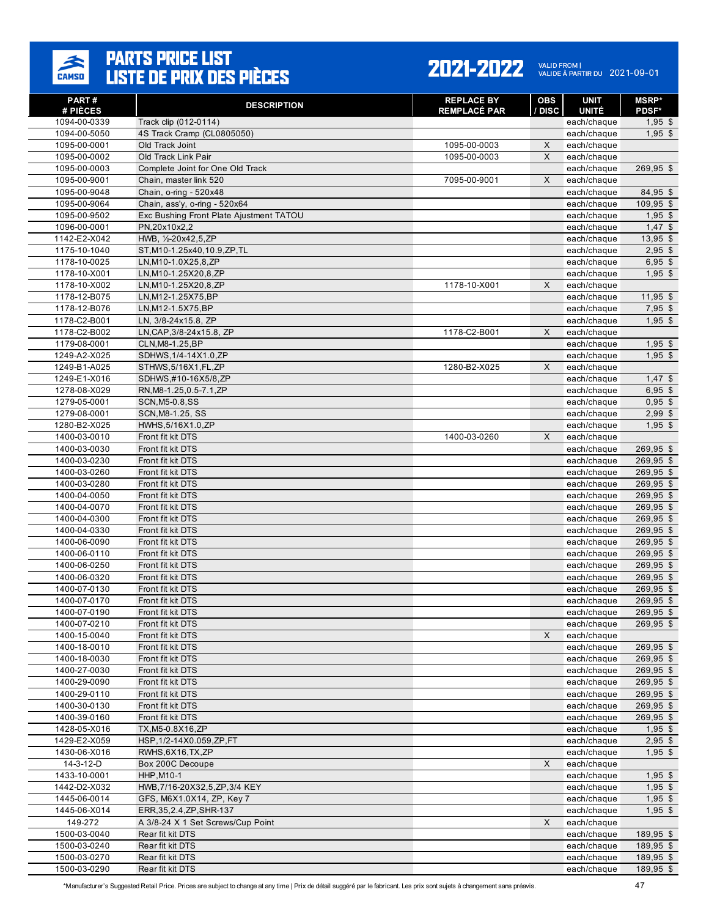

| PART#<br># PIÈCES            | <b>DESCRIPTION</b>                      | <b>REPLACE BY</b><br><b>REMPLACÉ PAR</b> | <b>OBS</b><br>/ DISC | <b>UNIT</b><br><b>UNITÉ</b> | <b>MSRP</b> *<br><b>PDSF*</b> |
|------------------------------|-----------------------------------------|------------------------------------------|----------------------|-----------------------------|-------------------------------|
| 1094-00-0339                 | Track clip (012-0114)                   |                                          |                      | each/chaque                 | $1,95$ \$                     |
| 1094-00-5050                 | 4S Track Cramp (CL0805050)              |                                          |                      | each/chaque                 | $1,95$ \$                     |
| 1095-00-0001                 | Old Track Joint                         | 1095-00-0003                             | $\mathsf X$          | each/chaque                 |                               |
| 1095-00-0002                 | Old Track Link Pair                     | 1095-00-0003                             | X                    | each/chaque                 |                               |
| 1095-00-0003                 | Complete Joint for One Old Track        |                                          |                      | each/chaque                 | 269,95 \$                     |
| 1095-00-9001                 | Chain, master link 520                  | 7095-00-9001                             | X                    | each/chaque                 |                               |
| 1095-00-9048                 | Chain, o-ring - 520x48                  |                                          |                      | each/chaque                 | 84,95 \$                      |
| 1095-00-9064                 | Chain, ass'y, o-ring - 520x64           |                                          |                      | each/chaque                 | $109,95$ \$                   |
| 1095-00-9502                 | Exc Bushing Front Plate Ajustment TATOU |                                          |                      | each/chaque                 | $1,95$ \$                     |
| 1096-00-0001                 | PN,20x10x2,2                            |                                          |                      | each/chaque                 | $1,47$ \$                     |
| 1142-E2-X042                 | HWB, 1/2-20x42,5,ZP                     |                                          |                      | each/chaque                 | $13,95$ \$                    |
| 1175-10-1040                 | ST, M10-1.25x40, 10.9, ZP, TL           |                                          |                      | each/chaque                 | $2,95$ \$                     |
| 1178-10-0025                 | LN, M10-1.0X25, 8, ZP                   |                                          |                      | each/chaque                 | $6,95$ \$                     |
| 1178-10-X001                 | LN, M10-1.25X20, 8, ZP                  |                                          |                      | each/chaque                 | $1,95$ \$                     |
| 1178-10-X002                 | LN, M10-1.25X20, 8, ZP                  | 1178-10-X001                             | X                    | each/chaque                 |                               |
| 1178-12-B075                 | LN, M12-1.25X75, BP                     |                                          |                      | each/chaque                 | $11,95$ \$                    |
| 1178-12-B076                 | LN, M12-1.5X75, BP                      |                                          |                      | each/chaque                 | $7,95$ \$                     |
| 1178-C2-B001                 | LN, 3/8-24x15.8, ZP                     |                                          |                      | each/chaque                 | $1,95$ \$                     |
| 1178-C2-B002                 | LN, CAP, 3/8-24x15.8, ZP                | 1178-C2-B001                             | X                    | each/chaque                 |                               |
| 1179-08-0001                 | CLN, M8-1.25, BP                        |                                          |                      | each/chaque                 | $1,95$ \$                     |
| 1249-A2-X025                 | SDHWS, 1/4-14X1.0, ZP                   |                                          |                      | each/chaque                 | $1,95$ \$                     |
| 1249-B1-A025                 | STHWS, 5/16X1, FL, ZP                   | 1280-B2-X025                             | X                    | each/chaque                 |                               |
| 1249-E1-X016                 | SDHWS,#10-16X5/8,ZP                     |                                          |                      | each/chaque                 | $1,47$ \$                     |
| 1278-08-X029                 | RN, M8-1.25, 0.5-7.1, ZP                |                                          |                      | each/chaque                 | $6,95$ \$                     |
| 1279-05-0001                 | SCN, M5-0.8, SS                         |                                          |                      | each/chaque                 | $0,95$ \$                     |
| 1279-08-0001                 | SCN, M8-1.25, SS                        |                                          |                      | each/chaque                 | $2,99$ \$                     |
| 1280-B2-X025                 | HWHS, 5/16X1.0, ZP                      |                                          |                      | each/chaque                 | $1,95$ \$                     |
| 1400-03-0010                 | Front fit kit DTS                       | 1400-03-0260                             | X                    | each/chaque                 |                               |
| 1400-03-0030                 | Front fit kit DTS                       |                                          |                      | each/chaque                 | 269,95 \$                     |
| 1400-03-0230                 | Front fit kit DTS                       |                                          |                      | each/chaque                 | 269,95 \$                     |
| 1400-03-0260                 | Front fit kit DTS                       |                                          |                      | each/chaque                 | 269,95 \$                     |
| 1400-03-0280                 | Front fit kit DTS                       |                                          |                      | each/chaque                 | 269,95 \$                     |
| 1400-04-0050                 | Front fit kit DTS                       |                                          |                      | each/chaque                 | 269,95 \$                     |
| 1400-04-0070                 | Front fit kit DTS                       |                                          |                      | each/chaque                 | 269,95 \$                     |
| 1400-04-0300                 | Front fit kit DTS                       |                                          |                      | each/chaque                 | 269,95 \$                     |
| 1400-04-0330                 | Front fit kit DTS                       |                                          |                      | each/chaque                 | 269,95 \$                     |
| 1400-06-0090                 | Front fit kit DTS                       |                                          |                      | each/chaque                 | 269,95 \$                     |
| 1400-06-0110                 | Front fit kit DTS                       |                                          |                      | each/chaque                 | 269,95 \$                     |
| 1400-06-0250                 | Front fit kit DTS                       |                                          |                      | each/chaque                 | 269,95 \$                     |
| 1400-06-0320                 | Front fit kit DTS                       |                                          |                      | each/chaque                 | 269,95 \$                     |
| 1400-07-0130                 | Front fit kit DTS                       |                                          |                      | each/chaque                 | 269,95 \$                     |
| 1400-07-0170                 | Front fit kit DTS                       |                                          |                      | each/chaque                 | 269,95 \$                     |
| 1400-07-0190                 | Front fit kit DTS                       |                                          |                      | each/chaque                 | 269,95 \$                     |
| 1400-07-0210                 | Front fit kit DTS                       |                                          |                      | each/chaque                 | 269,95 \$                     |
| 1400-15-0040                 | Front fit kit DTS                       |                                          | X                    | each/chaque                 |                               |
| 1400-18-0010                 | Front fit kit DTS                       |                                          |                      | each/chaque                 | 269,95 \$                     |
| 1400-18-0030                 | Front fit kit DTS                       |                                          |                      | each/chaque                 | 269,95 \$                     |
| 1400-27-0030<br>1400-29-0090 | Front fit kit DTS<br>Front fit kit DTS  |                                          |                      | each/chaque                 | 269,95 \$<br>269,95 \$        |
|                              |                                         |                                          |                      | each/chaque<br>each/chaque  |                               |
| 1400-29-0110<br>1400-30-0130 | Front fit kit DTS<br>Front fit kit DTS  |                                          |                      | each/chaque                 | 269,95 \$<br>269,95 \$        |
| 1400-39-0160                 | Front fit kit DTS                       |                                          |                      |                             |                               |
|                              | TX, M5-0.8X16, ZP                       |                                          |                      | each/chaque                 | 269,95 \$                     |
| 1428-05-X016<br>1429-E2-X059 | HSP, 1/2-14X0.059, ZP, FT               |                                          |                      | each/chaque                 | $1,95$ \$<br>$2,95$ \$        |
| 1430-06-X016                 | RWHS, 6X16, TX, ZP                      |                                          |                      | each/chaque<br>each/chaque  | $1,95$ \$                     |
| 14-3-12-D                    | Box 200C Decoupe                        |                                          | X                    | each/chaque                 |                               |
| 1433-10-0001                 | <b>HHP, M10-1</b>                       |                                          |                      | each/chaque                 | $1,95$ \$                     |
| 1442-D2-X032                 | HWB,7/16-20X32,5,ZP,3/4 KEY             |                                          |                      | each/chaque                 | $1,95$ \$                     |
| 1445-06-0014                 | GFS, M6X1.0X14, ZP, Key 7               |                                          |                      | each/chaque                 | $1,95$ \$                     |
| 1445-06-X014                 | ERR, 35, 2.4, ZP, SHR-137               |                                          |                      | each/chaque                 | $1,95$ \$                     |
| 149-272                      | A 3/8-24 X 1 Set Screws/Cup Point       |                                          | X                    | each/chaque                 |                               |
| 1500-03-0040                 | Rear fit kit DTS                        |                                          |                      | each/chaque                 | 189,95 \$                     |
| 1500-03-0240                 | Rear fit kit DTS                        |                                          |                      | each/chaque                 | 189,95 \$                     |
| 1500-03-0270                 | Rear fit kit DTS                        |                                          |                      | each/chaque                 | 189,95 \$                     |
| 1500-03-0290                 | Rear fit kit DTS                        |                                          |                      | each/chaque                 | 189,95 \$                     |
|                              |                                         |                                          |                      |                             |                               |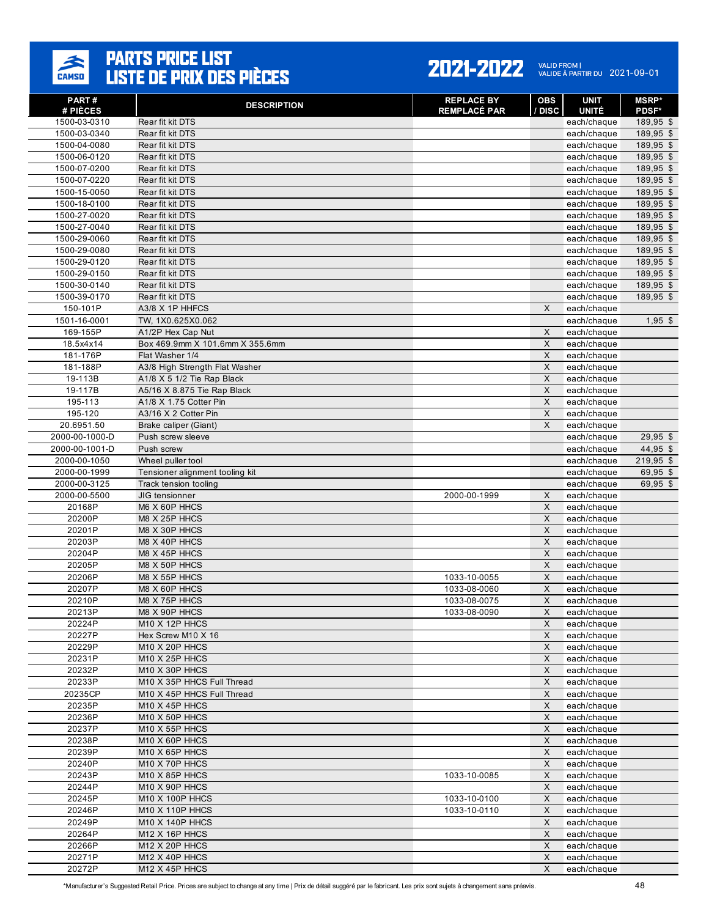

| <b>PART#</b><br># PIÈCES     | <b>DESCRIPTION</b>                                       | <b>REPLACE BY</b><br><b>REMPLACÉ PAR</b> | <b>OBS</b><br>/ DISC | UNIT<br><b>UNITÉ</b>       | <b>MSRP*</b><br>PDSF*  |
|------------------------------|----------------------------------------------------------|------------------------------------------|----------------------|----------------------------|------------------------|
| 1500-03-0310                 | Rear fit kit DTS                                         |                                          |                      | each/chaque                | 189,95 \$              |
| 1500-03-0340                 | Rear fit kit DTS                                         |                                          |                      | each/chaque                | $189,95$ \$            |
| 1500-04-0080                 | Rear fit kit DTS                                         |                                          |                      | each/chaque                | 189,95 \$              |
| 1500-06-0120                 | Rear fit kit DTS                                         |                                          |                      | each/chaque                | 189,95 \$              |
| 1500-07-0200                 | Rear fit kit DTS                                         |                                          |                      | each/chaque                | 189,95 \$              |
| 1500-07-0220                 | Rear fit kit DTS                                         |                                          |                      | each/chaque                | 189,95 \$              |
| 1500-15-0050                 | Rear fit kit DTS                                         |                                          |                      | each/chaque                | 189,95 \$              |
| 1500-18-0100                 | Rear fit kit DTS                                         |                                          |                      | each/chaque                | 189,95 \$              |
| 1500-27-0020                 | Rear fit kit DTS                                         |                                          |                      | each/chaque                | 189,95 \$              |
| 1500-27-0040                 | Rear fit kit DTS                                         |                                          |                      | each/chaque                | 189,95 \$              |
| 1500-29-0060                 | Rear fit kit DTS                                         |                                          |                      | each/chaque                | 189,95 \$              |
| 1500-29-0080                 | Rear fit kit DTS                                         |                                          |                      | each/chaque                | 189,95 \$              |
| 1500-29-0120<br>1500-29-0150 | Rear fit kit DTS<br>Rear fit kit DTS                     |                                          |                      | each/chaque<br>each/chaque | 189,95 \$<br>189,95 \$ |
| 1500-30-0140                 | Rear fit kit DTS                                         |                                          |                      | each/chaque                | 189,95 \$              |
| 1500-39-0170                 | Rear fit kit DTS                                         |                                          |                      | each/chaque                | 189,95 \$              |
| 150-101P                     | A3/8 X 1P HHFCS                                          |                                          | X                    | each/chaque                |                        |
| 1501-16-0001                 | TW, 1X0.625X0.062                                        |                                          |                      | each/chaque                | $1,95$ \$              |
| 169-155P                     | A1/2P Hex Cap Nut                                        |                                          | X                    | each/chaque                |                        |
| 18.5x4x14                    | Box 469.9mm X 101.6mm X 355.6mm                          |                                          | X                    | each/chaque                |                        |
| 181-176P                     | Flat Washer 1/4                                          |                                          | X                    | each/chaque                |                        |
| 181-188P                     | A3/8 High Strength Flat Washer                           |                                          | X                    | each/chaque                |                        |
| 19-113B                      | $A1/8$ X 5 1/2 Tie Rap Black                             |                                          | X                    | each/chaque                |                        |
| 19-117B                      | A5/16 X 8.875 Tie Rap Black                              |                                          | $\mathsf{X}$         | each/chaque                |                        |
| 195-113                      | A1/8 X 1.75 Cotter Pin                                   |                                          | X                    | each/chaque                |                        |
| 195-120                      | A3/16 X 2 Cotter Pin                                     |                                          | X                    | each/chaque                |                        |
| 20.6951.50                   | Brake caliper (Giant)                                    |                                          | X                    | each/chaque                |                        |
| 2000-00-1000-D               | Push screw sleeve                                        |                                          |                      | each/chaque                | $29,95$ \$             |
| 2000-00-1001-D               | Push screw                                               |                                          |                      | each/chaque                | 44,95 \$               |
| 2000-00-1050                 | Wheel puller tool                                        |                                          |                      | each/chaque                | $219,95$ \$            |
| 2000-00-1999<br>2000-00-3125 | Tensioner alignment tooling kit<br>Track tension tooling |                                          |                      | each/chaque<br>each/chaque | $69,95$ \$<br>69,95 \$ |
| 2000-00-5500                 | JIG tensionner                                           | 2000-00-1999                             | X                    | each/chaque                |                        |
| 20168P                       | M6 X 60P HHCS                                            |                                          | X                    | each/chaque                |                        |
| 20200P                       | M8 X 25P HHCS                                            |                                          | $\pmb{\times}$       | each/chaque                |                        |
| 20201P                       | M8 X 30P HHCS                                            |                                          | X                    | each/chaque                |                        |
| 20203P                       | M8 X 40P HHCS                                            |                                          | X                    | each/chaque                |                        |
| 20204P                       | M8 X 45P HHCS                                            |                                          | $\pmb{\times}$       | each/chaque                |                        |
| 20205P                       | M8 X 50P HHCS                                            |                                          | X                    | each/chaque                |                        |
| 20206P                       | M8 X 55P HHCS                                            | 1033-10-0055                             | X                    | each/chaque                |                        |
| 20207P                       | M8 X 60P HHCS                                            | 1033-08-0060                             | $\mathsf X$          | each/chaque                |                        |
| 20210P                       | M8 X 75P HHCS                                            | 1033-08-0075                             | X                    | each/chaque                |                        |
| 20213P                       | M8 X 90P HHCS                                            | 1033-08-0090                             | X                    | each/chaque                |                        |
| 20224P                       | M10 X 12P HHCS                                           |                                          | X                    | each/chaque                |                        |
| 20227P                       | Hex Screw M10 X 16                                       |                                          | X                    | each/chaque                |                        |
| 20229P                       | M10 X 20P HHCS                                           |                                          | X                    | each/chaque                |                        |
| 20231P                       | M10 X 25P HHCS<br>M10 X 30P HHCS                         |                                          | X                    | each/chaque                |                        |
| 20232P<br>20233P             | M10 X 35P HHCS Full Thread                               |                                          | X<br>X               | each/chaque<br>each/chaque |                        |
| 20235CP                      | M10 X 45P HHCS Full Thread                               |                                          | X                    | each/chaque                |                        |
| 20235P                       | M10 X 45P HHCS                                           |                                          | X                    | each/chaque                |                        |
| 20236P                       | M10 X 50P HHCS                                           |                                          | X                    | each/chaque                |                        |
| 20237P                       | M10 X 55P HHCS                                           |                                          | X                    | each/chaque                |                        |
| 20238P                       | M10 X 60P HHCS                                           |                                          | X                    | each/chaque                |                        |
| 20239P                       | M10 X 65P HHCS                                           |                                          | X                    | each/chaque                |                        |
| 20240P                       | M10 X 70P HHCS                                           |                                          | X                    | each/chaque                |                        |
| 20243P                       | M10 X 85P HHCS                                           | 1033-10-0085                             | X                    | each/chaque                |                        |
| 20244P                       | M10 X 90P HHCS                                           |                                          | X                    | each/chaque                |                        |
| 20245P                       | M10 X 100P HHCS                                          | 1033-10-0100                             | X                    | each/chaque                |                        |
| 20246P                       | M10 X 110P HHCS                                          | 1033-10-0110                             | X                    | each/chaque                |                        |
| 20249P                       | M10 X 140P HHCS                                          |                                          | X                    | each/chaque                |                        |
| 20264P                       | M <sub>12</sub> X 16P HHCS                               |                                          | X                    | each/chaque                |                        |
| 20266P                       | M12 X 20P HHCS                                           |                                          | X                    | each/chaque                |                        |
| 20271P                       | M12 X 40P HHCS                                           |                                          | X                    | each/chaque                |                        |
| 20272P                       | M12 X 45P HHCS                                           |                                          | X                    | each/chaque                |                        |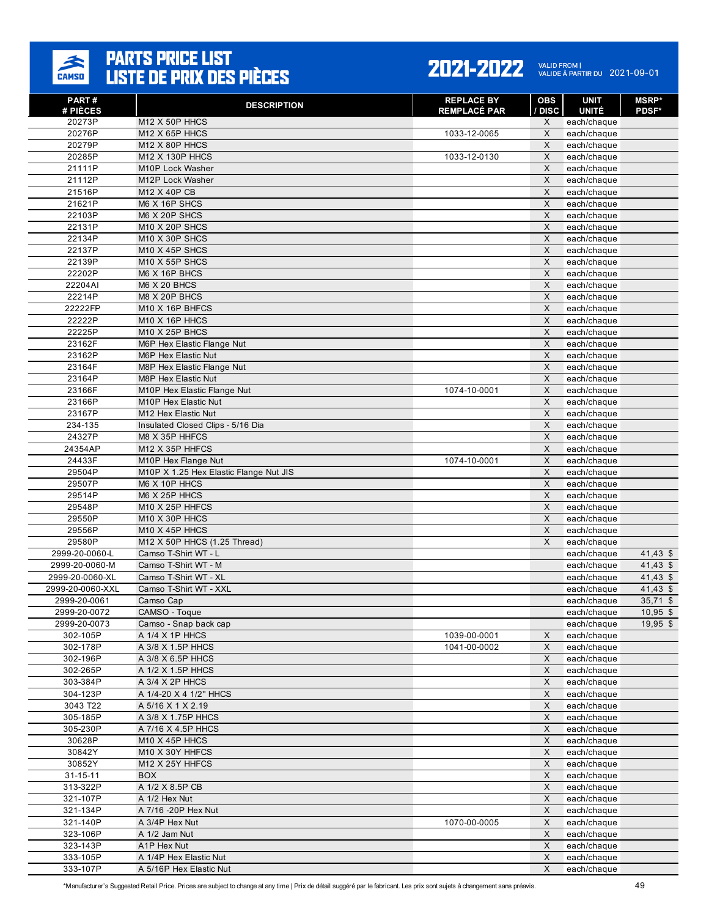

| <b>PART#</b><br># PIÈCES            | <b>DESCRIPTION</b>                                | <b>REPLACE BY</b><br><b>REMPLACÉ PAR</b> | <b>OBS</b><br>/ DISC | <b>UNIT</b><br><b>UNITÉ</b> | <b>MSRP*</b><br><b>PDSF*</b> |
|-------------------------------------|---------------------------------------------------|------------------------------------------|----------------------|-----------------------------|------------------------------|
| 20273P                              | M12 X 50P HHCS                                    |                                          | X                    | each/chaque                 |                              |
| 20276P                              | $M12$ X 65P HHCS                                  | 1033-12-0065                             | X                    | each/chaque                 |                              |
| 20279P                              | M12 X 80P HHCS                                    |                                          | $\times$             | each/chaque                 |                              |
| 20285P                              | M12 X 130P HHCS                                   | 1033-12-0130                             | $\times$             | each/chaque                 |                              |
| 21111P                              | M10P Lock Washer                                  |                                          | $\mathsf X$          | each/chaque                 |                              |
| 21112P                              | M12P Lock Washer                                  |                                          | $\times$             | each/chaque                 |                              |
| 21516P                              | M12 X 40P CB                                      |                                          | X                    | each/chaque                 |                              |
| 21621P                              | M6 X 16P SHCS                                     |                                          | X                    | each/chaque                 |                              |
| 22103P                              | M6 X 20P SHCS                                     |                                          | X                    | each/chaque                 |                              |
| 22131P                              | <b>M10 X 20P SHCS</b>                             |                                          | $\times$             | each/chaque                 |                              |
| 22134P                              | <b>M10 X 30P SHCS</b>                             |                                          | X                    | each/chaque                 |                              |
| 22137P                              | M10 X 45P SHCS                                    |                                          | X                    | each/chaque                 |                              |
| 22139P                              | M10 X 55P SHCS                                    |                                          | $\sf X$              | each/chaque                 |                              |
| 22202P                              | M6 X 16P BHCS                                     |                                          | X                    | each/chaque                 |                              |
| 22204AI<br>22214P                   | M6 X 20 BHCS<br>M8 X 20P BHCS                     |                                          | X<br>X               | each/chaque                 |                              |
| 22222FP                             | M10 X 16P BHFCS                                   |                                          | $\times$             | each/chaque<br>each/chaque  |                              |
| 22222P                              | M10 X 16P HHCS                                    |                                          | X                    | each/chaque                 |                              |
| 22225P                              | M10 X 25P BHCS                                    |                                          | $\times$             | each/chaque                 |                              |
| 23162F                              | M6P Hex Elastic Flange Nut                        |                                          | X                    | each/chaque                 |                              |
| 23162P                              | M6P Hex Elastic Nut                               |                                          | X                    | each/chaque                 |                              |
| 23164F                              | M8P Hex Elastic Flange Nut                        |                                          | $\times$             | each/chaque                 |                              |
| 23164P                              | M8P Hex Elastic Nut                               |                                          | X                    | each/chaque                 |                              |
| 23166F                              | M10P Hex Elastic Flange Nut                       | 1074-10-0001                             | X                    | each/chaque                 |                              |
| 23166P                              | M10P Hex Elastic Nut                              |                                          | X                    | each/chaque                 |                              |
| 23167P                              | M12 Hex Elastic Nut                               |                                          | X                    | each/chaque                 |                              |
| 234-135                             | Insulated Closed Clips - 5/16 Dia                 |                                          | X                    | each/chaque                 |                              |
| 24327P                              | M8 X 35P HHFCS                                    |                                          | $\times$             | each/chaque                 |                              |
| 24354AP                             | M12 X 35P HHFCS                                   |                                          | $\times$             | each/chaque                 |                              |
| 24433F                              | M10P Hex Flange Nut                               | 1074-10-0001                             | $\mathsf X$          | each/chaque                 |                              |
| 29504P                              | M10P X 1.25 Hex Elastic Flange Nut JIS            |                                          | X                    | each/chaque                 |                              |
| 29507P                              | M6 X 10P HHCS                                     |                                          | X                    | each/chaque                 |                              |
| 29514P                              | M6 X 25P HHCS                                     |                                          | X                    | each/chaque                 |                              |
| 29548P                              | M10 X 25P HHFCS                                   |                                          | X                    | each/chaque                 |                              |
| 29550P                              | M10 X 30P HHCS                                    |                                          | $\mathsf{X}$         | each/chaque                 |                              |
| 29556P                              | M10 X 45P HHCS                                    |                                          | X                    | each/chaque                 |                              |
| 29580P                              | M12 X 50P HHCS (1.25 Thread)                      |                                          | X                    | each/chaque                 |                              |
| 2999-20-0060-L                      | Camso T-Shirt WT - L                              |                                          |                      | each/chaque                 | $41,43$ \$                   |
| 2999-20-0060-M                      | Camso T-Shirt WT - M                              |                                          |                      | each/chaque                 | $41,43$ \$                   |
| 2999-20-0060-XL<br>2999-20-0060-XXL | Camso T-Shirt WT - XL<br>Camso T-Shirt WT - XXL   |                                          |                      | each/chaque<br>each/chaque  | 41,43 $$$<br>$41,43$ \$      |
| 2999-20-0061                        | Camso Cap                                         |                                          |                      | each/chaque                 | $35,71$ \$                   |
| 2999-20-0072                        | CAMSO - Toque                                     |                                          |                      | each/chaque                 | $10,95$ \$                   |
| 2999-20-0073                        | Camso - Snap back cap                             |                                          |                      | each/chaque                 | $19,95$ \$                   |
| 302-105P                            | A 1/4 X 1P HHCS                                   | 1039-00-0001                             | $\mathsf X$          | each/chaque                 |                              |
| 302-178P                            | A 3/8 X 1.5P HHCS                                 | 1041-00-0002                             | X                    | each/chaque                 |                              |
| 302-196P                            | A 3/8 X 6.5P HHCS                                 |                                          | X                    | each/chaque                 |                              |
| 302-265P                            | A 1/2 X 1.5P HHCS                                 |                                          | $\mathsf X$          | each/chaque                 |                              |
| 303-384P                            | A 3/4 X 2P HHCS                                   |                                          | X                    | each/chaque                 |                              |
| 304-123P                            | A 1/4-20 X 4 1/2" HHCS                            |                                          | $\times$             | each/chaque                 |                              |
| 3043 T22                            | A 5/16 X 1 X 2.19                                 |                                          | $\mathsf X$          | each/chaque                 |                              |
| 305-185P                            | A 3/8 X 1.75P HHCS                                |                                          | $\mathsf X$          | each/chaque                 |                              |
| 305-230P                            | A 7/16 X 4.5P HHCS                                |                                          | $\mathsf X$          | each/chaque                 |                              |
| 30628P                              | M10 X 45P HHCS                                    |                                          | $\mathsf{X}$         | each/chaque                 |                              |
| 30842Y                              | M10 X 30Y HHFCS                                   |                                          | $\mathsf X$          | each/chaque                 |                              |
| 30852Y                              | M12 X 25Y HHFCS                                   |                                          | X                    | each/chaque                 |                              |
| $31 - 15 - 11$                      | <b>BOX</b>                                        |                                          | X                    | each/chaque                 |                              |
| 313-322P                            | A 1/2 X 8.5P CB                                   |                                          | $\mathsf X$          | each/chaque                 |                              |
| 321-107P                            | A 1/2 Hex Nut                                     |                                          | $\mathsf X$          | each/chaque                 |                              |
| 321-134P                            | A 7/16 -20P Hex Nut                               |                                          | X                    | each/chaque                 |                              |
| 321-140P                            | A 3/4P Hex Nut                                    | 1070-00-0005                             | $\mathsf X$          | each/chaque                 |                              |
| 323-106P                            | A 1/2 Jam Nut                                     |                                          | $\mathsf X$          | each/chaque                 |                              |
| 323-143P                            | A1P Hex Nut                                       |                                          | X                    | each/chaque                 |                              |
| 333-105P                            | A 1/4P Hex Elastic Nut<br>A 5/16P Hex Elastic Nut |                                          | $\mathsf X$<br>X     | each/chaque                 |                              |
| 333-107P                            |                                                   |                                          |                      | each/chaque                 |                              |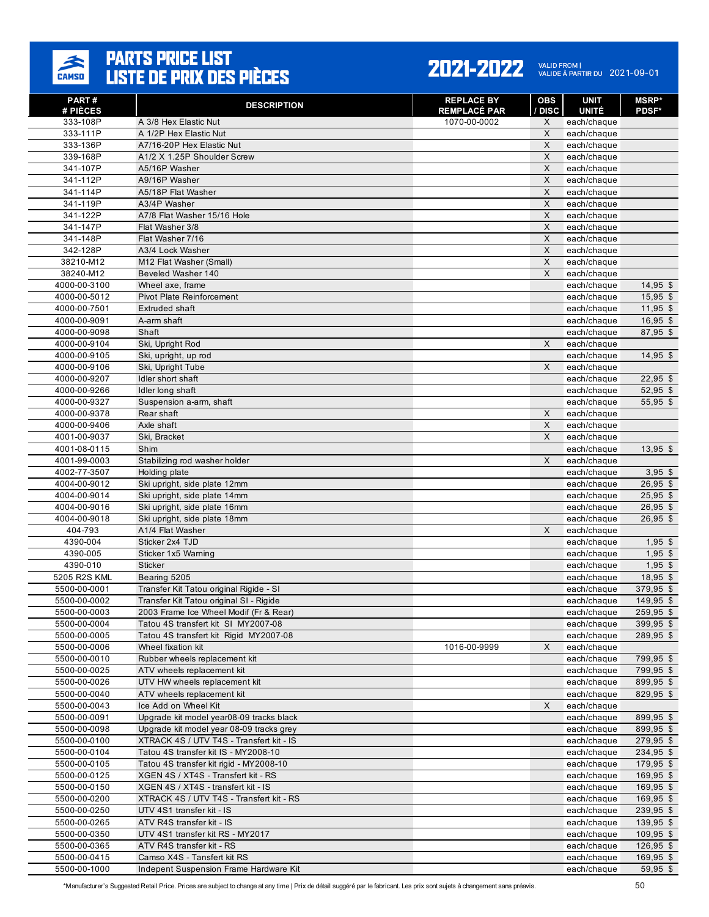

#### 2021-2022 VALID FROM | 2021-09-01

| PART#                        | <b>DESCRIPTION</b>                                           | <b>REPLACE BY</b>            | <b>OBS</b>   | <b>UNIT</b>                 | MSRP*                    |
|------------------------------|--------------------------------------------------------------|------------------------------|--------------|-----------------------------|--------------------------|
| # PIÈCES<br>333-108P         | A 3/8 Hex Elastic Nut                                        | REMPLACÉ PAR<br>1070-00-0002 | / DISC<br>X  | <b>UNITÉ</b><br>each/chaque | <b>PDSF*</b>             |
| 333-111P                     | A 1/2P Hex Elastic Nut                                       |                              | X            | each/chaque                 |                          |
| 333-136P                     | A7/16-20P Hex Elastic Nut                                    |                              | X            | each/chaque                 |                          |
| 339-168P                     | A1/2 X 1.25P Shoulder Screw                                  |                              | X            | each/chaque                 |                          |
| 341-107P                     | A5/16P Washer                                                |                              | X            | each/chaque                 |                          |
| 341-112P                     | A9/16P Washer                                                |                              | X            | each/chaque                 |                          |
| 341-114P                     | A5/18P Flat Washer                                           |                              | X            | each/chaque                 |                          |
| 341-119P                     | A3/4P Washer                                                 |                              | X            | each/chaque                 |                          |
| 341-122P                     | A7/8 Flat Washer 15/16 Hole                                  |                              | X            | each/chaque                 |                          |
| 341-147P                     | Flat Washer 3/8                                              |                              | $\mathsf{X}$ | each/chaque                 |                          |
| 341-148P                     | Flat Washer 7/16                                             |                              | X            | each/chaque                 |                          |
| 342-128P                     | A3/4 Lock Washer                                             |                              | X            | each/chaque                 |                          |
| 38210-M12                    | M12 Flat Washer (Small)                                      |                              | $\mathsf{X}$ | each/chaque                 |                          |
| 38240-M12<br>4000-00-3100    | Beveled Washer 140<br>Wheel axe, frame                       |                              | X            | each/chaque<br>each/chaque  | $14,95$ \$               |
| 4000-00-5012                 | Pivot Plate Reinforcement                                    |                              |              | each/chaque                 | $15,95$ \$               |
| 4000-00-7501                 | <b>Extruded shaft</b>                                        |                              |              | each/chaque                 | $11,95$ \$               |
| 4000-00-9091                 | A-arm shaft                                                  |                              |              | each/chaque                 | $16,95$ \$               |
| 4000-00-9098                 | Shaft                                                        |                              |              | each/chaque                 | 87,95 \$                 |
| 4000-00-9104                 | Ski, Upright Rod                                             |                              | X            | each/chaque                 |                          |
| 4000-00-9105                 | Ski, upright, up rod                                         |                              |              | each/chaque                 | $14,95$ \$               |
| 4000-00-9106                 | Ski, Upright Tube                                            |                              | X            | each/chaque                 |                          |
| 4000-00-9207                 | Idler short shaft                                            |                              |              | each/chaque                 | $22,95$ \$               |
| 4000-00-9266                 | Idler long shaft                                             |                              |              | each/chaque                 | $52,95$ \$               |
| 4000-00-9327                 | Suspension a-arm, shaft                                      |                              |              | each/chaque                 | 55,95 \$                 |
| 4000-00-9378                 | Rear shaft                                                   |                              | X            | each/chaque                 |                          |
| 4000-00-9406                 | Axle shaft                                                   |                              | X            | each/chaque                 |                          |
| 4001-00-9037                 | Ski, Bracket                                                 |                              | X            | each/chaque                 |                          |
| 4001-08-0115                 | Shim                                                         |                              |              | each/chaque                 | $13,95$ \$               |
| 4001-99-0003                 | Stabilizing rod washer holder                                |                              | X            | each/chaque                 |                          |
| 4002-77-3507                 | Holding plate                                                |                              |              | each/chaque                 | $3,95$ \$                |
| 4004-00-9012                 | Ski upright, side plate 12mm                                 |                              |              | each/chaque                 | $26,95$ \$<br>$25,95$ \$ |
| 4004-00-9014<br>4004-00-9016 | Ski upright, side plate 14mm<br>Ski upright, side plate 16mm |                              |              | each/chaque<br>each/chaque  | $26,95$ \$               |
| 4004-00-9018                 | Ski upright, side plate 18mm                                 |                              |              | each/chaque                 | $26,95$ \$               |
| 404-793                      | A1/4 Flat Washer                                             |                              | X            | each/chaque                 |                          |
| 4390-004                     | Sticker 2x4 TJD                                              |                              |              | each/chaque                 | $1,95$ \$                |
| 4390-005                     | Sticker 1x5 Warning                                          |                              |              | each/chaque                 | $1,95$ \$                |
| 4390-010                     | <b>Sticker</b>                                               |                              |              | each/chaque                 | $1,95$ \$                |
| 5205 R2S KML                 | Bearing 5205                                                 |                              |              | each/chaque                 | $18,95$ \$               |
| 5500-00-0001                 | Transfer Kit Tatou original Rigide - SI                      |                              |              | each/chaque                 | 379,95 \$                |
| 5500-00-0002                 | Transfer Kit Tatou original SI - Rigide                      |                              |              | each/chaque                 | 149,95 \$                |
| 5500-00-0003                 | 2003 Frame Ice Wheel Modif (Fr & Rear)                       |                              |              | each/chaque                 | 259,95 \$                |
| 5500-00-0004                 | Tatou 4S transfert kit SI MY2007-08                          |                              |              | each/chaque                 | 399,95 \$                |
| 5500-00-0005                 | Tatou 4S transfert kit Rigid MY2007-08                       |                              |              | each/chaque                 | 289,95 \$                |
| 5500-00-0006                 | Wheel fixation kit                                           | 1016-00-9999                 | X            | each/chaque                 |                          |
| 5500-00-0010                 | Rubber wheels replacement kit                                |                              |              | each/chaque                 | 799,95 \$                |
| 5500-00-0025<br>5500-00-0026 | ATV wheels replacement kit<br>UTV HW wheels replacement kit  |                              |              | each/chaque<br>each/chaque  | 799,95 \$<br>899,95 \$   |
| 5500-00-0040                 | ATV wheels replacement kit                                   |                              |              | each/chaque                 | 829,95 \$                |
| 5500-00-0043                 | Ice Add on Wheel Kit                                         |                              | X            | each/chaque                 |                          |
| 5500-00-0091                 | Upgrade kit model year08-09 tracks black                     |                              |              | each/chaque                 | 899,95 \$                |
| 5500-00-0098                 | Upgrade kit model year 08-09 tracks grey                     |                              |              | each/chaque                 | 899,95 \$                |
| 5500-00-0100                 | XTRACK 4S / UTV T4S - Transfert kit - IS                     |                              |              | each/chaque                 | 279,95 \$                |
| 5500-00-0104                 | Tatou 4S transfer kit IS - MY2008-10                         |                              |              | each/chaque                 | 234,95 \$                |
| 5500-00-0105                 | Tatou 4S transfer kit rigid - MY2008-10                      |                              |              | each/chaque                 | 179,95 \$                |
| 5500-00-0125                 | XGEN 4S / XT4S - Transfert kit - RS                          |                              |              | each/chaque                 | 169,95 \$                |
| 5500-00-0150                 | XGEN 4S / XT4S - transfert kit - IS                          |                              |              | each/chaque                 | 169,95 \$                |
| 5500-00-0200                 | XTRACK 4S / UTV T4S - Transfert kit - RS                     |                              |              | each/chaque                 | $169,95$ \$              |
| 5500-00-0250                 | UTV 4S1 transfer kit - IS                                    |                              |              | each/chaque                 | 239,95 \$                |
| 5500-00-0265                 | ATV R4S transfer kit - IS                                    |                              |              | each/chaque                 | 139,95 \$                |
| 5500-00-0350                 | UTV 4S1 transfer kit RS - MY2017                             |                              |              | each/chaque                 | $109,95$ \$              |
| 5500-00-0365                 | ATV R4S transfer kit - RS                                    |                              |              | each/chaque                 | $126,95$ \$              |
| 5500-00-0415                 | Camso X4S - Tansfert kit RS                                  |                              |              | each/chaque                 | 169,95 \$                |
| 5500-00-1000                 | Indepent Suspension Frame Hardware Kit                       |                              |              | each/chaque                 | 59,95 \$                 |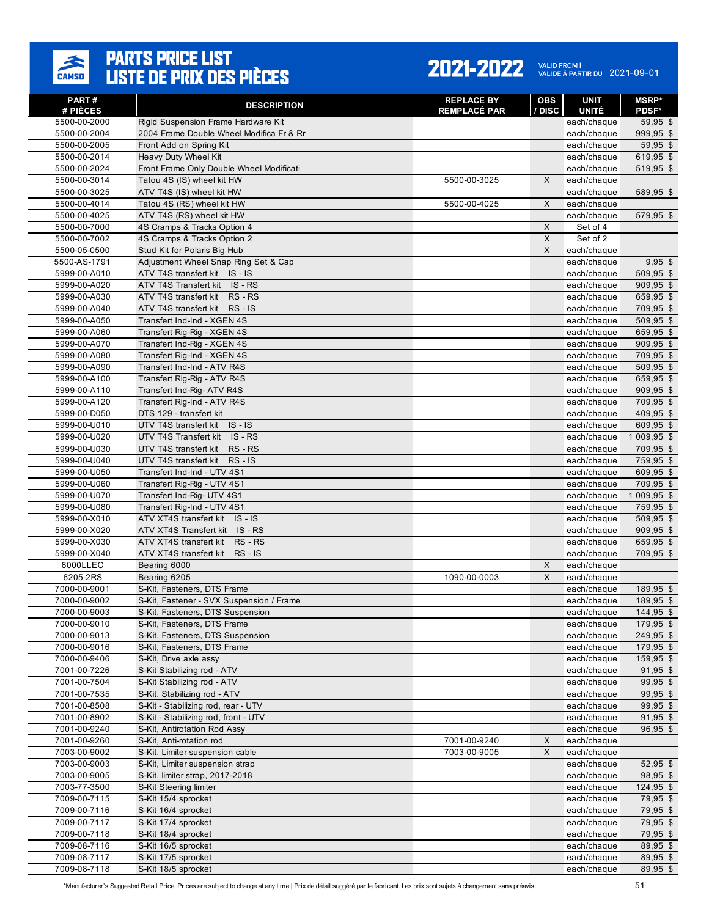

#### 2021-2022 VALID FROM | 2021-09-01

| PART#<br># PIÈCES            | <b>DESCRIPTION</b>                                                 | <b>REPLACE BY</b><br><b>REMPLACÉ PAR</b> | <b>OBS</b><br>/ DISC | <b>UNIT</b><br><b>UNITÉ</b> | <b>MSRP*</b><br><b>PDSF*</b> |
|------------------------------|--------------------------------------------------------------------|------------------------------------------|----------------------|-----------------------------|------------------------------|
| 5500-00-2000                 | Rigid Suspension Frame Hardware Kit                                |                                          |                      | each/chaque                 | $59,95$ \$                   |
| 5500-00-2004                 | 2004 Frame Double Wheel Modifica Fr & Rr                           |                                          |                      | each/chaque                 | 999,95 \$                    |
| 5500-00-2005                 | Front Add on Spring Kit                                            |                                          |                      | each/chaque                 | $59,95$ \$                   |
| 5500-00-2014                 | Heavy Duty Wheel Kit                                               |                                          |                      | each/chaque                 | 619,95 \$                    |
| 5500-00-2024                 | Front Frame Only Double Wheel Modificati                           |                                          |                      | each/chaque                 | 519,95 \$                    |
| 5500-00-3014                 | Tatou 4S (IS) wheel kit HW                                         | 5500-00-3025                             | X                    | each/chaque                 |                              |
| 5500-00-3025                 | ATV T4S (IS) wheel kit HW                                          |                                          |                      | each/chaque                 | 589,95 \$                    |
| 5500-00-4014                 | Tatou 4S (RS) wheel kit HW                                         | 5500-00-4025                             | X                    | each/chaque                 |                              |
| 5500-00-4025                 | ATV T4S (RS) wheel kit HW                                          |                                          |                      | each/chaque                 | 579,95 \$                    |
| 5500-00-7000                 | 4S Cramps & Tracks Option 4                                        |                                          | X                    | Set of 4                    |                              |
| 5500-00-7002                 | 4S Cramps & Tracks Option 2                                        |                                          | X                    | Set of 2                    |                              |
| 5500-05-0500                 | Stud Kit for Polaris Big Hub                                       |                                          | X                    | each/chaque                 |                              |
| 5500-AS-1791                 | Adjustment Wheel Snap Ring Set & Cap                               |                                          |                      | each/chaque                 | $9,95$ \$                    |
| 5999-00-A010                 | ATV T4S transfert kit IS - IS                                      |                                          |                      | each/chaque                 | 509,95 \$                    |
| 5999-00-A020                 | ATV T4S Transfert kit<br>IS - RS                                   |                                          |                      | each/chaque                 | 909,95 \$                    |
| 5999-00-A030                 | ATV T4S transfert kit<br>RS - RS                                   |                                          |                      | each/chaque                 | 659,95 \$                    |
| 5999-00-A040                 | ATV T4S transfert kit<br>$RS - IS$                                 |                                          |                      | each/chaque                 | 709,95 \$                    |
| 5999-00-A050                 | Transfert Ind-Ind - XGEN 4S                                        |                                          |                      | each/chaque                 | 509,95 \$                    |
| 5999-00-A060                 | Transfert Rig-Rig - XGEN 4S                                        |                                          |                      | each/chaque                 | 659,95 \$                    |
| 5999-00-A070                 | Transfert Ind-Rig - XGEN 4S                                        |                                          |                      | each/chaque                 | $909,95$ \$                  |
| 5999-00-A080                 | Transfert Rig-Ind - XGEN 4S<br>Transfert Ind-Ind - ATV R4S         |                                          |                      | each/chaque                 | 709,95 \$                    |
| 5999-00-A090                 |                                                                    |                                          |                      | each/chaque                 | 509,95 \$                    |
| 5999-00-A100<br>5999-00-A110 | Transfert Rig-Rig - ATV R4S                                        |                                          |                      | each/chaque                 | 659,95 \$<br>909,95 \$       |
| 5999-00-A120                 | Transfert Ind-Rig- ATV R4S<br>Transfert Rig-Ind - ATV R4S          |                                          |                      | each/chaque                 | 709,95 \$                    |
| 5999-00-D050                 | DTS 129 - transfert kit                                            |                                          |                      | each/chaque<br>each/chaque  | 409,95 \$                    |
| 5999-00-U010                 | UTV T4S transfert kit<br>$IS - IS$                                 |                                          |                      | each/chaque                 | 609,95 \$                    |
| 5999-00-U020                 | UTV T4S Transfert kit<br>IS - RS                                   |                                          |                      | each/chaque                 | 1 009,95 \$                  |
| 5999-00-U030                 | UTV T4S transfert kit<br>RS - RS                                   |                                          |                      | each/chaque                 | 709,95 \$                    |
| 5999-00-U040                 | UTV T4S transfert kit<br>$RS - IS$                                 |                                          |                      | each/chaque                 | 759,95 \$                    |
| 5999-00-U050                 | Transfert Ind-Ind - UTV 4S1                                        |                                          |                      | each/chaque                 | 609,95 \$                    |
| 5999-00-U060                 | Transfert Rig-Rig - UTV 4S1                                        |                                          |                      | each/chaque                 | 709,95 \$                    |
| 5999-00-U070                 | Transfert Ind-Rig- UTV 4S1                                         |                                          |                      | each/chaque                 | 1 009,95 \$                  |
| 5999-00-U080                 | Transfert Rig-Ind - UTV 4S1                                        |                                          |                      | each/chaque                 | 759,95 \$                    |
| 5999-00-X010                 | ATV XT4S transfert kit IS - IS                                     |                                          |                      | each/chaque                 | $509,95$ \$                  |
| 5999-00-X020                 | ATV XT4S Transfert kit<br>IS - RS                                  |                                          |                      | each/chaque                 | $909,95$ \$                  |
| 5999-00-X030                 | ATV XT4S transfert kit<br>RS - RS                                  |                                          |                      | each/chaque                 | 659,95 \$                    |
| 5999-00-X040                 | ATV XT4S transfert kit RS - IS                                     |                                          |                      | each/chaque                 | 709,95 \$                    |
| 6000LLEC                     | Bearing 6000                                                       |                                          | X                    | each/chaque                 |                              |
| 6205-2RS                     | Bearing 6205                                                       | 1090-00-0003                             | X                    | each/chaque                 |                              |
| 7000-00-9001                 | S-Kit, Fasteners, DTS Frame                                        |                                          |                      | each/chaque                 | 189,95 \$                    |
| 7000-00-9002                 | S-Kit, Fastener - SVX Suspension / Frame                           |                                          |                      | each/chaque                 | 189,95 \$                    |
| 7000-00-9003                 | S-Kit, Fasteners, DTS Suspension                                   |                                          |                      | each/chaque                 | 144,95 \$                    |
| 7000-00-9010                 | S-Kit, Fasteners, DTS Frame                                        |                                          |                      | each/chaque                 | 179,95 \$                    |
| 7000-00-9013                 | S-Kit, Fasteners, DTS Suspension                                   |                                          |                      | each/chaque                 | 249,95 \$                    |
| 7000-00-9016                 | S-Kit, Fasteners, DTS Frame                                        |                                          |                      | each/chaque                 | 179,95 \$                    |
| 7000-00-9406                 | S-Kit, Drive axle assy                                             |                                          |                      | each/chaque                 | 159,95 \$                    |
| 7001-00-7226                 | S-Kit Stabilizing rod - ATV                                        |                                          |                      | each/chaque                 | $91,95$ \$                   |
| 7001-00-7504                 | S-Kit Stabilizing rod - ATV                                        |                                          |                      | each/chaque                 | $99,95$ \$                   |
| 7001-00-7535                 | S-Kit, Stabilizing rod - ATV                                       |                                          |                      | each/chaque                 | $99,95$ \$                   |
| 7001-00-8508                 | S-Kit - Stabilizing rod, rear - UTV                                |                                          |                      | each/chaque                 | $99,95$ \$                   |
| 7001-00-8902                 | S-Kit - Stabilizing rod, front - UTV                               |                                          |                      | each/chaque                 | $91,95$ \$                   |
| 7001-00-9240                 | S-Kit, Antirotation Rod Assy                                       |                                          |                      | each/chaque                 | $96,95$ \$                   |
| 7001-00-9260                 | S-Kit, Anti-rotation rod                                           | 7001-00-9240                             | X                    | each/chaque                 |                              |
| 7003-00-9002<br>7003-00-9003 | S-Kit, Limiter suspension cable                                    | 7003-00-9005                             | X                    | each/chaque                 |                              |
| 7003-00-9005                 | S-Kit, Limiter suspension strap<br>S-Kit, limiter strap, 2017-2018 |                                          |                      | each/chaque<br>each/chaque  | $52,95$ \$<br>98,95 \$       |
| 7003-77-3500                 | S-Kit Steering limiter                                             |                                          |                      | each/chaque                 | 124,95 \$                    |
| 7009-00-7115                 | S-Kit 15/4 sprocket                                                |                                          |                      | each/chaque                 | 79,95 \$                     |
| 7009-00-7116                 | S-Kit 16/4 sprocket                                                |                                          |                      | each/chaque                 | 79,95 \$                     |
| 7009-00-7117                 | S-Kit 17/4 sprocket                                                |                                          |                      | each/chaque                 | 79,95 \$                     |
| 7009-00-7118                 | S-Kit 18/4 sprocket                                                |                                          |                      | each/chaque                 | 79,95 \$                     |
| 7009-08-7116                 | S-Kit 16/5 sprocket                                                |                                          |                      | each/chaque                 | $89,95$ \$                   |
| 7009-08-7117                 | S-Kit 17/5 sprocket                                                |                                          |                      | each/chaque                 | 89,95 \$                     |
| 7009-08-7118                 | S-Kit 18/5 sprocket                                                |                                          |                      | each/chaque                 | 89,95 \$                     |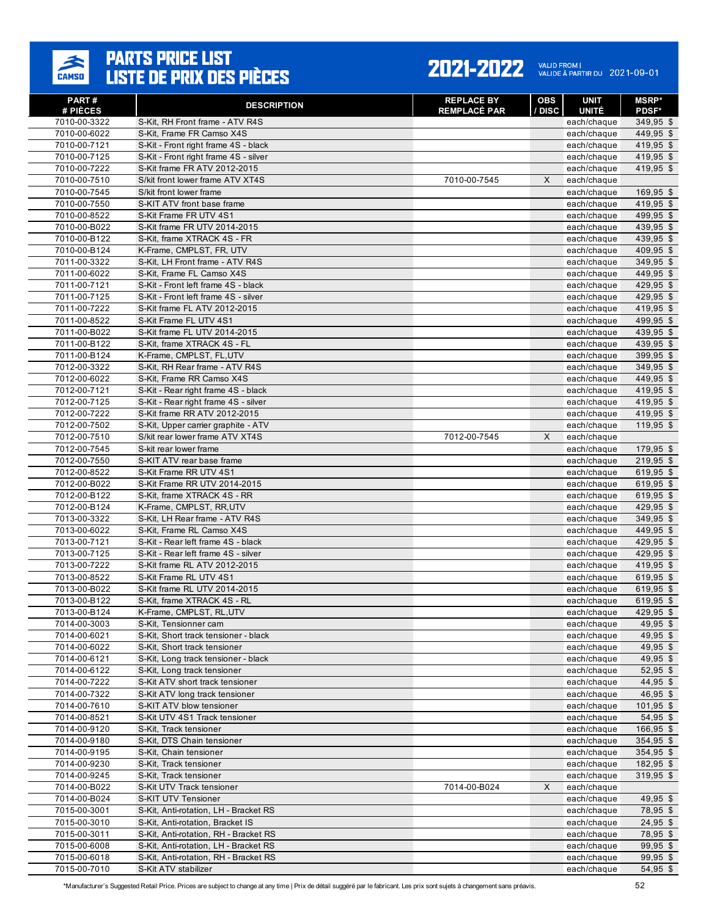

#### 2021-2022 VALID FROM | 2021-09-01

| PART#<br># PIÈCES            | <b>DESCRIPTION</b>                                                  | <b>REPLACE BY</b><br><b>REMPLACÉ PAR</b> | <b>OBS</b><br>/ DISC | <b>UNIT</b><br><b>UNITÉ</b> | <b>MSRP*</b><br><b>PDSF*</b> |
|------------------------------|---------------------------------------------------------------------|------------------------------------------|----------------------|-----------------------------|------------------------------|
| 7010-00-3322                 | S-Kit, RH Front frame - ATV R4S                                     |                                          |                      | each/chaque                 | 349,95 \$                    |
| 7010-00-6022                 | S-Kit, Frame FR Camso X4S                                           |                                          |                      | each/chaque                 | 449,95 \$                    |
| 7010-00-7121                 | S-Kit - Front right frame 4S - black                                |                                          |                      | each/chaque                 | 419,95 \$                    |
| 7010-00-7125                 | S-Kit - Front right frame 4S - silver                               |                                          |                      | each/chaque                 | 419,95 \$                    |
| 7010-00-7222                 | S-Kit frame FR ATV 2012-2015                                        |                                          |                      | each/chaque                 | 419,95 \$                    |
| 7010-00-7510                 | S/kit front lower frame ATV XT4S                                    | 7010-00-7545                             | X                    | each/chaque                 |                              |
| 7010-00-7545                 | S/kit front lower frame                                             |                                          |                      | each/chaque                 | $169,95$ \$                  |
| 7010-00-7550                 | S-KIT ATV front base frame                                          |                                          |                      | each/chaque                 | 419,95 \$                    |
| 7010-00-8522                 | S-Kit Frame FR UTV 4S1                                              |                                          |                      | each/chaque                 | 499,95 \$                    |
| 7010-00-B022                 | S-Kit frame FR UTV 2014-2015                                        |                                          |                      | each/chaque                 | 439,95 \$                    |
| 7010-00-B122                 | S-Kit, frame XTRACK 4S - FR                                         |                                          |                      | each/chaque                 | 439,95 \$                    |
| 7010-00-B124                 | K-Frame, CMPLST, FR, UTV                                            |                                          |                      | each/chaque                 | 409,95 \$                    |
| 7011-00-3322                 | S-Kit, LH Front frame - ATV R4S                                     |                                          |                      | each/chaque                 | 349,95 \$                    |
| 7011-00-6022                 | S-Kit, Frame FL Camso X4S                                           |                                          |                      | each/chaque                 | 449,95 \$                    |
| 7011-00-7121                 | S-Kit - Front left frame 4S - black                                 |                                          |                      | each/chaque                 | 429,95 \$                    |
| 7011-00-7125                 | S-Kit - Front left frame 4S - silver                                |                                          |                      | each/chaque                 | 429,95 \$                    |
| 7011-00-7222                 | S-Kit frame FL ATV 2012-2015                                        |                                          |                      | each/chaque                 | 419,95 \$                    |
| 7011-00-8522                 | S-Kit Frame FL UTV 4S1                                              |                                          |                      | each/chaque                 | 499,95 \$                    |
| 7011-00-B022                 | S-Kit frame FL UTV 2014-2015                                        |                                          |                      | each/chaque                 | 439,95 \$                    |
| 7011-00-B122                 | S-Kit, frame XTRACK 4S - FL                                         |                                          |                      | each/chaque                 | 439,95 \$                    |
| 7011-00-B124                 | K-Frame. CMPLST. FL.UTV                                             |                                          |                      | each/chaque                 | 399,95 \$                    |
| 7012-00-3322                 | S-Kit, RH Rear frame - ATV R4S                                      |                                          |                      | each/chaque                 | 349,95 \$                    |
| 7012-00-6022                 | S-Kit, Frame RR Camso X4S                                           |                                          |                      | each/chaque                 | $449,95$ \$                  |
| 7012-00-7121                 | S-Kit - Rear right frame 4S - black                                 |                                          |                      | each/chaque                 | 419,95 \$                    |
| 7012-00-7125                 | S-Kit - Rear right frame 4S - silver                                |                                          |                      | each/chaque                 | 419,95 \$                    |
| 7012-00-7222                 | S-Kit frame RR ATV 2012-2015                                        |                                          |                      | each/chaque                 | 419,95 \$                    |
| 7012-00-7502                 | S-Kit, Upper carrier graphite - ATV                                 |                                          |                      | each/chaque                 | 119,95 \$                    |
| 7012-00-7510                 | S/kit rear lower frame ATV XT4S                                     | 7012-00-7545                             | X                    | each/chaque                 |                              |
| 7012-00-7545                 | S-kit rear lower frame                                              |                                          |                      | each/chaque                 | 179,95 \$                    |
| 7012-00-7550                 | S-KIT ATV rear base frame                                           |                                          |                      | each/chaque                 | 219,95 \$                    |
| 7012-00-8522                 | S-Kit Frame RR UTV 4S1                                              |                                          |                      | each/chaque                 | 619,95 \$                    |
| 7012-00-B022                 | S-Kit Frame RR UTV 2014-2015                                        |                                          |                      | each/chaque                 | 619,95 \$                    |
| 7012-00-B122                 | S-Kit, frame XTRACK 4S - RR                                         |                                          |                      | each/chaque                 | 619,95 \$                    |
| 7012-00-B124                 | K-Frame, CMPLST, RR,UTV                                             |                                          |                      | each/chaque                 | 429,95 \$                    |
| 7013-00-3322                 | S-Kit, LH Rear frame - ATV R4S                                      |                                          |                      | each/chaque                 | 349,95 \$                    |
| 7013-00-6022                 | S-Kit, Frame RL Camso X4S                                           |                                          |                      | each/chaque                 | 449,95 \$                    |
| 7013-00-7121                 | S-Kit - Rear left frame 4S - black                                  |                                          |                      | each/chaque                 | 429,95 \$                    |
| 7013-00-7125                 | S-Kit - Rear left frame 4S - silver<br>S-Kit frame RL ATV 2012-2015 |                                          |                      | each/chaque                 | 429,95 \$                    |
| 7013-00-7222<br>7013-00-8522 | S-Kit Frame RL UTV 4S1                                              |                                          |                      | each/chaque                 | 419,95 \$<br>619,95 \$       |
| 7013-00-B022                 | S-Kit frame RL UTV 2014-2015                                        |                                          |                      | each/chaque<br>each/chaque  | 619,95 \$                    |
| 7013-00-B122                 | S-Kit. frame XTRACK 4S - RL                                         |                                          |                      | each/chaque                 | 619,95 \$                    |
| 7013-00-B124                 | K-Frame, CMPLST, RL.UTV                                             |                                          |                      | each/chaque                 | 429,95 \$                    |
| 7014-00-3003                 | S-Kit, Tensionner cam                                               |                                          |                      | each/chaque                 | 49,95 \$                     |
| 7014-00-6021                 | S-Kit, Short track tensioner - black                                |                                          |                      | each/chaque                 | 49,95 \$                     |
| 7014-00-6022                 | S-Kit, Short track tensioner                                        |                                          |                      | each/chaque                 | 49,95 \$                     |
| 7014-00-6121                 | S-Kit, Long track tensioner - black                                 |                                          |                      | each/chaque                 | $49,95$ \$                   |
| 7014-00-6122                 | S-Kit, Long track tensioner                                         |                                          |                      | each/chaque                 | $52,95$ \$                   |
| 7014-00-7222                 | S-Kit ATV short track tensioner                                     |                                          |                      | each/chaque                 | 44,95 \$                     |
| 7014-00-7322                 | S-Kit ATV long track tensioner                                      |                                          |                      | each/chaque                 | 46,95 \$                     |
| 7014-00-7610                 | S-KIT ATV blow tensioner                                            |                                          |                      | each/chaque                 | $101,95$ \$                  |
| 7014-00-8521                 | S-Kit UTV 4S1 Track tensioner                                       |                                          |                      | each/chaque                 | 54,95 \$                     |
| 7014-00-9120                 | S-Kit, Track tensioner                                              |                                          |                      | each/chaque                 | 166,95 \$                    |
| 7014-00-9180                 | S-Kit, DTS Chain tensioner                                          |                                          |                      | each/chaque                 | 354,95 \$                    |
| 7014-00-9195                 | S-Kit, Chain tensioner                                              |                                          |                      | each/chaque                 | $354,95$ \$                  |
| 7014-00-9230                 | S-Kit, Track tensioner                                              |                                          |                      | each/chaque                 | 182,95 \$                    |
| 7014-00-9245                 | S-Kit, Track tensioner                                              |                                          |                      | each/chaque                 | 319,95 \$                    |
| 7014-00-B022                 | S-Kit UTV Track tensioner                                           | 7014-00-B024                             | X                    | each/chaque                 |                              |
| 7014-00-B024                 | S-KIT UTV Tensioner                                                 |                                          |                      | each/chaque                 | 49,95 \$                     |
| 7015-00-3001                 | S-Kit, Anti-rotation, LH - Bracket RS                               |                                          |                      | each/chaque                 | 78,95 \$                     |
| 7015-00-3010                 | S-Kit, Anti-rotation, Bracket IS                                    |                                          |                      | each/chaque                 | $24,95$ \$                   |
| 7015-00-3011                 | S-Kit, Anti-rotation, RH - Bracket RS                               |                                          |                      | each/chaque                 | 78,95 \$                     |
| 7015-00-6008                 | S-Kit, Anti-rotation, LH - Bracket RS                               |                                          |                      | each/chaque                 | $99,95$ \$                   |
| 7015-00-6018                 | S-Kit, Anti-rotation, RH - Bracket RS                               |                                          |                      | each/chaque                 | $99,95$ \$                   |
| 7015-00-7010                 | S-Kit ATV stabilizer                                                |                                          |                      | each/chaque                 | 54,95 \$                     |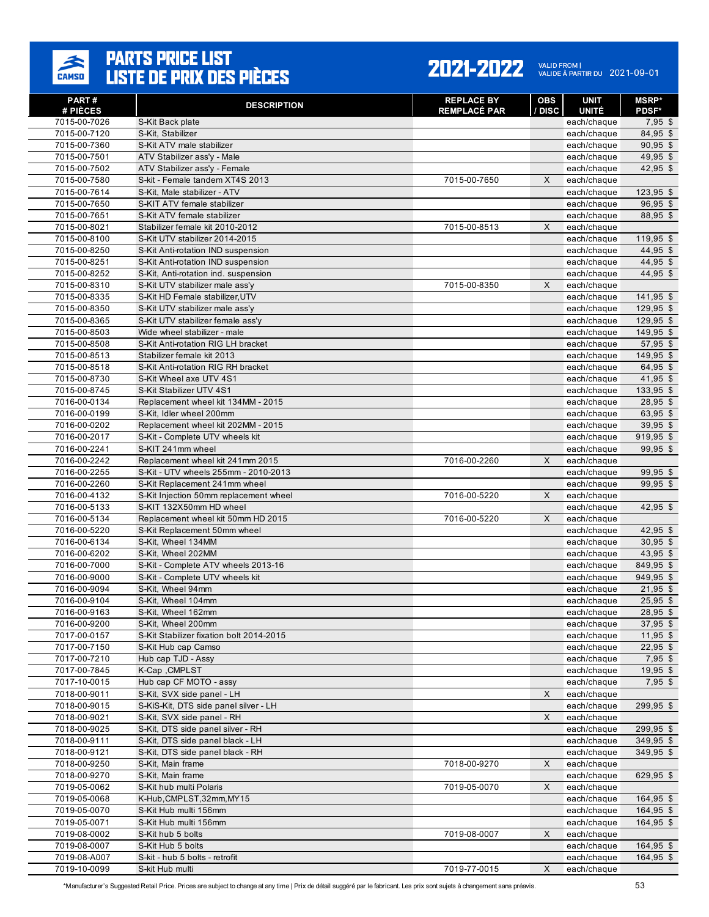

#### 2021-2022 VALID FROM | 2021-09-01

| <b>PART#</b><br># PIÈCES | <b>DESCRIPTION</b>                       | <b>REPLACE BY</b><br><b>REMPLACÉ PAR</b> | <b>OBS</b><br>/ DISC | UNIT<br><b>UNITÉ</b> | <b>MSRP*</b><br><b>PDSF*</b> |
|--------------------------|------------------------------------------|------------------------------------------|----------------------|----------------------|------------------------------|
| 7015-00-7026             | S-Kit Back plate                         |                                          |                      | each/chaque          | $7,95$ \$                    |
| 7015-00-7120             | S-Kit, Stabilizer                        |                                          |                      | each/chaque          | 84,95 \$                     |
| 7015-00-7360             | S-Kit ATV male stabilizer                |                                          |                      | each/chaque          | $90,95$ \$                   |
| 7015-00-7501             | ATV Stabilizer ass'v - Male              |                                          |                      | each/chaque          | 49,95 \$                     |
| 7015-00-7502             | ATV Stabilizer ass'y - Female            |                                          |                      | each/chaque          | $42,95$ \$                   |
| 7015-00-7580             | S-kit - Female tandem XT4S 2013          | 7015-00-7650                             | X                    | each/chaque          |                              |
| 7015-00-7614             | S-Kit, Male stabilizer - ATV             |                                          |                      | each/chaque          | $123,95$ \$                  |
| 7015-00-7650             | S-KIT ATV female stabilizer              |                                          |                      | each/chaque          | $96,95$ \$                   |
| 7015-00-7651             | S-Kit ATV female stabilizer              |                                          |                      | each/chaque          | 88,95 \$                     |
| 7015-00-8021             | Stabilizer female kit 2010-2012          | 7015-00-8513                             | $\times$             | each/chaque          |                              |
| 7015-00-8100             | S-Kit UTV stabilizer 2014-2015           |                                          |                      | each/chaque          | $119,95$ \$                  |
| 7015-00-8250             | S-Kit Anti-rotation IND suspension       |                                          |                      | each/chaque          | $44,95$ \$                   |
| 7015-00-8251             | S-Kit Anti-rotation IND suspension       |                                          |                      | each/chaque          | 44.95 \$                     |
| 7015-00-8252             | S-Kit, Anti-rotation ind. suspension     |                                          |                      | each/chaque          | 44,95 \$                     |
| 7015-00-8310             | S-Kit UTV stabilizer male ass'y          | 7015-00-8350                             | X                    | each/chaque          |                              |
| 7015-00-8335             | S-Kit HD Female stabilizer, UTV          |                                          |                      | each/chaque          | 141,95 \$                    |
| 7015-00-8350             | S-Kit UTV stabilizer male ass'y          |                                          |                      | each/chaque          | 129,95 \$                    |
| 7015-00-8365             | S-Kit UTV stabilizer female ass'y        |                                          |                      | each/chaque          | 129,95 \$                    |
| 7015-00-8503             | Wide wheel stabilizer - male             |                                          |                      | each/chaque          | 149,95 \$                    |
| 7015-00-8508             | S-Kit Anti-rotation RIG LH bracket       |                                          |                      | each/chaque          | 57,95 \$                     |
| 7015-00-8513             | Stabilizer female kit 2013               |                                          |                      | each/chaque          | 149,95 \$                    |
| 7015-00-8518             | S-Kit Anti-rotation RIG RH bracket       |                                          |                      | each/chaque          | 64.95 \$                     |
| 7015-00-8730             | S-Kit Wheel axe UTV 4S1                  |                                          |                      | each/chaque          | $41,95$ \$                   |
| 7015-00-8745             | S-Kit Stabilizer UTV 4S1                 |                                          |                      | each/chaque          | 133,95 \$                    |
| 7016-00-0134             | Replacement wheel kit 134MM - 2015       |                                          |                      | each/chaque          | 28,95 \$                     |
| 7016-00-0199             | S-Kit. Idler wheel 200mm                 |                                          |                      | each/chaque          | 63,95 \$                     |
| 7016-00-0202             | Replacement wheel kit 202MM - 2015       |                                          |                      | each/chaque          | $39,95$ \$                   |
| 7016-00-2017             | S-Kit - Complete UTV wheels kit          |                                          |                      | each/chaque          | $919,95$ \$                  |
| 7016-00-2241             | S-KIT 241mm wheel                        |                                          |                      | each/chaque          | 99,95 \$                     |
| 7016-00-2242             | Replacement wheel kit 241mm 2015         | 7016-00-2260                             | X                    | each/chaque          |                              |
| 7016-00-2255             | S-Kit - UTV wheels 255mm - 2010-2013     |                                          |                      | each/chaque          | $99,95$ \$                   |
| 7016-00-2260             | S-Kit Replacement 241mm wheel            |                                          |                      | each/chaque          | 99,95 \$                     |
| 7016-00-4132             | S-Kit Injection 50mm replacement wheel   | 7016-00-5220                             | X                    | each/chaque          |                              |
| 7016-00-5133             | S-KIT 132X50mm HD wheel                  |                                          |                      | each/chaque          | $42,95$ \$                   |
| 7016-00-5134             | Replacement wheel kit 50mm HD 2015       | 7016-00-5220                             | $\times$             | each/chaque          |                              |
| 7016-00-5220             | S-Kit Replacement 50mm wheel             |                                          |                      | each/chaque          | $42,95$ \$                   |
| 7016-00-6134             | S-Kit, Wheel 134MM                       |                                          |                      | each/chaque          | $30,95$ \$                   |
| 7016-00-6202             | S-Kit, Wheel 202MM                       |                                          |                      | each/chaque          | 43,95 \$                     |
| 7016-00-7000             | S-Kit - Complete ATV wheels 2013-16      |                                          |                      | each/chaque          | 849,95 \$                    |
| 7016-00-9000             | S-Kit - Complete UTV wheels kit          |                                          |                      | each/chaque          | 949,95 \$                    |
| 7016-00-9094             | S-Kit, Wheel 94mm                        |                                          |                      | each/chaque          | $21,95$ \$                   |
| 7016-00-9104             | S-Kit. Wheel 104mm                       |                                          |                      | each/chaque          | $25,95$ \$                   |
| 7016-00-9163             | S-Kit, Wheel 162mm                       |                                          |                      | each/chaque          | 28,95 \$                     |
| 7016-00-9200             | S-Kit, Wheel 200mm                       |                                          |                      | each/chaque          | $37,95$ \$                   |
| 7017-00-0157             | S-Kit Stabilizer fixation bolt 2014-2015 |                                          |                      | each/chaque          | $11,95$ \$                   |
| 7017-00-7150             | S-Kit Hub cap Camso                      |                                          |                      | each/chaque          | $22,95$ \$                   |
| 7017-00-7210             | Hub cap TJD - Assy                       |                                          |                      | each/chaque          | $7,95$ \$                    |
| 7017-00-7845             | K-Cap , CMPLST                           |                                          |                      | each/chaque          | $19,95$ \$                   |
| 7017-10-0015             | Hub cap CF MOTO - assy                   |                                          |                      | each/chaque          | $7,95$ \$                    |
| 7018-00-9011             | S-Kit, SVX side panel - LH               |                                          | X                    | each/chaque          |                              |
| 7018-00-9015             | S-KiS-Kit, DTS side panel silver - LH    |                                          |                      | each/chaque          | 299,95 \$                    |
| 7018-00-9021             | S-Kit, SVX side panel - RH               |                                          | X                    | each/chaque          |                              |
| 7018-00-9025             | S-Kit, DTS side panel silver - RH        |                                          |                      | each/chaque          | 299,95 \$                    |
| 7018-00-9111             | S-Kit, DTS side panel black - LH         |                                          |                      | each/chaque          | 349,95 \$                    |
| 7018-00-9121             | S-Kit, DTS side panel black - RH         |                                          |                      | each/chaque          | 349,95 \$                    |
| 7018-00-9250             | S-Kit, Main frame                        | 7018-00-9270                             | X                    | each/chaque          |                              |
| 7018-00-9270             | S-Kit, Main frame                        |                                          |                      | each/chaque          | 629,95 \$                    |
| 7019-05-0062             | S-Kit hub multi Polaris                  | 7019-05-0070                             | X                    | each/chaque          |                              |
| 7019-05-0068             | K-Hub, CMPLST, 32mm, MY15                |                                          |                      | each/chaque          | $164,95$ \$                  |
| 7019-05-0070             | S-Kit Hub multi 156mm                    |                                          |                      | each/chaque          | 164,95 \$                    |
| 7019-05-0071             | S-Kit Hub multi 156mm                    |                                          |                      | each/chaque          | $164,95$ \$                  |
| 7019-08-0002             | S-Kit hub 5 bolts                        | 7019-08-0007                             | X                    | each/chaque          |                              |
| 7019-08-0007             | S-Kit Hub 5 bolts                        |                                          |                      | each/chaque          | 164,95 \$                    |
| 7019-08-A007             | S-kit - hub 5 bolts - retrofit           |                                          |                      | each/chaque          | 164,95 \$                    |
| 7019-10-0099             | S-kit Hub multi                          | 7019-77-0015                             | X                    | each/chaque          |                              |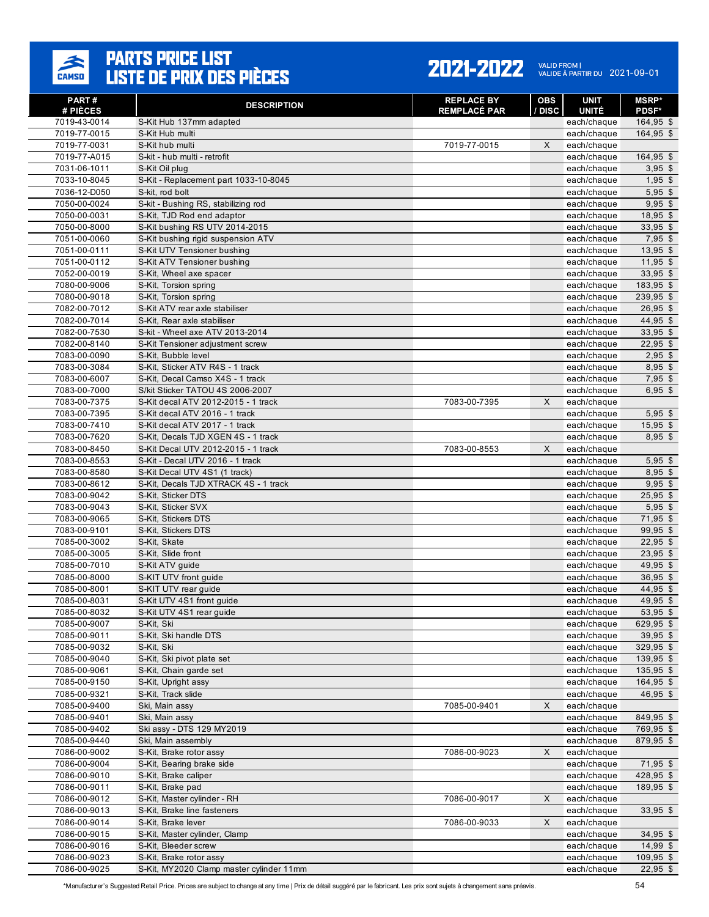

| PART#<br># PIÈCES            | <b>DESCRIPTION</b>                                      | <b>REPLACE BY</b><br><b>REMPLACÉ PAR</b> | <b>OBS</b><br>/ DISC | <b>UNIT</b><br><b>UNITÉ</b> | <b>MSRP</b> *<br><b>PDSF*</b> |
|------------------------------|---------------------------------------------------------|------------------------------------------|----------------------|-----------------------------|-------------------------------|
| 7019-43-0014                 | S-Kit Hub 137mm adapted                                 |                                          |                      | each/chaque                 | 164,95 \$                     |
| 7019-77-0015                 | S-Kit Hub multi                                         |                                          |                      | each/chaque                 | 164,95 \$                     |
| 7019-77-0031                 | S-Kit hub multi                                         | 7019-77-0015                             | X                    | each/chaque                 |                               |
| 7019-77-A015                 | S-kit - hub multi - retrofit                            |                                          |                      | each/chaque                 | 164,95 \$                     |
| 7031-06-1011                 | S-Kit Oil plug                                          |                                          |                      | each/chaque                 | $3,95$ \$                     |
| 7033-10-8045                 | S-Kit - Replacement part 1033-10-8045                   |                                          |                      | each/chaque                 | $1,95$ \$                     |
| 7036-12-D050                 | S-kit, rod bolt                                         |                                          |                      | each/chaque                 | $5,95$ \$                     |
| 7050-00-0024                 | S-kit - Bushing RS, stabilizing rod                     |                                          |                      | each/chaque                 | $9,95$ \$                     |
| 7050-00-0031                 | S-Kit, TJD Rod end adaptor                              |                                          |                      | each/chaque                 | $18,95$ \$                    |
| 7050-00-8000                 | S-Kit bushing RS UTV 2014-2015                          |                                          |                      | each/chaque                 | $33,95$ \$                    |
| 7051-00-0060                 | S-Kit bushing rigid suspension ATV                      |                                          |                      | each/chaque                 | 7,95 \$                       |
| 7051-00-0111                 | S-Kit UTV Tensioner bushing                             |                                          |                      | each/chaque                 | $13,95$ \$                    |
| 7051-00-0112                 | S-Kit ATV Tensioner bushing                             |                                          |                      | each/chaque                 | $11,95$ \$                    |
| 7052-00-0019                 | S-Kit, Wheel axe spacer                                 |                                          |                      | each/chaque                 | $33,95$ \$                    |
| 7080-00-9006                 | S-Kit, Torsion spring                                   |                                          |                      | each/chaque                 | 183,95 \$                     |
| 7080-00-9018<br>7082-00-7012 | S-Kit, Torsion spring<br>S-Kit ATV rear axle stabiliser |                                          |                      | each/chaque                 | 239,95 \$<br>$26,95$ \$       |
| 7082-00-7014                 | S-Kit, Rear axle stabiliser                             |                                          |                      | each/chaque<br>each/chaque  | 44,95 \$                      |
| 7082-00-7530                 | S-kit - Wheel axe ATV 2013-2014                         |                                          |                      | each/chaque                 | 33,95 \$                      |
| 7082-00-8140                 | S-Kit Tensioner adjustment screw                        |                                          |                      | each/chaque                 | $22,95$ \$                    |
| 7083-00-0090                 | S-Kit. Bubble level                                     |                                          |                      | each/chaque                 | $2,95$ \$                     |
| 7083-00-3084                 | S-Kit, Sticker ATV R4S - 1 track                        |                                          |                      | each/chaque                 | $8,95$ \$                     |
| 7083-00-6007                 | S-Kit, Decal Camso X4S - 1 track                        |                                          |                      | each/chaque                 | $7,95$ \$                     |
| 7083-00-7000                 | S/kit Sticker TATOU 4S 2006-2007                        |                                          |                      | each/chaque                 | $6,95$ \$                     |
| 7083-00-7375                 | S-Kit decal ATV 2012-2015 - 1 track                     | 7083-00-7395                             | X                    | each/chaque                 |                               |
| 7083-00-7395                 | S-Kit decal ATV 2016 - 1 track                          |                                          |                      | each/chaque                 | $5,95$ \$                     |
| 7083-00-7410                 | S-Kit decal ATV 2017 - 1 track                          |                                          |                      | each/chaque                 | $15,95$ \$                    |
| 7083-00-7620                 | S-Kit, Decals TJD XGEN 4S - 1 track                     |                                          |                      | each/chaque                 | $8,95$ \$                     |
| 7083-00-8450                 | S-Kit Decal UTV 2012-2015 - 1 track                     | 7083-00-8553                             | X                    | each/chaque                 |                               |
| 7083-00-8553                 | S-Kit - Decal UTV 2016 - 1 track                        |                                          |                      | each/chaque                 | $5,95$ \$                     |
| 7083-00-8580                 | S-Kit Decal UTV 4S1 (1 track)                           |                                          |                      | each/chaque                 | $8,95$ \$                     |
| 7083-00-8612                 | S-Kit, Decals TJD XTRACK 4S - 1 track                   |                                          |                      | each/chaque                 | $9,95$ \$                     |
| 7083-00-9042                 | S-Kit, Sticker DTS                                      |                                          |                      | each/chaque                 | $25,95$ \$                    |
| 7083-00-9043                 | S-Kit, Sticker SVX                                      |                                          |                      | each/chaque                 | $5,95$ \$                     |
| 7083-00-9065                 | S-Kit, Stickers DTS                                     |                                          |                      | each/chaque                 | $71,95$ \$                    |
| 7083-00-9101                 | S-Kit, Stickers DTS                                     |                                          |                      | each/chaque                 | 99,95 \$                      |
| 7085-00-3002                 | S-Kit, Skate                                            |                                          |                      | each/chaque                 | $22,95$ \$                    |
| 7085-00-3005                 | S-Kit, Slide front                                      |                                          |                      | each/chaque                 | $23,95$ \$                    |
| 7085-00-7010                 | S-Kit ATV guide                                         |                                          |                      | each/chaque                 | 49,95 \$                      |
| 7085-00-8000                 | S-KIT UTV front guide                                   |                                          |                      | each/chaque                 | $36,95$ \$                    |
| 7085-00-8001<br>7085-00-8031 | S-KIT UTV rear guide<br>S-Kit UTV 4S1 front quide       |                                          |                      | each/chaque                 | 44,95 \$<br>49,95 \$          |
| 7085-00-8032                 | S-Kit UTV 4S1 rear guide                                |                                          |                      | each/chaque<br>each/chaque  | 53,95 \$                      |
| 7085-00-9007                 | S-Kit, Ski                                              |                                          |                      | each/chaque                 | 629,95 \$                     |
| 7085-00-9011                 | S-Kit, Ski handle DTS                                   |                                          |                      | each/chaque                 | $39,95$ \$                    |
| 7085-00-9032                 | S-Kit, Ski                                              |                                          |                      | each/chaque                 | 329,95 \$                     |
| 7085-00-9040                 | S-Kit, Ski pivot plate set                              |                                          |                      | each/chaque                 | 139,95 \$                     |
| 7085-00-9061                 | S-Kit, Chain garde set                                  |                                          |                      | each/chaque                 | 135,95 \$                     |
| 7085-00-9150                 | S-Kit, Upright assy                                     |                                          |                      | each/chaque                 | 164,95 \$                     |
| 7085-00-9321                 | S-Kit, Track slide                                      |                                          |                      | each/chaque                 | $46,95$ \$                    |
| 7085-00-9400                 | Ski, Main assy                                          | 7085-00-9401                             | X                    | each/chaque                 |                               |
| 7085-00-9401                 | Ski, Main assy                                          |                                          |                      | each/chaque                 | 849,95 \$                     |
| 7085-00-9402                 | Ski assy - DTS 129 MY2019                               |                                          |                      | each/chaque                 | 769,95 \$                     |
| 7085-00-9440                 | Ski, Main assembly                                      |                                          |                      | each/chaque                 | 879,95 \$                     |
| 7086-00-9002                 | S-Kit, Brake rotor assy                                 | 7086-00-9023                             | X                    | each/chaque                 |                               |
| 7086-00-9004                 | S-Kit, Bearing brake side                               |                                          |                      | each/chaque                 | 71,95 \$                      |
| 7086-00-9010                 | S-Kit, Brake caliper                                    |                                          |                      | each/chaque                 | 428,95 \$                     |
| 7086-00-9011                 | S-Kit, Brake pad                                        |                                          |                      | each/chaque                 | 189,95 \$                     |
| 7086-00-9012                 | S-Kit, Master cylinder - RH                             | 7086-00-9017                             | X                    | each/chaque                 |                               |
| 7086-00-9013                 | S-Kit, Brake line fasteners                             |                                          |                      | each/chaque                 | $33,95$ \$                    |
| 7086-00-9014                 | S-Kit, Brake lever                                      | 7086-00-9033                             | X                    | each/chaque                 |                               |
| 7086-00-9015                 | S-Kit, Master cylinder, Clamp                           |                                          |                      | each/chaque                 | $34,95$ \$                    |
| 7086-00-9016                 | S-Kit, Bleeder screw                                    |                                          |                      | each/chaque                 | $14,99$ \$                    |
| 7086-00-9023                 | S-Kit, Brake rotor assy                                 |                                          |                      | each/chaque                 | 109,95 \$                     |
| 7086-00-9025                 | S-Kit, MY2020 Clamp master cylinder 11mm                |                                          |                      | each/chaque                 | $22,95$ \$                    |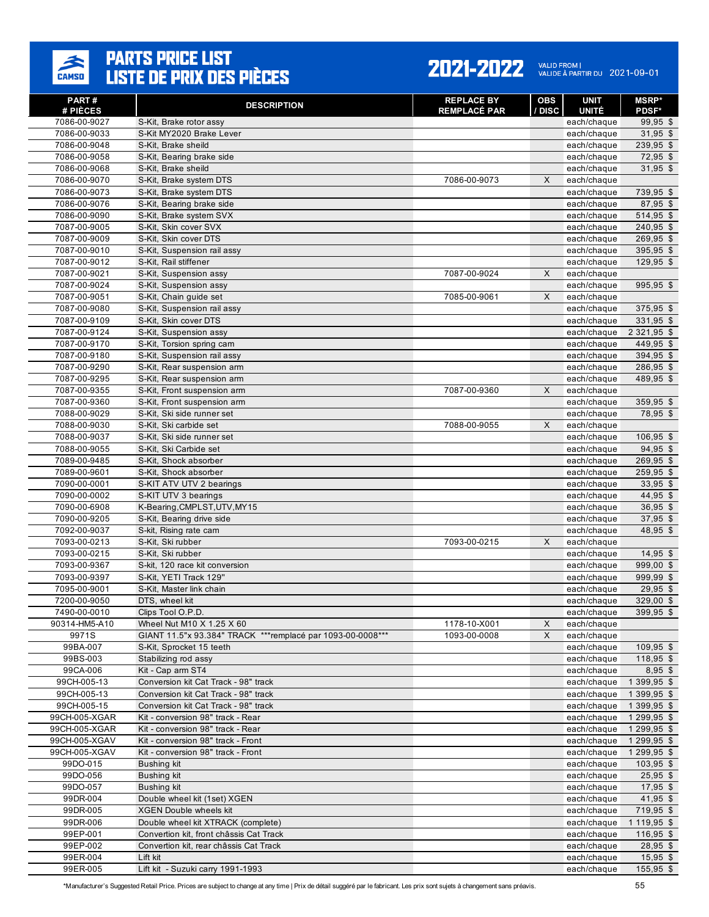

#### 2021-2022 VALID FROM | 2021-09-01

| PART#<br># PIÈCES            | <b>DESCRIPTION</b>                                                                      | <b>REPLACE BY</b><br><b>REMPLACÉ PAR</b> | OBS<br>/ DISC | <b>UNIT</b><br><b>UNITÉ</b> | <b>MSRP</b> *<br><b>PDSF*</b> |
|------------------------------|-----------------------------------------------------------------------------------------|------------------------------------------|---------------|-----------------------------|-------------------------------|
| 7086-00-9027                 | S-Kit, Brake rotor assy                                                                 |                                          |               | each/chaque                 | $99,95$ \$                    |
| 7086-00-9033                 | S-Kit MY2020 Brake Lever                                                                |                                          |               | each/chaque                 | $31,95$ \$                    |
| 7086-00-9048                 | S-Kit, Brake sheild                                                                     |                                          |               | each/chaque                 | 239,95 \$                     |
| 7086-00-9058                 | S-Kit, Bearing brake side                                                               |                                          |               | each/chaque                 | 72,95 \$                      |
| 7086-00-9068                 | S-Kit, Brake sheild                                                                     |                                          |               | each/chaque                 | $31,95$ \$                    |
| 7086-00-9070                 | S-Kit, Brake system DTS                                                                 | 7086-00-9073                             | X             | each/chaque                 |                               |
| 7086-00-9073                 | S-Kit, Brake system DTS                                                                 |                                          |               | each/chaque                 | 739,95 \$                     |
| 7086-00-9076                 | S-Kit, Bearing brake side                                                               |                                          |               | each/chaque                 | 87,95 \$                      |
| 7086-00-9090                 | S-Kit, Brake system SVX                                                                 |                                          |               | each/chaque                 | 514,95 \$                     |
| 7087-00-9005                 | S-Kit, Skin cover SVX                                                                   |                                          |               | each/chaque                 | 240,95 \$                     |
| 7087-00-9009                 | S-Kit. Skin cover DTS                                                                   |                                          |               | each/chaque                 | 269,95 \$                     |
| 7087-00-9010                 | S-Kit, Suspension rail assy                                                             |                                          |               | each/chaque                 | 395,95 \$                     |
| 7087-00-9012                 | S-Kit, Rail stiffener                                                                   |                                          |               | each/chaque                 | 129,95 \$                     |
| 7087-00-9021                 | S-Kit, Suspension assy                                                                  | 7087-00-9024                             | X             | each/chaque                 |                               |
| 7087-00-9024                 | S-Kit, Suspension assy                                                                  |                                          |               | each/chaque                 | 995,95 \$                     |
| 7087-00-9051<br>7087-00-9080 | S-Kit, Chain guide set                                                                  | 7085-00-9061                             | X             | each/chaque                 |                               |
|                              | S-Kit, Suspension rail assy<br>S-Kit, Skin cover DTS                                    |                                          |               | each/chaque                 | 375,95 \$                     |
| 7087-00-9109<br>7087-00-9124 | S-Kit, Suspension assy                                                                  |                                          |               | each/chaque<br>each/chaque  | 331,95 \$<br>2 3 2 1 , 9 5 \$ |
| 7087-00-9170                 | S-Kit, Torsion spring cam                                                               |                                          |               | each/chaque                 | 449,95 \$                     |
| 7087-00-9180                 | S-Kit, Suspension rail assy                                                             |                                          |               | each/chaque                 | 394,95 \$                     |
| 7087-00-9290                 | S-Kit. Rear suspension arm                                                              |                                          |               | each/chaque                 | 286,95 \$                     |
| 7087-00-9295                 | S-Kit, Rear suspension arm                                                              |                                          |               | each/chaque                 | 489,95 \$                     |
| 7087-00-9355                 | S-Kit, Front suspension arm                                                             | 7087-00-9360                             | X             | each/chaque                 |                               |
| 7087-00-9360                 | S-Kit, Front suspension arm                                                             |                                          |               | each/chaque                 | 359,95 \$                     |
| 7088-00-9029                 | S-Kit, Ski side runner set                                                              |                                          |               | each/chaque                 | 78,95 \$                      |
| 7088-00-9030                 | S-Kit, Ski carbide set                                                                  | 7088-00-9055                             | X             | each/chaque                 |                               |
| 7088-00-9037                 | S-Kit, Ski side runner set                                                              |                                          |               | each/chaque                 | 106,95 \$                     |
| 7088-00-9055                 | S-Kit, Ski Carbide set                                                                  |                                          |               | each/chaque                 | $94,95$ \$                    |
| 7089-00-9485                 | S-Kit, Shock absorber                                                                   |                                          |               | each/chaque                 | 269,95 \$                     |
| 7089-00-9601                 | S-Kit, Shock absorber                                                                   |                                          |               | each/chaque                 | 259,95 \$                     |
| 7090-00-0001                 | S-KIT ATV UTV 2 bearings                                                                |                                          |               | each/chaque                 | $33,95$ \$                    |
| 7090-00-0002                 | S-KIT UTV 3 bearings                                                                    |                                          |               | each/chaque                 | 44,95 \$                      |
| 7090-00-6908                 | K-Bearing, CMPLST, UTV, MY15                                                            |                                          |               | each/chaque                 | $36,95$ \$                    |
| 7090-00-9205                 | S-Kit, Bearing drive side                                                               |                                          |               | each/chaque                 | 37,95 \$                      |
| 7092-00-9037                 | S-kit, Rising rate cam                                                                  |                                          |               | each/chaque                 | 48,95 \$                      |
| 7093-00-0213                 | S-Kit, Ski rubber                                                                       | 7093-00-0215                             | X             | each/chaque                 |                               |
| 7093-00-0215                 | S-Kit, Ski rubber                                                                       |                                          |               | each/chaque                 | $14,95$ \$                    |
| 7093-00-9367                 | S-kit, 120 race kit conversion                                                          |                                          |               | each/chaque                 | 999,00 \$                     |
| 7093-00-9397                 | S-Kit, YETI Track 129"                                                                  |                                          |               | each/chaque                 | 999,99 \$                     |
| 7095-00-9001                 | S-Kit, Master link chain                                                                |                                          |               | each/chaque                 | $29,95$ \$                    |
| 7200-00-9050                 | DTS, wheel kit                                                                          |                                          |               | each/chaque                 | 329.00 \$                     |
| 7490-00-0010                 | Clips Tool O.P.D.                                                                       | 1178-10-X001                             |               | each/chaque                 | 399,95 \$                     |
| 90314-HM5-A10<br>9971S       | Wheel Nut M10 X 1.25 X 60<br>GIANT 11.5"x 93.384" TRACK ***remplacé par 1093-00-0008*** | 1093-00-0008                             | X<br>X        | each/chaque<br>each/chaque  |                               |
| 99BA-007                     | S-Kit, Sprocket 15 teeth                                                                |                                          |               | each/chaque                 | $109,95$ \$                   |
| 99BS-003                     | Stabilizing rod assy                                                                    |                                          |               | each/chaque                 | 118,95 \$                     |
| 99CA-006                     | Kit - Cap arm ST4                                                                       |                                          |               | each/chaque                 | $8,95$ \$                     |
| 99CH-005-13                  | Conversion kit Cat Track - 98" track                                                    |                                          |               | each/chaque                 | 1 399,95 \$                   |
| 99CH-005-13                  | Conversion kit Cat Track - 98" track                                                    |                                          |               | each/chaque                 | 1 399,95 \$                   |
| 99CH-005-15                  | Conversion kit Cat Track - 98" track                                                    |                                          |               | each/chaque                 | 1 3 9 9 , 9 5 \$              |
| 99CH-005-XGAR                | Kit - conversion 98" track - Rear                                                       |                                          |               | each/chaque                 | 1 299,95 \$                   |
| 99CH-005-XGAR                | Kit - conversion 98" track - Rear                                                       |                                          |               | each/chaque                 | 1 2 9 9 , 9 5 \$              |
| 99CH-005-XGAV                | Kit - conversion 98" track - Front                                                      |                                          |               | each/chaque                 | 1 299,95 \$                   |
| 99CH-005-XGAV                | Kit - conversion 98" track - Front                                                      |                                          |               | each/chaque                 | 1 299,95 \$                   |
| 99DO-015                     | <b>Bushing kit</b>                                                                      |                                          |               | each/chaque                 | $103,95$ \$                   |
| 99DO-056                     | <b>Bushing kit</b>                                                                      |                                          |               | each/chaque                 | $25,95$ \$                    |
| 99DO-057                     | Bushing kit                                                                             |                                          |               | each/chaque                 | $17,95$ \$                    |
| 99DR-004                     | Double wheel kit (1set) XGEN                                                            |                                          |               | each/chaque                 | 41,95 \$                      |
| 99DR-005                     | <b>XGEN Double wheels kit</b>                                                           |                                          |               | each/chaque                 | 719,95 \$                     |
| 99DR-006                     | Double wheel kit XTRACK (complete)                                                      |                                          |               | each/chaque                 | 1 119,95 \$                   |
| 99EP-001                     | Convertion kit, front châssis Cat Track                                                 |                                          |               | each/chaque                 | $116,95$ \$                   |
| 99EP-002                     | Convertion kit, rear châssis Cat Track                                                  |                                          |               | each/chaque                 | 28,95 \$                      |
| 99ER-004                     | Lift kit                                                                                |                                          |               | each/chaque                 | $15,95$ \$                    |
| 99ER-005                     | Lift kit - Suzuki carry 1991-1993                                                       |                                          |               | each/chaque                 | $155,95$ \$                   |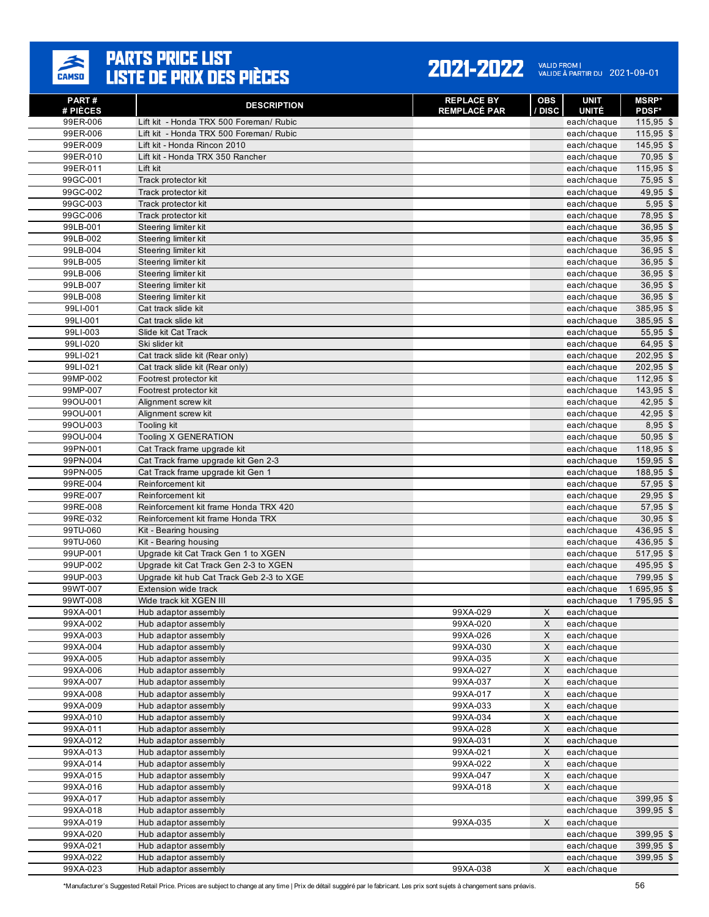

| 41<br>н | 71 | 1 V<br>и | <b>A</b> |
|---------|----|----------|----------|
|         |    |          |          |

VALID FROM |<br>VALIDE À PARTIR DU 2021-09-01

| PART #<br># PIÈCES   | <b>DESCRIPTION</b>                           | <b>REPLACE BY</b><br><b>REMPLACÉ PAR</b> | <b>OBS</b><br>/ DISC | <b>UNIT</b><br><b>UNITÉ</b> | <b>MSRP*</b><br><b>PDSF*</b> |
|----------------------|----------------------------------------------|------------------------------------------|----------------------|-----------------------------|------------------------------|
| 99ER-006             | Lift kit - Honda TRX 500 Foreman/ Rubic      |                                          |                      | each/chaque                 | 115,95 \$                    |
| 99ER-006             | Lift kit - Honda TRX 500 Foreman/ Rubic      |                                          |                      | each/chaque                 | $115,95$ \$                  |
| 99ER-009             | Lift kit - Honda Rincon 2010                 |                                          |                      | each/chaque                 | 145,95 \$                    |
| 99ER-010             | Lift kit - Honda TRX 350 Rancher             |                                          |                      | each/chaque                 | 70,95 \$                     |
| 99ER-011             | Lift kit                                     |                                          |                      | each/chaque                 | $115,95$ \$                  |
| 99GC-001             | Track protector kit                          |                                          |                      | each/chaque                 | 75,95 \$                     |
| 99GC-002             | Track protector kit                          |                                          |                      | each/chaque                 | 49,95 \$                     |
| 99GC-003             | Track protector kit                          |                                          |                      | each/chaque                 | $5,95$ \$                    |
| 99GC-006             | Track protector kit                          |                                          |                      | each/chaque                 | 78,95 \$                     |
| 99LB-001             | Steering limiter kit                         |                                          |                      | each/chaque                 | $36,95$ \$                   |
| 99LB-002             | Steering limiter kit                         |                                          |                      | each/chaque                 | $35,95$ \$                   |
| 99LB-004             | Steering limiter kit                         |                                          |                      | each/chaque                 | 36,95 \$                     |
| 99LB-005             | Steering limiter kit                         |                                          |                      | each/chaque                 | 36,95 \$                     |
| 99LB-006             | Steering limiter kit                         |                                          |                      | each/chaque                 | $36,95$ \$                   |
| 99LB-007             | Steering limiter kit                         |                                          |                      | each/chaque                 | $36,95$ \$                   |
| 99LB-008             | Steering limiter kit                         |                                          |                      | each/chaque                 | 36,95 \$                     |
| 99LI-001<br>99LI-001 | Cat track slide kit<br>Cat track slide kit   |                                          |                      | each/chaque                 | 385,95 \$<br>385,95 \$       |
| 99LI-003             | Slide kit Cat Track                          |                                          |                      | each/chaque                 | 55,95 \$                     |
| 99LI-020             | Ski slider kit                               |                                          |                      | each/chaque<br>each/chaque  | 64,95 \$                     |
| 99LI-021             | Cat track slide kit (Rear only)              |                                          |                      | each/chaque                 | 202,95 \$                    |
| 99LI-021             | Cat track slide kit (Rear only)              |                                          |                      | each/chaque                 | 202,95 \$                    |
| 99MP-002             | Footrest protector kit                       |                                          |                      | each/chaque                 | 112,95 \$                    |
| 99MP-007             | Footrest protector kit                       |                                          |                      | each/chaque                 | $143,95$ \$                  |
| 99OU-001             | Alianment screw kit                          |                                          |                      | each/chaque                 | 42,95 \$                     |
| 99OU-001             | Alignment screw kit                          |                                          |                      | each/chaque                 | 42,95 \$                     |
| 99OU-003             | Tooling kit                                  |                                          |                      | each/chaque                 | $8,95$ \$                    |
| 99OU-004             | Tooling X GENERATION                         |                                          |                      | each/chaque                 | 50,95 \$                     |
| 99PN-001             | Cat Track frame upgrade kit                  |                                          |                      | each/chaque                 | 118,95 \$                    |
| 99PN-004             | Cat Track frame upgrade kit Gen 2-3          |                                          |                      | each/chaque                 | 159,95 \$                    |
| 99PN-005             | Cat Track frame upgrade kit Gen 1            |                                          |                      | each/chaque                 | 188,95 \$                    |
| 99RE-004             | Reinforcement kit                            |                                          |                      | each/chaque                 | 57,95 \$                     |
| 99RE-007             | Reinforcement kit                            |                                          |                      | each/chaque                 | $29,95$ \$                   |
| 99RE-008             | Reinforcement kit frame Honda TRX 420        |                                          |                      | each/chaque                 | 57,95 \$                     |
| 99RE-032             | Reinforcement kit frame Honda TRX            |                                          |                      | each/chaque                 | $30,95$ \$                   |
| 99TU-060             | Kit - Bearing housing                        |                                          |                      | each/chaque                 | 436,95 \$                    |
| 99TU-060             | Kit - Bearing housing                        |                                          |                      | each/chaque                 | 436,95 \$                    |
| 99UP-001             | Upgrade kit Cat Track Gen 1 to XGEN          |                                          |                      | each/chaque                 | 517,95 \$                    |
| 99UP-002             | Upgrade kit Cat Track Gen 2-3 to XGEN        |                                          |                      | each/chaque                 | 495,95 \$                    |
| 99UP-003             | Upgrade kit hub Cat Track Geb 2-3 to XGE     |                                          |                      | each/chaque                 | 799,95 \$                    |
| 99WT-007             | Extension wide track                         |                                          |                      | each/chaque                 | 1695,95 \$                   |
| 99WT-008             | Wide track kit XGEN III                      | 99XA-029                                 |                      | each/chaque                 | 1795,95 \$                   |
| 99XA-001<br>99XA-002 | Hub adaptor assembly                         | 99XA-020                                 | X                    | each/chaque                 |                              |
| 99XA-003             | Hub adaptor assembly<br>Hub adaptor assembly | 99XA-026                                 | X<br>X               | each/chaque                 |                              |
| 99XA-004             | Hub adaptor assembly                         | 99XA-030                                 | $\mathsf X$          | each/chaque<br>each/chaque  |                              |
| 99XA-005             | Hub adaptor assembly                         | 99XA-035                                 | X                    | each/chaque                 |                              |
| 99XA-006             | Hub adaptor assembly                         | 99XA-027                                 | X                    | each/chaque                 |                              |
| 99XA-007             | Hub adaptor assembly                         | 99XA-037                                 | X                    | each/chaque                 |                              |
| 99XA-008             | Hub adaptor assembly                         | 99XA-017                                 | X                    | each/chaque                 |                              |
| 99XA-009             | Hub adaptor assembly                         | 99XA-033                                 | X                    | each/chaque                 |                              |
| 99XA-010             | Hub adaptor assembly                         | 99XA-034                                 | X                    | each/chaque                 |                              |
| 99XA-011             | Hub adaptor assembly                         | 99XA-028                                 | X                    | each/chaque                 |                              |
| 99XA-012             | Hub adaptor assembly                         | 99XA-031                                 | X                    | each/chaque                 |                              |
| 99XA-013             | Hub adaptor assembly                         | 99XA-021                                 | X                    | each/chaque                 |                              |
| 99XA-014             | Hub adaptor assembly                         | 99XA-022                                 | X                    | each/chaque                 |                              |
| 99XA-015             | Hub adaptor assembly                         | 99XA-047                                 | X                    | each/chaque                 |                              |
| 99XA-016             | Hub adaptor assembly                         | 99XA-018                                 | X                    | each/chaque                 |                              |
| 99XA-017             | Hub adaptor assembly                         |                                          |                      | each/chaque                 | 399,95 \$                    |
| 99XA-018             | Hub adaptor assembly                         |                                          |                      | each/chaque                 | 399,95 \$                    |
| 99XA-019             | Hub adaptor assembly                         | 99XA-035                                 | X                    | each/chaque                 |                              |
| 99XA-020             | Hub adaptor assembly                         |                                          |                      | each/chaque                 | 399,95 \$                    |
| 99XA-021             | Hub adaptor assembly                         |                                          |                      | each/chaque                 | 399,95 \$                    |
| 99XA-022             | Hub adaptor assembly                         |                                          |                      | each/chaque                 | 399,95 \$                    |
| 99XA-023             | Hub adaptor assembly                         | 99XA-038                                 | X                    | each/chaque                 |                              |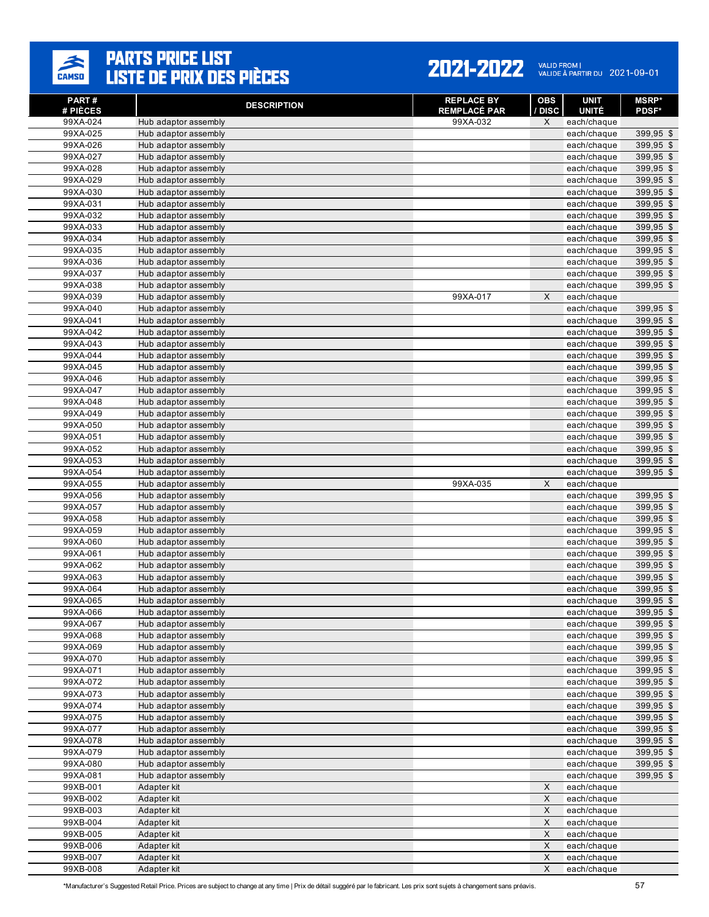

| PART#                | <b>DESCRIPTION</b>                           | <b>REPLACE BY</b>               | <b>OBS</b>  | <b>UNIT</b>                 | <b>MSRP*</b>           |
|----------------------|----------------------------------------------|---------------------------------|-------------|-----------------------------|------------------------|
| # PIÈCES<br>99XA-024 | Hub adaptor assembly                         | <b>REMPLACÉ PAR</b><br>99XA-032 | / DISC<br>X | <b>UNITÉ</b><br>each/chaque | <b>PDSF*</b>           |
| 99XA-025             | Hub adaptor assembly                         |                                 |             | each/chaque                 | 399,95 \$              |
| 99XA-026             | Hub adaptor assembly                         |                                 |             | each/chaque                 | 399,95 \$              |
| 99XA-027             | Hub adaptor assembly                         |                                 |             | each/chaque                 | 399,95 \$              |
| 99XA-028             | Hub adaptor assembly                         |                                 |             | each/chaque                 | 399,95 \$              |
| 99XA-029             | Hub adaptor assembly                         |                                 |             | each/chaque                 | 399,95 \$              |
| 99XA-030             | Hub adaptor assembly                         |                                 |             | each/chaque                 | 399,95 \$              |
| 99XA-031             | Hub adaptor assembly                         |                                 |             | each/chaque                 | 399,95 \$              |
| 99XA-032             | Hub adaptor assembly                         |                                 |             | each/chaque                 | 399,95 \$              |
| 99XA-033             | Hub adaptor assembly                         |                                 |             | each/chaque                 | 399,95 \$<br>399,95 \$ |
| 99XA-034<br>99XA-035 | Hub adaptor assembly<br>Hub adaptor assembly |                                 |             | each/chaque                 | 399,95 \$              |
| 99XA-036             | Hub adaptor assembly                         |                                 |             | each/chaque<br>each/chaque  | 399,95 \$              |
| 99XA-037             | Hub adaptor assembly                         |                                 |             | each/chaque                 | 399,95 \$              |
| 99XA-038             | Hub adaptor assembly                         |                                 |             | each/chaque                 | 399,95 \$              |
| 99XA-039             | Hub adaptor assembly                         | 99XA-017                        | X           | each/chaque                 |                        |
| 99XA-040             | Hub adaptor assembly                         |                                 |             | each/chaque                 | 399,95 \$              |
| 99XA-041             | Hub adaptor assembly                         |                                 |             | each/chaque                 | 399,95 \$              |
| 99XA-042             | Hub adaptor assembly                         |                                 |             | each/chaque                 | 399,95 \$              |
| 99XA-043             | Hub adaptor assembly                         |                                 |             | each/chaque                 | 399,95 \$              |
| 99XA-044             | Hub adaptor assembly                         |                                 |             | each/chaque                 | 399,95 \$              |
| 99XA-045             | Hub adaptor assembly                         |                                 |             | each/chaque                 | 399,95 \$              |
| 99XA-046             | Hub adaptor assembly                         |                                 |             | each/chaque                 | $399,95$ \$            |
| 99XA-047             | Hub adaptor assembly                         |                                 |             | each/chaque                 | 399,95 \$              |
| 99XA-048             | Hub adaptor assembly                         |                                 |             | each/chaque                 | 399,95 \$              |
| 99XA-049<br>99XA-050 | Hub adaptor assembly                         |                                 |             | each/chaque<br>each/chaque  | 399,95 \$<br>399,95 \$ |
| 99XA-051             | Hub adaptor assembly<br>Hub adaptor assembly |                                 |             | each/chaque                 | 399,95 \$              |
| 99XA-052             | Hub adaptor assembly                         |                                 |             | each/chaque                 | 399,95 \$              |
| 99XA-053             | Hub adaptor assembly                         |                                 |             | each/chaque                 | 399,95 \$              |
| 99XA-054             | Hub adaptor assembly                         |                                 |             | each/chaque                 | $399,95$ \$            |
| 99XA-055             | Hub adaptor assembly                         | 99XA-035                        | X           | each/chaque                 |                        |
| 99XA-056             | Hub adaptor assembly                         |                                 |             | each/chaque                 | 399,95 \$              |
| 99XA-057             | Hub adaptor assembly                         |                                 |             | each/chaque                 | 399,95 \$              |
| 99XA-058             | Hub adaptor assembly                         |                                 |             | each/chaque                 | 399,95 \$              |
| 99XA-059             | Hub adaptor assembly                         |                                 |             | each/chaque                 | 399,95 \$              |
| 99XA-060             | Hub adaptor assembly                         |                                 |             | each/chaque                 | 399,95 \$              |
| 99XA-061             | Hub adaptor assembly                         |                                 |             | each/chaque                 | 399,95 \$              |
| 99XA-062             | Hub adaptor assembly                         |                                 |             | each/chaque                 | 399,95 \$              |
| 99XA-063<br>99XA-064 | Hub adaptor assembly                         |                                 |             | each/chaque                 | 399,95 \$<br>399,95 \$ |
| 99XA-065             | Hub adaptor assembly<br>Hub adaptor assembly |                                 |             | each/chaque<br>each/chaque  | 399,95 \$              |
| 99XA-066             | Hub adaptor assembly                         |                                 |             | each/chaque                 | 399,95 \$              |
| 99XA-067             | Hub adaptor assembly                         |                                 |             | each/chaque                 | 399,95 \$              |
| 99XA-068             | Hub adaptor assembly                         |                                 |             | each/chaque                 | 399,95 \$              |
| 99XA-069             | Hub adaptor assembly                         |                                 |             | each/chaque                 | $399,95$ \$            |
| 99XA-070             | Hub adaptor assembly                         |                                 |             | each/chaque                 | 399,95 \$              |
| 99XA-071             | Hub adaptor assembly                         |                                 |             | each/chaque                 | 399,95 \$              |
| 99XA-072             | Hub adaptor assembly                         |                                 |             | each/chaque                 | 399,95 \$              |
| 99XA-073             | Hub adaptor assembly                         |                                 |             | each/chaque                 | 399,95 \$              |
| 99XA-074             | Hub adaptor assembly                         |                                 |             | each/chaque                 | 399,95 \$              |
| 99XA-075             | Hub adaptor assembly                         |                                 |             | each/chaque                 | 399,95 \$              |
| 99XA-077             | Hub adaptor assembly                         |                                 |             | each/chaque                 | 399,95 \$              |
| 99XA-078<br>99XA-079 | Hub adaptor assembly<br>Hub adaptor assembly |                                 |             | each/chaque<br>each/chaque  | 399,95 \$<br>399,95 \$ |
| 99XA-080             | Hub adaptor assembly                         |                                 |             | each/chaque                 | 399,95 \$              |
| 99XA-081             | Hub adaptor assembly                         |                                 |             | each/chaque                 | 399,95 \$              |
| 99XB-001             | Adapter kit                                  |                                 | X           | each/chaque                 |                        |
| 99XB-002             | Adapter kit                                  |                                 | X           | each/chaque                 |                        |
| 99XB-003             | Adapter kit                                  |                                 | X           | each/chaque                 |                        |
| 99XB-004             | Adapter kit                                  |                                 | X           | each/chaque                 |                        |
| 99XB-005             | Adapter kit                                  |                                 | X           | each/chaque                 |                        |
| 99XB-006             | Adapter kit                                  |                                 | X           | each/chaque                 |                        |
| 99XB-007             | Adapter kit                                  |                                 | X           | each/chaque                 |                        |
| 99XB-008             | Adapter kit                                  |                                 | X           | each/chaque                 |                        |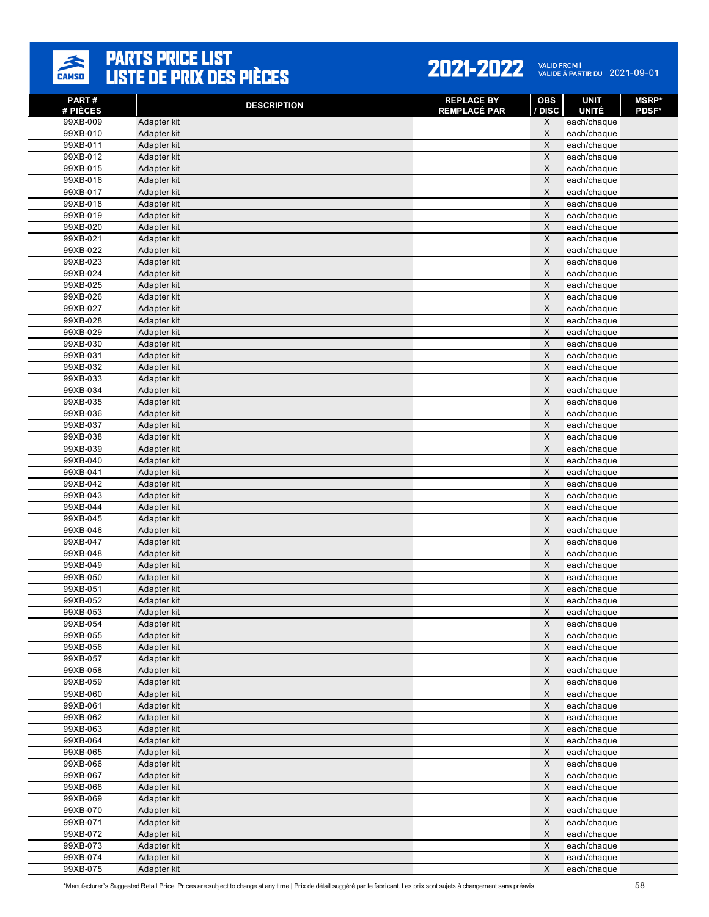

| PART#<br># PIÈCES    | <b>DESCRIPTION</b>         | <b>REPLACE BY</b><br><b>REMPLACÉ PAR</b> | <b>OBS</b><br>/ DISC    | <b>UNIT</b><br><b>UNITÉ</b> | <b>MSRP</b> *<br><b>PDSF*</b> |
|----------------------|----------------------------|------------------------------------------|-------------------------|-----------------------------|-------------------------------|
| 99XB-009             | Adapter kit                |                                          | X                       | each/chaque                 |                               |
| 99XB-010             | Adapter kit                |                                          | X                       | each/chaque                 |                               |
| 99XB-011             | Adapter kit                |                                          | $\times$                | each/chaque                 |                               |
| 99XB-012             | Adapter kit                |                                          | $\mathsf X$             | each/chaque                 |                               |
| 99XB-015             | Adapter kit                |                                          | X                       | each/chaque                 |                               |
| 99XB-016             | Adapter kit                |                                          | $\times$                | each/chaque                 |                               |
| 99XB-017             | Adapter kit                |                                          | $\mathsf X$             | each/chaque                 |                               |
| 99XB-018             | Adapter kit                |                                          | X                       | each/chaque                 |                               |
| 99XB-019             | Adapter kit                |                                          | $\times$                | each/chaque                 |                               |
| 99XB-020             | Adapter kit                |                                          | $\times$                | each/chaque                 |                               |
| 99XB-021             | Adapter kit                |                                          | $\mathsf X$             | each/chaque                 |                               |
| 99XB-022             | Adapter kit                |                                          | $\times$                | each/chaque                 |                               |
| 99XB-023<br>99XB-024 | Adapter kit<br>Adapter kit |                                          | $\times$<br>$\mathsf X$ | each/chaque<br>each/chaque  |                               |
| 99XB-025             | Adapter kit                |                                          | $\overline{\mathsf{x}}$ | each/chaque                 |                               |
| 99XB-026             | Adapter kit                |                                          | X                       | each/chaque                 |                               |
| 99XB-027             | Adapter kit                |                                          | $\mathsf X$             | each/chaque                 |                               |
| 99XB-028             | Adapter kit                |                                          | $\times$                | each/chaque                 |                               |
| 99XB-029             | Adapter kit                |                                          | $\times$                | each/chaque                 |                               |
| 99XB-030             | Adapter kit                |                                          | $\times$                | each/chaque                 |                               |
| 99XB-031             | Adapter kit                |                                          | $\mathsf X$             | each/chaque                 |                               |
| 99XB-032             | Adapter kit                |                                          | $\times$                | each/chaque                 |                               |
| 99XB-033             | Adapter kit                |                                          | $\mathsf X$             | each/chaque                 |                               |
| 99XB-034             | Adapter kit                |                                          | $\times$                | each/chaque                 |                               |
| 99XB-035             | Adapter kit                |                                          | $\times$                | each/chaque                 |                               |
| 99XB-036             | Adapter kit                |                                          | $\times$                | each/chaque                 |                               |
| 99XB-037             | Adapter kit                |                                          | X                       | each/chaque                 |                               |
| 99XB-038             | Adapter kit                |                                          | $\mathsf X$             | each/chaque                 |                               |
| 99XB-039             | Adapter kit                |                                          | $\mathsf X$             | each/chaque                 |                               |
| 99XB-040             | Adapter kit                |                                          | X                       | each/chaque                 |                               |
| 99XB-041             | Adapter kit                |                                          | $\times$                | each/chaque                 |                               |
| 99XB-042             | Adapter kit                |                                          | $\times$                | each/chaque                 |                               |
| 99XB-043             | Adapter kit                |                                          | $\times$                | each/chaque                 |                               |
| 99XB-044             | Adapter kit                |                                          | $\times$                | each/chaque                 |                               |
| 99XB-045             | Adapter kit                |                                          | $\mathsf X$             | each/chaque                 |                               |
| 99XB-046             | Adapter kit                |                                          | $\mathsf X$             | each/chaque                 |                               |
| 99XB-047             | Adapter kit                |                                          | $\overline{\mathsf{x}}$ | each/chaque                 |                               |
| 99XB-048<br>99XB-049 | Adapter kit<br>Adapter kit |                                          | $\times$<br>X           | each/chaque<br>each/chaque  |                               |
| 99XB-050             | Adapter kit                |                                          | $\overline{\mathsf{x}}$ | each/chaque                 |                               |
| 99XB-051             | Adapter kit                |                                          | X                       | each/chaque                 |                               |
| 99XB-052             | Adapter kit                |                                          | $\mathsf X$             | each/chaque                 |                               |
| 99XB-053             | Adapter kit                |                                          | $\times$                | each/chaque                 |                               |
| 99XB-054             | Adapter kit                |                                          | X                       | each/chaque                 |                               |
| 99XB-055             | Adapter kit                |                                          | $\mathsf X$             | each/chaque                 |                               |
| 99XB-056             | Adapter kit                |                                          | $\mathsf X$             | each/chaque                 |                               |
| 99XB-057             | Adapter kit                |                                          | $\mathsf{X}$            | each/chaque                 |                               |
| 99XB-058             | Adapter kit                |                                          | $\mathsf X$             | each/chaque                 |                               |
| 99XB-059             | Adapter kit                |                                          | $\mathsf X$             | each/chaque                 |                               |
| 99XB-060             | Adapter kit                |                                          | $\mathsf X$             | each/chaque                 |                               |
| 99XB-061             | Adapter kit                |                                          | $\mathsf X$             | each/chaque                 |                               |
| 99XB-062             | Adapter kit                |                                          | X                       | each/chaque                 |                               |
| 99XB-063             | Adapter kit                |                                          | $\mathsf X$             | each/chaque                 |                               |
| 99XB-064             | Adapter kit                |                                          | $\mathsf X$             | each/chaque                 |                               |
| 99XB-065             | Adapter kit                |                                          | X                       | each/chaque                 |                               |
| 99XB-066             | Adapter kit                |                                          | $\mathsf X$             | each/chaque                 |                               |
| 99XB-067             | Adapter kit                |                                          | $\mathsf X$             | each/chaque                 |                               |
| 99XB-068             | Adapter kit                |                                          | $\mathsf X$             | each/chaque                 |                               |
| 99XB-069             | Adapter kit                |                                          | $\mathsf X$             | each/chaque                 |                               |
| 99XB-070             | Adapter kit                |                                          | $\mathsf X$             | each/chaque                 |                               |
| 99XB-071             | Adapter kit                |                                          | $\mathsf X$             | each/chaque                 |                               |
| 99XB-072             | Adapter kit                |                                          | $\mathsf X$             | each/chaque                 |                               |
| 99XB-073             | Adapter kit                |                                          | $\mathsf X$             | each/chaque                 |                               |
| 99XB-074             | Adapter kit                |                                          | $\mathsf X$<br>X        | each/chaque                 |                               |
| 99XB-075             | Adapter kit                |                                          |                         | each/chaque                 |                               |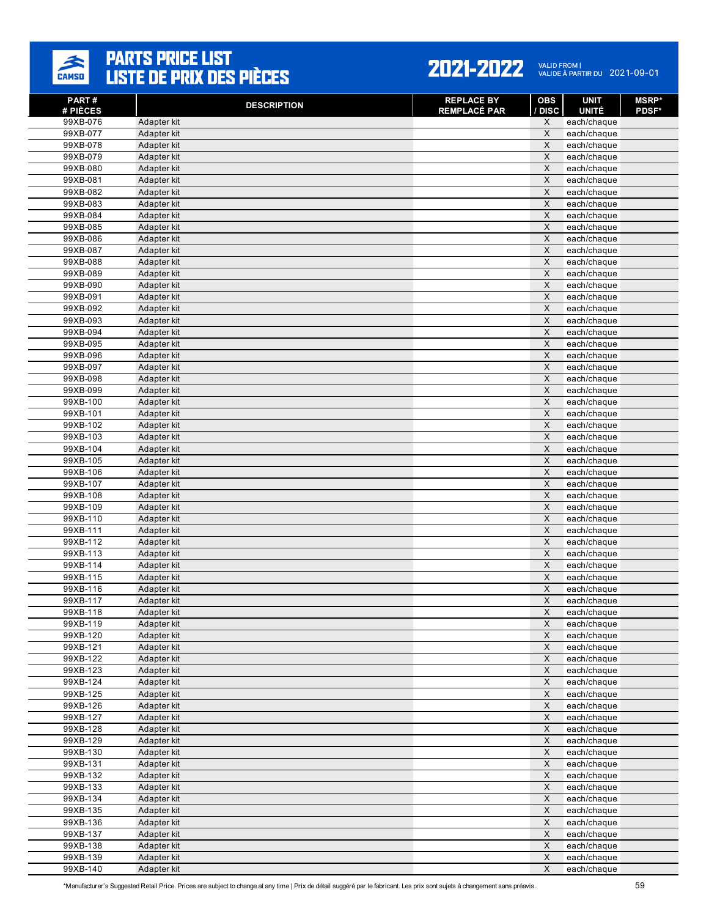

| PART#<br># PIÈCES    | <b>DESCRIPTION</b>         | <b>REPLACE BY</b><br><b>REMPLACÉ PAR</b> | <b>OBS</b><br>/ DISC                | <b>UNIT</b><br><b>UNITÉ</b> | <b>MSRP</b> *<br><b>PDSF*</b> |
|----------------------|----------------------------|------------------------------------------|-------------------------------------|-----------------------------|-------------------------------|
| 99XB-076             | Adapter kit                |                                          | X                                   | each/chaque                 |                               |
| 99XB-077             | Adapter kit                |                                          | X                                   | each/chaque                 |                               |
| 99XB-078             | Adapter kit                |                                          | X                                   | each/chaque                 |                               |
| 99XB-079             | Adapter kit                |                                          | $\mathsf X$                         | each/chaque                 |                               |
| 99XB-080             | Adapter kit                |                                          | X                                   | each/chaque                 |                               |
| 99XB-081             | Adapter kit                |                                          | $\times$                            | each/chaque                 |                               |
| 99XB-082             | Adapter kit                |                                          | $\mathsf X$                         | each/chaque                 |                               |
| 99XB-083             | Adapter kit                |                                          | X                                   | each/chaque                 |                               |
| 99XB-084             | Adapter kit                |                                          | $\times$                            | each/chaque                 |                               |
| 99XB-085             | Adapter kit                |                                          | $\mathsf X$                         | each/chaque                 |                               |
| 99XB-086             | Adapter kit                |                                          | $\mathsf X$                         | each/chaque                 |                               |
| 99XB-087             | Adapter kit                |                                          | $\overline{\mathsf{x}}$<br>$\times$ | each/chaque                 |                               |
| 99XB-088<br>99XB-089 | Adapter kit<br>Adapter kit |                                          | $\mathsf X$                         | each/chaque<br>each/chaque  |                               |
| 99XB-090             | Adapter kit                |                                          | $\overline{\mathsf{x}}$             | each/chaque                 |                               |
| 99XB-091             | Adapter kit                |                                          | $\mathsf X$                         | each/chaque                 |                               |
| 99XB-092             | Adapter kit                |                                          | $\mathsf X$                         | each/chaque                 |                               |
| 99XB-093             | Adapter kit                |                                          | $\times$                            | each/chaque                 |                               |
| 99XB-094             | Adapter kit                |                                          | $\times$                            | each/chaque                 |                               |
| 99XB-095             | Adapter kit                |                                          | $\mathsf X$                         | each/chaque                 |                               |
| 99XB-096             | Adapter kit                |                                          | $\mathsf X$                         | each/chaque                 |                               |
| 99XB-097             | Adapter kit                |                                          | $\overline{\mathsf{x}}$             | each/chaque                 |                               |
| 99XB-098             | Adapter kit                |                                          | $\mathsf X$                         | each/chaque                 |                               |
| 99XB-099             | Adapter kit                |                                          | $\mathsf X$                         | each/chaque                 |                               |
| 99XB-100             | Adapter kit                |                                          | X                                   | each/chaque                 |                               |
| 99XB-101             | Adapter kit                |                                          | $\mathsf X$                         | each/chaque                 |                               |
| 99XB-102             | Adapter kit                |                                          | X                                   | each/chaque                 |                               |
| 99XB-103             | Adapter kit                |                                          | $\times$                            | each/chaque                 |                               |
| 99XB-104             | Adapter kit                |                                          | $\mathsf X$                         | each/chaque                 |                               |
| 99XB-105             | Adapter kit                |                                          | X                                   | each/chaque                 |                               |
| 99XB-106             | Adapter kit                |                                          | $\times$                            | each/chaque                 |                               |
| 99XB-107             | Adapter kit                |                                          | $\times$                            | each/chaque                 |                               |
| 99XB-108             | Adapter kit                |                                          | $\times$                            | each/chaque                 |                               |
| 99XB-109             | Adapter kit                |                                          | $\times$                            | each/chaque                 |                               |
| 99XB-110             | Adapter kit                |                                          | $\mathsf X$<br>$\mathsf X$          | each/chaque                 |                               |
| 99XB-111<br>99XB-112 | Adapter kit<br>Adapter kit |                                          | $\overline{\mathsf{x}}$             | each/chaque                 |                               |
| 99XB-113             | Adapter kit                |                                          | $\times$                            | each/chaque<br>each/chaque  |                               |
| 99XB-114             | Adapter kit                |                                          | $\mathsf X$                         | each/chaque                 |                               |
| 99XB-115             | Adapter kit                |                                          | $\overline{\mathsf{x}}$             | each/chaque                 |                               |
| 99XB-116             | Adapter kit                |                                          | $\mathsf X$                         | each/chaque                 |                               |
| 99XB-117             | Adapter kit                |                                          | $\mathsf X$                         | each/chaque                 |                               |
| 99XB-118             | Adapter kit                |                                          | $\times$                            | each/chaque                 |                               |
| 99XB-119             | Adapter kit                |                                          | X                                   | each/chaque                 |                               |
| 99XB-120             | Adapter kit                |                                          | $\mathsf X$                         | each/chaque                 |                               |
| 99XB-121             | Adapter kit                |                                          | $\mathsf X$                         | each/chaque                 |                               |
| 99XB-122             | Adapter kit                |                                          | X                                   | each/chaque                 |                               |
| 99XB-123             | Adapter kit                |                                          | $\mathsf X$                         | each/chaque                 |                               |
| 99XB-124             | Adapter kit                |                                          | $\mathsf X$                         | each/chaque                 |                               |
| 99XB-125             | Adapter kit                |                                          | $\mathsf X$                         | each/chaque                 |                               |
| 99XB-126             | Adapter kit                |                                          | $\mathsf X$                         | each/chaque                 |                               |
| 99XB-127             | Adapter kit                |                                          | X                                   | each/chaque                 |                               |
| 99XB-128             | Adapter kit                |                                          | $\mathsf X$                         | each/chaque                 |                               |
| 99XB-129             | Adapter kit                |                                          | $\mathsf X$                         | each/chaque                 |                               |
| 99XB-130             | Adapter kit                |                                          | X                                   | each/chaque                 |                               |
| 99XB-131             | Adapter kit                |                                          | $\mathsf{X}$                        | each/chaque                 |                               |
| 99XB-132             | Adapter kit                |                                          | $\mathsf X$                         | each/chaque                 |                               |
| 99XB-133             | Adapter kit                |                                          | X<br>$\mathsf X$                    | each/chaque                 |                               |
| 99XB-134<br>99XB-135 | Adapter kit<br>Adapter kit |                                          | $\mathsf X$                         | each/chaque                 |                               |
| 99XB-136             | Adapter kit                |                                          | $\mathsf X$                         | each/chaque<br>each/chaque  |                               |
| 99XB-137             | Adapter kit                |                                          | $\mathsf X$                         | each/chaque                 |                               |
| 99XB-138             | Adapter kit                |                                          | $\mathsf X$                         | each/chaque                 |                               |
| 99XB-139             | Adapter kit                |                                          | $\mathsf X$                         | each/chaque                 |                               |
| 99XB-140             | Adapter kit                |                                          | X                                   | each/chaque                 |                               |
|                      |                            |                                          |                                     |                             |                               |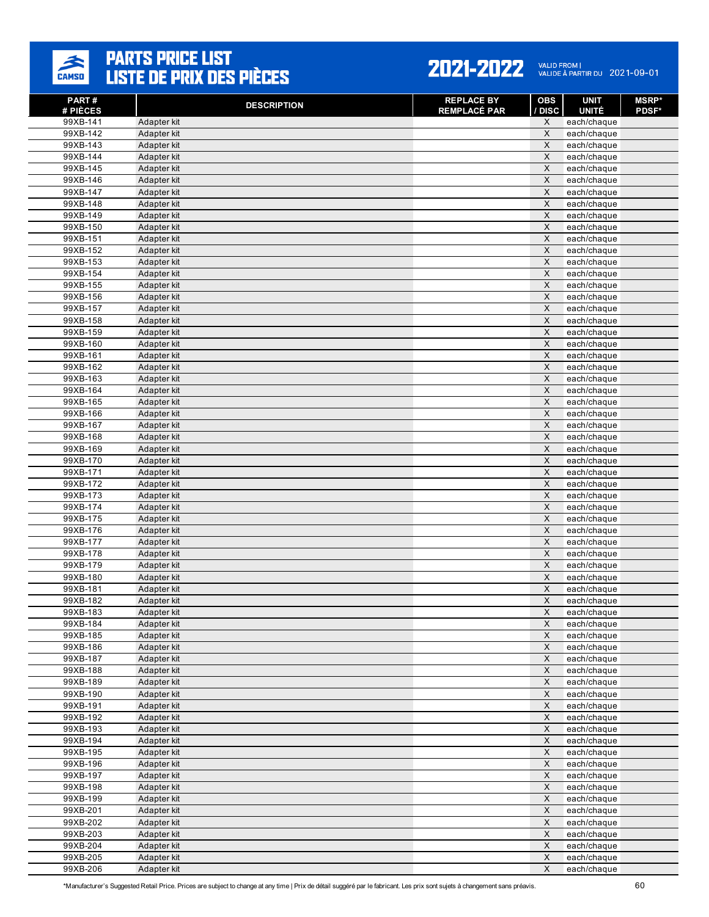

| PART#<br># PIÈCES    | <b>DESCRIPTION</b>         | <b>REPLACE BY</b><br><b>REMPLACÉ PAR</b> | <b>OBS</b><br>/ DISC                   | <b>UNIT</b><br><b>UNITÉ</b> | <b>MSRP</b> *<br><b>PDSF*</b> |
|----------------------|----------------------------|------------------------------------------|----------------------------------------|-----------------------------|-------------------------------|
| 99XB-141             | Adapter kit                |                                          | X                                      | each/chaque                 |                               |
| 99XB-142             | Adapter kit                |                                          | X                                      | each/chaque                 |                               |
| 99XB-143             | Adapter kit                |                                          | $\times$                               | each/chaque                 |                               |
| 99XB-144             | Adapter kit                |                                          | $\mathsf X$                            | each/chaque                 |                               |
| 99XB-145             | Adapter kit                |                                          | X                                      | each/chaque                 |                               |
| 99XB-146             | Adapter kit                |                                          | $\times$                               | each/chaque                 |                               |
| 99XB-147             | Adapter kit                |                                          | $\mathsf X$                            | each/chaque                 |                               |
| 99XB-148             | Adapter kit                |                                          | X                                      | each/chaque                 |                               |
| 99XB-149             | Adapter kit                |                                          | $\times$                               | each/chaque                 |                               |
| 99XB-150             | Adapter kit                |                                          | $\times$                               | each/chaque                 |                               |
| 99XB-151             | Adapter kit                |                                          | $\mathsf X$                            | each/chaque                 |                               |
| 99XB-152             | Adapter kit                |                                          | $\times$                               | each/chaque                 |                               |
| 99XB-153<br>99XB-154 | Adapter kit<br>Adapter kit |                                          | $\times$<br>$\mathsf X$                | each/chaque                 |                               |
| 99XB-155             | Adapter kit                |                                          | $\overline{\mathsf{x}}$                | each/chaque                 |                               |
| 99XB-156             | Adapter kit                |                                          | X                                      | each/chaque<br>each/chaque  |                               |
| $99XB-157$           | Adapter kit                |                                          | $\mathsf X$                            | each/chaque                 |                               |
| 99XB-158             | Adapter kit                |                                          | $\times$                               | each/chaque                 |                               |
| 99XB-159             | Adapter kit                |                                          | $\times$                               | each/chaque                 |                               |
| 99XB-160             | Adapter kit                |                                          | $\times$                               | each/chaque                 |                               |
| 99XB-161             | Adapter kit                |                                          | $\mathsf X$                            | each/chaque                 |                               |
| 99XB-162             | Adapter kit                |                                          | $\times$                               | each/chaque                 |                               |
| 99XB-163             | Adapter kit                |                                          | $\mathsf X$                            | each/chaque                 |                               |
| 99XB-164             | Adapter kit                |                                          | $\times$                               | each/chaque                 |                               |
| 99XB-165             | Adapter kit                |                                          | $\times$                               | each/chaque                 |                               |
| 99XB-166             | Adapter kit                |                                          | $\times$                               | each/chaque                 |                               |
| 99XB-167             | Adapter kit                |                                          | X                                      | each/chaque                 |                               |
| 99XB-168             | Adapter kit                |                                          | $\mathsf X$                            | each/chaque                 |                               |
| 99XB-169             | Adapter kit                |                                          | $\times$                               | each/chaque                 |                               |
| 99XB-170             | Adapter kit                |                                          | X                                      | each/chaque                 |                               |
| 99XB-171             | Adapter kit                |                                          | $\times$                               | each/chaque                 |                               |
| 99XB-172             | Adapter kit                |                                          | $\times$                               | each/chaque                 |                               |
| 99XB-173             | Adapter kit                |                                          | X                                      | each/chaque                 |                               |
| 99XB-174             | Adapter kit                |                                          | $\times$                               | each/chaque                 |                               |
| 99XB-175             | Adapter kit                |                                          | $\mathsf X$                            | each/chaque                 |                               |
| 99XB-176             | Adapter kit                |                                          | $\mathsf X$                            | each/chaque                 |                               |
| 99XB-177             | Adapter kit                |                                          | $\times$                               | each/chaque                 |                               |
| 99XB-178             | Adapter kit                |                                          | $\times$                               | each/chaque                 |                               |
| 99XB-179             | Adapter kit                |                                          | $\mathsf X$<br>$\overline{\mathsf{x}}$ | each/chaque                 |                               |
| 99XB-180             | Adapter kit                |                                          | X                                      | each/chaque                 |                               |
| 99XB-181<br>99XB-182 | Adapter kit<br>Adapter kit |                                          | $\mathsf X$                            | each/chaque<br>each/chaque  |                               |
| 99XB-183             | Adapter kit                |                                          | $\times$                               | each/chaque                 |                               |
| 99XB-184             | Adapter kit                |                                          | X                                      | each/chaque                 |                               |
| 99XB-185             | Adapter kit                |                                          | $\mathsf X$                            | each/chaque                 |                               |
| 99XB-186             | Adapter kit                |                                          | $\mathsf X$                            | each/chaque                 |                               |
| 99XB-187             | Adapter kit                |                                          | X                                      | each/chaque                 |                               |
| 99XB-188             | Adapter kit                |                                          | $\mathsf X$                            | each/chaque                 |                               |
| 99XB-189             | Adapter kit                |                                          | $\mathsf X$                            | each/chaque                 |                               |
| 99XB-190             | Adapter kit                |                                          | $\mathsf X$                            | each/chaque                 |                               |
| 99XB-191             | Adapter kit                |                                          | $\mathsf X$                            | each/chaque                 |                               |
| 99XB-192             | Adapter kit                |                                          | X                                      | each/chaque                 |                               |
| 99XB-193             | Adapter kit                |                                          | $\mathsf X$                            | each/chaque                 |                               |
| 99XB-194             | Adapter kit                |                                          | $\mathsf X$                            | each/chaque                 |                               |
| 99XB-195             | Adapter kit                |                                          | X                                      | each/chaque                 |                               |
| 99XB-196             | Adapter kit                |                                          | $\mathsf X$                            | each/chaque                 |                               |
| 99XB-197             | Adapter kit                |                                          | $\mathsf X$                            | each/chaque                 |                               |
| 99XB-198             | Adapter kit                |                                          | $\mathsf X$                            | each/chaque                 |                               |
| 99XB-199             | Adapter kit                |                                          | $\mathsf X$                            | each/chaque                 |                               |
| 99XB-201             | Adapter kit                |                                          | $\mathsf X$                            | each/chaque                 |                               |
| 99XB-202             | Adapter kit                |                                          | $\mathsf X$                            | each/chaque                 |                               |
| 99XB-203             | Adapter kit                |                                          | $\mathsf X$                            | each/chaque                 |                               |
| 99XB-204             | Adapter kit                |                                          | $\mathsf X$                            | each/chaque                 |                               |
| 99XB-205             | Adapter kit                |                                          | $\mathsf X$                            | each/chaque                 |                               |
| 99XB-206             | Adapter kit                |                                          | X                                      | each/chaque                 |                               |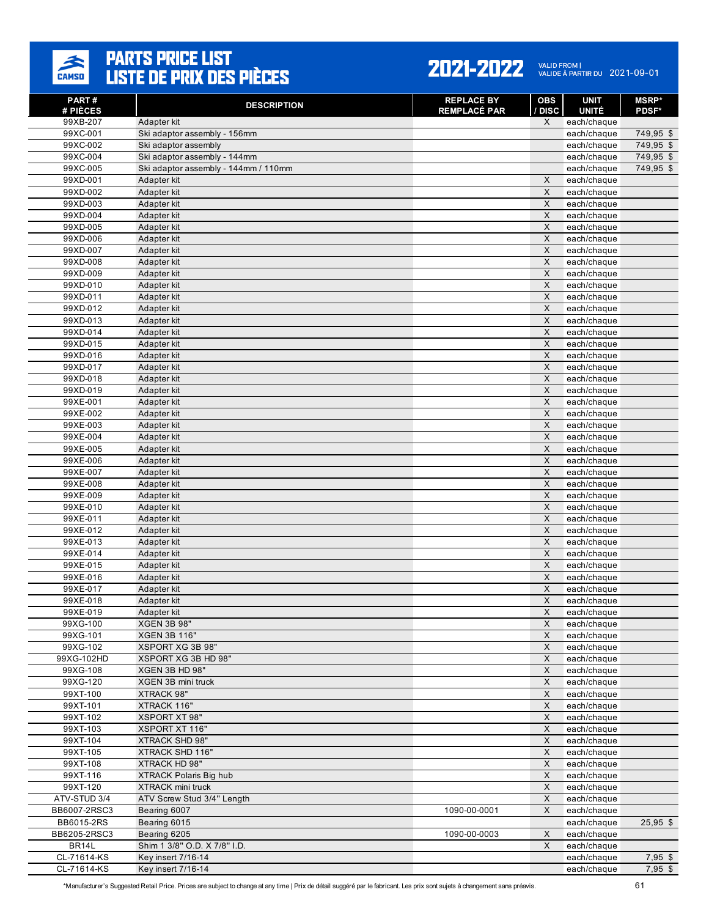

| PART#                | <b>DESCRIPTION</b>                        | <b>REPLACE BY</b><br><b>REMPLACÉ PAR</b> | <b>OBS</b><br>/ DISC      | <b>UNIT</b><br><b>UNITÉ</b> | <b>MSRP*</b> |
|----------------------|-------------------------------------------|------------------------------------------|---------------------------|-----------------------------|--------------|
| # PIÈCES<br>99XB-207 | Adapter kit                               |                                          | X                         | each/chaque                 | <b>PDSF*</b> |
| 99XC-001             | Ski adaptor assembly - 156mm              |                                          |                           | each/chaque                 | 749,95 \$    |
| 99XC-002             | Ski adaptor assembly                      |                                          |                           | each/chaque                 | 749,95 \$    |
| 99XC-004             | Ski adaptor assembly - 144mm              |                                          |                           | each/chaque                 | 749,95 \$    |
| 99XC-005             | Ski adaptor assembly - 144mm / 110mm      |                                          |                           | each/chaque                 | 749,95 \$    |
| 99XD-001             | Adapter kit                               |                                          | X                         | each/chaque                 |              |
| 99XD-002             | Adapter kit                               |                                          | X                         | each/chaque                 |              |
| 99XD-003             | Adapter kit                               |                                          | $\times$                  | each/chaque                 |              |
| 99XD-004             | Adapter kit                               |                                          | X                         | each/chaque                 |              |
| 99XD-005             | Adapter kit                               |                                          | X                         | each/chaque                 |              |
| 99XD-006             | Adapter kit                               |                                          | X                         | each/chaque                 |              |
| 99XD-007             | Adapter kit                               |                                          | X                         | each/chaque                 |              |
| 99XD-008             | Adapter kit                               |                                          | $\times$                  | each/chaque                 |              |
| 99XD-009             | Adapter kit                               |                                          | X                         | each/chaque                 |              |
| 99XD-010             | Adapter kit                               |                                          | $\mathsf{X}$              | each/chaque                 |              |
| 99XD-011             | Adapter kit                               |                                          | X                         | each/chaque                 |              |
| 99XD-012             | Adapter kit                               |                                          | X                         | each/chaque                 |              |
| 99XD-013             | Adapter kit                               |                                          | X<br>$\mathsf{X}$         | each/chaque                 |              |
| 99XD-014<br>99XD-015 | Adapter kit<br>Adapter kit                |                                          | $\mathsf{X}$              | each/chaque                 |              |
| 99XD-016             | Adapter kit                               |                                          | X                         | each/chaque<br>each/chaque  |              |
| 99XD-017             | Adapter kit                               |                                          | $\times$                  | each/chaque                 |              |
| 99XD-018             | Adapter kit                               |                                          | $\boldsymbol{\mathsf{X}}$ | each/chaque                 |              |
| 99XD-019             | Adapter kit                               |                                          | X                         | each/chaque                 |              |
| 99XE-001             | Adapter kit                               |                                          | $\boldsymbol{\mathsf{X}}$ | each/chaque                 |              |
| 99XE-002             | Adapter kit                               |                                          | $\mathsf{X}$              | each/chaque                 |              |
| 99XE-003             | Adapter kit                               |                                          | X                         | each/chaque                 |              |
| 99XE-004             | Adapter kit                               |                                          | $\boldsymbol{\mathsf{X}}$ | each/chaque                 |              |
| 99XE-005             | Adapter kit                               |                                          | $\mathsf{X}$              | each/chaque                 |              |
| 99XE-006             | Adapter kit                               |                                          | X                         | each/chaque                 |              |
| 99XE-007             | Adapter kit                               |                                          | X                         | each/chaque                 |              |
| 99XE-008             | Adapter kit                               |                                          | X                         | each/chaque                 |              |
| 99XE-009             | Adapter kit                               |                                          | $\times$                  | each/chaque                 |              |
| 99XE-010             | Adapter kit                               |                                          | $\boldsymbol{\mathsf{X}}$ | each/chaque                 |              |
| 99XE-011             | Adapter kit                               |                                          | X                         | each/chaque                 |              |
| 99XE-012             | Adapter kit                               |                                          | X                         | each/chaque                 |              |
| 99XE-013             | Adapter kit                               |                                          | X                         | each/chaque                 |              |
| 99XE-014             | Adapter kit                               |                                          | $\times$                  | each/chaque                 |              |
| 99XE-015             | Adapter kit                               |                                          | X                         | each/chaque                 |              |
| 99XE-016             | Adapter kit                               |                                          | $\mathsf{X}$              | each/chaque                 |              |
| 99XE-017             | Adapter kit                               |                                          | X                         | each/chaque                 |              |
| 99XE-018             | Adapter kit                               |                                          | X                         | each/chaque                 |              |
| 99XE-019             | Adapter kit                               |                                          | X                         | each/chaque                 |              |
| 99XG-100<br>99XG-101 | <b>XGEN 3B 98"</b><br><b>XGEN 3B 116"</b> |                                          | X<br>$\mathsf{X}$         | each/chaque<br>each/chaque  |              |
| 99XG-102             | <b>XSPORT XG 3B 98"</b>                   |                                          | X                         | each/chaque                 |              |
| 99XG-102HD           | XSPORT XG 3B HD 98"                       |                                          | $\mathsf{X}$              | each/chaque                 |              |
| 99XG-108             | XGEN 3B HD 98"                            |                                          | $\boldsymbol{\mathsf{X}}$ | each/chaque                 |              |
| 99XG-120             | XGEN 3B mini truck                        |                                          | $\times$                  | each/chaque                 |              |
| 99XT-100             | XTRACK 98"                                |                                          | $\boldsymbol{\mathsf{X}}$ | each/chaque                 |              |
| 99XT-101             | XTRACK 116"                               |                                          | $\mathsf{X}$              | each/chaque                 |              |
| 99XT-102             | <b>XSPORT XT 98"</b>                      |                                          | $\mathsf X$               | each/chaque                 |              |
| 99XT-103             | <b>XSPORT XT 116"</b>                     |                                          | $\boldsymbol{\mathsf{X}}$ | each/chaque                 |              |
| 99XT-104             | XTRACK SHD 98"                            |                                          | $\mathsf X$               | each/chaque                 |              |
| 99XT-105             | XTRACK SHD 116"                           |                                          | $\mathsf X$               | each/chaque                 |              |
| 99XT-108             | XTRACK HD 98"                             |                                          | X                         | each/chaque                 |              |
| 99XT-116             | <b>XTRACK Polaris Big hub</b>             |                                          | $\boldsymbol{\mathsf{X}}$ | each/chaque                 |              |
| 99XT-120             | <b>XTRACK mini truck</b>                  |                                          | $\mathsf{X}$              | each/chaque                 |              |
| ATV-STUD 3/4         | ATV Screw Stud 3/4" Length                |                                          | $\mathsf X$               | each/chaque                 |              |
| BB6007-2RSC3         | Bearing 6007                              | 1090-00-0001                             | X                         | each/chaque                 |              |
| BB6015-2RS           | Bearing 6015                              |                                          |                           | each/chaque                 | $25,95$ \$   |
| BB6205-2RSC3         | Bearing 6205                              | 1090-00-0003                             | X                         | each/chaque                 |              |
| BR14L                | Shim 1 3/8" O.D. X 7/8" I.D.              |                                          | X                         | each/chaque                 |              |
| CL-71614-KS          | Key insert 7/16-14                        |                                          |                           | each/chaque                 | $7,95$ \$    |
| CL-71614-KS          | <b>Key insert 7/16-14</b>                 |                                          |                           | each/chaque                 | $7,95$ \$    |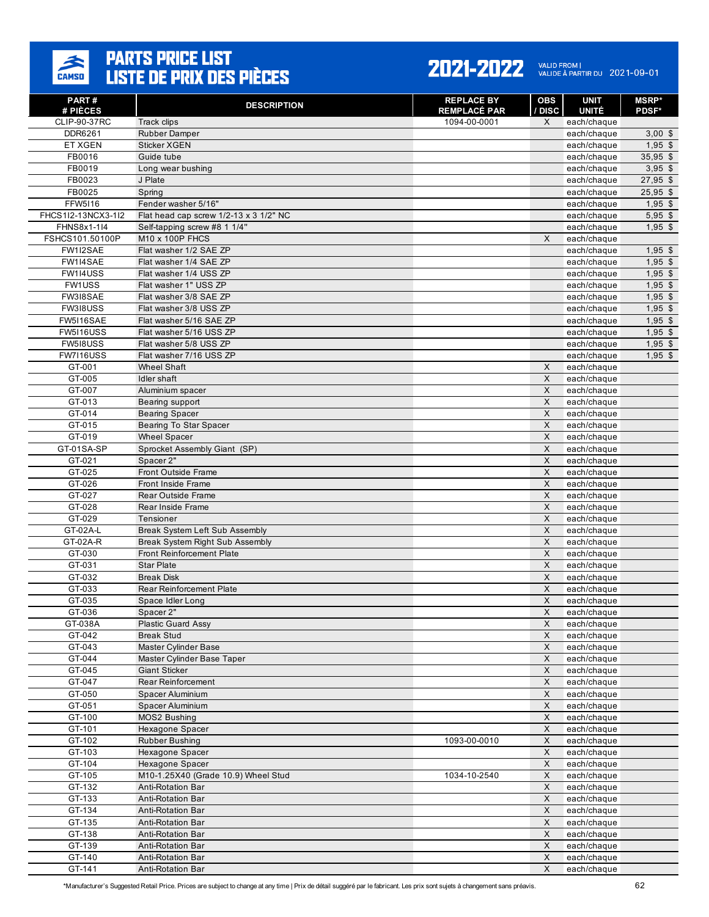

| PART#                               | <b>DESCRIPTION</b>                                | <b>REPLACE BY</b><br><b>REMPLACÉ PAR</b> | <b>OBS</b><br>/ DISC | <b>UNIT</b><br><b>UNITÉ</b> | <b>MSRP*</b> |
|-------------------------------------|---------------------------------------------------|------------------------------------------|----------------------|-----------------------------|--------------|
| # PIÈCES<br>CLIP-90-37RC            | Track clips                                       | 1094-00-0001                             | $\times$             | each/chaque                 | <b>PDSF*</b> |
| DDR6261                             | <b>Rubber Damper</b>                              |                                          |                      | each/chaque                 | $3,00$ \$    |
| ET XGEN                             | <b>Sticker XGEN</b>                               |                                          |                      | each/chaque                 | $1,95$ \$    |
| FB0016                              | Guide tube                                        |                                          |                      | each/chaque                 | $35,95$ \$   |
| FB0019                              | Long wear bushing                                 |                                          |                      | each/chaque                 | $3,95$ \$    |
| FB0023                              | J Plate                                           |                                          |                      | each/chaque                 | $27,95$ \$   |
| FB0025                              | Spring                                            |                                          |                      | each/chaque                 | $25,95$ \$   |
| <b>FFW5116</b>                      | Fender washer 5/16"                               |                                          |                      | each/chaque                 | $1,95$ \$    |
| FHCS1I2-13NCX3-1I2                  | Flat head cap screw 1/2-13 x 3 1/2" NC            |                                          |                      | each/chaque                 | $5,95$ \$    |
| FHNS8x1-1I4                         | Self-tapping screw #8 1 1/4"                      |                                          |                      | each/chaque                 | $1,95$ \$    |
| FSHCS101.50100P                     | M10 x 100P FHCS                                   |                                          | X                    | each/chaque                 |              |
| FW1I2SAE                            | Flat washer 1/2 SAE ZP                            |                                          |                      | each/chaque                 | $1,95$ \$    |
| FW1I4SAE                            | Flat washer 1/4 SAE ZP                            |                                          |                      | each/chaque                 | $1,95$ \$    |
| FW1I4USS                            | Flat washer 1/4 USS ZP                            |                                          |                      | each/chaque                 | $1,95$ \$    |
| FW1USS                              | Flat washer 1" USS ZP                             |                                          |                      | each/chaque                 | $1,95$ \$    |
| FW318SAE                            | Flat washer 3/8 SAE ZP                            |                                          |                      | each/chaque                 | $1,95$ \$    |
| FW318USS                            | Flat washer 3/8 USS ZP                            |                                          |                      | each/chaque                 | $1,95$ \$    |
| FW5I16SAE                           | Flat washer 5/16 SAE ZP                           |                                          |                      | each/chaque                 | $1,95$ \$    |
| <b>FW5I16USS</b><br><b>FW518USS</b> | Flat washer 5/16 USS ZP<br>Flat washer 5/8 USS ZP |                                          |                      | each/chaque                 | $1,95$ \$    |
| FW7I16USS                           | Flat washer 7/16 USS ZP                           |                                          |                      | each/chaque<br>each/chaque  | $1,95$ \$    |
| GT-001                              | <b>Wheel Shaft</b>                                |                                          | $\times$             | each/chaque                 | $1,95$ \$    |
| GT-005                              | Idler shaft                                       |                                          | X                    | each/chaque                 |              |
| GT-007                              | Aluminium spacer                                  |                                          | X                    | each/chaque                 |              |
| GT-013                              | Bearing support                                   |                                          | X                    | each/chaque                 |              |
| GT-014                              | <b>Bearing Spacer</b>                             |                                          | $\times$             | each/chaque                 |              |
| GT-015                              | Bearing To Star Spacer                            |                                          | X                    | each/chaque                 |              |
| GT-019                              | <b>Wheel Spacer</b>                               |                                          | X                    | each/chaque                 |              |
| GT-01SA-SP                          | Sprocket Assembly Giant (SP)                      |                                          | $\mathsf{X}$         | each/chaque                 |              |
| GT-021                              | Spacer 2"                                         |                                          | X                    | each/chaque                 |              |
| GT-025                              | Front Outside Frame                               |                                          | X                    | each/chaque                 |              |
| GT-026                              | Front Inside Frame                                |                                          | $\times$             | each/chaque                 |              |
| GT-027                              | <b>Rear Outside Frame</b>                         |                                          | X                    | each/chaque                 |              |
| GT-028                              | Rear Inside Frame                                 |                                          | X                    | each/chaque                 |              |
| GT-029                              | Tensioner                                         |                                          | X                    | each/chaque                 |              |
| GT-02A-L                            | Break System Left Sub Assembly                    |                                          | X                    | each/chaque                 |              |
| GT-02A-R                            | <b>Break System Right Sub Assembly</b>            |                                          | X                    | each/chaque                 |              |
| GT-030                              | <b>Front Reinforcement Plate</b>                  |                                          | $\times$             | each/chaque                 |              |
| GT-031                              | <b>Star Plate</b>                                 |                                          | X                    | each/chaque                 |              |
| GT-032                              | <b>Break Disk</b>                                 |                                          | X                    | each/chaque                 |              |
| GT-033                              | <b>Rear Reinforcement Plate</b>                   |                                          | X                    | each/chaque                 |              |
| GT-035                              | Space Idler Long                                  |                                          | X                    | each/chaque                 |              |
| GT-036                              | Spacer 2"<br><b>Plastic Guard Assy</b>            |                                          | X<br>$\mathsf X$     | each/chaque                 |              |
| GT-038A<br>GT-042                   | <b>Break Stud</b>                                 |                                          | X                    | each/chaque<br>each/chaque  |              |
| GT-043                              | Master Cylinder Base                              |                                          | X                    | each/chaque                 |              |
| GT-044                              | Master Cylinder Base Taper                        |                                          | $\pmb{\times}$       | each/chaque                 |              |
| GT-045                              | Giant Sticker                                     |                                          | $\mathsf X$          | each/chaque                 |              |
| GT-047                              | Rear Reinforcement                                |                                          | X                    | each/chaque                 |              |
| GT-050                              | Spacer Aluminium                                  |                                          | $\mathsf X$          | each/chaque                 |              |
| GT-051                              | Spacer Aluminium                                  |                                          | $\mathsf X$          | each/chaque                 |              |
| GT-100                              | MOS2 Bushing                                      |                                          | X                    | each/chaque                 |              |
| GT-101                              | Hexagone Spacer                                   |                                          | $\mathsf X$          | each/chaque                 |              |
| GT-102                              | <b>Rubber Bushing</b>                             | 1093-00-0010                             | $\mathsf{X}$         | each/chaque                 |              |
| GT-103                              | Hexagone Spacer                                   |                                          | $\mathsf X$          | each/chaque                 |              |
| GT-104                              | Hexagone Spacer                                   |                                          | X                    | each/chaque                 |              |
| GT-105                              | M10-1.25X40 (Grade 10.9) Wheel Stud               | 1034-10-2540                             | X                    | each/chaque                 |              |
| GT-132                              | Anti-Rotation Bar                                 |                                          | X                    | each/chaque                 |              |
| GT-133                              | Anti-Rotation Bar                                 |                                          | $\mathsf X$          | each/chaque                 |              |
| GT-134                              | Anti-Rotation Bar                                 |                                          | X                    | each/chaque                 |              |
| GT-135                              | Anti-Rotation Bar                                 |                                          | X                    | each/chaque                 |              |
| GT-138                              | Anti-Rotation Bar                                 |                                          | $\mathsf X$          | each/chaque                 |              |
| GT-139                              | Anti-Rotation Bar                                 |                                          | X                    | each/chaque                 |              |
| GT-140                              | Anti-Rotation Bar                                 |                                          | $\mathsf X$          | each/chaque                 |              |
| GT-141                              | Anti-Rotation Bar                                 |                                          | $\mathsf X$          | each/chaque                 |              |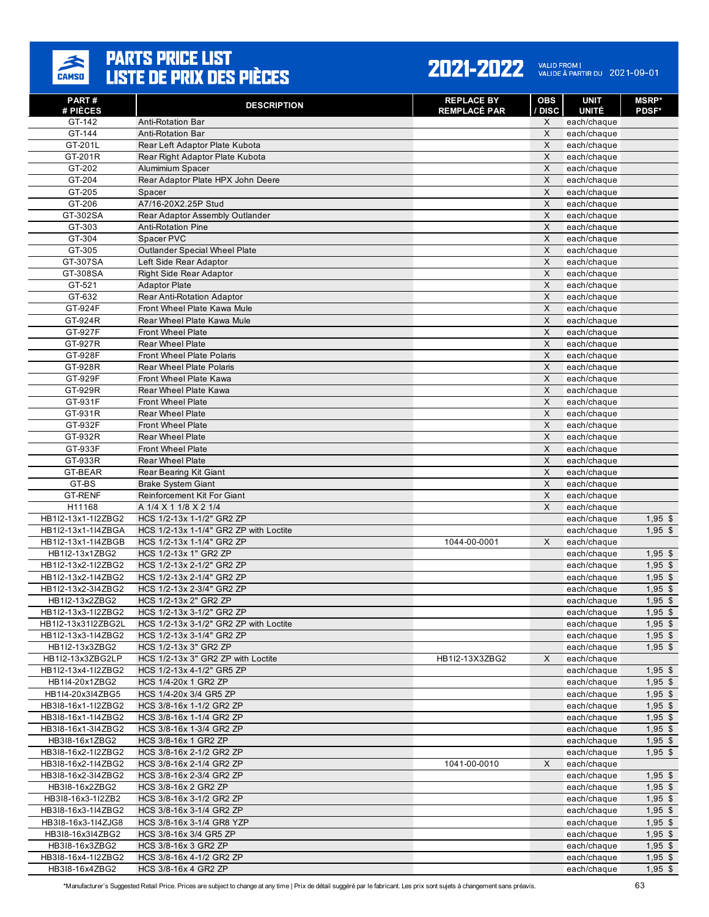

| PART#<br># PIÈCES                        | <b>DESCRIPTION</b>                                                  | <b>REPLACE BY</b><br><b>REMPLACÉ PAR</b> | OBS<br><b>DISC</b> | <b>UNIT</b><br><b>UNITÉ</b> | <b>MSRP*</b><br><b>PDSF*</b> |
|------------------------------------------|---------------------------------------------------------------------|------------------------------------------|--------------------|-----------------------------|------------------------------|
| GT-142                                   | <b>Anti-Rotation Bar</b>                                            |                                          | X                  | each/chaque                 |                              |
| GT-144                                   | <b>Anti-Rotation Bar</b>                                            |                                          | X                  | each/chaque                 |                              |
| GT-201L                                  | Rear Left Adaptor Plate Kubota                                      |                                          | X                  | each/chaque                 |                              |
| GT-201R                                  | Rear Right Adaptor Plate Kubota                                     |                                          | $\mathsf{X}$       | each/chaque                 |                              |
| GT-202                                   | Alumimium Spacer                                                    |                                          | X                  | each/chaque                 |                              |
| GT-204                                   | Rear Adaptor Plate HPX John Deere                                   |                                          | X                  | each/chaque                 |                              |
| GT-205                                   | Spacer                                                              |                                          | X                  | each/chaque                 |                              |
| GT-206                                   | A7/16-20X2.25P Stud                                                 |                                          | X                  | each/chaque                 |                              |
| GT-302SA                                 | Rear Adaptor Assembly Outlander                                     |                                          | $\times$           | each/chaque                 |                              |
| GT-303                                   | <b>Anti-Rotation Pine</b>                                           |                                          | X                  | each/chaque                 |                              |
| GT-304                                   | Spacer PVC                                                          |                                          | X                  | each/chaque                 |                              |
| GT-305                                   | <b>Outlander Special Wheel Plate</b>                                |                                          | X                  | each/chaque                 |                              |
| GT-307SA                                 | Left Side Rear Adaptor                                              |                                          | X                  | each/chaque                 |                              |
| GT-308SA                                 | <b>Right Side Rear Adaptor</b>                                      |                                          | X                  | each/chaque                 |                              |
| GT-521                                   | <b>Adaptor Plate</b>                                                |                                          | X                  | each/chaque                 |                              |
| GT-632                                   | Rear Anti-Rotation Adaptor                                          |                                          | X                  | each/chaque                 |                              |
| GT-924F                                  | Front Wheel Plate Kawa Mule                                         |                                          | X                  | each/chaque                 |                              |
| GT-924R                                  | Rear Wheel Plate Kawa Mule                                          |                                          | X                  | each/chaque                 |                              |
| GT-927F<br>GT-927R                       | Front Wheel Plate<br><b>Rear Wheel Plate</b>                        |                                          | X<br>X             | each/chaque                 |                              |
| GT-928F                                  | <b>Front Wheel Plate Polaris</b>                                    |                                          | X                  | each/chaque<br>each/chaque  |                              |
| GT-928R                                  | <b>Rear Wheel Plate Polaris</b>                                     |                                          | $\mathsf{X}$       | each/chaque                 |                              |
| GT-929F                                  | Front Wheel Plate Kawa                                              |                                          | X                  | each/chaque                 |                              |
| GT-929R                                  | <b>Rear Wheel Plate Kawa</b>                                        |                                          | X                  | each/chaque                 |                              |
| GT-931F                                  | <b>Front Wheel Plate</b>                                            |                                          | X                  | each/chaque                 |                              |
| GT-931R                                  | <b>Rear Wheel Plate</b>                                             |                                          | X                  | each/chaque                 |                              |
| GT-932F                                  | <b>Front Wheel Plate</b>                                            |                                          | X                  | each/chaque                 |                              |
| GT-932R                                  | <b>Rear Wheel Plate</b>                                             |                                          | X                  | each/chaque                 |                              |
| GT-933F                                  | <b>Front Wheel Plate</b>                                            |                                          | $\mathsf{X}$       | each/chaque                 |                              |
| GT-933R                                  | <b>Rear Wheel Plate</b>                                             |                                          | X                  | each/chaque                 |                              |
| GT-BEAR                                  | Rear Bearing Kit Giant                                              |                                          | X                  | each/chaque                 |                              |
| GT-BS                                    | <b>Brake System Giant</b>                                           |                                          | X                  | each/chaque                 |                              |
| <b>GT-RENF</b>                           | Reinforcement Kit For Giant                                         |                                          | X                  | each/chaque                 |                              |
| H11168                                   | A 1/4 X 1 1/8 X 2 1/4                                               |                                          | X                  | each/chaque                 |                              |
| HB1I2-13x1-1I2ZBG2                       | HCS 1/2-13x 1-1/2" GR2 ZP                                           |                                          |                    | each/chaque                 | $1,95$ \$                    |
| HB1I2-13x1-1I4ZBGA                       | HCS 1/2-13x 1-1/4" GR2 ZP with Loctite                              |                                          |                    | each/chaque                 | $1,95$ \$                    |
| HB1I2-13x1-1I4ZBGB                       | HCS 1/2-13x 1-1/4" GR2 ZP                                           | 1044-00-0001                             | X                  | each/chaque                 |                              |
| HB1I2-13x1ZBG2                           | HCS 1/2-13x 1" GR2 ZP                                               |                                          |                    | each/chaque                 | $1,95$ \$                    |
| HB1I2-13x2-1I2ZBG2                       | HCS 1/2-13x 2-1/2" GR2 ZP                                           |                                          |                    | each/chaque                 | $1,95$ \$                    |
| HB1I2-13x2-1I4ZBG2                       | HCS 1/2-13x 2-1/4" GR2 ZP                                           |                                          |                    | each/chaque                 | $1,95$ \$                    |
| HB1I2-13x2-3I4ZBG2                       | HCS 1/2-13x 2-3/4" GR2 ZP                                           |                                          |                    | each/chaque                 | $1,95$ \$                    |
| HB1I2-13x2ZBG2                           | HCS 1/2-13x 2" GR2 ZP                                               |                                          |                    | each/chaque                 | $1,95$ \$                    |
| HB1I2-13x3-1I2ZBG2                       | HCS 1/2-13x 3-1/2" GR2 ZP                                           |                                          |                    | each/chaque                 | $1,95$ \$                    |
| HB1I2-13x31I2ZBG2L<br>HB1I2-13x3-1I4ZBG2 | HCS 1/2-13x 3-1/2" GR2 ZP with Loctite<br>HCS 1/2-13x 3-1/4" GR2 ZP |                                          |                    | each/chaque                 | $1,95$ \$                    |
| HB1I2-13x3ZBG2                           | HCS 1/2-13x 3" GR2 ZP                                               |                                          |                    | each/chaque<br>each/chaque  | $1,95$ \$                    |
| HB1I2-13x3ZBG2LP                         | HCS 1/2-13x 3" GR2 ZP with Loctite                                  | HB1I2-13X3ZBG2                           | X                  | each/chaque                 | $1,95$ \$                    |
| HB1I2-13x4-1I2ZBG2                       | HCS 1/2-13x 4-1/2" GR5 ZP                                           |                                          |                    | each/chaque                 | $1,95$ \$                    |
| HB1I4-20x1ZBG2                           | HCS 1/4-20x 1 GR2 ZP                                                |                                          |                    | each/chaque                 | $1,95$ \$                    |
| HB1I4-20x3I4ZBG5                         | HCS 1/4-20x 3/4 GR5 ZP                                              |                                          |                    | each/chaque                 | $1,95$ \$                    |
| HB3I8-16x1-1I2ZBG2                       | HCS 3/8-16x 1-1/2 GR2 ZP                                            |                                          |                    | each/chaque                 | $1,95$ \$                    |
| HB3I8-16x1-1I4ZBG2                       | HCS 3/8-16x 1-1/4 GR2 ZP                                            |                                          |                    | each/chaque                 | $1,95$ \$                    |
| HB3I8-16x1-3I4ZBG2                       | HCS 3/8-16x 1-3/4 GR2 ZP                                            |                                          |                    | each/chaque                 | $1,95$ \$                    |
| HB3I8-16x1ZBG2                           | HCS 3/8-16x 1 GR2 ZP                                                |                                          |                    | each/chaque                 | $1,95$ \$                    |
| HB318-16x2-112ZBG2                       | HCS 3/8-16x 2-1/2 GR2 ZP                                            |                                          |                    | each/chaque                 | $1,95$ \$                    |
| HB318-16x2-114ZBG2                       | HCS 3/8-16x 2-1/4 GR2 ZP                                            | 1041-00-0010                             | X                  | each/chaque                 |                              |
| HB3I8-16x2-3I4ZBG2                       | HCS 3/8-16x 2-3/4 GR2 ZP                                            |                                          |                    | each/chaque                 | $1,95$ \$                    |
| HB3I8-16x2ZBG2                           | HCS 3/8-16x 2 GR2 ZP                                                |                                          |                    | each/chaque                 | $1,95$ \$                    |
| HB3I8-16x3-1I2ZB2                        | HCS 3/8-16x 3-1/2 GR2 ZP                                            |                                          |                    | each/chaque                 | $1,95$ \$                    |
| HB3I8-16x3-1I4ZBG2                       | HCS 3/8-16x 3-1/4 GR2 ZP                                            |                                          |                    | each/chaque                 | $1,95$ \$                    |
| HB3I8-16x3-1I4ZJG8                       | HCS 3/8-16x 3-1/4 GR8 YZP                                           |                                          |                    | each/chaque                 | $1,95$ \$                    |
| HB3I8-16x3I4ZBG2                         | HCS 3/8-16x 3/4 GR5 ZP                                              |                                          |                    | each/chaque                 | $1,95$ \$                    |
| HB3I8-16x3ZBG2                           | HCS 3/8-16x 3 GR2 ZP                                                |                                          |                    | each/chaque                 | $1,95$ \$                    |
| HB3I8-16x4-1I2ZBG2                       | HCS 3/8-16x 4-1/2 GR2 ZP                                            |                                          |                    | each/chaque                 | $1,95$ \$                    |
| HB318-16x4ZBG2                           | HCS 3/8-16x 4 GR2 ZP                                                |                                          |                    | each/chaque                 | $1,95$ \$                    |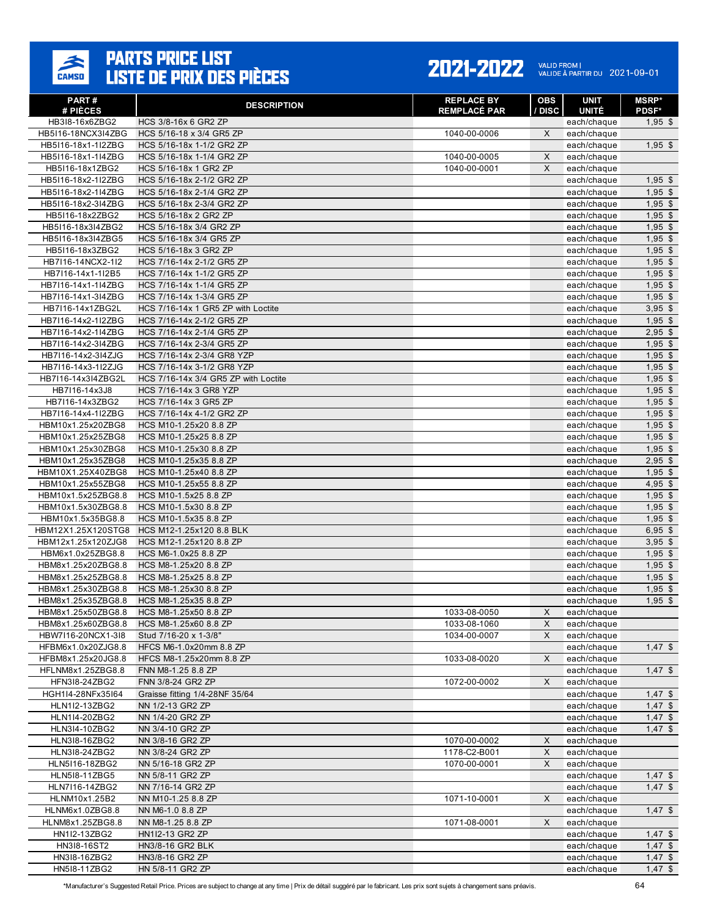

| PART#                                    | <b>DESCRIPTION</b>                                     | <b>REPLACE BY</b>   | <b>OBS</b> | <b>UNIT</b>                 | <b>MSRP*</b>              |
|------------------------------------------|--------------------------------------------------------|---------------------|------------|-----------------------------|---------------------------|
| # PIÈCES<br>HB3I8-16x6ZBG2               | HCS 3/8-16x 6 GR2 ZP                                   | <b>REMPLACÉ PAR</b> | / DISC     | <b>UNITÉ</b><br>each/chaque | <b>PDSF*</b><br>$1,95$ \$ |
| HB5I16-18NCX3I4ZBG                       | HCS 5/16-18 x 3/4 GR5 ZP                               | 1040-00-0006        | X          | each/chaque                 |                           |
| HB5I16-18x1-1I2ZBG                       | HCS 5/16-18x 1-1/2 GR2 ZP                              |                     |            | each/chaque                 | $1,95$ \$                 |
| HB5I16-18x1-1I4ZBG                       | HCS 5/16-18x 1-1/4 GR2 ZP                              | 1040-00-0005        | X          | each/chaque                 |                           |
| HB5I16-18x1ZBG2                          | HCS 5/16-18x 1 GR2 ZP                                  | 1040-00-0001        | X          | each/chaque                 |                           |
| HB5I16-18x2-1I2ZBG                       | HCS 5/16-18x 2-1/2 GR2 ZP                              |                     |            | each/chaque                 | $1,95$ \$                 |
| HB5I16-18x2-1I4ZBG                       | HCS 5/16-18x 2-1/4 GR2 ZP                              |                     |            | each/chaque                 | $1,95$ \$                 |
| HB5I16-18x2-3I4ZBG                       | HCS 5/16-18x 2-3/4 GR2 ZP                              |                     |            | each/chaque                 | $1,95$ \$                 |
| HB5I16-18x2ZBG2                          | HCS 5/16-18x 2 GR2 ZP                                  |                     |            | each/chaque                 | $1,95$ \$                 |
| HB5I16-18x3I4ZBG2                        | HCS 5/16-18x 3/4 GR2 ZP                                |                     |            | each/chaque                 | $1,95$ \$                 |
| HB5I16-18x3I4ZBG5                        | HCS 5/16-18x 3/4 GR5 ZP                                |                     |            | each/chaque                 | $1,95$ \$                 |
| HB5I16-18x3ZBG2                          | HCS 5/16-18x 3 GR2 ZP                                  |                     |            | each/chaque                 | $1,95$ \$                 |
| HB7I16-14NCX2-1I2<br>HB7I16-14x1-1I2B5   | HCS 7/16-14x 2-1/2 GR5 ZP<br>HCS 7/16-14x 1-1/2 GR5 ZP |                     |            | each/chaque<br>each/chaque  | $1,95$ \$<br>$1,95$ \$    |
| HB7I16-14x1-1I4ZBG                       | HCS 7/16-14x 1-1/4 GR5 ZP                              |                     |            | each/chaque                 | $1,95$ \$                 |
| HB7I16-14x1-3I4ZBG                       | HCS 7/16-14x 1-3/4 GR5 ZP                              |                     |            | each/chaque                 | $1,95$ \$                 |
| HB7116-14x1ZBG2L                         | HCS 7/16-14x 1 GR5 ZP with Loctite                     |                     |            | each/chaque                 | $3,95$ \$                 |
| HB7I16-14x2-1I2ZBG                       | HCS 7/16-14x 2-1/2 GR5 ZP                              |                     |            | each/chaque                 | $1,95$ \$                 |
| HB7I16-14x2-1I4ZBG                       | HCS 7/16-14x 2-1/4 GR5 ZP                              |                     |            | each/chaque                 | $2,95$ \$                 |
| HB7I16-14x2-3I4ZBG                       | HCS 7/16-14x 2-3/4 GR5 ZP                              |                     |            | each/chaque                 | $1,95$ \$                 |
| HB7I16-14x2-3I4ZJG                       | HCS 7/16-14x 2-3/4 GR8 YZP                             |                     |            | each/chaque                 | $1,95$ \$                 |
| HB7I16-14x3-1I2ZJG                       | HCS 7/16-14x 3-1/2 GR8 YZP                             |                     |            | each/chaque                 | $1,95$ \$                 |
| HB7I16-14x3I4ZBG2L                       | HCS 7/16-14x 3/4 GR5 ZP with Loctite                   |                     |            | each/chaque                 | $1,95$ \$                 |
| HB7116-14x3J8                            | HCS 7/16-14x 3 GR8 YZP                                 |                     |            | each/chaque                 | $1,95$ \$                 |
| HB7I16-14x3ZBG2                          | HCS 7/16-14x 3 GR5 ZP                                  |                     |            | each/chaque                 | $1,95$ \$                 |
| HB7I16-14x4-1I2ZBG                       | HCS 7/16-14x 4-1/2 GR2 ZP                              |                     |            | each/chaque                 | $1,95$ \$                 |
| HBM10x1.25x20ZBG8                        | HCS M10-1.25x20 8.8 ZP                                 |                     |            | each/chaque                 | $1,95$ \$                 |
| HBM10x1.25x25ZBG8                        | HCS M10-1.25x25 8.8 ZP                                 |                     |            | each/chaque                 | $1,95$ \$                 |
| HBM10x1.25x30ZBG8                        | HCS M10-1.25x30 8.8 ZP                                 |                     |            | each/chaque                 | $1,95$ \$                 |
| HBM10x1.25x35ZBG8                        | HCS M10-1.25x35 8.8 ZP                                 |                     |            | each/chaque                 | $2,95$ \$                 |
| HBM10X1.25X40ZBG8<br>HBM10x1.25x55ZBG8   | HCS M10-1.25x40 8.8 ZP<br>HCS M10-1.25x55 8.8 ZP       |                     |            | each/chaque<br>each/chaque  | $1,95$ \$<br>$4,95$ \$    |
| HBM10x1.5x25ZBG8.8                       | HCS M10-1.5x25 8.8 ZP                                  |                     |            | each/chaque                 | $1,95$ \$                 |
| HBM10x1.5x30ZBG8.8                       | HCS M10-1.5x30 8.8 ZP                                  |                     |            | each/chaque                 | $1,95$ \$                 |
| HBM10x1.5x35BG8.8                        | HCS M10-1.5x35 8.8 ZP                                  |                     |            | each/chaque                 | $1,95$ \$                 |
| HBM12X1.25X120STG8                       | HCS M12-1.25x120 8.8 BLK                               |                     |            | each/chaque                 | $6,95$ \$                 |
| HBM12x1.25x120ZJG8                       | HCS M12-1.25x120 8.8 ZP                                |                     |            | each/chaque                 | $3,95$ \$                 |
| HBM6x1.0x25ZBG8.8                        | HCS M6-1.0x25 8.8 ZP                                   |                     |            | each/chaque                 | $1,95$ \$                 |
| HBM8x1.25x20ZBG8.8                       | HCS M8-1.25x20 8.8 ZP                                  |                     |            | each/chaque                 | $1,95$ \$                 |
| HBM8x1.25x25ZBG8.8                       | HCS M8-1.25x25 8.8 ZP                                  |                     |            | each/chaque                 | $1,95$ \$                 |
| HBM8x1.25x30ZBG8.8                       | HCS M8-1.25x30 8.8 ZP                                  |                     |            | each/chaque                 | $1,95$ \$                 |
| HBM8x1.25x35ZBG8.8                       | HCS M8-1.25x35 8.8 ZP                                  |                     |            | each/chaque                 | $1,95$ \$                 |
| HBM8x1.25x50ZBG8.8                       | HCS M8-1.25x50 8.8 ZP                                  | 1033-08-0050        | X          | each/chaque                 |                           |
| HBM8x1.25x60ZBG8.8                       | HCS M8-1.25x60 8.8 ZP                                  | 1033-08-1060        | X          | each/chaque                 |                           |
| HBW7I16-20NCX1-3I8                       | Stud 7/16-20 x 1-3/8"                                  | 1034-00-0007        | X          | each/chaque                 |                           |
| HFBM6x1.0x20ZJG8.8<br>HFBM8x1.25x20JG8.8 | HFCS M6-1.0x20mm 8.8 ZP                                |                     | X          | each/chaque                 | $1,47$ \$                 |
| HFLNM8x1.25ZBG8.8                        | HFCS M8-1.25x20mm 8.8 ZP<br>FNN M8-1.25 8.8 ZP         | 1033-08-0020        |            | each/chaque<br>each/chaque  | $1,47$ \$                 |
| HFN318-24ZBG2                            | FNN 3/8-24 GR2 ZP                                      | 1072-00-0002        | X          | each/chaque                 |                           |
| HGH1I4-28NFx35I64                        | Graisse fitting 1/4-28NF 35/64                         |                     |            | each/chaque                 | $1,47$ \$                 |
| HLN1I2-13ZBG2                            | NN 1/2-13 GR2 ZP                                       |                     |            | each/chaque                 | $1,47$ \$                 |
| HLN1I4-20ZBG2                            | NN 1/4-20 GR2 ZP                                       |                     |            | each/chaque                 | $1,47$ \$                 |
| HLN314-10ZBG2                            | NN 3/4-10 GR2 ZP                                       |                     |            | each/chaque                 | $1,47$ \$                 |
| HLN318-16ZBG2                            | NN 3/8-16 GR2 ZP                                       | 1070-00-0002        | X          | each/chaque                 |                           |
| HLN318-24ZBG2                            | NN 3/8-24 GR2 ZP                                       | 1178-C2-B001        | X          | each/chaque                 |                           |
| HLN5I16-18ZBG2                           | NN 5/16-18 GR2 ZP                                      | 1070-00-0001        | X          | each/chaque                 |                           |
| HLN518-11ZBG5                            | NN 5/8-11 GR2 ZP                                       |                     |            | each/chaque                 | $1,47$ \$                 |
| HLN7116-14ZBG2                           | NN 7/16-14 GR2 ZP                                      |                     |            | each/chaque                 | $1,47$ \$                 |
| HLNM10x1.25B2                            | NN M10-1.25 8.8 ZP                                     | 1071-10-0001        | X          | each/chaque                 |                           |
| HLNM6x1.0ZBG8.8                          | NN M6-1.0 8.8 ZP                                       |                     |            | each/chaque                 | $1,47$ \$                 |
| HLNM8x1.25ZBG8.8                         | NN M8-1.25 8.8 ZP                                      | 1071-08-0001        | X          | each/chaque                 |                           |
| HN1I2-13ZBG2                             | HN1I2-13 GR2 ZP                                        |                     |            | each/chaque                 | $1,47$ \$                 |
| HN318-16ST2<br>HN318-16ZBG2              | HN3/8-16 GR2 BLK<br>HN3/8-16 GR2 ZP                    |                     |            | each/chaque<br>each/chaque  | $1,47$ \$<br>$1,47$ \$    |
| HN518-11ZBG2                             | HN 5/8-11 GR2 ZP                                       |                     |            | each/chaque                 | $1,47$ \$                 |
|                                          |                                                        |                     |            |                             |                           |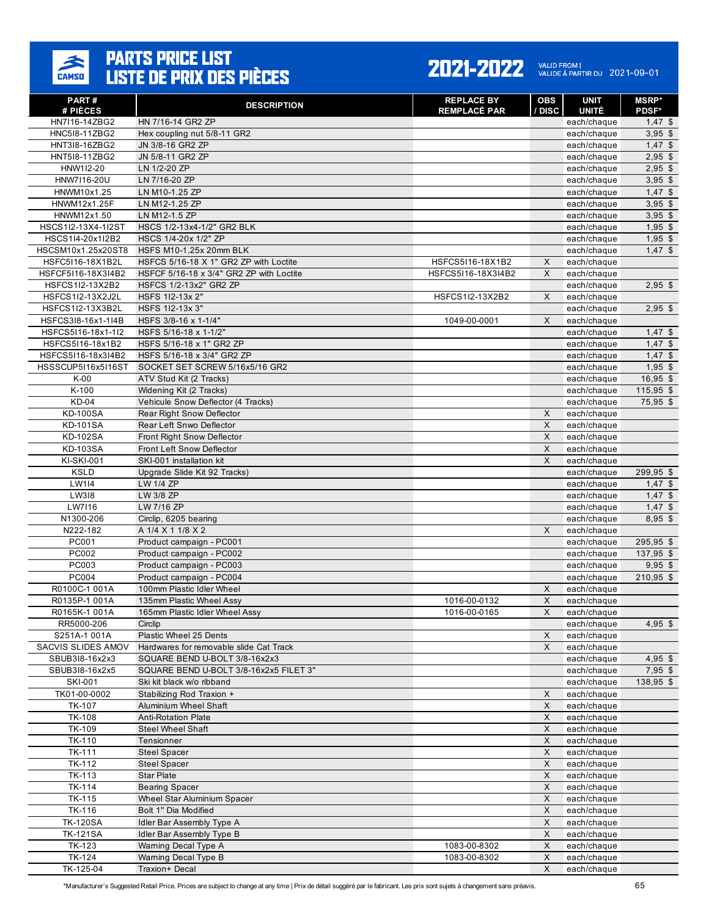

| PART#                                  | <b>DESCRIPTION</b>                                                  | <b>REPLACE BY</b>   | <b>OBS</b>        | <b>UNIT</b>                 | <b>MSRP*</b>              |
|----------------------------------------|---------------------------------------------------------------------|---------------------|-------------------|-----------------------------|---------------------------|
| # PIÈCES<br>HN7I16-14ZBG2              | HN 7/16-14 GR2 ZP                                                   | <b>REMPLACÉ PAR</b> | / DISC            | <b>UNITÉ</b><br>each/chaque | <b>PDSF*</b><br>$1,47$ \$ |
| HNC518-11ZBG2                          | Hex coupling nut 5/8-11 GR2                                         |                     |                   | each/chaque                 | $3,95$ \$                 |
| HNT318-16ZBG2                          | JN 3/8-16 GR2 ZP                                                    |                     |                   | each/chaque                 | $1,47$ \$                 |
| HNT518-11ZBG2                          | JN 5/8-11 GR2 ZP                                                    |                     |                   | each/chaque                 | $2,95$ \$                 |
| HNW1I2-20                              | LN 1/2-20 ZP                                                        |                     |                   | each/chaque                 | $2,95$ \$                 |
| HNW7116-20U                            | LN 7/16-20 ZP                                                       |                     |                   | each/chaque                 | $3,95$ \$                 |
| HNWM10x1.25                            | LN M10-1.25 ZP                                                      |                     |                   | each/chaque                 | $1,47$ \$                 |
| HNWM12x1.25F                           | LN M12-1.25 ZP                                                      |                     |                   | each/chaque                 | $3,95$ \$                 |
| HNWM12x1.50                            | LN M12-1.5 ZP                                                       |                     |                   | each/chaque                 | $3,95$ \$                 |
| HSCS1I2-13X4-1I2ST                     | HSCS 1/2-13x4-1/2" GR2 BLK<br>HSCS 1/4-20x 1/2" ZP                  |                     |                   | each/chaque                 | $1,95$ \$<br>$1.95$ \$    |
| HSCS1I4-20x1I2B2<br>HSCSM10x1.25x20ST8 | HSFS M10-1.25x 20mm BLK                                             |                     |                   | each/chaque<br>each/chaque  | $1,47$ \$                 |
| HSFC5I16-18X1B2L                       | HSFCS 5/16-18 X 1" GR2 ZP with Loctite                              | HSFCS5I16-18X1B2    | X                 | each/chaque                 |                           |
| HSFCF5I16-18X3I4B2                     | HSFCF 5/16-18 x 3/4" GR2 ZP with Loctite                            | HSFCS5I16-18X3I4B2  | X                 | each/chaque                 |                           |
| HSFCS1I2-13X2B2                        | HSFCS 1/2-13x2" GR2 ZP                                              |                     |                   | each/chaque                 | $2,95$ \$                 |
| HSFCS1I2-13X2J2L                       | HSFS 1I2-13x 2"                                                     | HSFCS1I2-13X2B2     | X                 | each/chaque                 |                           |
| HSFCS1I2-13X3B2L                       | HSFS 1I2-13x 3"                                                     |                     |                   | each/chaque                 | $2,95$ \$                 |
| HSFCS3I8-16x1-1I4B                     | HSFS 3/8-16 x 1-1/4"                                                | 1049-00-0001        | X                 | each/chaque                 |                           |
| HSFCS5I16-18x1-1I2                     | HSFS 5/16-18 x 1-1/2"                                               |                     |                   | each/chaque                 | $1,47$ \$                 |
| HSFCS5I16-18x1B2                       | HSFS 5/16-18 x 1" GR2 ZP                                            |                     |                   | each/chaque                 | $1,47$ \$                 |
| HSFCS5I16-18x3I4B2                     | HSFS 5/16-18 x 3/4" GR2 ZP                                          |                     |                   | each/chaque                 | $1,47$ \$                 |
| HSSSCUP5I16x5I16ST                     | SOCKET SET SCREW 5/16x5/16 GR2                                      |                     |                   | each/chaque                 | $1,95$ \$                 |
| $K-00$                                 | ATV Stud Kit (2 Tracks)                                             |                     |                   | each/chaque                 | $16,95$ \$                |
| K-100<br><b>KD-04</b>                  | Widening Kit (2 Tracks)<br>Vehicule Snow Deflector (4 Tracks)       |                     |                   | each/chaque                 | $115,95$ \$<br>75,95 \$   |
| <b>KD-100SA</b>                        | Rear Right Snow Deflector                                           |                     | X                 | each/chaque<br>each/chaque  |                           |
| <b>KD-101SA</b>                        | Rear Left Snwo Deflector                                            |                     | X                 | each/chaque                 |                           |
| <b>KD-102SA</b>                        | Front Right Snow Deflector                                          |                     | X                 | each/chaque                 |                           |
| <b>KD-103SA</b>                        | Front Left Snow Deflector                                           |                     | X                 | each/chaque                 |                           |
| <b>KI-SKI-001</b>                      | SKI-001 installation kit                                            |                     | X                 | each/chaque                 |                           |
| <b>KSLD</b>                            | Upgrade Slide Kit 92 Tracks)                                        |                     |                   | each/chaque                 | 299,95 \$                 |
| LW114                                  | LW 1/4 ZP                                                           |                     |                   | each/chaque                 | $1,47$ \$                 |
| LW318                                  | LW 3/8 ZP                                                           |                     |                   | each/chaque                 | $1,47$ \$                 |
| LW7116                                 | LW 7/16 ZP                                                          |                     |                   | each/chaque                 | $1,47$ \$                 |
| N1300-206                              | Circlip, 6205 bearing                                               |                     |                   | each/chaque                 | 8,95 \$                   |
| N222-182                               | A 1/4 X 1 1/8 X 2                                                   |                     | X                 | each/chaque                 |                           |
| PC001<br>PC002                         | Product campaign - PC001<br>Product campaign - PC002                |                     |                   | each/chaque<br>each/chaque  | 295,95 \$<br>137,95 \$    |
| PC003                                  | Product campaign - PC003                                            |                     |                   | each/chaque                 | $9,95$ \$                 |
| PC004                                  | Product campaign - PC004                                            |                     |                   | each/chaque                 | $210,95$ \$               |
| R0100C-1 001A                          | 100mm Plastic Idler Wheel                                           |                     | X                 | each/chaque                 |                           |
| R0135P-1 001A                          | 135mm Plastic Wheel Assy                                            | 1016-00-0132        | $\mathsf{X}$      | each/chaque                 |                           |
| R0165K-1 001A                          | 165mm Plastic Idler Wheel Assy                                      | 1016-00-0165        | X                 | each/chaque                 |                           |
| RR5000-206                             | Circlip                                                             |                     |                   | each/chaque                 | $4,95$ \$                 |
| S251A-1 001A                           | Plastic Wheel 25 Dents                                              |                     | X                 | each/chaque                 |                           |
| SACVIS SLIDES AMOV                     | Hardwares for removable slide Cat Track                             |                     | X                 | each/chaque                 |                           |
| SBUB318-16x2x3                         | SQUARE BEND U-BOLT 3/8-16x2x3                                       |                     |                   | each/chaque                 | $4,95$ \$                 |
| SBUB318-16x2x5<br><b>SKI-001</b>       | SQUARE BEND U-BOLT 3/8-16x2x5 FILET 3"<br>Ski kit black w/o ribband |                     |                   | each/chaque<br>each/chaque  | $7,95$ \$<br>138,95 \$    |
| TK01-00-0002                           | Stabilizing Rod Traxion +                                           |                     | X                 | each/chaque                 |                           |
| <b>TK-107</b>                          | <b>Aluminium Wheel Shaft</b>                                        |                     | $\mathsf{x}$      | each/chaque                 |                           |
| <b>TK-108</b>                          | <b>Anti-Rotation Plate</b>                                          |                     | X                 | each/chaque                 |                           |
| TK-109                                 | <b>Steel Wheel Shaft</b>                                            |                     | X                 | each/chaque                 |                           |
| TK-110                                 | Tensionner                                                          |                     | X                 | each/chaque                 |                           |
| TK-111                                 | <b>Steel Spacer</b>                                                 |                     | X                 | each/chaque                 |                           |
| TK-112                                 | <b>Steel Spacer</b>                                                 |                     | X                 | each/chaque                 |                           |
| TK-113                                 | <b>Star Plate</b>                                                   |                     | X                 | each/chaque                 |                           |
| TK-114                                 | <b>Bearing Spacer</b>                                               |                     | $\mathsf X$       | each/chaque                 |                           |
| TK-115                                 | Wheel Star Aluminium Spacer                                         |                     | X                 | each/chaque                 |                           |
| TK-116<br><b>TK-120SA</b>              | Bolt 1" Dia Modified                                                |                     | $\mathsf{x}$<br>X | each/chaque                 |                           |
| <b>TK-121SA</b>                        | Idler Bar Assembly Type A<br>Idler Bar Assembly Type B              |                     | X                 | each/chaque<br>each/chaque  |                           |
| TK-123                                 | Warning Decal Type A                                                | 1083-00-8302        | $\mathsf X$       | each/chaque                 |                           |
| TK-124                                 | Warning Decal Type B                                                | 1083-00-8302        | $\mathsf X$       | each/chaque                 |                           |
| TK-125-04                              | Traxion+ Decal                                                      |                     | X                 | each/chaque                 |                           |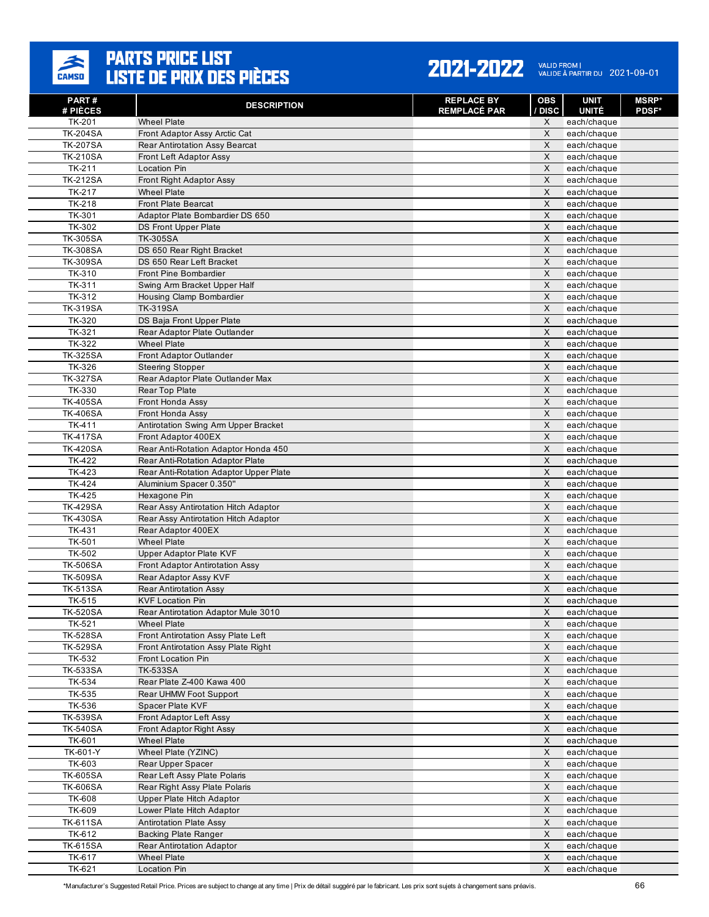

| PART#<br># PIÈCES         | <b>DESCRIPTION</b>                                         | <b>REPLACE BY</b><br><b>REMPLACÉ PAR</b> | <b>OBS</b><br>/ DISC      | <b>UNIT</b><br><b>UNITÉ</b> | <b>MSRP</b> *<br><b>PDSF*</b> |
|---------------------------|------------------------------------------------------------|------------------------------------------|---------------------------|-----------------------------|-------------------------------|
| TK-201                    | <b>Wheel Plate</b>                                         |                                          | X                         | each/chaque                 |                               |
| <b>TK-204SA</b>           | Front Adaptor Assy Arctic Cat                              |                                          | X                         | each/chaque                 |                               |
| <b>TK-207SA</b>           | <b>Rear Antirotation Assy Bearcat</b>                      |                                          | X                         | each/chaque                 |                               |
| <b>TK-210SA</b>           | <b>Front Left Adaptor Assy</b>                             |                                          | X                         | each/chaque                 |                               |
| TK-211                    | <b>Location Pin</b>                                        |                                          | X                         | each/chaque                 |                               |
| <b>TK-212SA</b>           | Front Right Adaptor Assy                                   |                                          | X                         | each/chaque                 |                               |
| TK-217                    | <b>Wheel Plate</b>                                         |                                          | X                         | each/chaque                 |                               |
| TK-218                    | <b>Front Plate Bearcat</b>                                 |                                          | X                         | each/chaque                 |                               |
| TK-301                    | Adaptor Plate Bombardier DS 650                            |                                          | $\times$                  | each/chaque                 |                               |
| TK-302                    | <b>DS Front Upper Plate</b>                                |                                          | $\mathsf{X}$              | each/chaque                 |                               |
| <b>TK-305SA</b>           | <b>TK-305SA</b>                                            |                                          | X                         | each/chaque                 |                               |
| <b>TK-308SA</b>           | DS 650 Rear Right Bracket                                  |                                          | X                         | each/chaque                 |                               |
| <b>TK-309SA</b>           | DS 650 Rear Left Bracket<br>Front Pine Bombardier          |                                          | $\sf X$<br>X              | each/chaque                 |                               |
| TK-310<br>TK-311          | Swing Arm Bracket Upper Half                               |                                          | X                         | each/chaque<br>each/chaque  |                               |
| TK-312                    | Housing Clamp Bombardier                                   |                                          | X                         | each/chaque                 |                               |
| <b>TK-319SA</b>           | <b>TK-319SA</b>                                            |                                          | X                         | each/chaque                 |                               |
| TK-320                    | DS Baja Front Upper Plate                                  |                                          | X                         | each/chaque                 |                               |
| TK-321                    | Rear Adaptor Plate Outlander                               |                                          | X                         | each/chaque                 |                               |
| TK-322                    | <b>Wheel Plate</b>                                         |                                          | X                         | each/chaque                 |                               |
| <b>TK-325SA</b>           | Front Adaptor Outlander                                    |                                          | X                         | each/chaque                 |                               |
| TK-326                    | <b>Steering Stopper</b>                                    |                                          | X                         | each/chaque                 |                               |
| <b>TK-327SA</b>           | Rear Adaptor Plate Outlander Max                           |                                          | $\times$                  | each/chaque                 |                               |
| TK-330                    | Rear Top Plate                                             |                                          | X                         | each/chaque                 |                               |
| <b>TK-405SA</b>           | Front Honda Assy                                           |                                          | X                         | each/chaque                 |                               |
| <b>TK-406SA</b>           | Front Honda Assy                                           |                                          | $\times$                  | each/chaque                 |                               |
| TK-411                    | Antirotation Swing Arm Upper Bracket                       |                                          | $\times$                  | each/chaque                 |                               |
| <b>TK-417SA</b>           | Front Adaptor 400EX                                        |                                          | X                         | each/chaque                 |                               |
| <b>TK-420SA</b>           | Rear Anti-Rotation Adaptor Honda 450                       |                                          | X                         | each/chaque                 |                               |
| TK-422                    | Rear Anti-Rotation Adaptor Plate                           |                                          | X                         | each/chaque                 |                               |
| TK-423                    | Rear Anti-Rotation Adaptor Upper Plate                     |                                          | X                         | each/chaque                 |                               |
| TK-424                    | Aluminium Spacer 0.350"                                    |                                          | $\sf X$                   | each/chaque                 |                               |
| TK-425                    | Hexagone Pin                                               |                                          | X                         | each/chaque                 |                               |
| <b>TK-429SA</b>           | Rear Assy Antirotation Hitch Adaptor                       |                                          | $\times$<br>$\sf X$       | each/chaque                 |                               |
| <b>TK-430SA</b><br>TK-431 | Rear Assy Antirotation Hitch Adaptor<br>Rear Adaptor 400EX |                                          | X                         | each/chaque                 |                               |
| <b>TK-501</b>             | <b>Wheel Plate</b>                                         |                                          | X                         | each/chaque<br>each/chaque  |                               |
| TK-502                    | <b>Upper Adaptor Plate KVF</b>                             |                                          | $\sf X$                   | each/chaque                 |                               |
| <b>TK-506SA</b>           | <b>Front Adaptor Antirotation Assy</b>                     |                                          | X                         | each/chaque                 |                               |
| <b>TK-509SA</b>           | Rear Adaptor Assy KVF                                      |                                          | X                         | each/chaque                 |                               |
| <b>TK-513SA</b>           | <b>Rear Antirotation Assy</b>                              |                                          | X                         | each/chaque                 |                               |
| TK-515                    | <b>KVF Location Pin</b>                                    |                                          | $\mathsf{X}$              | each/chaque                 |                               |
| <b>TK-520SA</b>           | Rear Antirotation Adaptor Mule 3010                        |                                          | X                         | each/chaque                 |                               |
| TK-521                    | <b>Wheel Plate</b>                                         |                                          | $\boldsymbol{\mathsf{X}}$ | each/chaque                 |                               |
| <b>TK-528SA</b>           | Front Antirotation Assy Plate Left                         |                                          | X                         | each/chaque                 |                               |
| <b>TK-529SA</b>           | Front Antirotation Assy Plate Right                        |                                          | $\mathsf X$               | each/chaque                 |                               |
| TK-532                    | Front Location Pin                                         |                                          | X                         | each/chaque                 |                               |
| <b>TK-533SA</b>           | <b>TK-533SA</b>                                            |                                          | X                         | each/chaque                 |                               |
| TK-534                    | Rear Plate Z-400 Kawa 400                                  |                                          | $\times$                  | each/chaque                 |                               |
| TK-535                    | Rear UHMW Foot Support                                     |                                          | $\mathsf X$               | each/chaque                 |                               |
| TK-536                    | Spacer Plate KVF                                           |                                          | $\times$                  | each/chaque                 |                               |
| <b>TK-539SA</b>           | Front Adaptor Left Assy                                    |                                          | $\mathsf X$               | each/chaque                 |                               |
| <b>TK-540SA</b>           | Front Adaptor Right Assy                                   |                                          | $\mathsf{X}$              | each/chaque                 |                               |
| TK-601                    | <b>Wheel Plate</b>                                         |                                          | X                         | each/chaque                 |                               |
| TK-601-Y<br>TK-603        | Wheel Plate (YZINC)<br>Rear Upper Spacer                   |                                          | X<br>$\mathsf{X}$         | each/chaque                 |                               |
| <b>TK-605SA</b>           | Rear Left Assy Plate Polaris                               |                                          | $\boldsymbol{\mathsf{X}}$ | each/chaque<br>each/chaque  |                               |
| <b>TK-606SA</b>           | Rear Right Assy Plate Polaris                              |                                          | $\mathsf X$               | each/chaque                 |                               |
| TK-608                    | Upper Plate Hitch Adaptor                                  |                                          | X                         | each/chaque                 |                               |
| TK-609                    | Lower Plate Hitch Adaptor                                  |                                          | $\mathsf{X}$              | each/chaque                 |                               |
| <b>TK-611SA</b>           | <b>Antirotation Plate Assy</b>                             |                                          | $\times$                  | each/chaque                 |                               |
| TK-612                    | <b>Backing Plate Ranger</b>                                |                                          | X                         | each/chaque                 |                               |
| <b>TK-615SA</b>           | <b>Rear Antirotation Adaptor</b>                           |                                          | $\mathsf{X}$              | each/chaque                 |                               |
| TK-617                    | <b>Wheel Plate</b>                                         |                                          | $\mathsf X$               | each/chaque                 |                               |
| TK-621                    | Location Pin                                               |                                          | X                         | each/chaque                 |                               |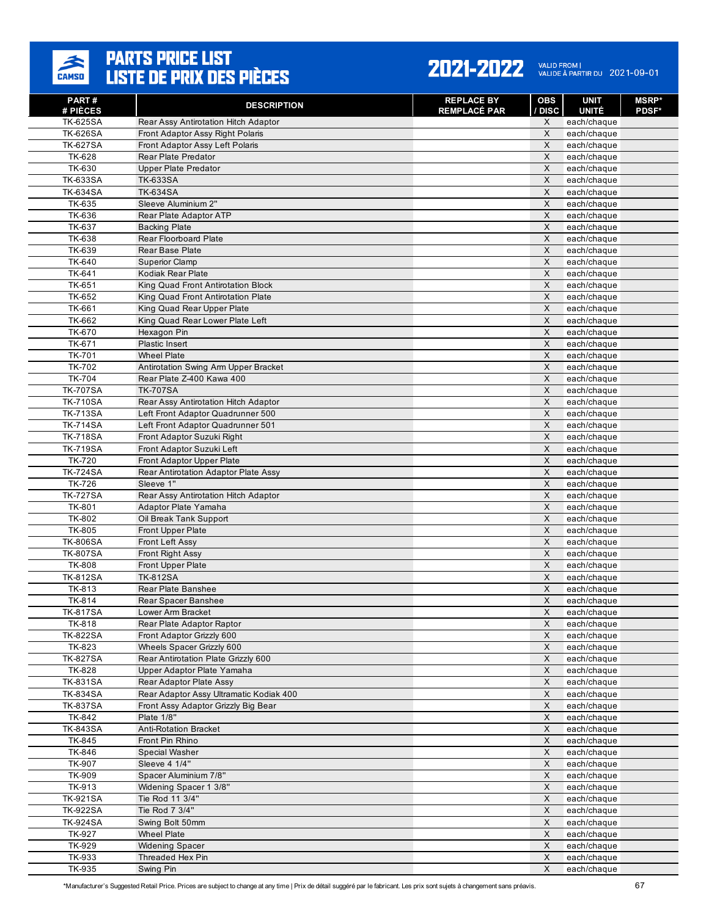

| PART#<br># PIÈCES                | <b>DESCRIPTION</b>                           | <b>REPLACE BY</b><br><b>REMPLACÉ PAR</b> | <b>OBS</b><br><b>DISC</b> | <b>UNIT</b><br><b>UNITÉ</b> | <b>MSRP</b> *<br><b>PDSF*</b> |
|----------------------------------|----------------------------------------------|------------------------------------------|---------------------------|-----------------------------|-------------------------------|
| <b>TK-625SA</b>                  | Rear Assy Antirotation Hitch Adaptor         |                                          | X                         | each/chaque                 |                               |
| <b>TK-626SA</b>                  | Front Adaptor Assy Right Polaris             |                                          | $\sf X$                   | each/chaque                 |                               |
| <b>TK-627SA</b>                  | Front Adaptor Assy Left Polaris              |                                          | X                         | each/chaque                 |                               |
| <b>TK-628</b>                    | <b>Rear Plate Predator</b>                   |                                          | $\times$                  | each/chaque                 |                               |
| TK-630                           | <b>Upper Plate Predator</b>                  |                                          | $\mathsf{X}$              | each/chaque                 |                               |
| <b>TK-633SA</b>                  | <b>TK-633SA</b>                              |                                          | X                         | each/chaque                 |                               |
| <b>TK-634SA</b>                  | <b>TK-634SA</b>                              |                                          | X                         | each/chaque                 |                               |
| TK-635                           | Sleeve Aluminium 2"                          |                                          | X                         | each/chaque                 |                               |
| TK-636                           | Rear Plate Adaptor ATP                       |                                          | X                         | each/chaque                 |                               |
| TK-637                           | <b>Backing Plate</b>                         |                                          | $\mathsf{X}$              | each/chaque                 |                               |
| <b>TK-638</b>                    | <b>Rear Floorboard Plate</b>                 |                                          | X                         | each/chaque                 |                               |
| TK-639                           | Rear Base Plate                              |                                          | X                         | each/chaque                 |                               |
| TK-640<br>TK-641                 | <b>Superior Clamp</b><br>Kodiak Rear Plate   |                                          | X<br>$\times$             | each/chaque                 |                               |
| TK-651                           | King Quad Front Antirotation Block           |                                          | X                         | each/chaque<br>each/chaque  |                               |
| TK-652                           | King Quad Front Antirotation Plate           |                                          | X                         | each/chaque                 |                               |
| TK-661                           | King Quad Rear Upper Plate                   |                                          | $\times$                  | each/chaque                 |                               |
| TK-662                           | King Quad Rear Lower Plate Left              |                                          | X                         | each/chaque                 |                               |
| TK-670                           | Hexagon Pin                                  |                                          | X                         | each/chaque                 |                               |
| TK-671                           | <b>Plastic Insert</b>                        |                                          | X                         | each/chaque                 |                               |
| <b>TK-701</b>                    | <b>Wheel Plate</b>                           |                                          | X                         | each/chaque                 |                               |
| <b>TK-702</b>                    | Antirotation Swing Arm Upper Bracket         |                                          | X                         | each/chaque                 |                               |
| <b>TK-704</b>                    | Rear Plate Z-400 Kawa 400                    |                                          | X                         | each/chaque                 |                               |
| <b>TK-707SA</b>                  | <b>TK-707SA</b>                              |                                          | $\mathsf{X}$              | each/chaque                 |                               |
| <b>TK-710SA</b>                  | Rear Assy Antirotation Hitch Adaptor         |                                          | $\times$                  | each/chaque                 |                               |
| <b>TK-713SA</b>                  | Left Front Adaptor Quadrunner 500            |                                          | $\mathsf{X}$              | each/chaque                 |                               |
| <b>TK-714SA</b>                  | Left Front Adaptor Quadrunner 501            |                                          | X                         | each/chaque                 |                               |
| <b>TK-718SA</b>                  | Front Adaptor Suzuki Right                   |                                          | $\times$                  | each/chaque                 |                               |
| <b>TK-719SA</b>                  | Front Adaptor Suzuki Left                    |                                          | $\sf X$                   | each/chaque                 |                               |
| <b>TK-720</b>                    | Front Adaptor Upper Plate                    |                                          | $\mathsf{X}$              | each/chaque                 |                               |
| <b>TK-724SA</b>                  | Rear Antirotation Adaptor Plate Assy         |                                          | X                         | each/chaque                 |                               |
| <b>TK-726</b>                    | Sleeve 1"                                    |                                          | X                         | each/chaque                 |                               |
| <b>TK-727SA</b>                  | Rear Assy Antirotation Hitch Adaptor         |                                          | X                         | each/chaque                 |                               |
| <b>TK-801</b>                    | Adaptor Plate Yamaha                         |                                          | X                         | each/chaque                 |                               |
| TK-802                           | Oil Break Tank Support                       |                                          | $\mathsf{X}$              | each/chaque                 |                               |
| <b>TK-805</b>                    | <b>Front Upper Plate</b>                     |                                          | X                         | each/chaque                 |                               |
| <b>TK-806SA</b>                  | Front Left Assy                              |                                          | X<br>$\times$             | each/chaque                 |                               |
| <b>TK-807SA</b><br><b>TK-808</b> | Front Right Assy<br><b>Front Upper Plate</b> |                                          | $\times$                  | each/chaque<br>each/chaque  |                               |
| <b>TK-812SA</b>                  | <b>TK-812SA</b>                              |                                          | X                         | each/chaque                 |                               |
| TK-813                           | Rear Plate Banshee                           |                                          | X                         | each/chaque                 |                               |
| TK-814                           | Rear Spacer Banshee                          |                                          | X                         | each/chaque                 |                               |
| <b>TK-817SA</b>                  | Lower Arm Bracket                            |                                          | X                         | each/chaque                 |                               |
| TK-818                           | Rear Plate Adaptor Raptor                    |                                          | $\mathsf X$               | each/chaque                 |                               |
| <b>TK-822SA</b>                  | Front Adaptor Grizzly 600                    |                                          | X                         | each/chaque                 |                               |
| TK-823                           | Wheels Spacer Grizzly 600                    |                                          | $\mathsf X$               | each/chaque                 |                               |
| <b>TK-827SA</b>                  | Rear Antirotation Plate Grizzly 600          |                                          | $\mathsf X$               | each/chaque                 |                               |
| <b>TK-828</b>                    | Upper Adaptor Plate Yamaha                   |                                          | $\mathsf X$               | each/chaque                 |                               |
| <b>TK-831SA</b>                  | Rear Adaptor Plate Assy                      |                                          | $\boldsymbol{\mathsf{X}}$ | each/chaque                 |                               |
| <b>TK-834SA</b>                  | Rear Adaptor Assy Ultramatic Kodiak 400      |                                          | X                         | each/chaque                 |                               |
| <b>TK-837SA</b>                  | Front Assy Adaptor Grizzly Big Bear          |                                          | $\times$                  | each/chaque                 |                               |
| TK-842                           | Plate 1/8"                                   |                                          | $\boldsymbol{\mathsf{X}}$ | each/chaque                 |                               |
| <b>TK-843SA</b>                  | <b>Anti-Rotation Bracket</b>                 |                                          | X                         | each/chaque                 |                               |
| TK-845                           | Front Pin Rhino                              |                                          | X                         | each/chaque                 |                               |
| TK-846                           | Special Washer                               |                                          | $\boldsymbol{\mathsf{X}}$ | each/chaque                 |                               |
| TK-907                           | Sleeve 4 1/4"                                |                                          | X                         | each/chaque                 |                               |
| TK-909                           | Spacer Aluminium 7/8"                        |                                          | $\boldsymbol{\mathsf{X}}$ | each/chaque                 |                               |
| TK-913                           | Widening Spacer 1 3/8"                       |                                          | $\boldsymbol{\mathsf{X}}$ | each/chaque                 |                               |
| <b>TK-921SA</b>                  | Tie Rod 11 3/4"                              |                                          | $\mathsf X$               | each/chaque                 |                               |
| <b>TK-922SA</b>                  | Tie Rod 7 3/4"                               |                                          | $\mathsf X$               | each/chaque                 |                               |
| <b>TK-924SA</b>                  | Swing Bolt 50mm                              |                                          | $\times$                  | each/chaque                 |                               |
| TK-927<br>TK-929                 | <b>Wheel Plate</b>                           |                                          | $\mathsf X$<br>X          | each/chaque                 |                               |
| TK-933                           | <b>Widening Spacer</b><br>Threaded Hex Pin   |                                          | X                         | each/chaque<br>each/chaque  |                               |
| TK-935                           | Swing Pin                                    |                                          | $\mathsf X$               | each/chaque                 |                               |
|                                  |                                              |                                          |                           |                             |                               |